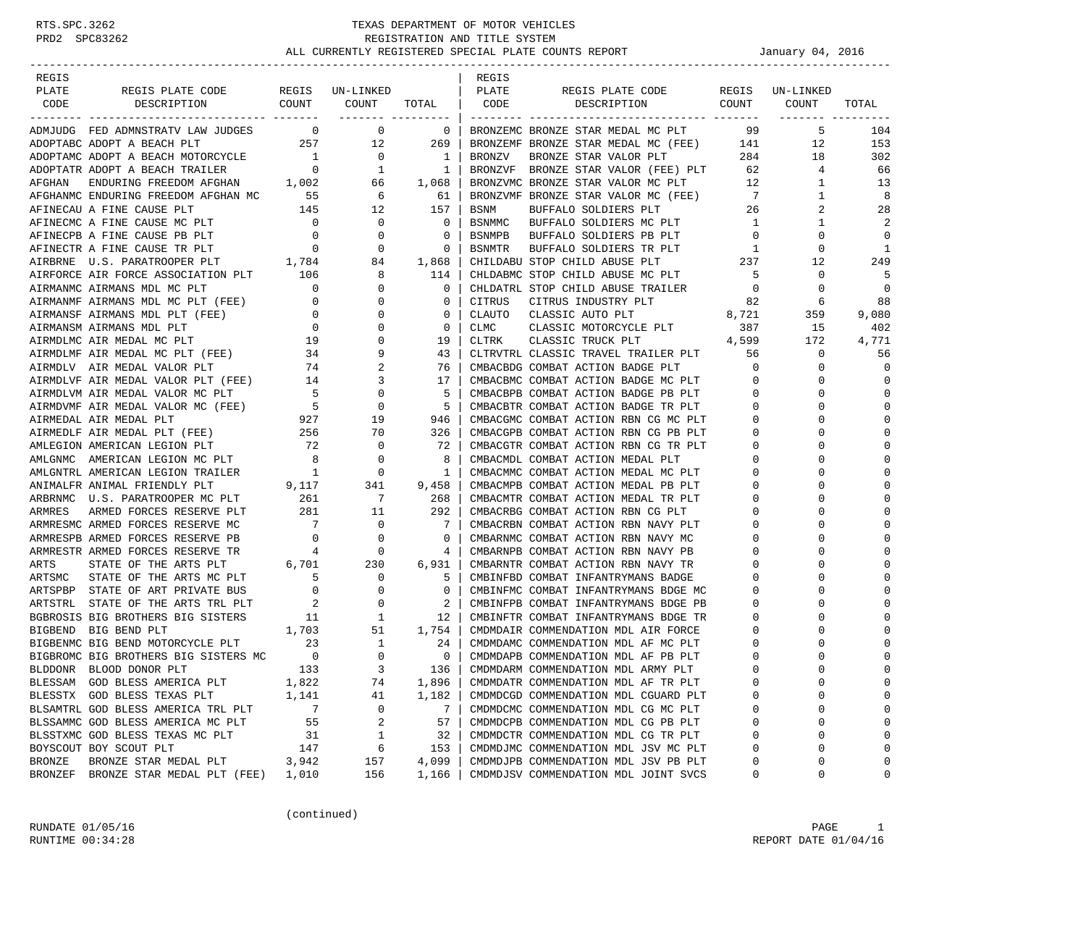| REGIS         |                                                                                                                                                                                                                                                                                                                                                                  |                 |                                                                                |                          | REGIS  |                                                                                        |                          |                                |             |
|---------------|------------------------------------------------------------------------------------------------------------------------------------------------------------------------------------------------------------------------------------------------------------------------------------------------------------------------------------------------------------------|-----------------|--------------------------------------------------------------------------------|--------------------------|--------|----------------------------------------------------------------------------------------|--------------------------|--------------------------------|-------------|
| PLATE         | REGIS PLATE CODE REGIS UN-LINKED<br>DESCRIPTION COUNT COUNT                                                                                                                                                                                                                                                                                                      |                 |                                                                                | PLATE                    |        | REGIS PLATE CODE<br>TOTAL   CODE DESCRIPTION COUNT COUNT                               |                          | REGIS UN-LINKED                |             |
| CODE          |                                                                                                                                                                                                                                                                                                                                                                  |                 |                                                                                |                          |        |                                                                                        |                          |                                | TOTAL       |
|               | ADMJUDG FED ADMNSTRATV LAW JUDGES 0 0 0                                                                                                                                                                                                                                                                                                                          |                 |                                                                                | $\overline{\phantom{0}}$ |        | BRONZEMC BRONZE STAR MEDAL MC PLT 99                                                   |                          | 5                              | 104         |
|               | ADOPTABC ADOPT A BEACH PLT                                                                                                                                                                                                                                                                                                                                       |                 | 257 12 269                                                                     |                          |        | BRONZEMF BRONZE STAR MEDAL MC (FEE) 141                                                |                          | 12                             | 153         |
|               |                                                                                                                                                                                                                                                                                                                                                                  |                 |                                                                                |                          | BRONZV | BRONZE STAR VALOR PLT 284                                                              |                          | 18                             | 302         |
|               |                                                                                                                                                                                                                                                                                                                                                                  |                 |                                                                                |                          |        | BRONZVF BRONZE STAR VALOR (FEE) PLT 62                                                 |                          | $\overline{4}$                 | 66          |
|               | $\begin{tabular}{lllllllllllllllllll} \multicolumn{2}{c}{ADOPTAMC} & DDPT~A & BEACH & MOTORCYCLE & & 1 & 0 & 1\\ \multicolumn{2}{c}{ADOPTATR} & DOPT~A & BEACH & TRAILER & 0 & 1 & 1\\ \multicolumn{2}{c}{AFGHAN} & ENDURING & FREEDOM & AFGHAN & 1,002 & 66 & 1,068\\ \multicolumn{2}{c}{AFGHANMC} & ENDURING & FREEDOM & AFGHAN & 55 & 6 & 61\\ \end{tabular}$ |                 |                                                                                |                          |        | BRONZVMC BRONZE STAR VALOR MC PLT                                                      |                          | $\mathbf{1}$                   | 13          |
|               |                                                                                                                                                                                                                                                                                                                                                                  |                 |                                                                                |                          |        | BRONZVMF BRONZE STAR VALOR MC (FEE)                                                    |                          | $\frac{12}{7}$<br>$\mathbf{1}$ | 8           |
|               |                                                                                                                                                                                                                                                                                                                                                                  |                 |                                                                                |                          | BSNM   | BUFFALO SOLDIERS PLT                                                                   |                          | 26<br>2                        | 28          |
|               |                                                                                                                                                                                                                                                                                                                                                                  |                 |                                                                                |                          |        | BSNMMC BUFFALO SOLDIERS MC PLT                                                         | 1                        | $\mathbf{1}$                   | 2           |
|               |                                                                                                                                                                                                                                                                                                                                                                  |                 |                                                                                |                          | BSNMPB | BUFFALO SOLDIERS PB PLT                                                                | $\overline{0}$           | 0                              | $\Omega$    |
|               |                                                                                                                                                                                                                                                                                                                                                                  |                 |                                                                                |                          | BSNMTR |                                                                                        | $\overline{1}$           | 0                              | 1           |
|               |                                                                                                                                                                                                                                                                                                                                                                  |                 |                                                                                |                          |        | BUFFALO SOLDIERS TR PLT 1<br>STOP CHILD ABUSE PLT 237<br>CHILDABU STOP CHILD ABUSE PLT |                          | 12                             | 249         |
|               |                                                                                                                                                                                                                                                                                                                                                                  |                 |                                                                                |                          |        | CHLDABMC STOP CHILD ABUSE MC PLT                                                       | $5^{\circ}$              | 0                              | 5           |
|               |                                                                                                                                                                                                                                                                                                                                                                  |                 |                                                                                |                          |        | CHLDATRL STOP CHILD ABUSE TRAILER                                                      | $\overline{0}$           | 0                              | $\mathbf 0$ |
|               |                                                                                                                                                                                                                                                                                                                                                                  |                 |                                                                                |                          | CITRUS | CITRUS INDUSTRY PLT                                                                    | 82                       | 6                              | 88          |
|               |                                                                                                                                                                                                                                                                                                                                                                  |                 |                                                                                |                          | CLAUTO |                                                                                        |                          | 359                            | 9,080       |
|               |                                                                                                                                                                                                                                                                                                                                                                  |                 |                                                                                |                          | CLMC   | CLASSIC AUTO PLT 8,721<br>CLASSIC MOTORCYCLE PLT 387                                   |                          | 15                             | 402         |
|               |                                                                                                                                                                                                                                                                                                                                                                  |                 |                                                                                |                          | CLTRK  | 4,599<br>CLASSIC TRUCK PLT                                                             |                          | 172                            | 4,771       |
|               |                                                                                                                                                                                                                                                                                                                                                                  |                 |                                                                                |                          |        | CLTRVTRL CLASSIC TRAVEL TRAILER PLT 56                                                 |                          | $\mathbf{0}$                   | 56          |
|               |                                                                                                                                                                                                                                                                                                                                                                  |                 |                                                                                |                          |        | CMBACBDG COMBAT ACTION BADGE PLT                                                       | $\overline{0}$           | $\mathbf 0$                    | $\Omega$    |
|               |                                                                                                                                                                                                                                                                                                                                                                  |                 |                                                                                |                          |        |                                                                                        | $\overline{0}$           | 0                              | $\mathbf 0$ |
|               |                                                                                                                                                                                                                                                                                                                                                                  |                 |                                                                                |                          |        | CMBACBMC COMBAT ACTION BADGE MC PLT 0<br>CMBACBPB COMBAT ACTION BADGE PB PLT 0         |                          | $\Omega$                       | $\mathbf 0$ |
|               |                                                                                                                                                                                                                                                                                                                                                                  |                 |                                                                                |                          |        | CMBACBTR COMBAT ACTION BADGE TR PLT 0                                                  |                          | 0                              | $\Omega$    |
|               |                                                                                                                                                                                                                                                                                                                                                                  |                 |                                                                                |                          |        | CMBACGMC COMBAT ACTION RBN CG MC PLT                                                   | $\mathbf{0}$             | $\Omega$                       | $\Omega$    |
|               | AIRMEDLE AIR MEDAL FILE (FEE) 256 70                                                                                                                                                                                                                                                                                                                             |                 |                                                                                | 326                      |        | CMBACGPB COMBAT ACTION RBN CG PB PLT                                                   | $\overline{0}$           | $\Omega$                       | $\Omega$    |
|               | AMLEGION AMERICAN LEGION PLT                                                                                                                                                                                                                                                                                                                                     |                 | $\begin{array}{ccc} 72 & \hspace{1.5cm} 0 \\ 8 & \hspace{1.5cm} 0 \end{array}$ | 72                       |        | CMBACGTR COMBAT ACTION RBN CG TR PLT                                                   | 0                        | 0                              | $\Omega$    |
|               | ANLGNMC AMERICAN LEGION MC PLT<br>AMLGNMC AMERICAN LEGION MC PLT                                                                                                                                                                                                                                                                                                 |                 |                                                                                | 8                        |        | CMBACMDL COMBAT ACTION MEDAL PLT                                                       | $\overline{0}$           | $\Omega$                       | $\Omega$    |
|               |                                                                                                                                                                                                                                                                                                                                                                  |                 |                                                                                | $\mathbf{1}$             |        | CMBACMMC COMBAT ACTION MEDAL MC PLT 0                                                  |                          | $\Omega$                       | $\Omega$    |
|               |                                                                                                                                                                                                                                                                                                                                                                  |                 |                                                                                | 9,458                    |        | CMBACMPB COMBAT ACTION MEDAL PB PLT<br>CMBACMTR COMBAT ACTION MEDAL TR PLT             | $\mathbf{0}$             | $\Omega$                       | $\Omega$    |
|               | ARBRNMC U.S. PARATROOPER MC PLT 261                                                                                                                                                                                                                                                                                                                              |                 | $\overline{7}$                                                                 | 268                      |        |                                                                                        | $\overline{\phantom{0}}$ | $\Omega$                       | $\Omega$    |
| ARMRES        |                                                                                                                                                                                                                                                                                                                                                                  |                 | 11                                                                             | 292                      |        | CMBACRBG COMBAT ACTION RBN CG PLT                                                      | 0                        | 0                              | $\Omega$    |
|               | ARMRESMC ARMED FORCES RESERVE MC                                                                                                                                                                                                                                                                                                                                 | $7\overline{ }$ | $\overline{0}$                                                                 | 7                        |        | CMBACRBN COMBAT ACTION RBN NAVY PLT                                                    | $\mathbf 0$              | $\Omega$                       | $\Omega$    |
|               | ARMRESPB ARMED FORCES RESERVE PB                                                                                                                                                                                                                                                                                                                                 | $\overline{0}$  | $\overline{\phantom{0}}$                                                       | 0                        |        | CMBARNMC COMBAT ACTION RBN NAVY MC                                                     | $\overline{0}$           | $\Omega$                       | $\Omega$    |
|               | ARMRESTR ARMED FORCES RESERVE TR                                                                                                                                                                                                                                                                                                                                 | 4               | $\overline{\phantom{0}}$                                                       | 4                        |        | CMBARNPB COMBAT ACTION RBN NAVY PB                                                     | $\circ$                  | $\Omega$                       | $\Omega$    |
| ARTS          | STATE OF THE ARTS PLT                                                                                                                                                                                                                                                                                                                                            |                 | $6,701$ 230                                                                    | 6,931                    |        | CMBARNTR COMBAT ACTION RBN NAVY TR                                                     | $\mathbf 0$              | $\Omega$                       |             |
|               | ARTSMC STATE OF THE ARTS MC PLT                                                                                                                                                                                                                                                                                                                                  |                 | $\begin{array}{ccc} 5 & 0 \\ 0 & 0 \end{array}$                                | 5                        |        | CMBINFBD COMBAT INFANTRYMANS BADGE                                                     | 0                        | 0                              | $\Omega$    |
|               | ARTSPBP STATE OF ART PRIVATE BUS                                                                                                                                                                                                                                                                                                                                 |                 |                                                                                | $\overline{0}$           |        | CMBINFMC COMBAT INFANTRYMANS BDGE MC                                                   | $\mathbf 0$              | $\Omega$                       | $\Omega$    |
|               | ARTSTRL STATE OF THE ARTS TRL PLT $\begin{array}{ccc} 2 & 0 & 2 \\ 2 & 0 & 2 \\ \hline \end{array}$<br>BGBROSIS BIG BROTHERS BIG SISTERS $\begin{array}{ccc} 11 & 1 & 12 \\ 11 & 1 & 12 \\ \hline \end{array}$<br>BIGBEND BIG BEND PLT $\begin{array}{ccc} 1,703 & 51 & 1,754 \\ \end{array}$                                                                    |                 |                                                                                |                          |        | CMBINFPB COMBAT INFANTRYMANS BDGE PB                                                   | $\overline{0}$           | 0                              | $\Omega$    |
|               |                                                                                                                                                                                                                                                                                                                                                                  |                 |                                                                                |                          |        | CMBINFTR COMBAT INFANTRYMANS BDGE TR                                                   | $\circ$                  | $\Omega$                       | $\Omega$    |
|               |                                                                                                                                                                                                                                                                                                                                                                  |                 |                                                                                |                          |        | CMDMDAIR COMMENDATION MDL AIR FORCE                                                    | $\overline{0}$           | $\Omega$                       |             |
|               | BIGBENMC BIG BEND MOTORCYCLE PLT 23 1<br>BIGBENMC BIG BROTHERS BIG SISTERS MC 0 0 0                                                                                                                                                                                                                                                                              |                 |                                                                                | -24                      |        | CMDMDAMC COMMENDATION MDL AF MC PLT                                                    | 0                        | 0                              | $\Omega$    |
|               |                                                                                                                                                                                                                                                                                                                                                                  |                 |                                                                                | $\overline{\phantom{0}}$ |        | CMDMDAPB COMMENDATION MDL AF PB PLT                                                    | $\overline{0}$           | $\Omega$                       | $\Omega$    |
|               | BLDDONR BLOOD DONOR PLT                                                                                                                                                                                                                                                                                                                                          | 133             | $\overline{\mathbf{3}}$                                                        | 136 l                    |        | CMDMDARM COMMENDATION MDL ARMY PLT                                                     | $\Omega$                 | $\cap$                         | $\Omega$    |
|               | BLESSAM GOD BLESS AMERICA PLT                                                                                                                                                                                                                                                                                                                                    | 1,822           | 74                                                                             | 1,896                    |        | CMDMDATR COMMENDATION MDL AF TR PLT                                                    | 0                        | 0                              | $\Omega$    |
|               | BLESSTX GOD BLESS TEXAS PLT                                                                                                                                                                                                                                                                                                                                      | 1,141           | 41                                                                             | 1,182                    |        | CMDMDCGD COMMENDATION MDL CGUARD PLT                                                   | 0                        | $\Omega$                       | $\Omega$    |
|               | BLSAMTRL GOD BLESS AMERICA TRL PLT                                                                                                                                                                                                                                                                                                                               | - 7             | 0                                                                              | 7                        |        | CMDMDCMC COMMENDATION MDL CG MC PLT                                                    | 0                        | 0                              | 0           |
|               | BLSSAMMC GOD BLESS AMERICA MC PLT                                                                                                                                                                                                                                                                                                                                | 55              | 2                                                                              | 57                       |        | CMDMDCPB COMMENDATION MDL CG PB PLT                                                    | 0                        | 0                              | 0           |
|               | BLSSTXMC GOD BLESS TEXAS MC PLT                                                                                                                                                                                                                                                                                                                                  | 31              | 1                                                                              | 32                       |        | CMDMDCTR COMMENDATION MDL CG TR PLT                                                    | 0                        | 0                              | $\Omega$    |
|               | BOYSCOUT BOY SCOUT PLT                                                                                                                                                                                                                                                                                                                                           | 147             | 6                                                                              | 153                      |        | CMDMDJMC COMMENDATION MDL JSV MC PLT                                                   | 0                        | 0                              | $\Omega$    |
| <b>BRONZE</b> | BRONZE STAR MEDAL PLT                                                                                                                                                                                                                                                                                                                                            | 3,942           | 157                                                                            | 4,099                    |        | CMDMDJPB COMMENDATION MDL JSV PB PLT                                                   | 0                        | 0                              | 0           |
|               | BRONZEF BRONZE STAR MEDAL PLT (FEE)                                                                                                                                                                                                                                                                                                                              | 1,010           | 156                                                                            | 1,166                    |        | CMDMDJSV COMMENDATION MDL JOINT SVCS                                                   | 0                        | 0                              | 0           |

(continued)

RUNDATE  $01/05/16$  PAGE 1 RUNTIME  $00:34:28$  REPORT DATE  $01/04/16$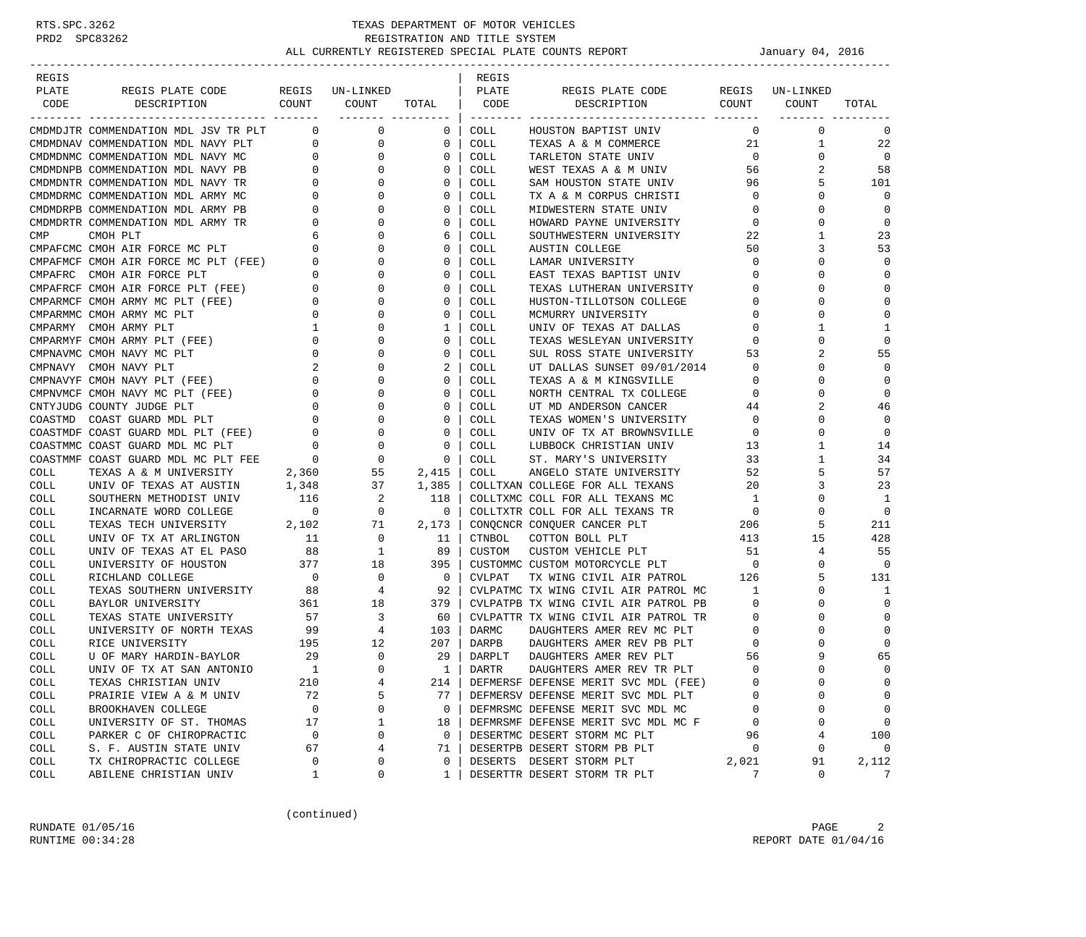| REGIS        |                                                                     |                          |                                    |                          | REGIS        |                                                     |                   |              |             |
|--------------|---------------------------------------------------------------------|--------------------------|------------------------------------|--------------------------|--------------|-----------------------------------------------------|-------------------|--------------|-------------|
| PLATE        | REGIS PLATE CODE                                                    |                          | REGIS UN-LINKED                    |                          | PLATE        | REGIS PLATE CODE                                    | REGIS             | UN-LINKED    |             |
| CODE         | COUNT<br>DESCRIPTION                                                |                          | COUNT                              | TOTAL                    | CODE         | DESCRIPTION COUNT                                   |                   | COUNT        | TOTAL       |
|              | CMDMDJTR COMMENDATION MDL JSV TR PLT                                | $\overline{0}$           | ___________________<br>$\mathbf 0$ | 0                        | COLL         | HOUSTON BAPTIST UNIV                                | $\circ$           | $\mathbf 0$  | 0           |
|              | CMDMDNAV COMMENDATION MDL NAVY PLT                                  | $\overline{0}$           | 0                                  | 0                        | COLL         | TEXAS A & M COMMERCE                                | 21                | 1            | 22          |
|              | CMDMDNMC COMMENDATION MDL NAVY MC                                   | $\overline{0}$           | $\mathbf 0$                        | 0                        | COLL         | TARLETON STATE UNIV                                 | $\overline{0}$    | $\mathbf 0$  | $\mathbf 0$ |
|              | CMDMDNPB COMMENDATION MDL NAVY PB                                   | $\mathbf{0}$             | $\mathbf 0$                        | 0                        | COLL         | WEST TEXAS A & M UNIV                               | 56                | 2            | 58          |
|              | CMDMDNTR COMMENDATION MDL NAVY TR                                   | 0                        | 0                                  | 0                        | COLL         | SAM HOUSTON STATE UNIV                              | 96                | 5            | 101         |
|              | CMDMDRMC COMMENDATION MDL ARMY MC                                   | 0                        | 0                                  | 0                        | COLL         | TX A & M CORPUS CHRISTI                             | $\circ$           | 0            | $\mathbf 0$ |
|              | CMDMDRPB COMMENDATION MDL ARMY PB                                   | 0                        | 0                                  | 0                        | COLL         | MIDWESTERN STATE UNIV                               | 0                 | 0            | 0           |
|              | CMDMDRTR COMMENDATION MDL ARMY TR                                   | 0                        | 0                                  | 0                        | COLL         | HOWARD PAYNE UNIVERSITY                             | $\mathbf 0$       | 0            | $\mathbf 0$ |
| CMP          | CMOH PLT                                                            | 6                        | $\Omega$                           | 6                        | COLL         | SOUTHWESTERN UNIVERSITY                             | 22                | 1            | 23          |
|              | CMPAFCMC CMOH AIR FORCE MC PLT                                      | $\mathbf 0$              | 0                                  | 0                        | COLL         | <b>AUSTIN COLLEGE</b>                               | 50                | 3            | 53          |
|              | CMPAFMCF CMOH AIR FORCE MC PLT (FEE)                                | 0                        | 0                                  | 0                        | COLL         | LAMAR UNIVERSITY                                    | $\mathbf 0$       | $\Omega$     | $\mathbf 0$ |
|              | CMPAFRC CMOH AIR FORCE PLT                                          | 0                        | 0                                  | 0                        | COLL         | EAST TEXAS BAPTIST UNIV                             | $\mathbf 0$       | 0            | $\mathbf 0$ |
|              | CMPAFRCF CMOH AIR FORCE PLT (FEE)                                   | 0                        | 0                                  | 0                        | COLL         | TEXAS LUTHERAN UNIVERSITY                           | 0                 | $\Omega$     | $\mathbf 0$ |
|              | CMPARMCF CMOH ARMY MC PLT (FEE)                                     | $\overline{0}$           | $\Omega$                           | $\Omega$                 | COLL         | HUSTON-TILLOTSON COLLEGE                            | 0                 | O            | $\mathbf 0$ |
|              | CMPARMMC CMOH ARMY MC PLT                                           | $\circ$                  | 0                                  | 0                        | COLL         | MCMURRY UNIVERSITY                                  | 0                 | 0            | $\mathbf 0$ |
|              | CMPARMY CMOH ARMY PLT                                               | 1                        | 0                                  | 1                        | COLL         | UNIV OF TEXAS AT DALLAS                             | $\mathbf 0$       | $\mathbf{1}$ | 1           |
|              | CMPARMYF CMOH ARMY PLT (FEE)                                        | $\mathbf 0$              | 0                                  | 0                        | COLL         | TEXAS WESLEYAN UNIVERSITY                           | 0                 | 0            | $\mathbf 0$ |
|              | CMPNAVMC CMOH NAVY MC PLT                                           | $\mathbf 0$              | 0                                  | 0                        | COLL         | SUL ROSS STATE UNIVERSITY                           | 53                |              | 55          |
|              | CMPNAVY CMOH NAVY PLT                                               |                          | $\Omega$                           | 2                        | COLL         | UT DALLAS SUNSET 09/01/2014                         | $\circ$           | 0            | $\Omega$    |
|              | CMPNAVYF CMOH NAVY PLT (FEE)                                        | 0                        | 0                                  | 0                        | COLL         | TEXAS A & M KINGSVILLE                              | 0                 | 0            | 0           |
|              |                                                                     | 0                        | 0                                  | 0                        |              | NORTH CENTRAL TX COLLEGE                            |                   | $\Omega$     | $\mathbf 0$ |
|              | CMPNVMCF CMOH NAVY MC PLT (FEE)                                     |                          |                                    | 0                        | COLL         |                                                     | 0                 | 2            | 46          |
|              | CNTYJUDG COUNTY JUDGE PLT                                           | 0<br>$\mathbf 0$         | 0<br>0                             | 0                        | COLL<br>COLL | UT MD ANDERSON CANCER<br>TEXAS WOMEN'S UNIVERSITY   | 44<br>$\mathbf 0$ | U            | $\Omega$    |
|              | COASTMD COAST GUARD MDL PLT<br>COASTMDF COAST GUARD MDL PLT (FEE) 0 |                          | 0                                  | 0                        |              |                                                     | 0                 | 0            | $\Omega$    |
|              | COASTMMC COAST GUARD MDL MC PLT                                     | $\mathbf 0$              | 0                                  | 0                        | COLL<br>COLL | UNIV OF TX AT BROWNSVILLE<br>LUBBOCK CHRISTIAN UNIV | 13                | 1            | 14          |
|              | COASTMMF COAST GUARD MDL MC PLT FEE                                 | $\overline{0}$           | 0                                  | 0                        | COLL         | ST. MARY'S UNIVERSITY                               | 33                | 1            | 34          |
| COLL         | TEXAS A & M UNIVERSITY                                              |                          | 55                                 |                          | COLL         | ANGELO STATE UNIVERSITY                             | 52                | 5            | 57          |
| COLL         | UNIV OF TEXAS AT AUSTIN                                             | 2,360<br>1,348           | 37                                 | 2,415<br>1,385           |              | COLLTXAN COLLEGE FOR ALL TEXANS                     | 20                | 3            | 23          |
| COLL         | SOUTHERN METHODIST UNIV                                             | 116                      | 2                                  | 118                      |              | COLLTXMC COLL FOR ALL TEXANS MC                     | $\mathbf{1}$      | 0            | 1           |
| COLL         | INCARNATE WORD COLLEGE                                              | $\overline{\phantom{0}}$ | 0                                  | 0                        |              | COLLTXTR COLL FOR ALL TEXANS TR                     | $\overline{0}$    | 0            | $\mathbf 0$ |
| COLL         | TEXAS TECH UNIVERSITY                                               | 2,102                    | 71                                 | 2,173                    |              | CONQCNCR CONQUER CANCER PLT                         | 206               | 5            | 211         |
|              | UNIV OF TX AT ARLINGTON                                             |                          | 0                                  | 11                       | CTNBOL       | COTTON BOLL PLT                                     | 413               | 15           | 428         |
| COLL<br>COLL | UNIV OF TEXAS AT EL PASO                                            | 11<br>88                 | 1                                  | 89                       | CUSTOM       | CUSTOM VEHICLE PLT                                  | 51                | 4            | 55          |
| COLL         | UNIVERSITY OF HOUSTON                                               | 377                      | 18                                 | 395                      |              | CUSTOMMC CUSTOM MOTORCYCLE PLT                      | $\overline{0}$    | 0            | $\Omega$    |
| COLL         | RICHLAND COLLEGE                                                    | $\overline{0}$           | 0                                  | $\overline{\phantom{0}}$ | CVLPAT       | TX WING CIVIL AIR PATROL                            | 126               | 5            | 131         |
| COLL         | TEXAS SOUTHERN UNIVERSITY                                           | 88                       | 4                                  | 92                       |              | CVLPATMC TX WING CIVIL AIR PATROL MC                | 1                 | $\Omega$     | 1           |
| COLL         | BAYLOR UNIVERSITY                                                   | 361                      | 18                                 | 379                      |              | CVLPATPB TX WING CIVIL AIR PATROL PB                | 0                 | 0            | $\mathbf 0$ |
| COLL         | TEXAS STATE UNIVERSITY                                              | 57                       | 3                                  | 60                       |              | CVLPATTR TX WING CIVIL AIR PATROL TR                | $\mathbf 0$       | 0            | $\mathbf 0$ |
| COLL         | UNIVERSITY OF NORTH TEXAS                                           | 99                       | 4                                  | 103                      | DARMC        | DAUGHTERS AMER REV MC PLT                           | 0                 |              | $\mathbf 0$ |
| COLL         | RICE UNIVERSITY                                                     | 195                      | 12                                 | 207                      | DARPB        | DAUGHTERS AMER REV PB PLT                           | 0                 |              | $\mathbf 0$ |
| COLL         | U OF MARY HARDIN-BAYLOR                                             | 29                       | $\mathbf 0$                        | 29                       | DARPLT       | DAUGHTERS AMER REV PLT                              | 56                | 9            | 65          |
| <b>COLL</b>  | UNIV OF TX AT SAN ANTONIO                                           | 1                        | $\Omega$                           | $\mathbf{1}$             | DARTR        | DAUGHTERS AMER REV TR PLT                           | $\Omega$          | $\Omega$     | $\Omega$    |
| COLL         | TEXAS CHRISTIAN UNIV                                                | 210                      | 4                                  | 214                      |              | DEFMERSF DEFENSE MERIT SVC MDL (FEE)                | $\Omega$          | 0            | 0           |
| COLL         | PRAIRIE VIEW A & M UNIV                                             | 72                       | 5                                  | 77                       |              | DEFMERSV DEFENSE MERIT SVC MDL PLT                  | $\Omega$          | U            | 0           |
| COLL         | BROOKHAVEN COLLEGE                                                  | 0                        | 0                                  | 0                        |              | DEFMRSMC DEFENSE MERIT SVC MDL MC                   | 0                 | 0            | 0           |
| COLL         | UNIVERSITY OF ST. THOMAS                                            | 17                       | $\mathbf 1$                        | 18                       |              | DEFMRSMF DEFENSE MERIT SVC MDL MC F                 | 0                 | 0            | $\mathbf 0$ |
| COLL         | PARKER C OF CHIROPRACTIC                                            | 0                        | 0                                  | 0                        |              | DESERTMC DESERT STORM MC PLT                        | 96                | 4            | 100         |
| COLL         | S. F. AUSTIN STATE UNIV                                             | 67                       | 4                                  | 71                       |              | DESERTPB DESERT STORM PB PLT                        | $\mathbf 0$       | 0            | $\mathbf 0$ |
| COLL         | TX CHIROPRACTIC COLLEGE                                             | 0                        | 0                                  | 0                        |              | DESERTS DESERT STORM PLT                            | 2,021             | 91           | 2,112       |
| COLL         | ABILENE CHRISTIAN UNIV                                              | 1                        | 0                                  | 1                        |              | DESERTTR DESERT STORM TR PLT                        | 7                 | 0            | 7           |
|              |                                                                     |                          |                                    |                          |              |                                                     |                   |              |             |

(continued)

RUNDATE  $01/05/16$  PAGE 2 RUNTIME  $00:34:28$  REPORT DATE  $01/04/16$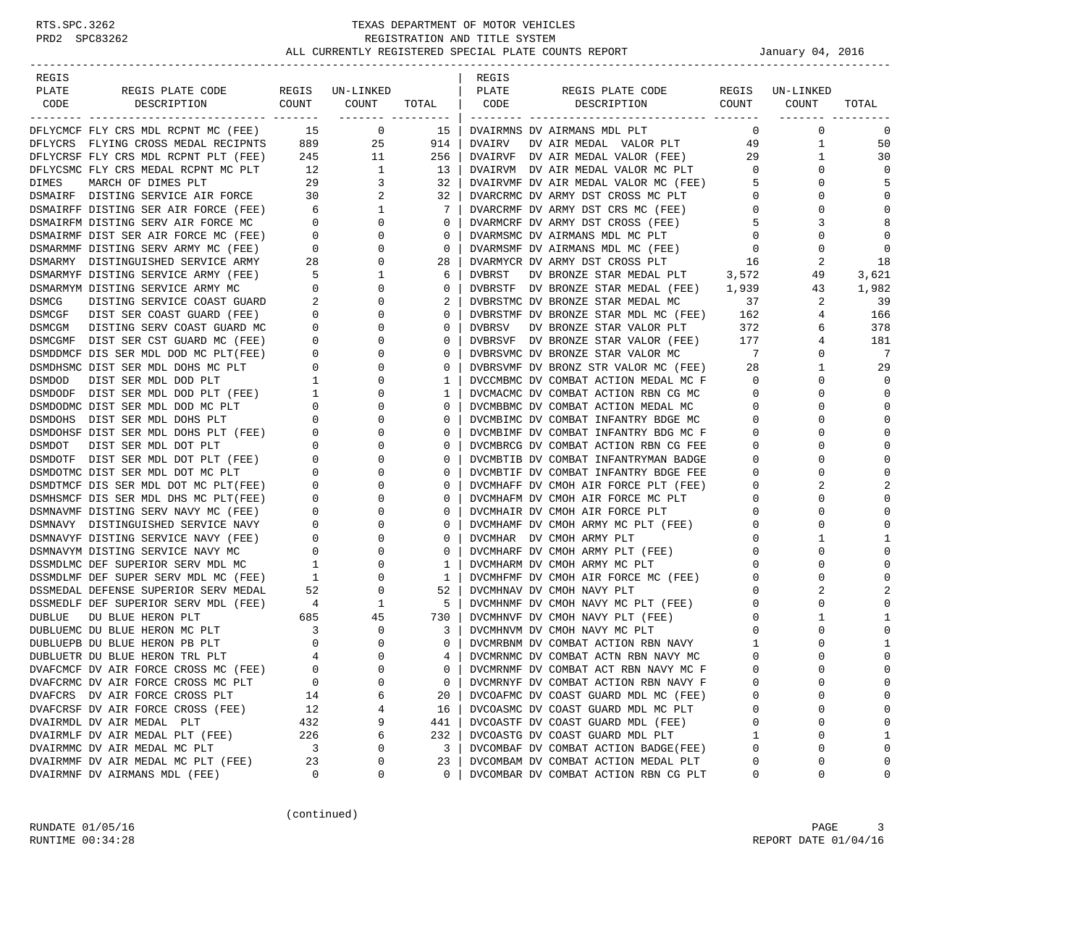| REGIS        |                                                                                                                                                                                                                                           |                                                                                                                                                      |                 |               | REGIS         |                                                                                                                                                                                                                                                                                |                              |                      |                         |
|--------------|-------------------------------------------------------------------------------------------------------------------------------------------------------------------------------------------------------------------------------------------|------------------------------------------------------------------------------------------------------------------------------------------------------|-----------------|---------------|---------------|--------------------------------------------------------------------------------------------------------------------------------------------------------------------------------------------------------------------------------------------------------------------------------|------------------------------|----------------------|-------------------------|
| PLATE        | REGIS PLATE CODE                                                                                                                                                                                                                          |                                                                                                                                                      | REGIS UN-LINKED |               | PLATE         | REGIS PLATE CODE                                                                                                                                                                                                                                                               |                              | REGIS UN-LINKED      |                         |
| CODE         | COUNT<br>DESCRIPTION                                                                                                                                                                                                                      |                                                                                                                                                      | COUNT           | TOTAL CODE    |               | COUNT<br>DESCRIPTION                                                                                                                                                                                                                                                           |                              | COUNT                | TOTAL                   |
|              |                                                                                                                                                                                                                                           |                                                                                                                                                      |                 |               |               |                                                                                                                                                                                                                                                                                |                              |                      |                         |
|              | DFLYCMCF FLY CRS MDL RCPNT MC (FEE) 15 0                                                                                                                                                                                                  |                                                                                                                                                      |                 | 15            |               | DVAIRMNS DV AIRMANS MDL PLT                                                                                                                                                                                                                                                    | $\mathbf{0}$                 | 0                    | 0                       |
|              | DFLYCRS FLYING CROSS MEDAL RECIPNTS                                                                                                                                                                                                       |                                                                                                                                                      | 889<br>25       | 914           | DVAIRV        | DV AIR MEDAL VALOR PLT                                                                                                                                                                                                                                                         | 49                           | $\mathbf{1}$         | 50                      |
|              | DFLYCRSF FLY CRS MDL RCPNT PLT (FEE)                                                                                                                                                                                                      | 245                                                                                                                                                  | 11              | 256           |               | DVAIRVF DV AIR MEDAL VALOR (FEE) 29                                                                                                                                                                                                                                            |                              | 1                    | 30                      |
|              | DELYCSMC FLY CRS MEDAL RCPNT MC PLT 12<br>DIMES MARCH OF DIMES PLT 29 3<br>DSMAIRF DISTING SERVICE AIR FORCE 30 2                                                                                                                         |                                                                                                                                                      |                 | 13            |               | DVAIRVM DV AIR MEDAL VALOR MC PLT                                                                                                                                                                                                                                              | $\overline{0}$               | 0                    | $\Omega$                |
|              |                                                                                                                                                                                                                                           |                                                                                                                                                      |                 | 32            |               | DVAIRVMF DV AIR MEDAL VALOR MC (FEE)                                                                                                                                                                                                                                           | 5                            | 0                    | 5                       |
|              |                                                                                                                                                                                                                                           |                                                                                                                                                      |                 | 32            |               | DVARCRMC DV ARMY DST CROSS MC PLT                                                                                                                                                                                                                                              | $\overline{0}$               | $\Omega$             | $\mathbf 0$             |
|              |                                                                                                                                                                                                                                           |                                                                                                                                                      | $\mathbf{1}$    | 7             |               | DVARCRMF DV ARMY DST CRS MC (FEE)                                                                                                                                                                                                                                              | $\mathbf{0}$                 | 0                    | $\Omega$                |
|              | DSMAIRFF DISTING SER AIR FORCE (FEE) 6<br>DSMAIRFM DISTING SERV AIR FORCE MC 0<br>DSMAIRMF DIST SER AIR FORCE MC (FEE) 0                                                                                                                  |                                                                                                                                                      | $\mathbf{0}$    | $\mathbf 0$   |               | DVARMCRF DV ARMY DST CROSS (FEE)                                                                                                                                                                                                                                               | 5                            | 3                    | 8                       |
|              |                                                                                                                                                                                                                                           |                                                                                                                                                      | $\mathbf{0}$    | 0             |               | DVARMSMC DV AIRMANS MDL MC PLT                                                                                                                                                                                                                                                 | $\mathbf 0$                  | $\Omega$             | $\Omega$                |
|              | DSMARMY DISTINGUISHED SERVICE ARMY 28<br>DSMARMYF DISTINGUISHED SERVICE ARMY 28                                                                                                                                                           |                                                                                                                                                      | 0               | $\mathbf 0$   |               | -<br>DVARMSMF DV AIRMANS MDL MC (FEE)<br>DILANGED DV APMV DST CROSS PLT                                                                                                                                                                                                        | $\mathbf 0$                  | 0                    | $\Omega$                |
|              |                                                                                                                                                                                                                                           |                                                                                                                                                      | $\mathbf{0}$    | 28            |               | DVARMYCR DV ARMY DST CROSS PLT                                                                                                                                                                                                                                                 | 16                           | 2                    | 18                      |
|              | DSMARMYF DISTING SERVICE ARMY (FEE)                                                                                                                                                                                                       | $\overline{5}$                                                                                                                                       | $\mathbf{1}$    | 6             | <b>DVBRST</b> | DV BRONZE STAR MEDAL PLT 3,572                                                                                                                                                                                                                                                 |                              | 49                   | 3,621                   |
|              | DISTING SERVICE ARMY MC 0<br>DISTING SERVICE COAST GUARD 2<br>DSMARMYM DISTING SERVICE ARMY MC                                                                                                                                            |                                                                                                                                                      | $\mathbf{0}$    | 0             |               | DVBRSTF DV BRONZE STAR MEDAL (FEE) 1,939                                                                                                                                                                                                                                       |                              | 43                   | 1,982                   |
| <b>DSMCG</b> |                                                                                                                                                                                                                                           |                                                                                                                                                      | $\mathbf{0}$    | 2             |               | DVBRSTMC DV BRONZE STAR MEDAL MC                                                                                                                                                                                                                                               | 37                           | 2                    | 39                      |
|              | DSMCGF DIST SER COAST GUARD (FEE)                                                                                                                                                                                                         | $\begin{array}{c} 0 \\ 0 \end{array}$                                                                                                                | 0               | 0             |               | $\begin{tabular}{lllllllll} \hline {\tiny DVBRSTMF} & {\tiny DVB} & {\tiny BRONZE} & {\tiny STRR} & {\tiny MDL} & {\tiny MC} & ({\tiny FEE}) & 162 \\ {\tiny DVBRSV} & {\tiny DVB} & {\tiny BRONZE} & {\tiny STR} & {\tiny VALOR} & {\tiny PLT} & 372 \\ \hline \end{tabular}$ |                              | 4                    | 166                     |
|              | DSMCGM DISTING SERV COAST GUARD MC                                                                                                                                                                                                        |                                                                                                                                                      | $\mathbf{0}$    | 0             |               |                                                                                                                                                                                                                                                                                |                              | 6                    | 378                     |
|              | DSMCGMF DIST SER CST GUARD MC (FEE)                                                                                                                                                                                                       | $\begin{array}{ccc} \text{NCE} & & & 0 & \\ \text{E} & & & 0 & \\ \text{E} & & & 0 & \\ & & & 0 & \\ & & & 1 & \\ \text{N} & & & 1 & \\ \end{array}$ | 0               | 0             |               | DVBRSVF DV BRONZE STAR VALOR (FEE) 177                                                                                                                                                                                                                                         |                              | 4                    | 181                     |
|              | DSMDDMCF DIS SER MDL DOD MC PLT(FEE)                                                                                                                                                                                                      |                                                                                                                                                      | 0               | 0             |               | DVBRSVMC DV BRONZE STAR VALOR MC                                                                                                                                                                                                                                               | $\overline{7}$               | 0                    | 7                       |
|              | DSMDHSMC DIST SER MDL DOHS MC PLT                                                                                                                                                                                                         |                                                                                                                                                      | 0               | $\Omega$      |               | DVBRSVMF DV BRONZ STR VALOR MC (FEE) 28                                                                                                                                                                                                                                        |                              | 1                    | 29                      |
|              |                                                                                                                                                                                                                                           |                                                                                                                                                      | 0               | 1             |               | DVCCMBMC DV COMBAT ACTION MEDAL MC F                                                                                                                                                                                                                                           | $\overline{\phantom{0}}$     | 0                    | $\Omega$                |
|              |                                                                                                                                                                                                                                           |                                                                                                                                                      | 0               | 1<br>$\Omega$ |               | DVCMACMC DV COMBAT ACTION RBN CG MC                                                                                                                                                                                                                                            | $\overline{0}$               | $\Omega$             | $\mathbf 0$<br>$\Omega$ |
|              | SNUBSING DIST SER MDL DOD FLI<br>SNUBODF DIST SER MDL DOD PLT (FEE)<br>DSMDODMC DIST SER MDL DOD MC PLT<br>DSMDODMC DIST SER MDL DOD MC PLT<br>DSMDOHSF DIST SER MDL DOHS PLT (FEE)<br>DSMDOTE DIST SER MDL DOT PLT (FEE)<br>DSMDOTF DIST |                                                                                                                                                      | 0<br>0          | 0             |               | DVCMBBMC DV COMBAT ACTION MEDAL MC                                                                                                                                                                                                                                             | $\mathbf{0}$<br>$\mathbf{0}$ | $\Omega$<br>$\Omega$ | $\Omega$                |
|              |                                                                                                                                                                                                                                           |                                                                                                                                                      | 0               | $\Omega$      |               | DVCMBIMC DV COMBAT INFANTRY BDGE MC<br>DVCMBIMF DV COMBAT INFANTRY BDG MC F                                                                                                                                                                                                    | $\mathbf{0}$                 | $\Omega$             | $\Omega$                |
|              |                                                                                                                                                                                                                                           |                                                                                                                                                      | 0               | 0             |               | DVCMBRCG DV COMBAT ACTION RBN CG FEE                                                                                                                                                                                                                                           | 0                            | 0                    | $\Omega$                |
|              |                                                                                                                                                                                                                                           |                                                                                                                                                      | 0               | 0             |               | DVCMBTIB DV COMBAT INFANTRYMAN BADGE                                                                                                                                                                                                                                           | $\mathbf 0$                  | $\Omega$             | $\mathbf 0$             |
|              |                                                                                                                                                                                                                                           |                                                                                                                                                      | 0               | 0             |               | DVCMBTIF DV COMBAT INFANTRY BDGE FEE                                                                                                                                                                                                                                           | $\mathbf{0}$                 | 0                    | 0                       |
|              |                                                                                                                                                                                                                                           |                                                                                                                                                      | 0               | 0             |               | DVCMHAFF DV CMOH AIR FORCE PLT (FEE)                                                                                                                                                                                                                                           | $\mathbf 0$                  | 2                    | $\overline{a}$          |
|              | DSMHSMCF DIS SER MDL DHS MC PLT(FEE)                                                                                                                                                                                                      | $\mathbf 0$                                                                                                                                          | 0               | $\Omega$      |               | DVCMHAFM DV CMOH AIR FORCE MC PLT                                                                                                                                                                                                                                              | $\mathbf 0$                  | $\Omega$             | 0                       |
|              | DSMNAVMF DISTING SERV NAVY MC (FEE)                                                                                                                                                                                                       | $\mathbf{0}$                                                                                                                                         | 0               | 0             |               | DVCMHAIR DV CMOH AIR FORCE PLT                                                                                                                                                                                                                                                 | 0                            | 0                    | $\Omega$                |
|              | DSMNAVY DISTINGUISHED SERVICE NAVY                                                                                                                                                                                                        | $\overline{\phantom{0}}$                                                                                                                             | 0               | 0             |               | DVCMHAMF DV CMOH ARMY MC PLT (FEE)                                                                                                                                                                                                                                             | 0                            | $\Omega$             | $\mathbf 0$             |
|              | DSMNAVYF DISTING SERVICE NAVY (FEE)                                                                                                                                                                                                       | $\begin{matrix} 0 \\ 0 \\ 1 \end{matrix}$                                                                                                            | 0               | 0             |               | DVCMHAR DV CMOH ARMY PLT                                                                                                                                                                                                                                                       | $\mathbf{0}$                 | 1                    | 1                       |
|              | DSMNAVYM DISTING SERVICE NAVY MC                                                                                                                                                                                                          |                                                                                                                                                      | $\mathbf 0$     | 0             |               | DVCMHARF DV CMOH ARMY PLT (FEE)                                                                                                                                                                                                                                                | $\mathbf 0$                  | $\Omega$             | 0                       |
|              | DSSMDLMC DEF SUPERIOR SERV MDL MC                                                                                                                                                                                                         |                                                                                                                                                      | 0               | 1             |               | DVCMHARM DV CMOH ARMY MC PLT                                                                                                                                                                                                                                                   | 0                            | $\Omega$             | 0                       |
|              | DSSMDLMF DEF SUPER SERV MDL MC (FEE) 1                                                                                                                                                                                                    |                                                                                                                                                      | 0               | 1             |               | DVCMHFMF DV CMOH AIR FORCE MC (FEE)                                                                                                                                                                                                                                            | 0                            | 0                    | $\Omega$                |
|              | DSSMEDAL DEFENSE SUPERIOR SERV MEDAL                                                                                                                                                                                                      | 52                                                                                                                                                   | $\mathbf{0}$    | 52            |               | DVCMHNAV DV CMOH NAVY PLT                                                                                                                                                                                                                                                      | 0                            | 2                    | 2                       |
|              | DSSMEDLF DEF SUPERIOR SERV MDL (FEE)                                                                                                                                                                                                      |                                                                                                                                                      | 1               | 5             |               | DVCMHNMF DV CMOH NAVY MC PLT (FEE)                                                                                                                                                                                                                                             | $\mathbf 0$                  | 0                    | $\Omega$                |
| DUBLUE       | DU BLUE HERON PLT                                                                                                                                                                                                                         | (FEE) $4$<br>685<br>3                                                                                                                                | 45              | 730           |               | DVCMHNVF DV CMOH NAVY PLT (FEE)                                                                                                                                                                                                                                                | $\mathbf 0$                  | 1                    | 1                       |
|              | DUBLUEMC DU BLUE HERON MC PLT                                                                                                                                                                                                             |                                                                                                                                                      | 0               | 3             |               | DVCMHNVM DV CMOH NAVY MC PLT                                                                                                                                                                                                                                                   | $\circ$                      | $\Omega$             | $\Omega$                |
|              | DUBLUEPB DU BLUE HERON PB PLT                                                                                                                                                                                                             | $\overline{0}$                                                                                                                                       | 0               | $\mathbf{0}$  |               | DVCMRBNM DV COMBAT ACTION RBN NAVY                                                                                                                                                                                                                                             | 1                            | 0                    | 1                       |
|              | DUBLUETR DU BLUE HERON TRL PLT                                                                                                                                                                                                            | 4                                                                                                                                                    | $\Omega$        | 4             |               | DVCMRNMC DV COMBAT ACTN RBN NAVY MC                                                                                                                                                                                                                                            | $\mathbf 0$                  |                      | 0                       |
|              | DVAFCMCF DV AIR FORCE CROSS MC (FEE)                                                                                                                                                                                                      | $\Omega$                                                                                                                                             | $\Omega$        | $\Omega$      |               | DVCMRNMF DV COMBAT ACT RBN NAVY MC F                                                                                                                                                                                                                                           | $\Omega$                     | $\cap$               | $\Omega$                |
|              | DVAFCRMC DV AIR FORCE CROSS MC PLT                                                                                                                                                                                                        | 0                                                                                                                                                    | 0               | 0             |               | DVCMRNYF DV COMBAT ACTION RBN NAVY F                                                                                                                                                                                                                                           | 0                            | $\Omega$             | 0                       |
|              | DVAFCRS DV AIR FORCE CROSS PLT                                                                                                                                                                                                            | 14                                                                                                                                                   | 6               | 20            |               | DVCOAFMC DV COAST GUARD MDL MC (FEE)                                                                                                                                                                                                                                           | 0                            | $\Omega$             | 0                       |
|              | DVAFCRSF DV AIR FORCE CROSS (FEE)                                                                                                                                                                                                         | 12                                                                                                                                                   | 4               | 16            |               | DVCOASMC DV COAST GUARD MDL MC PLT                                                                                                                                                                                                                                             | 0                            | 0                    | 0                       |
|              | DVAIRMDL DV AIR MEDAL PLT                                                                                                                                                                                                                 | 432                                                                                                                                                  | 9               | 441           |               | DVCOASTF DV COAST GUARD MDL (FEE)                                                                                                                                                                                                                                              | $\mathbf 0$                  | $\Omega$             | 0                       |
|              | DVAIRMLF DV AIR MEDAL PLT (FEE)                                                                                                                                                                                                           | 226                                                                                                                                                  | 6               | 232           |               | DVCOASTG DV COAST GUARD MDL PLT                                                                                                                                                                                                                                                | $\mathbf{1}$                 | $\Omega$             | 1                       |
|              | DVAIRMMC DV AIR MEDAL MC PLT                                                                                                                                                                                                              | 3                                                                                                                                                    | 0               | 3             |               | DVCOMBAF DV COMBAT ACTION BADGE(FEE)                                                                                                                                                                                                                                           | $\mathbf 0$                  | $\Omega$             | 0                       |
|              | DVAIRMMF DV AIR MEDAL MC PLT (FEE)                                                                                                                                                                                                        | 23                                                                                                                                                   | 0               | 23            |               | DVCOMBAM DV COMBAT ACTION MEDAL PLT                                                                                                                                                                                                                                            | 0                            | $\Omega$             | 0                       |
|              | DVAIRMNF DV AIRMANS MDL (FEE)                                                                                                                                                                                                             | 0                                                                                                                                                    | 0               | $\Omega$      |               | DVCOMBAR DV COMBAT ACTION RBN CG PLT                                                                                                                                                                                                                                           | 0                            | 0                    | 0                       |

(continued)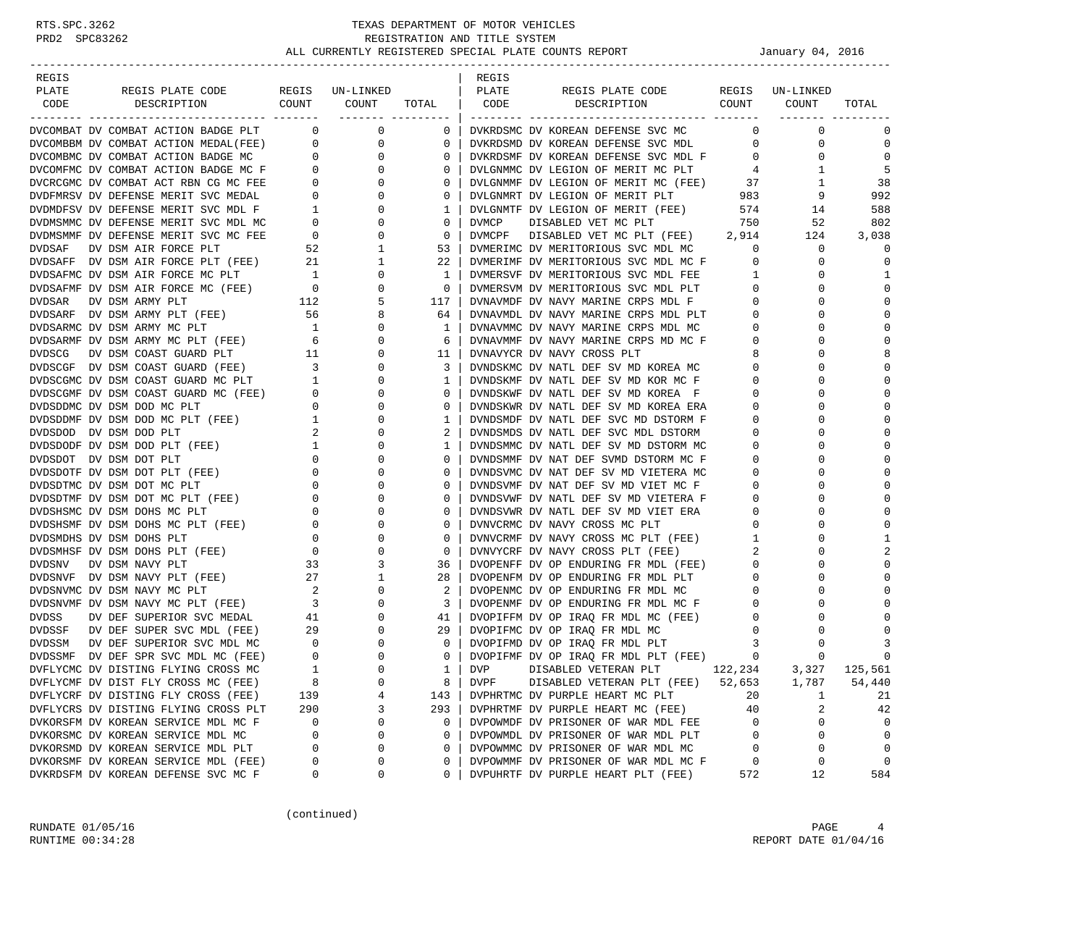| REGIS                                                                                                                                                             |                                       |                          |                | REGIS                                                                                              |                |
|-------------------------------------------------------------------------------------------------------------------------------------------------------------------|---------------------------------------|--------------------------|----------------|----------------------------------------------------------------------------------------------------|----------------|
| PLATE<br>REGIS PLATE CODE                                                                                                                                         |                                       | REGIS UN-LINKED          |                | PLATE<br>REGIS PLATE CODE<br>REGIS UN-LINKED                                                       |                |
| COUNT<br>CODE<br>DESCRIPTION                                                                                                                                      |                                       | COUNT                    | TOTAL          | COUNT<br>CODE<br>DESCRIPTION<br>COUNT<br>TOTAL                                                     |                |
|                                                                                                                                                                   |                                       | ________ _______         |                |                                                                                                    |                |
| DVCOMBAT DV COMBAT ACTION BADGE PLT 0                                                                                                                             |                                       | $\overline{0}$           | $\overline{0}$ | $\mathbf 0$<br>DVKRDSMC DV KOREAN DEFENSE SVC MC<br>$\mathbf{0}$                                   | $\Omega$       |
| DVCOMBBM DV COMBAT ACTION MEDAL(FEE) 0                                                                                                                            |                                       | $\overline{0}$           | $\mathbf{0}$   | DVKRDSMD DV KOREAN DEFENSE SVC MDL<br>$\mathbf{0}$<br>0                                            | $\mathbf 0$    |
|                                                                                                                                                                   |                                       | 0                        | $\mathbf{0}$   | $\overline{0}$<br>DVKRDSMF DV KOREAN DEFENSE SVC MDL F<br>0                                        | $\Omega$       |
| DVCOMBMC DV COMBAT ACTION BADGE MC 0<br>DVCOMFMC DV COMBAT ACTION BADGE MC F 0<br>DVCRCGMC DV COMBAT ACT RBN CG MC FEE 0<br>DVDFMRSV DV DEFENSE MERIT SVC MEDAL 0 |                                       | $\mathbf{0}$             | $\mathbf{0}$   | DVLGNMMC DV LEGION OF MERIT MC PLT<br>1<br>4                                                       | 5              |
|                                                                                                                                                                   |                                       | 0                        | 0              | 1                                                                                                  | 38             |
|                                                                                                                                                                   |                                       | $\mathbf 0$              | $\mathbf{0}$   | DVLGNMMF DV LEGION OF MERIT MC (FEE) 37<br>DVLGNMRT DV LEGION OF MERIT PLT 983<br>9                | 992            |
| DVDMDFSV DV DEFENSE MERIT SVC MDL F                                                                                                                               | $\mathbf{1}$                          | $\mathbf 0$              | 1              | DVLGNMTF DV LEGION OF MERIT (FEE) 574<br>14                                                        | 588            |
| DVDMSMMC DV DEFENSE MERIT SVC MDL MC                                                                                                                              |                                       | $0 \qquad \qquad$<br>0   | $\mathbf{0}$   | 52<br>DVMCP<br>DISABLED VET MC PLT<br>750                                                          | 802            |
| DVDMSMMF DV DEFENSE MERIT SVC MC FEE                                                                                                                              | $\overline{0}$                        | $\mathbf 0$              | $\mathbf 0$    | DVMCPF DISABLED VET MC PLT (FEE) 2,914<br>124                                                      | 3,038          |
| DVDSAF<br>DV DSM AIR FORCE PLT                                                                                                                                    |                                       | 1                        | 53             | DVMERIMC DV MERITORIOUS SVC MDL MC<br>$\overline{0}$<br>0                                          | $\Omega$       |
| DVDSAFF DV DSM AIR FORCE PLT (FEE)                                                                                                                                |                                       | 52<br>21<br>$\mathbf{1}$ | 22             | DVMERIMF DV MERITORIOUS SVC MDL MC F<br>$\mathbf{0}$<br>0                                          | $\mathbf 0$    |
|                                                                                                                                                                   |                                       | 0                        | $\mathbf{1}$   | DVMERSVF DV MERITORIOUS SVC MDL FEE<br>$\mathbf{1}$<br>0                                           | 1              |
|                                                                                                                                                                   |                                       | $\mathbf 0$              | $\mathbf{0}$   | $\overline{0}$<br>DVMERSVM DV MERITORIOUS SVC MDL PLT<br>0                                         | $\Omega$       |
| DVDSAFMC DV DSM AIR FORCE MC PLT 1<br>DVDSAFMF DV DSM AIR FORCE MC (FEE) 0<br>DVDSAR DV DSM ARMY PLT 112                                                          |                                       | 5                        |                | $\mathbf 0$<br>$\Omega$                                                                            | $\Omega$       |
|                                                                                                                                                                   |                                       |                          | 117            | DVNAVMDF DV NAVY MARINE CRPS MDL F                                                                 | $\Omega$       |
| DVDSARF DV DSM ARMY PLT (FEE) 56<br>DVDSARMC DV DSM ARMY MC PLT 1                                                                                                 |                                       | 8                        | 64             | DVNAVMDL DV NAVY MARINE CRPS MDL PLT<br>$\mathbf{0}$<br>0                                          |                |
|                                                                                                                                                                   |                                       | 0                        | 1              | $\overline{0}$<br>$\Omega$<br>DVNAVMMC DV NAVY MARINE CRPS MDL MC                                  | $\mathbf 0$    |
| DVDSARMF DV DSM ARMY MC PLT (FEE)                                                                                                                                 | $\sim$ 6                              | 0                        | 6              | $\overline{0}$<br>DVNAVMMF DV NAVY MARINE CRPS MD MC F<br>0                                        | $\Omega$       |
| DVDSCG<br>DV DSM COAST GUARD PLT                                                                                                                                  | 11                                    | 0                        | 11             | 8<br>DVNAVYCR DV NAVY CROSS PLT<br>$\Omega$                                                        | 8              |
| DVDSCGF DV DSM COAST GUARD (FEE) 3                                                                                                                                |                                       | 0                        | 3              | DVNDSKMC DV NATL DEF SV MD KOREA MC<br>0<br>$\Omega$                                               | $\Omega$       |
| DVDSCGMC DV DSM COAST GUARD MC PLT                                                                                                                                | 1                                     | 0                        | 1              | DVNDSKMF DV NATL DEF SV MD KOR MC F<br>$\mathbf 0$<br>0                                            | $\Omega$       |
| DVDSCGMF DV DSM COAST GUARD MC (FEE)                                                                                                                              | $\overline{0}$                        | 0                        | $\mathbf{0}$   | $\mathbf 0$<br>$\Omega$<br>DVNDSKWF DV NATL DEF SV MD KOREA F                                      | $\Omega$       |
| DVDSDDMC DV DSM DOD MC PLT                                                                                                                                        | $\overline{0}$                        | $\mathbf 0$              | $\mathbf{0}$   | DVNDSKWR DV NATL DEF SV MD KOREA ERA<br>$\mathbf 0$<br>$\Omega$                                    | $\Omega$       |
| DVDSDDMF DV DSM DOD MC PLT (FEE)                                                                                                                                  | $\mathbf{1}$                          | 0                        | 1              | $\mathbf 0$<br>DVNDSMDF DV NATL DEF SVC MD DSTORM F<br>$\Omega$                                    | $\Omega$       |
| DVDSDOD DV DSM DOD PLT                                                                                                                                            | $\overline{2}$                        | $\Omega$                 | 2              | DVNDSMDS DV NATL DEF SVC MDL DSTORM<br>0<br>$\Omega$                                               | $\Omega$       |
| DVDSDODF DV DSM DOD PLT (FEE)                                                                                                                                     | $\frac{1}{2}$                         | 0                        | 1              | DVNDSMMC DV NATL DEF SV MD DSTORM MC<br>0<br>0                                                     | $\Omega$       |
| DVDSDOT DV DSM DOT PLT                                                                                                                                            | $\overline{0}$                        | 0                        | $\mathbf{0}$   | $\Omega$<br>DVNDSMMF DV NAT DEF SVMD DSTORM MC F<br>0                                              | $\Omega$       |
| DVDSDOTF DV DSM DOT PLT (FEE)                                                                                                                                     | $\overline{0}$                        | $\mathbf 0$              | $\mathbf{0}$   | DVNDSVMC DV NAT DEF SV MD VIETERA MC<br>0<br>$\Omega$                                              | $\Omega$       |
| DVDSDTMC DV DSM DOT MC PLT                                                                                                                                        | $\mathbf{0}$                          | 0                        | $\mathbf{0}$   | $\mathbf{0}$<br>DVNDSVMF DV NAT DEF SV MD VIET MC F<br>$\Omega$                                    | $\Omega$       |
| DVDSDTMF DV DSM DOT MC PLT (FEE)                                                                                                                                  | $\overline{0}$                        | 0                        | 0              | DVNDSVWF DV NATL DEF SV MD VIETERA F<br>$\mathbf 0$<br>$\Omega$                                    | $\Omega$       |
| DVDSHSMC DV DSM DOHS MC PLT                                                                                                                                       |                                       | $0 \qquad \qquad$<br>0   | 0              | DVNDSVWR DV NATL DEF SV MD VIET ERA<br>DVNVCRMC DV NAVY CROSS MC PLT<br>$\mathbf 0$<br>0           | $\Omega$       |
| DVDSHSMF DV DSM DOHS MC PLT (FEE)                                                                                                                                 | $\overline{0}$                        | 0                        | $\mathbf{0}$   | $\overline{0}$<br>$\Omega$<br>DVNVCRMC DV NAVY CROSS MC PLT                                        | $\mathbf{0}$   |
| DVDSMDHS DV DSM DOHS PLT                                                                                                                                          | $\mathbf{0}$                          | $\mathbf 0$              | $\mathbf{0}$   | $\mathbf{1}$<br>DVNVCRMF DV NAVY CROSS MC PLT (FEE)<br>0                                           | 1              |
| DVDSMHSF DV DSM DOHS PLT (FEE)                                                                                                                                    | $\begin{array}{c} 0 \\ 0 \end{array}$ | 0                        | $\mathbf{0}$   | 2<br>DVNVYCRF DV NAVY CROSS PLT (FEE)<br>$\Omega$                                                  | $\overline{2}$ |
| DVDSNV<br>DV DSM NAVY PLT                                                                                                                                         | 33                                    | 3                        | 36             | DVOPENFF DV OP ENDURING FR MDL (FEE)<br>$\overline{0}$<br>$\Omega$                                 | $\Omega$       |
| DVDSNVF DV DSM NAVY PLT (FEE)                                                                                                                                     | 27                                    | 1                        | 28             | DVOPENFM DV OP ENDURING FR MDL PLT<br>$\mathbf{0}$<br>0                                            | $\Omega$       |
| DVDSNVMC DV DSM NAVY MC PLT                                                                                                                                       | 2                                     | $\mathbf 0$              | 2              | $\overline{0}$<br>$\Omega$<br>DVOPENMC DV OP ENDURING FR MDL MC                                    | $\Omega$       |
| DVDSNVMF DV DSM NAVY MC PLT (FEE) 3                                                                                                                               |                                       | $\mathbf 0$              | 3              | DVOPENMF DV OP ENDURING FR MDL MC F<br>$\overline{0}$<br>0                                         | $\Omega$       |
| DVDSS<br>DV DEF SUPERIOR SVC MEDAL                                                                                                                                | 41                                    | 0                        | 41             | $\overline{0}$<br>0                                                                                | $\Omega$       |
| DV DEF SUPER SVC MDL (FEE) 29<br>DVDSSF                                                                                                                           |                                       | $\mathbf 0$              | 29             | DVOPIFFM DV OP IRAQ FR MDL MC (FEE)<br>DVOPIFMC DV OP IRAQ FR MDL MC<br>$\overline{0}$<br>$\Omega$ |                |
| <b>DVDSSM</b><br>DV DEF SUPERIOR SVC MDL MC                                                                                                                       |                                       | 0                        | $\mathbf{0}$   | $\overline{\mathbf{3}}$<br>0                                                                       | 3              |
| DVDSSMF DV DEF SPR SVC MDL MC (FEE)                                                                                                                               | $\begin{matrix} 0 \\ 0 \end{matrix}$  | $\mathbf 0$              | $\mathbf{0}$   | DVOPIFMD DV OP IRAQ FR MDL PLT (FEE) 3<br>DVOPIFMF DV OP IRAQ FR MDL PLT (FEE) 0<br>$\Omega$       | $\mathbf 0$    |
| DVFLYCMC DV DISTING FLYING CROSS MC                                                                                                                               | $\mathbf{1}$                          | $\Omega$                 | $1 \mid$       | <b>DVP</b><br>122,234<br>DISABLED VETERAN PLT<br>3,327                                             | 125,561        |
| DVFLYCMF DV DIST FLY CROSS MC (FEE)                                                                                                                               | 8                                     | 0                        | 8              | DISABLED VETERAN PLT (FEE)<br>52,653<br>1,787<br>DVPF                                              | 54,440         |
|                                                                                                                                                                   |                                       |                          |                |                                                                                                    |                |
| DVFLYCRF DV DISTING FLY CROSS (FEE)                                                                                                                               | 139                                   | 4                        | 143            | DVPHRTMC DV PURPLE HEART MC PLT<br>20<br>1                                                         | 21             |
| DVFLYCRS DV DISTING FLYING CROSS PLT                                                                                                                              | 290                                   | 3                        | 293            | DVPHRTMF DV PURPLE HEART MC (FEE)<br>40<br>2                                                       | 42             |
| DVKORSFM DV KOREAN SERVICE MDL MC F                                                                                                                               | 0                                     | 0                        | $\mathbf{0}$   | 0<br>DVPOWMDF DV PRISONER OF WAR MDL FEE<br>0                                                      | $\mathbf 0$    |
| DVKORSMC DV KOREAN SERVICE MDL MC                                                                                                                                 | 0                                     | $\Omega$                 | 0              | DVPOWMDL DV PRISONER OF WAR MDL PLT<br>0<br>0                                                      | $\mathbf 0$    |
| DVKORSMD DV KOREAN SERVICE MDL PLT                                                                                                                                | $\mathbf 0$                           | $\Omega$                 | $\mathbf{0}$   | $\mathbf 0$<br>0<br>DVPOWMMC DV PRISONER OF WAR MDL MC                                             | $\mathbf 0$    |
| DVKORSMF DV KOREAN SERVICE MDL (FEE)                                                                                                                              | 0                                     | 0                        | 0              | DVPOWMMF DV PRISONER OF WAR MDL MC F<br>0<br>0                                                     | 0              |
| DVKRDSFM DV KOREAN DEFENSE SVC MC F                                                                                                                               | 0                                     | 0                        | 0              | 572<br>12<br>DVPUHRTF DV PURPLE HEART PLT (FEE)                                                    | 584            |

(continued)

RUNDATE  $01/05/16$  PAGE 4 RUNTIME  $00:34:28$  REPORT DATE  $01/04/16$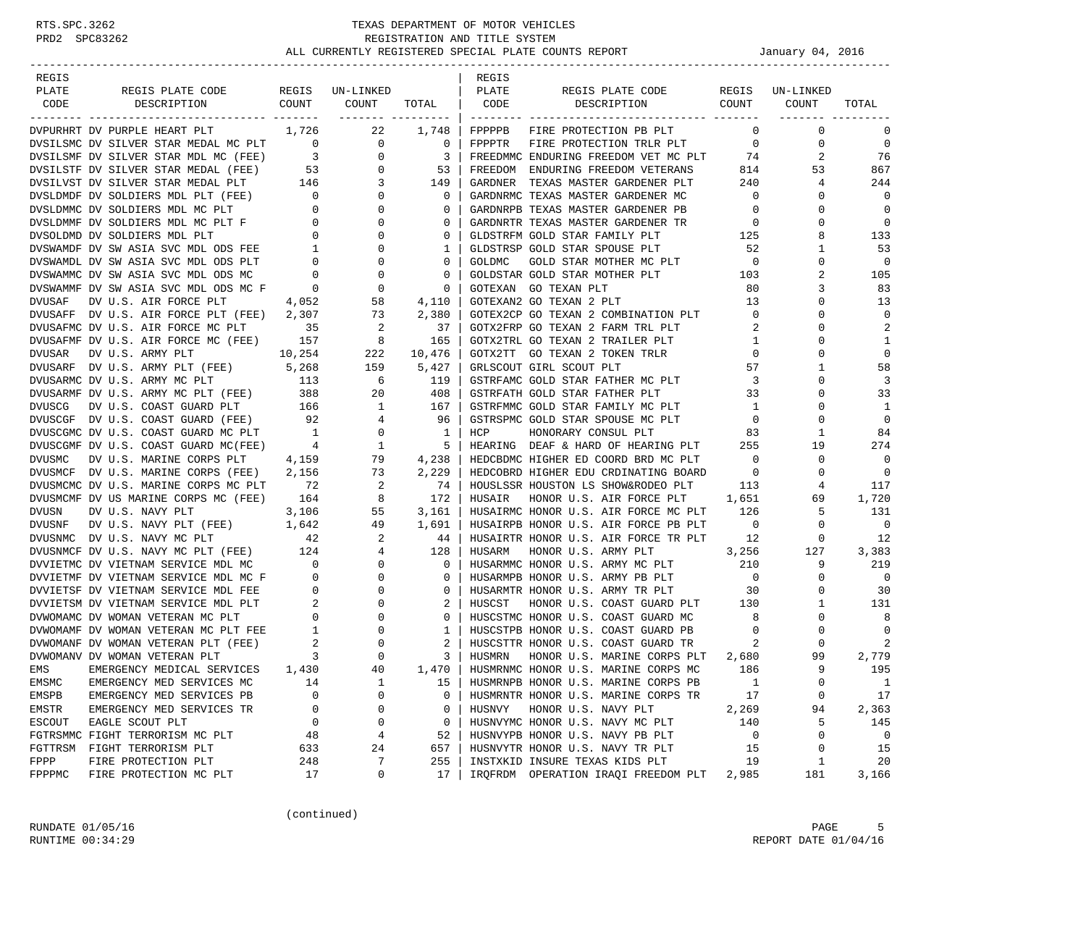| REGIS   |                                                                                                                                                                                                                                        |     |                                                                                       |                              | REGIS   |                                                                                                          |                         |                               |                          |
|---------|----------------------------------------------------------------------------------------------------------------------------------------------------------------------------------------------------------------------------------------|-----|---------------------------------------------------------------------------------------|------------------------------|---------|----------------------------------------------------------------------------------------------------------|-------------------------|-------------------------------|--------------------------|
| PLATE   | REGIS PLATE CODE REGIS UN-LINKED                                                                                                                                                                                                       |     |                                                                                       |                              | PLATE   | REGIS PLATE CODE REGIS UN-LINKED                                                                         |                         |                               |                          |
| CODE    | DESCRIPTION                                                                                                                                                                                                                            |     | COUNT COUNT                                                                           | TOTAL CODE                   |         | DESCRIPTION COUNT                                                                                        |                         | COUNT                         | TOTAL                    |
|         | DVPURHRT DV PURPLE HEART PLT                                                                                                                                                                                                           |     | 1,726 22                                                                              | ___________________<br>1,748 |         | FPPPPB FIRE PROTECTION PB PLT                                                                            |                         | $\mathbf 0$<br>$\overline{0}$ | $\mathbf 0$              |
|         | DVPURHRT DV PURPLE HEART PLT 1,726 22 1,748  <br>DVSILSMC DV SILVER STAR MEDAL MC PLT 0 0 0 0  <br>DVSILSMF DV SILVER STAR MEDAL (FEE) 3 0 3  <br>DVSILSTF DV SILVER STAR MEDAL (FEE) 53 0 53  <br>DVSILVST DV SILVER STAR MEDAL PLT 1 |     |                                                                                       |                              |         | FPPPTR FIRE PROTECTION TRLR PLT                                                                          | $\overline{0}$          | 0                             | $\mathbf 0$              |
|         |                                                                                                                                                                                                                                        |     |                                                                                       |                              |         | FREEDMMC ENDURING FREEDOM VET MC PLT                                                                     | 74                      | 2                             | 76                       |
|         |                                                                                                                                                                                                                                        |     |                                                                                       |                              |         | FREEDOM ENDURING FREEDOM VETERANS                                                                        |                         | 814<br>53                     | 867                      |
|         |                                                                                                                                                                                                                                        |     |                                                                                       |                              | GARDNER |                                                                                                          |                         | 4                             | 244                      |
|         |                                                                                                                                                                                                                                        |     |                                                                                       |                              |         | TEXAS MASTER GARDENER PLT 240<br>C TEXAS MASTER GARDENER MC 0<br>GARDNRMC TEXAS MASTER GARDENER MC       |                         | $\mathbf 0$                   | $\mathbf 0$              |
|         |                                                                                                                                                                                                                                        |     |                                                                                       |                              |         | GARDNRPB TEXAS MASTER GARDENER PB 0                                                                      |                         | $\mathbf 0$                   | $\mathbf 0$              |
|         |                                                                                                                                                                                                                                        |     |                                                                                       |                              |         |                                                                                                          |                         | $\mathbf 0$                   | $\mathbf 0$              |
|         |                                                                                                                                                                                                                                        |     |                                                                                       |                              |         | GARDNRTR TEXAS MASTER GARDENER TR<br>GLDSTRFM GOLD STAR FAMILY PLT 125                                   |                         | 8                             | 133                      |
|         |                                                                                                                                                                                                                                        |     |                                                                                       |                              |         | GLDSTRSP GOLD STAR SPOUSE PLT                                                                            |                         | 1                             | 53                       |
|         |                                                                                                                                                                                                                                        |     |                                                                                       |                              | GOLDMC  | GOLD STAR SPOUSE PLT 52<br>GOLD STAR MOTHER MC PLT 0                                                     |                         | $\mathbf 0$                   | $\overline{0}$           |
|         |                                                                                                                                                                                                                                        |     |                                                                                       |                              |         | GOLDSTAR GOLD STAR MOTHER PLT                                                                            | 103                     | 2                             | 105                      |
|         |                                                                                                                                                                                                                                        |     |                                                                                       | $0-1$                        |         | GOTEXAN GO TEXAN PLT                                                                                     | 80                      | 3                             | 83                       |
|         |                                                                                                                                                                                                                                        |     |                                                                                       |                              |         | GOTEXAN2 GO TEXAN 2 PLT                                                                                  | 13                      | $\mathbf 0$                   | 13                       |
|         | DVUSAFF DV U.S. AIR FORCE PLT (FEE) 2,307                                                                                                                                                                                              |     |                                                                                       |                              |         |                                                                                                          |                         | $\mathbf 0$                   | $\mathbf 0$              |
|         | DVUSAFMC DV U.S. AIR FORCE MC PLT 35                                                                                                                                                                                                   |     | $\begin{array}{ccc} 73 & \hspace{1.5mm} 2\,,380 \\ 2 & \hspace{1.5mm} 37 \end{array}$ |                              |         | GOTEX2CP GO TEXAN 2 COMBINATION PLT 0<br>GOTX2FRP GO TEXAN 2 FARM TRL PLT 2                              |                         | $\mathbf{0}$                  | 2                        |
|         | DVUSAFMF DV U.S. AIR FORCE MC (FEE) 157                                                                                                                                                                                                |     |                                                                                       |                              |         | GOTX2TRL GO TEXAN 2 TRAILER PLT                                                                          |                         | $\mathbf 1$<br>$\mathbf 0$    | 1                        |
| DVUSAR  | 10,254<br>DV U.S. ARMY PLT                                                                                                                                                                                                             |     | $8$ 165<br>222 10,476                                                                 |                              |         | GOTX2TT GO TEXAN 2 TOKEN TRLR                                                                            | $\overline{0}$          | $\mathbf 0$                   | $\mathbf 0$              |
|         | DVUSARF DV U.S. ARMY PLT (FEE) 5,268 159                                                                                                                                                                                               |     |                                                                                       | 5,427                        |         | GRLSCOUT GIRL SCOUT PLT                                                                                  | 57                      | 1                             | 58                       |
|         |                                                                                                                                                                                                                                        |     |                                                                                       |                              |         |                                                                                                          | $\overline{\mathbf{3}}$ | 0                             | 3                        |
|         |                                                                                                                                                                                                                                        |     |                                                                                       |                              |         | GSTRFAMC GOLD STAR FATHER MC PLT<br>GSTRFATH GOLD STAR FATHER PLT<br>GSTRFATH GOLD STAR FATHER PLT       | 33                      | $\mathbf 0$                   | 33                       |
|         |                                                                                                                                                                                                                                        |     |                                                                                       |                              |         | GSTRFMMC GOLD STAR FAMILY MC PLT 1                                                                       |                         | $\mathbf 0$                   | 1                        |
|         |                                                                                                                                                                                                                                        |     |                                                                                       |                              |         |                                                                                                          |                         | $\mathbf 0$                   | $\mathbf 0$              |
|         | DVUSARME DV U.S. ARNI PLI (FEE) 5,200 159 5,427  <br>DVUSARME DV U.S. ARNY MC PLT 113 6 119  <br>DVUSARME DV U.S. ARNY MC PLT (FEE) 388 20 408  <br>DVUSCG DV U.S. COAST GUARD PLT 166 1 167  <br>DVUSCGF DV U.S. COAST GUARD MC PLT 1 |     |                                                                                       |                              |         | GSTRFMMC GULD STAR SPOUSE MC PLT 0<br>GSTRSPMC GOLD STAR SPOUSE MC PLT 0<br>- ''^'^'^P^P^PY CONSUL PLT 0 |                         | 1                             | 84                       |
|         |                                                                                                                                                                                                                                        |     |                                                                                       |                              |         | HEARING DEAF & HARD OF HEARING PLT 255<br>HEDCBDMC HIGHER ED COORD BRD MC PLT 0                          |                         | 19                            | 274                      |
|         |                                                                                                                                                                                                                                        |     |                                                                                       |                              |         |                                                                                                          |                         | $\mathbf 0$                   | $\overline{0}$           |
|         |                                                                                                                                                                                                                                        |     |                                                                                       | 2,229                        |         | HEDCOBRD HIGHER EDU CRDINATING BOARD 0                                                                   |                         | $\mathbf 0$                   | $\overline{\phantom{0}}$ |
|         | DVUSMCF DV U.S. MARINE CORPS (FEE) 2,156 73<br>DVUSMCMC DV U.S. MARINE CORPS MC PLT 72 2<br>DVUSMCMF DV US MARINE CORPS MC (FEE) 164 8                                                                                                 |     |                                                                                       | 74                           |         | HOUSLSSR HOUSTON LS SHOW&RODEO PLT 113                                                                   |                         | 4                             | 117                      |
|         |                                                                                                                                                                                                                                        |     |                                                                                       | 172                          | HUSAIR  | HONOR U.S. AIR FORCE PLT 1,651                                                                           |                         | 69                            | 1,720                    |
|         |                                                                                                                                                                                                                                        |     |                                                                                       |                              |         | HUSAIRMC HONOR U.S. AIR FORCE MC PLT 126                                                                 |                         | 5                             | 131                      |
|         |                                                                                                                                                                                                                                        |     |                                                                                       |                              |         | HUSAIRPB HONOR U.S. AIR FORCE PB PLT                                                                     | $\overline{0}$          | $\overline{0}$                | $\overline{0}$           |
|         |                                                                                                                                                                                                                                        |     |                                                                                       |                              |         | HUSAIRTR HONOR U.S. AIR FORCE TR PLT                                                                     | 12                      | $\mathbf{0}$                  | 12                       |
|         |                                                                                                                                                                                                                                        |     |                                                                                       |                              |         | HUSARM HONOR U.S. ARMY PLT 3,256                                                                         |                         | 127                           | 3,383                    |
|         |                                                                                                                                                                                                                                        |     |                                                                                       |                              |         | HUSARMMC HONOR U.S. ARMY MC PLT 210                                                                      |                         | 9                             | 219                      |
|         |                                                                                                                                                                                                                                        |     |                                                                                       |                              |         | HUSARMPB HONOR U.S. ARMY PB PLT 0<br>HUSARMTR HONOR U.S. ARMY TR PLT 30                                  |                         | $\mathbf{0}$                  | $\overline{0}$           |
|         | DVUSMCMF DV US MARINE CORPS MC (FEE) 164 8 172  <br>DVUSN DV U.S. NAVY PLT 3,106 55 3,161  <br>DVUSNE DV U.S. NAVY PLT (FEE) 1,642 49 1,691  <br>DVUSNE DV U.S. NAVY MC PLT (FEE) 124 4 128  <br>DVUSNETMC DV U.S. NAVY MC PLT (FEE) 1 |     |                                                                                       |                              |         |                                                                                                          |                         | $\mathbf 0$                   | 30                       |
|         |                                                                                                                                                                                                                                        |     |                                                                                       |                              | HUSCST  | HONOR U.S. COAST GUARD PLT 130                                                                           |                         | $\mathbf{1}$                  | 131                      |
|         |                                                                                                                                                                                                                                        |     |                                                                                       |                              |         | HUSCSTMC HONOR U.S. COAST GUARD MC                                                                       | 8 <sup>1</sup>          | $\mathbf{0}$                  | 8                        |
|         |                                                                                                                                                                                                                                        |     |                                                                                       |                              |         | HUSCSTPB HONOR U.S. COAST GUARD PB 0                                                                     |                         | $\mathbf 0$                   | $\mathbf 0$              |
|         |                                                                                                                                                                                                                                        |     |                                                                                       |                              |         | HUSCSTTR HONOR U.S. COAST GUARD TR                                                                       | 2                       | $\mathbf{0}$                  | 2                        |
|         |                                                                                                                                                                                                                                        |     |                                                                                       |                              | HUSMRN  | HONOR U.S. MARINE CORPS PLT 2,680                                                                        |                         | 99                            | 2,779                    |
| EMS     | EMERGENCY MEDICAL SERVICES 1,430                                                                                                                                                                                                       |     | 40                                                                                    | 1,470                        |         | HUSMRNMC HONOR U.S. MARINE CORPS MC                                                                      | 186                     | 9                             | 195                      |
| EMSMC   | EMERGENCY MED SERVICES MC                                                                                                                                                                                                              | 14  | 1                                                                                     | 15                           |         | HUSMRNPB HONOR U.S. MARINE CORPS PB                                                                      | $\mathbf{1}$            | $\mathsf 0$                   | $\mathbf{1}$             |
| EMSPB   | EMERGENCY MED SERVICES PB                                                                                                                                                                                                              | 0   | $\Omega$                                                                              | 0                            |         | HUSMRNTR HONOR U.S. MARINE CORPS TR                                                                      | 17                      | 0                             | 17                       |
| EMSTR   | EMERGENCY MED SERVICES TR                                                                                                                                                                                                              | 0   | 0                                                                                     | 0                            | HUSNVY  | HONOR U.S. NAVY PLT                                                                                      | 2,269                   | 94                            | 2,363                    |
| ESCOUT  | EAGLE SCOUT PLT                                                                                                                                                                                                                        | 0   | 0                                                                                     | 0                            |         | HUSNVYMC HONOR U.S. NAVY MC PLT                                                                          | 140                     | 5                             | 145                      |
|         | FGTRSMMC FIGHT TERRORISM MC PLT                                                                                                                                                                                                        | 48  | 4                                                                                     | 52                           |         | HUSNVYPB HONOR U.S. NAVY PB PLT                                                                          | 0                       | 0                             | 0                        |
| FGTTRSM | FIGHT TERRORISM PLT                                                                                                                                                                                                                    | 633 | 24                                                                                    | 657                          |         | HUSNVYTR HONOR U.S. NAVY TR PLT                                                                          | 15                      | 0                             | 15                       |
| FPPP    | FIRE PROTECTION PLT                                                                                                                                                                                                                    | 248 | 7                                                                                     | 255                          |         | INSTXKID INSURE TEXAS KIDS PLT                                                                           | 19                      | 1                             | 20                       |
| FPPPMC  | FIRE PROTECTION MC PLT                                                                                                                                                                                                                 | 17  | 0                                                                                     | 17                           |         | IRQFRDM OPERATION IRAQI FREEDOM PLT                                                                      | 2,985                   | 181                           | 3,166                    |

(continued)

RUNDATE  $01/05/16$  PAGE 5 RUNTIME  $00:34:29$  REPORT DATE  $01/04/16$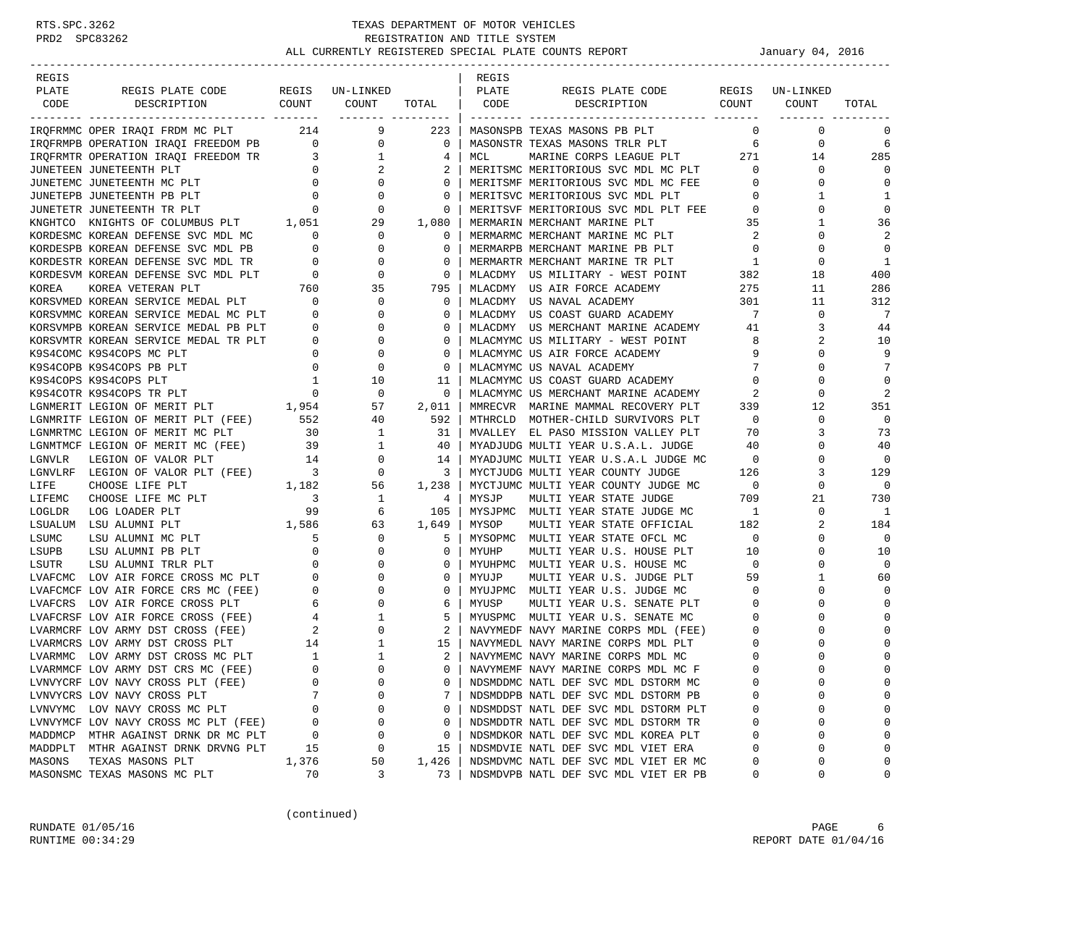| REGIS   |                                                                                                                                                                            |                          |                            |              | REGIS |                                                                 |                            |                 |              |
|---------|----------------------------------------------------------------------------------------------------------------------------------------------------------------------------|--------------------------|----------------------------|--------------|-------|-----------------------------------------------------------------|----------------------------|-----------------|--------------|
| PLATE   | REGIS PLATE CODE REGIS UN-LINKED                                                                                                                                           |                          |                            |              | PLATE | REGIS PLATE CODE                                                |                            | REGIS UN-LINKED |              |
| CODE    | COUNT<br>DESCRIPTION                                                                                                                                                       |                          | COUNT<br>------- --------- | TOTAL        | CODE  | COUNT<br>DESCRIPTION                                            |                            | COUNT           | TOTAL        |
|         | IRQFRMMC OPER IRAQI FRDM MC PLT 214 9                                                                                                                                      |                          |                            | 223          |       | MASONSPB TEXAS MASONS PB PLT                                    | $\Omega$                   | $\mathbf 0$     | 0            |
|         | IRQFRMPB OPERATION IRAQI FREEDOM PB 0                                                                                                                                      |                          | $\overline{0}$             | $\mathbf{0}$ |       | MASONSTR TEXAS MASONS TRLR PLT                                  | 6                          | 0               | 6            |
|         | IRQFRMTR OPERATION IRAQI FREEDOM TR<br>TIPITEREN TIPITERENTII DIT                                                                                                          |                          | $\mathbf{1}$               | 4            | MCL   | MARINE CORPS LEAGUE PLT 271                                     |                            | 14              | 285          |
|         | JUNETEEN JUNETEENTH PLT                                                                                                                                                    | $\overline{0}$           | 2                          | 2            |       | MERITSMC MERITORIOUS SVC MDL MC PLT                             | $\overline{0}$             | 0               | $\Omega$     |
|         | JUNETEMC JUNETEENTH MC PLT                                                                                                                                                 | $\overline{a}$           | 0                          | 0            |       | MERITSMF MERITORIOUS SVC MDL MC FEE                             | $\mathbf 0$                | 0               | 0            |
|         | JUNETEPB JUNETEENTH PB PLT                                                                                                                                                 | $\overline{0}$           | $\mathbf 0$                | $\mathbf 0$  |       | MERITSVC MERITORIOUS SVC MDL PLT                                | $\overline{0}$             | 1               | 1            |
|         | $\overline{0}$<br>JUNETETR JUNETEENTH TR PLT                                                                                                                               |                          | $\mathbf 0$                | 0            |       | MERITSVF MERITORIOUS SVC MDL PLT FEE 0                          |                            | 0               | $\mathbf 0$  |
|         | KNGHTCO KNIGHTS OF COLUMBUS PLT 1,051                                                                                                                                      |                          | 29                         | 1,080        |       |                                                                 | 35                         | 1               | 36           |
|         | KORDESMC KOREAN DEFENSE SVC MDL MC                                                                                                                                         | $\Omega$                 | $\mathbf{0}$               | 0            |       | MERMARIN MERCHANT MARINE PLT<br>MERMARMC MERCHANT MARINE MC PLT | $\overline{\phantom{a}}^2$ | $\Omega$        |              |
|         | KORDESPB KOREAN DEFENSE SVC MDL PB                                                                                                                                         | $\mathbf{0}$             | $\circ$                    | 0            |       | MERMARPB MERCHANT MARINE PB PLT                                 | $\circ$                    | 0               | $\Omega$     |
|         | KORDESTR KOREAN DEFENSE SVC MDL TR                                                                                                                                         | $\overline{0}$           | $\circ$                    | $\mathbf 0$  |       | MERMARTR MERCHANT MARINE TR PLT                                 | $\mathbf{1}$               | $\mathbf 0$     | $\mathbf{1}$ |
|         | KORDESVM KOREAN DEFENSE SVC MDL PLT                                                                                                                                        | $\overline{0}$           | $\mathbf 0$                | 0            |       | MLACDMY US MILITARY - WEST POINT                                | 382                        | 18              | 400          |
| KOREA   | KOREA VETERAN PLT                                                                                                                                                          | 760                      | 35                         | 795          |       | MLACDMY US AIR FORCE ACADEMY                                    | 275                        | 11              | 286          |
|         | KORSVMED KOREAN SERVICE MEDAL PLT 0                                                                                                                                        |                          | $\mathbf 0$                | 0            |       | MLACDMY US NAVAL ACADEMY                                        | 301                        | 11              | 312          |
|         |                                                                                                                                                                            |                          | 0                          | 0            |       | MLACDMY US COAST GUARD ACADEMY                                  | $7\phantom{0}$             | 0               | -7           |
|         | ${\tt KORSVMMC~KOREAN~SERVICE~MEDAL~MC~PLT}~~0$ ${\tt KORSVMPB~KOREAN~SERVICE~MEDAL~PB~PLT}~~0$                                                                            |                          | 0                          | $\mathbf 0$  |       | MLACDMY US MERCHANT MARINE ACADEMY                              | 41                         | 3               | 44           |
|         | KORSVMTR KOREAN SERVICE MEDAL TR PLT                                                                                                                                       | $\overline{\phantom{0}}$ | $\mathbf 0$                | 0            |       | MLACMYMC US MILITARY - WEST POINT                               | 8                          | 2               | 10           |
|         | K9S4COMC K9S4COPS MC PLT                                                                                                                                                   | $\mathbf{0}$             | $\mathbf 0$                | 0            |       | MLACMYMC US AIR FORCE ACADEMY                                   | 9                          | $\Omega$        | 9            |
|         | K9S4COPB K9S4COPS PB PLT                                                                                                                                                   | $\overline{0}$           | $\mathbf 0$                | $\mathbf 0$  |       | MLACMYMC US NAVAL ACADEMY                                       | 7                          | $\Omega$        | 7            |
|         | K9S4COPS K9S4COPS PLT                                                                                                                                                      | $\overline{1}$           | 10                         | 11           |       | MLACMYMC US COAST GUARD ACADEMY                                 | $\circ$                    | 0               | $\Omega$     |
|         | K9S4COTR K9S4COPS TR PLT                                                                                                                                                   | $\overline{0}$           | 0                          | $\mathbf 0$  |       | MLACMYMC US MERCHANT MARINE ACADEMY                             | 2                          | 0               | 2            |
|         | LGNMERIT LEGION OF MERIT PLT 1,954                                                                                                                                         |                          | 57                         | 2,011        |       | MMRECVR MARINE MAMMAL RECOVERY PLT                              | 339                        | 12              | 351          |
|         | LGNMRITF LEGION OF MERIT PLT (FEE) 552                                                                                                                                     |                          | 40                         | 592          |       | MTHRCLD MOTHER-CHILD SURVIVORS PLT                              | $\overline{0}$             | $\mathbf 0$     | $\mathbf 0$  |
|         | LGNMRTMC LEGION OF MERIT MC PLT                                                                                                                                            | 30                       | 1                          | 31           |       | MVALLEY EL PASO MISSION VALLEY PLT                              | 70                         | 3               | 73           |
|         | LGNMTMCF LEGION OF MERIT MC (FEE) 39<br>LGNVLR LEGION OF VALOR PLT 14                                                                                                      |                          | 1                          | 40           |       | MYADJUDG MULTI YEAR U.S.A.L. JUDGE                              | 40                         | 0               | 40           |
|         |                                                                                                                                                                            |                          | 0                          | 14           |       | MYADJUMC MULTI YEAR U.S.A.L JUDGE MC                            | $\overline{\phantom{0}}$   | $\Omega$        | $\mathbf 0$  |
|         | $\begin{tabular}{lllllllll} \textsc{LGNULRF} & \textsc{LEGION OF VALOR PLT (FEE)} & \textsc{3} \\ \textsc{LIFE} & \textsc{CHOOSE LIFE PLT} & \textsc{1,182} \end{tabular}$ |                          | 0                          | 3            |       | MYCTJUDG MULTI YEAR COUNTY JUDGE                                | 126                        | 3               | 129          |
|         |                                                                                                                                                                            |                          | 56                         | 1,238        |       | MYCTJUMC MULTI YEAR COUNTY JUDGE MC                             | $\overline{0}$             | 0               | $\Omega$     |
| LIFEMC  | CHOOSE LIFE MC PLT                                                                                                                                                         | $\sim$ 3                 | 1                          | 4            | MYSJP | MULTI YEAR STATE JUDGE                                          | 709                        | 21              | 730          |
| LOGLDR  | LOG LOADER PLT                                                                                                                                                             | 99                       | 6                          | 105          |       | MYSJPMC MULTI YEAR STATE JUDGE MC                               | $\overline{\phantom{a}}$   | 0               | - 1          |
|         | LSUALUM LSU ALUMNI PLT                                                                                                                                                     | 1,586                    | 63                         | 1,649        | MYSOP | MULTI YEAR STATE OFFICIAL                                       | 182                        | 2               | 184          |
| LSUMC   | LSU ALUMNI MC PLT                                                                                                                                                          | 5                        | $\mathbf 0$                | 5            |       | MYSOPMC MULTI YEAR STATE OFCL MC                                | $\overline{0}$             | 0               | $\mathbf 0$  |
| LSUPB   | LSU ALUMNI PB PLT                                                                                                                                                          | $\mathbf{0}$             | $\mathbf 0$                | 0            | MYUHP | MULTI YEAR U.S. HOUSE PLT                                       | 10                         | $\Omega$        | 10           |
| LSUTR   | LSU ALUMNI TRLR PLT                                                                                                                                                        | $\circ$                  | $\Omega$                   | 0            |       | MYUHPMC MULTI YEAR U.S. HOUSE MC                                | $\overline{0}$             | $\Omega$        | $\Omega$     |
|         | LVAFCMC LOV AIR FORCE CROSS MC PLT                                                                                                                                         |                          | $0 \qquad \qquad$<br>0     | 0            | MYUJP | MULTI YEAR U.S. JUDGE PLT                                       | 59                         | 1               | 60           |
|         | LVAFCMCF LOV AIR FORCE CRS MC (FEE)                                                                                                                                        | $\overline{\phantom{0}}$ | $\mathbf 0$                | $\mathbf 0$  |       | MYUJPMC MULTI YEAR U.S. JUDGE MC                                | $\overline{0}$             | $\Omega$        | $\Omega$     |
|         | LVAFCRS LOV AIR FORCE CROSS PLT                                                                                                                                            | $6\overline{6}$          | $\mathbf 0$                | 6            | MYUSP | MULTI YEAR U.S. SENATE PLT                                      | $\overline{0}$             | 0               | $\Omega$     |
|         | LVAFCRSF LOV AIR FORCE CROSS (FEE)                                                                                                                                         | $\frac{4}{2}$            | $\mathbf{1}$               | 5            |       | MYUSPMC MULTI YEAR U.S. SENATE MC                               | $\overline{0}$             | $\Omega$        | $\Omega$     |
|         | LVARMCRF LOV ARMY DST CROSS (FEE)                                                                                                                                          |                          | $\mathbf 0$                | 2            |       | NAVYMEDF NAVY MARINE CORPS MDL (FEE)                            | $\mathbf 0$                | $\Omega$        | $\Omega$     |
|         | LVARMCRS LOV ARMY DST CROSS PLT                                                                                                                                            | $\frac{14}{1}$           | 1                          | 15           |       | NAVYMEDL NAVY MARINE CORPS MDL PLT                              | 0                          | 0               | $\Omega$     |
|         | LVARMMC LOV ARMY DST CROSS MC PLT                                                                                                                                          | $\overline{1}$           | 1                          | 2            |       | NAVYMEMC NAVY MARINE CORPS MDL MC                               | $\mathbf 0$                | $\Omega$        | $\Omega$     |
|         | LVARMMCF LOV ARMY DST CRS MC (FEE)                                                                                                                                         | $\Omega$                 | $\Omega$                   | $\Omega$     |       | NAVYMEMF NAVY MARINE CORPS MDL MC F                             | $\Omega$                   | $\cap$          | $\Omega$     |
|         | LVNVYCRF LOV NAVY CROSS PLT (FEE)                                                                                                                                          | 0                        | $\Omega$                   | 0            |       | NDSMDDMC NATL DEF SVC MDL DSTORM MC                             | 0                          | 0               | $\Omega$     |
|         | LVNVYCRS LOV NAVY CROSS PLT                                                                                                                                                |                          | 0                          | 7            |       | NDSMDDPB NATL DEF SVC MDL DSTORM PB                             | 0                          | $\Omega$        | $\Omega$     |
|         | LVNVYMC LOV NAVY CROSS MC PLT                                                                                                                                              | 0                        | 0                          | 0            |       | NDSMDDST NATL DEF SVC MDL DSTORM PLT                            | 0                          | 0               | $\Omega$     |
|         | LVNVYMCF LOV NAVY CROSS MC PLT (FEE)                                                                                                                                       | 0                        | 0                          | 0            |       | NDSMDDTR NATL DEF SVC MDL DSTORM TR                             | $\Omega$                   | 0               | $\Omega$     |
| MADDMCP | MTHR AGAINST DRNK DR MC PLT                                                                                                                                                | 0                        | 0                          | 0            |       | NDSMDKOR NATL DEF SVC MDL KOREA PLT                             | 0                          | $\Omega$        | $\Omega$     |
|         | MADDPLT MTHR AGAINST DRNK DRVNG PLT                                                                                                                                        | 15                       | 0                          | 15           |       | NDSMDVIE NATL DEF SVC MDL VIET ERA                              | $\Omega$                   | $\Omega$        | $\Omega$     |
| MASONS  | TEXAS MASONS PLT                                                                                                                                                           | 1,376                    | 50                         | 1,426        |       | NDSMDVMC NATL DEF SVC MDL VIET ER MC                            | 0                          | $\Omega$        | $\Omega$     |
|         | MASONSMC TEXAS MASONS MC PLT                                                                                                                                               | 70                       | 3                          | 73           |       | NDSMDVPB NATL DEF SVC MDL VIET ER PB                            | 0                          | 0               | 0            |

(continued)

RUNDATE  $01/05/16$  PAGE 6 RUNTIME  $00:34:29$  REPORT DATE  $01/04/16$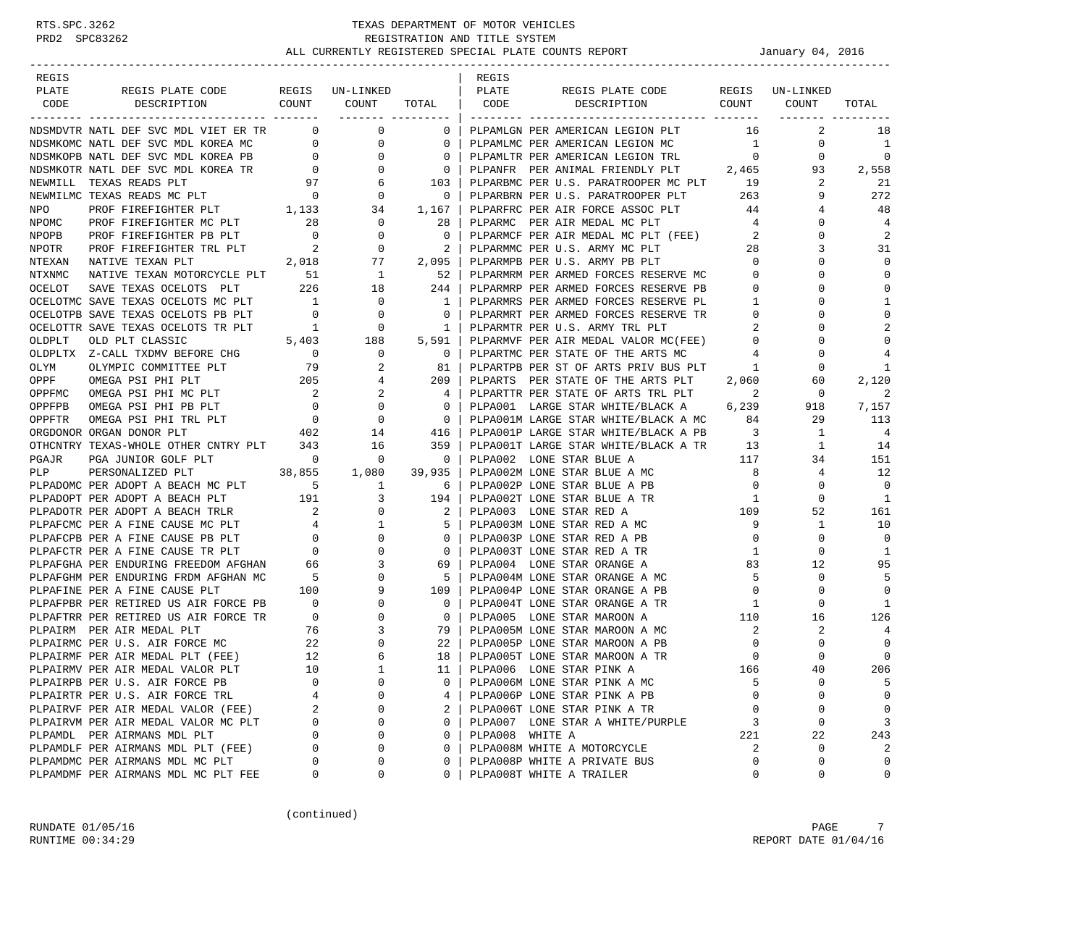| REGIS                                                                                                                                                                                                                                   |                                  |                                 |                                       | REGIS           |                                                                                 |                                        |                 |                |
|-----------------------------------------------------------------------------------------------------------------------------------------------------------------------------------------------------------------------------------------|----------------------------------|---------------------------------|---------------------------------------|-----------------|---------------------------------------------------------------------------------|----------------------------------------|-----------------|----------------|
| PLATE                                                                                                                                                                                                                                   | REGIS PLATE CODE REGIS UN-LINKED |                                 |                                       | PLATE           | REGIS PLATE CODE                                                                |                                        | REGIS UN-LINKED |                |
| CODE<br>DESCRIPTION                                                                                                                                                                                                                     | COUNT COUNT                      |                                 | TOTAL CODE                            |                 | DESCRIPTION                                                                     |                                        | COUNT COUNT     | TOTAL          |
| NDSMDVTR NATL DEF SVC MDL VIET ER TR                                                                                                                                                                                                    |                                  | $\begin{matrix}0&0\end{matrix}$ | ___________________<br>$\overline{0}$ |                 | PLPAMLGN PER AMERICAN LEGION PLT                                                | 16                                     | 2               | 18             |
|                                                                                                                                                                                                                                         |                                  |                                 |                                       |                 |                                                                                 |                                        | 0               | 1              |
|                                                                                                                                                                                                                                         |                                  |                                 |                                       |                 | PLPAMLMC PER AMERICAN LEGION MC 1<br>PLPAMLTR PER AMERICAN LEGION TRL           | $\overline{0}$                         | $\overline{0}$  | $\mathbf 0$    |
|                                                                                                                                                                                                                                         |                                  |                                 |                                       |                 | PLPANFR PER ANIMAL FRIENDLY PLT 2,465                                           |                                        | 93              | 2,558          |
|                                                                                                                                                                                                                                         |                                  |                                 |                                       |                 | PLPARBMC PER U.S. PARATROOPER MC PLT                                            | 19                                     | 2               | -21            |
|                                                                                                                                                                                                                                         |                                  |                                 |                                       |                 | PLPARBRN PER U.S. PARATROOPER PLT 263                                           |                                        | 9               | 272            |
|                                                                                                                                                                                                                                         |                                  |                                 |                                       |                 | PLPARFRC PER AIR FORCE ASSOC PLT 44                                             |                                        | 4               | 48             |
|                                                                                                                                                                                                                                         |                                  |                                 |                                       |                 | PLPARMC PER AIR MEDAL MC PLT                                                    | $4\overline{4}$                        | $\Omega$        | $\overline{4}$ |
|                                                                                                                                                                                                                                         |                                  |                                 |                                       |                 | PLPARMCF PER AIR MEDAL MC PLT (FEE) 2                                           |                                        | $\Omega$        | $\overline{2}$ |
|                                                                                                                                                                                                                                         |                                  |                                 |                                       |                 | PLPARMMC PER U.S. ARMY MC PLT                                                   |                                        | 3               | 31             |
|                                                                                                                                                                                                                                         |                                  |                                 |                                       |                 | PLPARMPB PER U.S. ARMY PB PLT                                                   | $\begin{array}{c} 28 \\ 0 \end{array}$ | $\Omega$        | $\mathbf{0}$   |
|                                                                                                                                                                                                                                         |                                  |                                 |                                       |                 | PLPARMRM PER ARMED FORCES RESERVE MC 0                                          |                                        | $\mathbf{0}$    | $\mathbf{0}$   |
|                                                                                                                                                                                                                                         |                                  |                                 |                                       |                 | PLPARMRP PER ARMED FORCES RESERVE PB                                            | $\overline{0}$                         | $\Omega$        | $\mathbf{0}$   |
|                                                                                                                                                                                                                                         |                                  |                                 |                                       |                 | PLPARMRS PER ARMED FORCES RESERVE PL 1                                          |                                        | $\Omega$        | 1              |
|                                                                                                                                                                                                                                         |                                  |                                 |                                       |                 |                                                                                 |                                        | $\mathbf 0$     | $\mathbf 0$    |
|                                                                                                                                                                                                                                         |                                  |                                 |                                       |                 | PLPARMRT PER ARMED FORCES RESERVE TR $$0$ PLPARMTR PER U.S. ARMY TRL PLT $12$   |                                        | $\Omega$        | 2              |
|                                                                                                                                                                                                                                         |                                  |                                 |                                       |                 | PLPARMVF PER AIR MEDAL VALOR MC(FEE) 0                                          |                                        | $\mathbf 0$     | $\mathbf 0$    |
|                                                                                                                                                                                                                                         |                                  |                                 |                                       |                 | PLPARTMC PER STATE OF THE ARTS MC                                               | $\overline{4}$                         | 0               | 4              |
|                                                                                                                                                                                                                                         |                                  |                                 |                                       |                 | PLPARTPB PER ST OF ARTS PRIV BUS PLT 1                                          |                                        | 0               | 1              |
|                                                                                                                                                                                                                                         |                                  |                                 |                                       |                 |                                                                                 |                                        | 60              | 2,120          |
|                                                                                                                                                                                                                                         |                                  |                                 |                                       |                 | PLPARTS PER STATE OF THE ARTS PLT 2,060<br>PLPARTTR PER STATE OF ARTS TRL PLT 2 |                                        | $\mathbf{0}$    | 2              |
|                                                                                                                                                                                                                                         |                                  |                                 |                                       |                 | PLPA001 LARGE STAR WHITE/BLACK A 6,239                                          |                                        | 918             | 7,157          |
|                                                                                                                                                                                                                                         |                                  |                                 |                                       |                 | PLPA001M LARGE STAR WHITE/BLACK A MC 84                                         |                                        | 29              | 113            |
|                                                                                                                                                                                                                                         |                                  |                                 |                                       |                 | PLPA001P LARGE STAR WHITE/BLACK A PB 3                                          |                                        | 1               | $\overline{4}$ |
|                                                                                                                                                                                                                                         |                                  |                                 | 359                                   |                 |                                                                                 |                                        | $\mathbf{1}$    | 14             |
| OTHCNTRY TEXAS-WHOLE OTHER CNTRY PLT 343 16<br>PGAJR PGA JUNIOR GOLF PLT 0 0 0                                                                                                                                                          |                                  |                                 | $\overline{\phantom{0}}$              |                 | PLPA001T LARGE STAR WHITE/BLACK A TR 13<br>PLPA002 LONE STAR BLUE A 117         |                                        | 34              | 151            |
| PERSONALIZED PLT<br>PLP                                                                                                                                                                                                                 | 38,855 1,080                     |                                 | 39,935                                |                 | PLPA002M LONE STAR BLUE A MC 8                                                  |                                        | $\overline{4}$  | 12             |
| PLP PERSONALIZED PLT 38,855 1,080 39,935  <br>PLPADOMC PER ADOPT A BEACH MC PLT 5 1 6  <br>PLPADOTE PER ADOPT A BEACH PLT 191 3 194  <br>PLPADOTE PER ADOPT A BEACH TRLE 191 3 194  <br>PLPAPCMC PER A FINE CAUSE MC PLT 4 1 5  <br>PLP |                                  |                                 |                                       |                 | PLPA002P LONE STAR BLUE A PB                                                    | $\overline{0}$                         | $\mathbf{0}$    | $\overline{0}$ |
|                                                                                                                                                                                                                                         |                                  |                                 |                                       |                 | PLPA002T LONE STAR BLUE A TR                                                    | $\overline{\phantom{a}}$               | $\mathbf{0}$    | 1              |
|                                                                                                                                                                                                                                         |                                  |                                 |                                       |                 | PLPA003M LONE STAR RED A MC<br>PLPA003M LONE STAR RED A MC                      |                                        | 52              | 161            |
|                                                                                                                                                                                                                                         |                                  |                                 |                                       |                 |                                                                                 |                                        | $\mathbf{1}$    | 10             |
|                                                                                                                                                                                                                                         |                                  |                                 |                                       |                 | PLPA003P LONE STAR RED A PB                                                     | $\overline{0}$                         | $\mathbf 0$     | $\mathbf 0$    |
|                                                                                                                                                                                                                                         |                                  |                                 |                                       |                 | PLPA003T LONE STAR RED A TR                                                     | $\mathbf{1}$                           | $\mathbf 0$     | $\mathbf{1}$   |
|                                                                                                                                                                                                                                         |                                  |                                 |                                       |                 | PLPA004 LONE STAR ORANGE A                                                      | 83                                     | 12              | 95             |
|                                                                                                                                                                                                                                         |                                  |                                 |                                       |                 |                                                                                 | 5 <sub>1</sub>                         | $\mathbf{0}$    | 5              |
|                                                                                                                                                                                                                                         |                                  |                                 |                                       |                 | PLPA004M LONE STAR ORANGE A MC<br>PLPA004P LONE STAR ORANGE A PB                | $\overline{0}$                         | $\mathbf{0}$    | $\mathbf 0$    |
|                                                                                                                                                                                                                                         |                                  |                                 |                                       |                 | PLPA004T LONE STAR ORANGE A TR                                                  | $\mathbf{1}$                           | $\mathbf 0$     | 1              |
|                                                                                                                                                                                                                                         |                                  |                                 |                                       |                 | PLPA005 LONE STAR MAROON A                                                      | 110                                    | 16              | 126            |
|                                                                                                                                                                                                                                         |                                  |                                 |                                       |                 | PLPA005M LONE STAR MAROON A MC                                                  | $\overline{\phantom{a}}^2$             | 2               | 4              |
|                                                                                                                                                                                                                                         |                                  |                                 |                                       |                 | PLPAUUSE LONE STAR MAROON A PB<br>PLPAUUSE LONE STAR MAROON A PB                | $\overline{0}$                         | $\mathbf 0$     | $\overline{0}$ |
|                                                                                                                                                                                                                                         |                                  |                                 |                                       |                 | PLPA005T LONE STAR MAROON A TR                                                  | $\overline{0}$                         | $\Omega$        | $\mathbf 0$    |
| PLPAIRMV PER AIR MEDAL VALOR PLT                                                                                                                                                                                                        | 10                               | $\mathbf{1}$                    | 11                                    |                 | PLPA006 LONE STAR PINK A                                                        | 166                                    | 40              | 206            |
| PLPAIRPB PER U.S. AIR FORCE PB                                                                                                                                                                                                          |                                  | 0<br>$\Omega$                   | 0                                     |                 | PLPA006M LONE STAR PINK A MC                                                    | 5                                      | 0               | 5              |
| PLPAIRTR PER U.S. AIR FORCE TRL                                                                                                                                                                                                         |                                  | 4<br>$\Omega$                   | 4                                     |                 | PLPA006P LONE STAR PINK A PB                                                    | $\Omega$                               | $\Omega$        | 0              |
| PLPAIRVF PER AIR MEDAL VALOR (FEE)                                                                                                                                                                                                      |                                  | 2<br>0                          | 2                                     |                 | PLPA006T LONE STAR PINK A TR                                                    | 0                                      | 0               | 0              |
| PLPAIRVM PER AIR MEDAL VALOR MC PLT                                                                                                                                                                                                     |                                  | 0<br>0                          | 0                                     |                 | PLPA007 LONE STAR A WHITE/PURPLE                                                | 3                                      | $\mathbf 0$     | 3              |
| PLPAMDL PER AIRMANS MDL PLT                                                                                                                                                                                                             |                                  | $\Omega$<br>0                   | 0                                     | PLPA008 WHITE A |                                                                                 | 221                                    | 22              | 243            |
| PLPAMDLF PER AIRMANS MDL PLT (FEE)                                                                                                                                                                                                      |                                  | 0<br>$\Omega$                   | 0                                     |                 | PLPA008M WHITE A MOTORCYCLE                                                     | 2                                      | 0               | 2              |
| PLPAMDMC PER AIRMANS MDL MC PLT                                                                                                                                                                                                         |                                  | 0<br>0                          | 0                                     |                 | PLPA008P WHITE A PRIVATE BUS                                                    | 0                                      | 0               | $\mathbf 0$    |
| PLPAMDMF PER AIRMANS MDL MC PLT FEE                                                                                                                                                                                                     |                                  | 0<br>0                          | 0                                     |                 | PLPA008T WHITE A TRAILER                                                        | 0                                      | 0               | $\mathsf 0$    |

(continued)

RUNDATE  $01/05/16$  PAGE 7 RUNTIME  $00:34:29$  REPORT DATE  $01/04/16$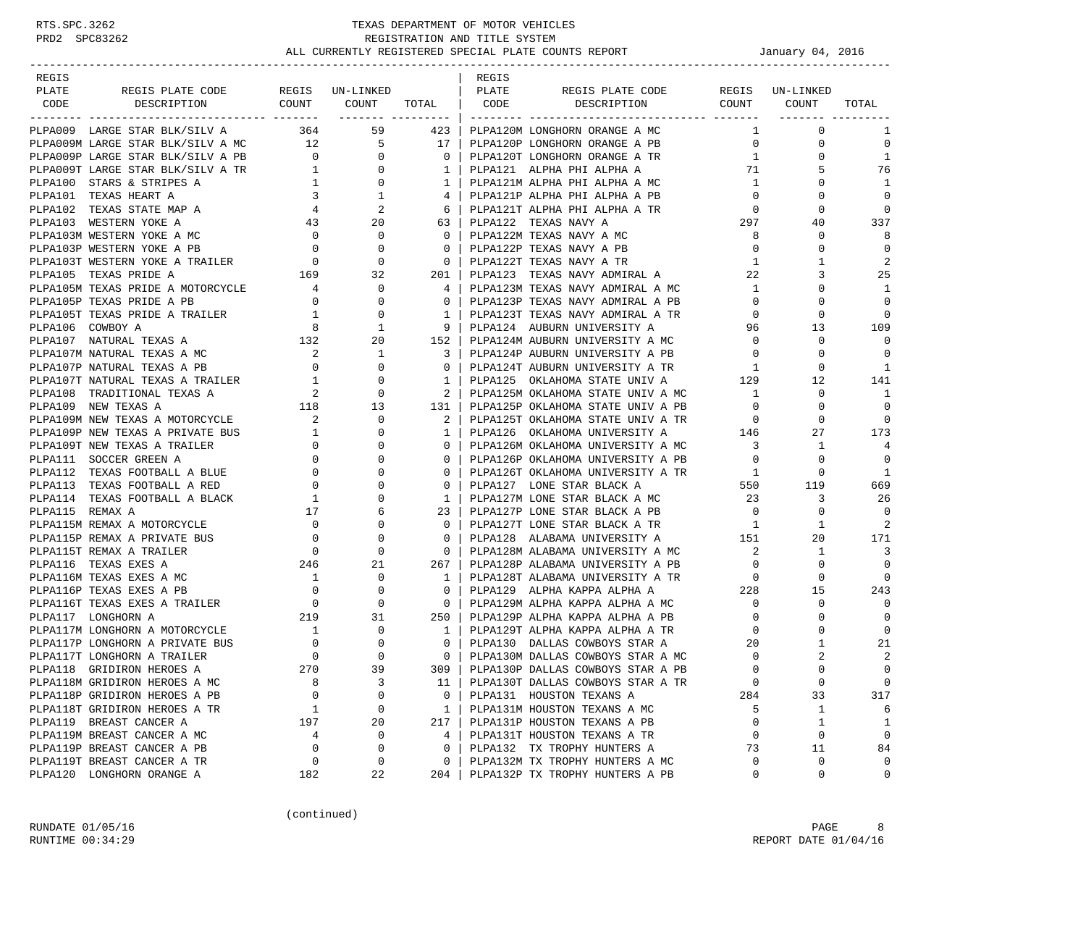| REGIS           |                                                                                                                                                                       |                |                                                                               |                          | REGIS |                                                                            |                |                 |              |
|-----------------|-----------------------------------------------------------------------------------------------------------------------------------------------------------------------|----------------|-------------------------------------------------------------------------------|--------------------------|-------|----------------------------------------------------------------------------|----------------|-----------------|--------------|
| PLATE           | REGIS PLATE CODE                                                                                                                                                      |                | REGIS UN-LINKED                                                               |                          | PLATE | REGIS PLATE CODE                                                           |                | REGIS UN-LINKED |              |
| CODE            | DESCRIPTION                                                                                                                                                           |                | COUNT COUNT TOTAL   CODE<br>------- ---------                                 |                          |       | DESCRIPTION COUNT COUNT                                                    |                |                 | TOTAL        |
|                 | PLPA009 LARGE STAR BLK/SILV A 364 59 423                                                                                                                              |                |                                                                               |                          |       | PLPA120M LONGHORN ORANGE A MC                                              | $\mathbf{1}$   | $\mathbf 0$     | 1            |
|                 | PLPA009M LARGE STAR BLK/SILV A MC 12 5 17                                                                                                                             |                |                                                                               |                          |       | PLPA120P LONGHORN ORANGE A PB                                              | $\overline{0}$ | 0               | $\mathbf 0$  |
|                 | PLPA009P LARGE STAR BLK/SILV A PB $\begin{array}{ccc} 0 & 0 \\ 0 & 1 \end{array}$ 0 DLPA009T LARGE STAR BLK/SILV A TR $\begin{array}{ccc} 1 & 0 \\ 1 & 0 \end{array}$ |                |                                                                               | $\overline{0}$           |       | PLPA120T LONGHORN ORANGE A TR                                              | 1              | 0               | $\mathbf{1}$ |
|                 |                                                                                                                                                                       |                |                                                                               | $\mathbf{1}$             |       | PLPA121 ALPHA PHI ALPHA A                                                  | 71             | 5               | 76           |
|                 | PLPA100 STARS & STRIPES A                                                                                                                                             |                |                                                                               | $\mathbf{1}$             |       | PLPA121M ALPHA PHI ALPHA A MC                                              | $\mathbf{1}$   | 0               | 1            |
|                 | PLPA101 TEXAS HEART A                                                                                                                                                 |                |                                                                               | 4                        |       | PLPA121P ALPHA PHI ALPHA A PB                                              | $\overline{0}$ | $\Omega$        | $\mathbf 0$  |
|                 | PLPA102 TEXAS STATE MAP A                                                                                                                                             |                |                                                                               | 6                        |       | PLPA121T ALPHA PHI ALPHA A TR                                              | $\overline{0}$ | 0               | $\mathbf 0$  |
|                 | PLPA103 WESTERN YOKE A                                                                                                                                                |                | $\begin{array}{ccc} & 1 & & 0 \\ 3 & & 1 \\ 4 & & 2 \\ 43 & & 20 \end{array}$ | 63                       |       | PLPA122 TEXAS NAVY A                                                       | 297            | 40              | 337          |
|                 |                                                                                                                                                                       |                |                                                                               | $\overline{0}$           |       | PLPA122M TEXAS NAVY A MC                                                   | 8              | $\Omega$        | 8            |
|                 |                                                                                                                                                                       |                |                                                                               | $\overline{0}$           |       | PLPA122P TEXAS NAVY A PB                                                   | $\overline{0}$ | 0               | $\mathbf 0$  |
|                 |                                                                                                                                                                       |                |                                                                               | $\overline{\phantom{0}}$ |       | PLPA122T TEXAS NAVY A TR                                                   | 1              | 1               | 2            |
|                 |                                                                                                                                                                       |                |                                                                               | 201                      |       | PLPA123 TEXAS NAVY ADMIRAL A                                               | 22             | 3               | 25           |
|                 |                                                                                                                                                                       |                |                                                                               | 41                       |       | PLPA123M TEXAS NAVY ADMIRAL A MC                                           | $\mathbf{1}$   | $\Omega$        | 1            |
|                 |                                                                                                                                                                       |                |                                                                               | $\Omega$                 |       | PLPA123P TEXAS NAVY ADMIRAL A PB                                           | $\mathbf{0}$   | 0               | $\mathbf 0$  |
|                 |                                                                                                                                                                       |                |                                                                               | $\mathbf{1}$             |       | PLPA123T TEXAS NAVY ADMIRAL A TR<br>PLPA123T TEXAS NAVY ADMIRAL A TR       | $\mathbf{0}$   | 0               | $\mathbf 0$  |
|                 | PLPA105T TEXAS PRIDE A TRAILER $1$ 0<br>PLPA106 COWBOY A $8$ 1                                                                                                        |                |                                                                               | 9                        |       | PLPA124 AUBURN UNIVERSITY A                                                | 96             | 13              | 109          |
|                 | PLPAIO COWBOT A<br>PLPAIO7 NATURAL TEXAS A<br>PLPAIO7M NATURAL TEXAS A MC 2<br>PLPAIO7D NATURAL TEXAS A PB 0                                                          |                | 20                                                                            | 152                      |       | PLPA124M AUBURN UNIVERSITY A MC                                            | $\overline{0}$ | 0               | $\mathbf 0$  |
|                 |                                                                                                                                                                       |                | $\mathbf{1}$                                                                  | 3                        |       | PLPA124P AUBURN UNIVERSITY A PB                                            | $\overline{0}$ | $\Omega$        | $\mathbf 0$  |
|                 |                                                                                                                                                                       |                | $\mathbf{0}$                                                                  | $\Omega$                 |       | PLPA124T AUBURN UNIVERSITY A TR                                            | 1              | $\Omega$        | 1            |
|                 |                                                                                                                                                                       |                |                                                                               | $\mathbf{1}$             |       |                                                                            |                | 12              | 141          |
|                 | PLPA108 TRADITIONAL TEXAS A                                                                                                                                           |                |                                                                               | 2                        |       |                                                                            | $\overline{1}$ | $\mathbf 0$     | -1           |
|                 | PLPA109 NEW TEXAS A                                                                                                                                                   |                | 13                                                                            | 131                      |       | PLPA125P OKLAHOMA STATE UNIV A PB                                          | $\overline{0}$ | 0               | $\mathbf 0$  |
|                 | PLPA109M NEW TEXAS A MOTORCYCLE                                                                                                                                       |                | $\mathbf{0}$                                                                  | 2 <sup>1</sup>           |       | PLPA125T OKLAHOMA STATE UNIV A TR                                          | $\overline{0}$ | 0               | $\mathbf 0$  |
|                 | AS A 2<br>DRCYCLE 118<br>VATE BUS 1<br>PLPA109P NEW TEXAS A PRIVATE BUS                                                                                               |                | $\Omega$                                                                      | 1                        |       | PLPA126 OKLAHOMA UNIVERSITY A 146                                          |                | 27              | 173          |
|                 | PLPA109T NEW TEXAS A TRAILER                                                                                                                                          |                | 0                                                                             | $\mathbf{0}$             |       | PLPA126M OKLAHOMA UNIVERSITY A MC 3<br>pt pa126p oktahoma inityfpstty a pp |                | 1               | 4            |
|                 | PLPA111 SOCCER GREEN A                                                                                                                                                |                | $\Omega$                                                                      | $\Omega$                 |       | PLPA126P OKLAHOMA UNIVERSITY A PB                                          | $\overline{0}$ | $\Omega$        | $\mathbf 0$  |
|                 | PLPA112 TEXAS FOOTBALL A BLUE                                                                                                                                         |                | $\mathbf 0$                                                                   | $\overline{0}$           |       | PLPA126T OKLAHOMA UNIVERSITY A TR 1                                        |                | 0               | 1            |
|                 | PLPA113 TEXAS FOOTBALL A RED                                                                                                                                          |                |                                                                               | $\mathbf{0}$             |       | PLPA127 LONE STAR BLACK A 550<br>PLPA127M LONE STAR BLACK A MC 33          |                | 550 119         | 669          |
|                 | PLPA114 TEXAS FOOTBALL A BLACK                                                                                                                                        |                | $\Omega$                                                                      | $\mathbf{1}$             |       |                                                                            |                | 3               | 26           |
| PLPA115 REMAX A |                                                                                                                                                                       | 17             | 6                                                                             | 23                       |       | PLPA127P LONE STAR BLACK A PB                                              | $\overline{0}$ | 0               | $\mathbf 0$  |
|                 | PLPA115M REMAX A MOTORCYCLE                                                                                                                                           | $\overline{0}$ | $\Omega$                                                                      | $\Omega$                 |       | PLPA127T LONE STAR BLACK A TR                                              | $\mathbf{1}$   | 1               | 2            |
|                 | PLPA115P REMAX A PRIVATE BUS                                                                                                                                          | $\overline{0}$ | $\mathbf 0$                                                                   | $\mathbf 0$              |       | PLPA128 ALABAMA UNIVERSITY A 151                                           |                | 20              | 171          |
|                 | PLPA115T REMAX A TRAILER                                                                                                                                              | $\overline{0}$ | $\mathbf 0$                                                                   | $\overline{0}$           |       | PLPA128M ALABAMA UNIVERSITY A MC                                           | $\overline{2}$ | 1               | 3            |
|                 | PLPA116 TEXAS EXES A                                                                                                                                                  | 246            | 21                                                                            | 267                      |       | PLPA128P ALABAMA UNIVERSITY A PB                                           | $\overline{0}$ | $\mathbf 0$     | $\mathbf 0$  |
|                 |                                                                                                                                                                       |                |                                                                               | 1                        |       | PLPA128T ALABAMA UNIVERSITY A TR<br>priba120 albha kappa alpha A           |                | 0               | $\Omega$     |
|                 |                                                                                                                                                                       |                |                                                                               | $\circ$                  |       |                                                                            |                | 15              | 243          |
|                 |                                                                                                                                                                       |                |                                                                               | $\overline{0}$           |       | PLPA129M ALPHA KAPPA ALPHA A MC                                            | $\overline{0}$ | $\mathbf 0$     | $\mathbf 0$  |
|                 |                                                                                                                                                                       |                |                                                                               | $250$                    |       | PLPA129P ALPHA KAPPA ALPHA A PB                                            | $\overline{0}$ | 0               | $\mathbf 0$  |
|                 |                                                                                                                                                                       |                |                                                                               | $\mathbf{1}$             |       | PLPA129T ALPHA KAPPA ALPHA A TR                                            | $\Omega$       | $\Omega$        | $\mathbf 0$  |
|                 |                                                                                                                                                                       |                |                                                                               | $\overline{0}$           |       | PLPA130 DALLAS COWBOYS STAR A                                              | 20             | 1               | 21           |
|                 |                                                                                                                                                                       |                |                                                                               | $\overline{0}$           |       | PLPA130M DALLAS COWBOYS STAR A MC                                          | $\circ$        | 2               | 2            |
|                 |                                                                                                                                                                       |                |                                                                               | $309$                    |       | PLPA130P DALLAS COWBOYS STAR A PB                                          | $\cap$         | $\Omega$        | $\Omega$     |
|                 |                                                                                                                                                                       |                |                                                                               | 11                       |       | PLPA130T DALLAS COWBOYS STAR A TR                                          | $\mathbf 0$    | $\mathsf 0$     | $\mathbf 0$  |
|                 |                                                                                                                                                                       |                |                                                                               | $\mathbf{0}$             |       | PLPA131 HOUSTON TEXANS A                                                   | 284            | 33              | 317          |
|                 | PLPA118T GRIDIRON HEROES A TR                                                                                                                                         | 1              | 0                                                                             | $\mathbf{1}$             |       | PLPA131M HOUSTON TEXANS A MC                                               | 5              | 1               | 6            |
|                 | PLPA119 BREAST CANCER A                                                                                                                                               | 197            | 20                                                                            | 217                      |       | PLPA131P HOUSTON TEXANS A PB                                               | $\mathbf 0$    | 1               | 1            |
|                 | PLPA119M BREAST CANCER A MC                                                                                                                                           | 4              | 0                                                                             | 4                        |       | PLPA131T HOUSTON TEXANS A TR                                               | $\mathbf 0$    | 0               | $\mathbf 0$  |
|                 | PLPA119P BREAST CANCER A PB                                                                                                                                           | $\mathbf 0$    | 0                                                                             | 0                        |       | PLPA132 TX TROPHY HUNTERS A                                                | 73             | 11              | 84           |
|                 | PLPA119T BREAST CANCER A TR                                                                                                                                           | $\overline{0}$ | 0                                                                             | 0                        |       | PLPA132M TX TROPHY HUNTERS A MC                                            | 0              | 0               | $\mathbf 0$  |
|                 | PLPA120 LONGHORN ORANGE A                                                                                                                                             | 182            | 22                                                                            | 204                      |       | PLPA132P TX TROPHY HUNTERS A PB                                            | 0              | 0               | 0            |

(continued)

RUNDATE 01/05/16 PAGE 8 RUNTIME  $00:34:29$  REPORT DATE  $01/04/16$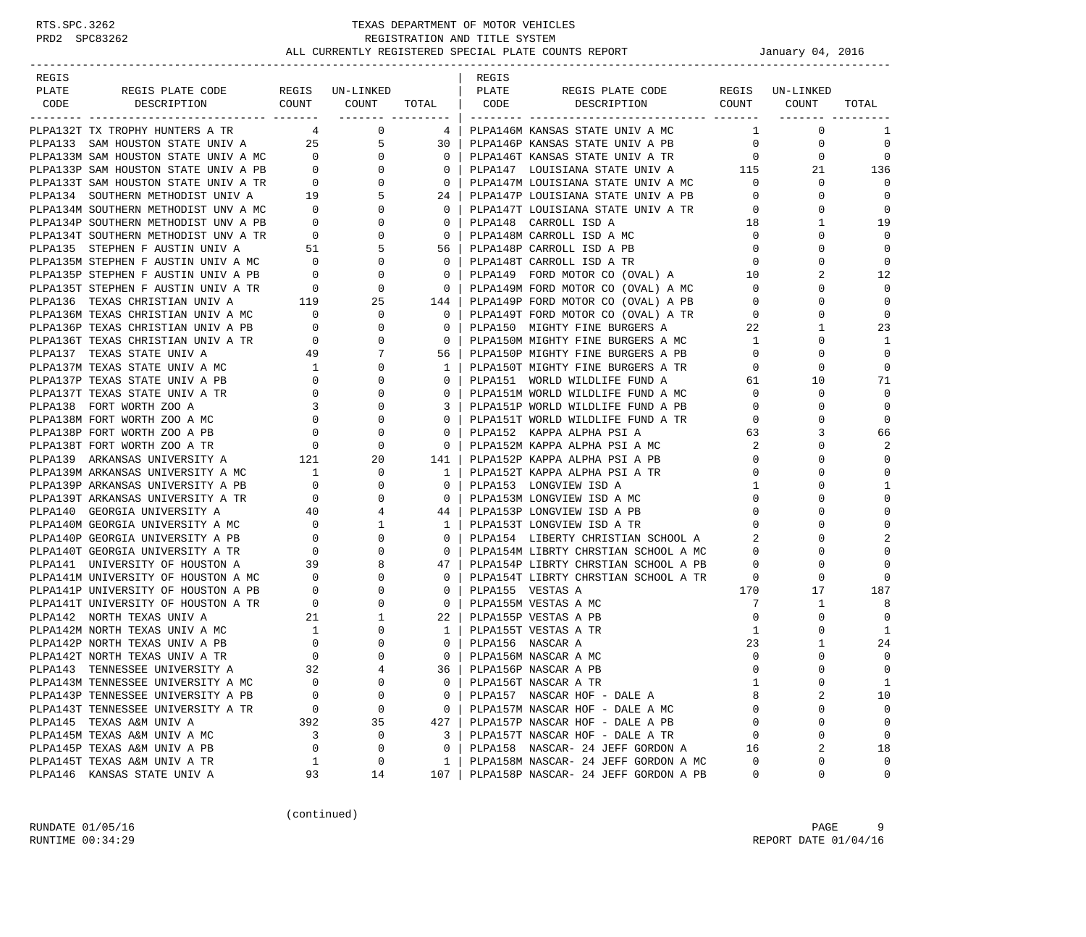| REGIS |                                                                                                                                                                                                                                                                                                                                                                                                                                |             |                |                                                                                            | REGIS |                                                                                                                               |                            |                                  |                |
|-------|--------------------------------------------------------------------------------------------------------------------------------------------------------------------------------------------------------------------------------------------------------------------------------------------------------------------------------------------------------------------------------------------------------------------------------|-------------|----------------|--------------------------------------------------------------------------------------------|-------|-------------------------------------------------------------------------------------------------------------------------------|----------------------------|----------------------------------|----------------|
| PLATE | REGIS PLATE CODE REGIS UN-LINKED   PLATE                                                                                                                                                                                                                                                                                                                                                                                       |             |                |                                                                                            |       | REGIS PLATE CODE REGIS UN-LINKED                                                                                              |                            |                                  |                |
|       |                                                                                                                                                                                                                                                                                                                                                                                                                                |             |                |                                                                                            |       | CODE DESCRIPTION COUNT COUNT TOTAL CODE DESCRIPTION COUNT COUNT                                                               |                            |                                  | TOTAL          |
|       |                                                                                                                                                                                                                                                                                                                                                                                                                                |             |                |                                                                                            |       |                                                                                                                               |                            |                                  |                |
|       | PLPA132T TX TROPHY HUNTERS A TR 4 0                                                                                                                                                                                                                                                                                                                                                                                            |             |                |                                                                                            |       | 4   PLPA146M KANSAS STATE UNIV A MC                                                                                           |                            | $1 \quad \cdots$<br>$\mathbf{0}$ | 1              |
|       |                                                                                                                                                                                                                                                                                                                                                                                                                                |             |                |                                                                                            |       |                                                                                                                               |                            | $\mathbf 0$                      | $\mathbf 0$    |
|       |                                                                                                                                                                                                                                                                                                                                                                                                                                |             |                |                                                                                            |       |                                                                                                                               |                            | $\overline{0}$                   | $\mathbf 0$    |
|       |                                                                                                                                                                                                                                                                                                                                                                                                                                |             |                |                                                                                            |       | PLPA147 LOUISIANA STATE UNIV A 115                                                                                            |                            | 21                               | 136            |
|       |                                                                                                                                                                                                                                                                                                                                                                                                                                |             |                |                                                                                            |       |                                                                                                                               |                            | $\mathbf{0}$                     | $\Omega$       |
|       |                                                                                                                                                                                                                                                                                                                                                                                                                                |             |                |                                                                                            |       |                                                                                                                               |                            | $\Omega$                         | $\mathbf 0$    |
|       |                                                                                                                                                                                                                                                                                                                                                                                                                                |             |                |                                                                                            |       |                                                                                                                               |                            | $\mathbf 0$                      | $\mathbf 0$    |
|       |                                                                                                                                                                                                                                                                                                                                                                                                                                |             |                |                                                                                            |       |                                                                                                                               |                            | $\mathbf{1}$                     | 19             |
|       |                                                                                                                                                                                                                                                                                                                                                                                                                                |             |                |                                                                                            |       |                                                                                                                               |                            | $\Omega$                         | $\Omega$       |
|       |                                                                                                                                                                                                                                                                                                                                                                                                                                |             |                |                                                                                            |       |                                                                                                                               |                            | $\mathbf{0}$                     | $\mathbf 0$    |
|       |                                                                                                                                                                                                                                                                                                                                                                                                                                |             |                |                                                                                            |       |                                                                                                                               |                            | $\mathbf 0$                      | $\mathbf 0$    |
|       |                                                                                                                                                                                                                                                                                                                                                                                                                                |             |                |                                                                                            |       |                                                                                                                               |                            | $\overline{a}$                   | 12             |
|       |                                                                                                                                                                                                                                                                                                                                                                                                                                |             |                |                                                                                            |       |                                                                                                                               |                            | $\Omega$                         | $\Omega$       |
|       |                                                                                                                                                                                                                                                                                                                                                                                                                                |             |                |                                                                                            |       |                                                                                                                               |                            | $\Omega$                         | $\mathbf{0}$   |
|       |                                                                                                                                                                                                                                                                                                                                                                                                                                |             |                |                                                                                            |       |                                                                                                                               |                            | $\mathbf{0}$                     | $\mathbf 0$    |
|       |                                                                                                                                                                                                                                                                                                                                                                                                                                |             |                |                                                                                            |       |                                                                                                                               |                            | $\mathbf{1}$                     | 23             |
|       | PLPA136 TEXAS CHRISTIAN UNIV A<br>PLPA136M TEXAS CHRISTIAN UNIV A MC<br>PLPA136P TEXAS CHRISTIAN UNIV A PB<br>0 0 0<br>PLPA136T TEXAS CHRISTIAN UNIV A TR<br>0 0 0<br>PLPA137 TEXAS STATE UNIV A MC<br>49 7<br>PLPA137M TEXAS STATE UNIV A MC<br>                                                                                                                                                                              |             |                | $\begin{array}{c c} & 0 & 0 \\ \hline 0 & 0 & 0 \\ \hline 0 & 0 & 0 \\ \hline \end{array}$ |       |                                                                                                                               |                            | $\mathbf 0$                      | 1              |
|       |                                                                                                                                                                                                                                                                                                                                                                                                                                |             |                |                                                                                            |       | 0   PLPA150M MIGHTY FINE BURGERS A MC<br>56   PLPA150P MIGHTY FINE BURGERS A PB<br>1   PLPA150T MIGHTY FINE BURGERS A TR<br>0 |                            | $\mathbf 0$                      | $\Omega$       |
|       |                                                                                                                                                                                                                                                                                                                                                                                                                                |             |                |                                                                                            |       |                                                                                                                               |                            | $\Omega$                         | $\Omega$       |
|       |                                                                                                                                                                                                                                                                                                                                                                                                                                |             |                | $\circ$                                                                                    |       |                                                                                                                               |                            | 10                               | 71             |
|       |                                                                                                                                                                                                                                                                                                                                                                                                                                |             |                | $0-1$                                                                                      |       |                                                                                                                               |                            | 61<br>$\mathbf 0$                | $\mathbf 0$    |
|       |                                                                                                                                                                                                                                                                                                                                                                                                                                |             |                | $\overline{\phantom{a}}$ 3                                                                 |       |                                                                                                                               |                            | $\mathbf 0$                      | $\mathbf 0$    |
|       |                                                                                                                                                                                                                                                                                                                                                                                                                                |             |                |                                                                                            |       | PLPA151P WORLD WILDLIFE FUND A PB 0                                                                                           |                            | $\mathbf 0$                      | $\mathbf{0}$   |
|       |                                                                                                                                                                                                                                                                                                                                                                                                                                |             |                |                                                                                            |       | 0   PLPA151T WORLD WILDLIFE FUND A TR<br>0   PLPA152  KAPPA ALPHA PSI A                                                       | $\overline{0}$             |                                  |                |
|       |                                                                                                                                                                                                                                                                                                                                                                                                                                |             |                | $\overline{0}$                                                                             |       | PLPA152M KAPPA ALPHA PSI A MC<br>ספו א דמי יי                                                                                 | 63                         | 3                                | 66             |
|       |                                                                                                                                                                                                                                                                                                                                                                                                                                |             |                | $\overline{\phantom{0}}$                                                                   |       | 141   PLPA152P KAPPA ALPHA PSI A PB                                                                                           | $\overline{\phantom{a}}^2$ | 0                                | 2              |
|       |                                                                                                                                                                                                                                                                                                                                                                                                                                |             |                |                                                                                            |       |                                                                                                                               | $\overline{0}$             | $\Omega$                         | $\mathbf{0}$   |
|       |                                                                                                                                                                                                                                                                                                                                                                                                                                |             |                |                                                                                            |       | PLPA152T KAPPA ALPHA PSI A TR                                                                                                 |                            | $\overline{0}$<br>0              | $\mathbf 0$    |
|       |                                                                                                                                                                                                                                                                                                                                                                                                                                |             |                |                                                                                            |       | 0   PLPA153 LONGVIEW ISD A                                                                                                    | $1 \quad \blacksquare$     | $\Omega$                         | $\mathbf{1}$   |
|       |                                                                                                                                                                                                                                                                                                                                                                                                                                |             |                |                                                                                            |       | 0   PLPA153M LONGVIEW ISD A MC                                                                                                | $\overline{0}$             | $\Omega$                         | $\mathbf{0}$   |
|       |                                                                                                                                                                                                                                                                                                                                                                                                                                |             |                |                                                                                            |       | 44   PLPA153P LONGVIEW ISD A PB                                                                                               | $\overline{0}$             | $\mathbf 0$                      | $\mathbf 0$    |
|       |                                                                                                                                                                                                                                                                                                                                                                                                                                |             |                |                                                                                            |       | 1   PLPA153T LONGVIEW ISD A TR                                                                                                | $\overline{0}$             | $\Omega$                         | $\mathbf{0}$   |
|       |                                                                                                                                                                                                                                                                                                                                                                                                                                |             |                |                                                                                            |       | PLPA154 LIBERTY CHRISTIAN SCHOOL A 2                                                                                          |                            | $\Omega$                         | $\overline{2}$ |
|       |                                                                                                                                                                                                                                                                                                                                                                                                                                |             |                |                                                                                            |       | 0   PLPA154M LIBRTY CHRSTIAN SCHOOL A MC                                                                                      | $\overline{0}$             | $\Omega$                         | $\Omega$       |
|       |                                                                                                                                                                                                                                                                                                                                                                                                                                |             |                |                                                                                            |       | PLPA154P LIBRTY CHRSTIAN SCHOOL A PB 0                                                                                        |                            | $\Omega$                         | $\Omega$       |
|       |                                                                                                                                                                                                                                                                                                                                                                                                                                |             |                |                                                                                            |       | PLPA154T LIBRTY CHRSTIAN SCHOOL A TR 0                                                                                        |                            | 0                                | $\Omega$       |
|       |                                                                                                                                                                                                                                                                                                                                                                                                                                |             |                |                                                                                            |       |                                                                                                                               | 170                        | 17                               | 187            |
|       | $\begin{tabular}{l c c c c c c} \hline \texttt{PLPA139} \hline \texttt{ARKANSS} \hline \texttt{UNWERSITY} \hline \texttt{A} & \texttt{121} & \texttt{20} & \texttt{141} & \texttt{PLPA152P} \hline \texttt{KAPPA} \hline \texttt{ALPHA} \hline \texttt{PLPA139P} \hline \texttt{RKANSSB} \hline \texttt{UNWERSITY} \hline \texttt{A} & \texttt{10} & \texttt{0} & \texttt{1} & \texttt{PLPA152T} \hline \texttt{KAPPA} \hline$ |             |                |                                                                                            |       |                                                                                                                               | 7                          | $\mathbf{1}$                     | 8              |
|       |                                                                                                                                                                                                                                                                                                                                                                                                                                |             |                |                                                                                            |       |                                                                                                                               | $\overline{0}$             | 0                                | $\Omega$       |
|       |                                                                                                                                                                                                                                                                                                                                                                                                                                |             |                |                                                                                            |       |                                                                                                                               | 1                          | $\Omega$                         | 1              |
|       |                                                                                                                                                                                                                                                                                                                                                                                                                                |             |                |                                                                                            |       |                                                                                                                               | 23                         | $\mathbf{1}$                     | 24             |
|       |                                                                                                                                                                                                                                                                                                                                                                                                                                |             |                |                                                                                            |       |                                                                                                                               | $\Omega$                   | $\Omega$                         | $\mathbf 0$    |
|       | PLPA143 TENNESSEE UNIVERSITY A                                                                                                                                                                                                                                                                                                                                                                                                 | 32          | $\overline{4}$ |                                                                                            |       | 36   PLPA156P NASCAR A PB                                                                                                     | $\Omega$                   | $\Omega$                         | $\Omega$       |
|       | PLPA143M TENNESSEE UNIVERSITY A MC                                                                                                                                                                                                                                                                                                                                                                                             | 0           | 0              | 0                                                                                          |       | PLPA156T NASCAR A TR                                                                                                          | 1                          | 0                                | $1\,$          |
|       | PLPA143P TENNESSEE UNIVERSITY A PB                                                                                                                                                                                                                                                                                                                                                                                             | $\Omega$    | 0              | $\mathbf{0}$                                                                               |       | PLPA157 NASCAR HOF - DALE A                                                                                                   | 8                          | 2                                | 10             |
|       | PLPA143T TENNESSEE UNIVERSITY A TR                                                                                                                                                                                                                                                                                                                                                                                             | 0           | 0              | $\overline{0}$                                                                             |       | PLPA157M NASCAR HOF - DALE A MC                                                                                               | 0                          | 0                                | $\mathbf 0$    |
|       | PLPA145 TEXAS A&M UNIV A                                                                                                                                                                                                                                                                                                                                                                                                       | 392         | 35             | 427                                                                                        |       | PLPA157P NASCAR HOF - DALE A PB                                                                                               | $\Omega$                   | 0                                | $\mathsf 0$    |
|       | PLPA145M TEXAS A&M UNIV A MC                                                                                                                                                                                                                                                                                                                                                                                                   | 3           | 0              | 3                                                                                          |       | PLPA157T NASCAR HOF - DALE A TR                                                                                               | 0                          | 0                                | $\mathbf 0$    |
|       | PLPA145P TEXAS A&M UNIV A PB                                                                                                                                                                                                                                                                                                                                                                                                   | $\mathbf 0$ | 0              | 0                                                                                          |       | PLPA158 NASCAR- 24 JEFF GORDON A                                                                                              | 16                         | 2                                | 18             |
|       | PLPA145T TEXAS A&M UNIV A TR                                                                                                                                                                                                                                                                                                                                                                                                   | 1           | 0              | 1                                                                                          |       | PLPA158M NASCAR- 24 JEFF GORDON A MC                                                                                          | 0                          | 0                                | 0              |
|       | PLPA146 KANSAS STATE UNIV A                                                                                                                                                                                                                                                                                                                                                                                                    | 93          | 14             | 107                                                                                        |       | PLPA158P NASCAR- 24 JEFF GORDON A PB                                                                                          | 0                          | 0                                | 0              |

(continued)

RUNDATE  $01/05/16$  PAGE 9 RUNTIME  $00:34:29$  REPORT DATE  $01/04/16$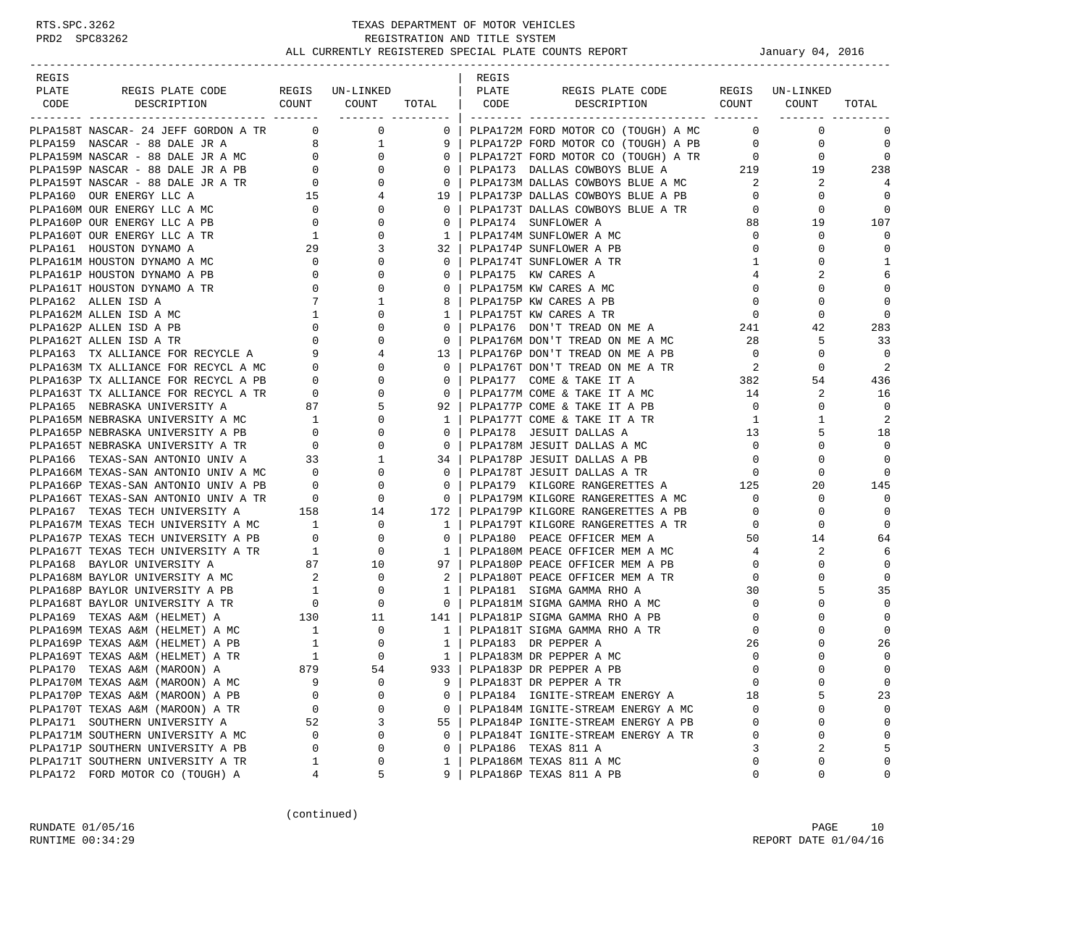| REGIS |                                            |          |             |              | REGIS |                                                                                                                                                                                                                                                                                                                                                                                                                                       |                |                     |                |
|-------|--------------------------------------------|----------|-------------|--------------|-------|---------------------------------------------------------------------------------------------------------------------------------------------------------------------------------------------------------------------------------------------------------------------------------------------------------------------------------------------------------------------------------------------------------------------------------------|----------------|---------------------|----------------|
| PLATE | REGIS PLATE CODE REGIS UN-LINKED   PLATE   |          |             |              |       | REGIS PLATE CODE                                                                                                                                                                                                                                                                                                                                                                                                                      |                | REGIS UN-LINKED     |                |
|       |                                            |          |             |              |       | CODE DESCRIPTION COUNT COUNT TOTAL CODE DESCRIPTION COUNT COUNT                                                                                                                                                                                                                                                                                                                                                                       |                |                     | TOTAL          |
|       |                                            |          |             |              |       | $\begin{array}{cccccccccccc} \textbf{1} & \textbf{1} & \textbf{1} & \textbf{1} & \textbf{1} & \textbf{1} & \textbf{1} & \textbf{1} & \textbf{1} & \textbf{1} & \textbf{1} & \textbf{1} & \textbf{1} & \textbf{1} & \textbf{1} & \textbf{1} & \textbf{1} & \textbf{1} & \textbf{1} & \textbf{1} & \textbf{1} & \textbf{1} & \textbf{1} & \textbf{1} & \textbf{1} & \textbf{1} & \textbf{1} & \textbf{1} & \textbf{1} & \textbf{1} & \$ |                |                     |                |
|       | PLPA158T NASCAR- 24 JEFF GORDON A TR 0 0 0 |          |             |              |       | 0 PLPA172M FORD MOTOR CO (TOUGH) A MC 0                                                                                                                                                                                                                                                                                                                                                                                               |                | $\mathbf{0}$        | $\Omega$       |
|       |                                            |          |             |              |       |                                                                                                                                                                                                                                                                                                                                                                                                                                       |                |                     | $\mathbf 0$    |
|       |                                            |          |             |              |       |                                                                                                                                                                                                                                                                                                                                                                                                                                       |                |                     | $\mathbf 0$    |
|       |                                            |          |             |              |       |                                                                                                                                                                                                                                                                                                                                                                                                                                       |                |                     | 238            |
|       |                                            |          |             |              |       |                                                                                                                                                                                                                                                                                                                                                                                                                                       |                |                     | 4              |
|       |                                            |          |             |              |       |                                                                                                                                                                                                                                                                                                                                                                                                                                       |                |                     | $\mathbf 0$    |
|       |                                            |          |             |              |       |                                                                                                                                                                                                                                                                                                                                                                                                                                       |                |                     | $\Omega$       |
|       |                                            |          |             |              |       |                                                                                                                                                                                                                                                                                                                                                                                                                                       |                |                     | 107            |
|       |                                            |          |             |              |       |                                                                                                                                                                                                                                                                                                                                                                                                                                       |                |                     | $\Omega$       |
|       |                                            |          |             |              |       |                                                                                                                                                                                                                                                                                                                                                                                                                                       |                |                     | $\mathbf 0$    |
|       |                                            |          |             |              |       |                                                                                                                                                                                                                                                                                                                                                                                                                                       |                |                     | 1              |
|       |                                            |          |             |              |       |                                                                                                                                                                                                                                                                                                                                                                                                                                       |                |                     | 6              |
|       |                                            |          |             |              |       |                                                                                                                                                                                                                                                                                                                                                                                                                                       |                |                     | $\mathbf 0$    |
|       |                                            |          |             |              |       |                                                                                                                                                                                                                                                                                                                                                                                                                                       |                |                     | $\mathbf 0$    |
|       |                                            |          |             |              |       |                                                                                                                                                                                                                                                                                                                                                                                                                                       |                |                     | $\Omega$       |
|       |                                            |          |             |              |       |                                                                                                                                                                                                                                                                                                                                                                                                                                       |                |                     |                |
|       |                                            |          |             |              |       |                                                                                                                                                                                                                                                                                                                                                                                                                                       |                |                     | 283            |
|       |                                            |          |             |              |       |                                                                                                                                                                                                                                                                                                                                                                                                                                       |                |                     | 33             |
|       |                                            |          |             |              |       |                                                                                                                                                                                                                                                                                                                                                                                                                                       |                |                     | $\Omega$       |
|       |                                            |          |             |              |       |                                                                                                                                                                                                                                                                                                                                                                                                                                       |                |                     | 2              |
|       |                                            |          |             |              |       |                                                                                                                                                                                                                                                                                                                                                                                                                                       |                |                     | 436            |
|       |                                            |          |             |              |       |                                                                                                                                                                                                                                                                                                                                                                                                                                       |                |                     | 16             |
|       |                                            |          |             |              |       |                                                                                                                                                                                                                                                                                                                                                                                                                                       |                |                     | $\mathbf 0$    |
|       |                                            |          |             |              |       |                                                                                                                                                                                                                                                                                                                                                                                                                                       |                |                     | $\overline{2}$ |
|       |                                            |          |             |              |       |                                                                                                                                                                                                                                                                                                                                                                                                                                       |                |                     | 18             |
|       |                                            |          |             |              |       |                                                                                                                                                                                                                                                                                                                                                                                                                                       |                |                     | $\mathbf 0$    |
|       |                                            |          |             |              |       |                                                                                                                                                                                                                                                                                                                                                                                                                                       |                |                     | $\mathbf 0$    |
|       |                                            |          |             |              |       |                                                                                                                                                                                                                                                                                                                                                                                                                                       |                |                     | $\Omega$       |
|       |                                            |          |             |              |       |                                                                                                                                                                                                                                                                                                                                                                                                                                       |                |                     | 145            |
|       |                                            |          |             |              |       |                                                                                                                                                                                                                                                                                                                                                                                                                                       |                |                     | $\Omega$       |
|       |                                            |          |             |              |       |                                                                                                                                                                                                                                                                                                                                                                                                                                       |                |                     | $\mathbf 0$    |
|       |                                            |          |             |              |       |                                                                                                                                                                                                                                                                                                                                                                                                                                       |                |                     | $\mathbf 0$    |
|       |                                            |          |             |              |       |                                                                                                                                                                                                                                                                                                                                                                                                                                       |                |                     | 64             |
|       |                                            |          |             |              |       |                                                                                                                                                                                                                                                                                                                                                                                                                                       |                |                     | 6              |
|       |                                            |          |             |              |       |                                                                                                                                                                                                                                                                                                                                                                                                                                       |                |                     | $\mathbf 0$    |
|       |                                            |          |             |              |       | 2   PLPA180T PEACE OFFICER MEM A TR<br>1   PLPA181 SIGMA GAMMA RHO A                                                                                                                                                                                                                                                                                                                                                                  | $\overline{0}$ | 0                   | $\Omega$       |
|       |                                            |          |             |              |       | PLPAI69 BAYLOR UNIVERSITY A MC<br>PLPAI69 BAYLOR UNIVERSITY A MC<br>PLPAI68P BAYLOR UNIVERSITY A PB<br>PLPAI68P BAYLOR UNIVERSITY A PB<br>PLPAI68P BAYLOR UNIVERSITY A TR<br>PLPAI69 TEXAS A&M (HELMET) A 130 11 141 PLPAI81P SIGMA GAMM                                                                                                                                                                                              | 30             | 5                   | 35             |
|       |                                            |          |             |              |       |                                                                                                                                                                                                                                                                                                                                                                                                                                       |                | $\overline{0}$<br>0 | $\mathbf 0$    |
|       |                                            |          |             |              |       |                                                                                                                                                                                                                                                                                                                                                                                                                                       | $\overline{0}$ | $\mathbf 0$         | $\mathbf 0$    |
|       |                                            |          |             |              |       |                                                                                                                                                                                                                                                                                                                                                                                                                                       | $\overline{0}$ | $\Omega$            | $\Omega$       |
|       |                                            |          |             |              |       |                                                                                                                                                                                                                                                                                                                                                                                                                                       | 26             | 0                   | 26             |
|       |                                            |          |             |              |       |                                                                                                                                                                                                                                                                                                                                                                                                                                       | $\mathbf 0$    | $\Omega$            | $\mathbf 0$    |
|       |                                            |          |             |              |       |                                                                                                                                                                                                                                                                                                                                                                                                                                       | $\cap$         | $\Omega$            | $\Omega$       |
|       | PLPA170M TEXAS A&M (MAROON) A MC           | 9        | $\mathbf 0$ | 9            |       | PLPA183T DR PEPPER A TR                                                                                                                                                                                                                                                                                                                                                                                                               | $\mathbf 0$    | 0                   | $\mathbf 0$    |
|       | PLPA170P TEXAS A&M (MAROON) A PB           | $\Omega$ | 0           | $\mathbf{0}$ |       | PLPA184 IGNITE-STREAM ENERGY A                                                                                                                                                                                                                                                                                                                                                                                                        | 18             | 5                   | 23             |
|       | PLPA170T TEXAS A&M (MAROON) A TR           | 0        | 0           | $\mathbf{0}$ |       | PLPA184M IGNITE-STREAM ENERGY A MC                                                                                                                                                                                                                                                                                                                                                                                                    | 0              | 0                   | $\mathbf 0$    |
|       | PLPA171 SOUTHERN UNIVERSITY A              | 52       | 3           | 55           |       | PLPA184P IGNITE-STREAM ENERGY A PB                                                                                                                                                                                                                                                                                                                                                                                                    | $\Omega$       | $\mathbf 0$         | $\mathbf{0}$   |
|       | PLPA171M SOUTHERN UNIVERSITY A MC          | 0        | 0           | $\Omega$     |       | PLPA184T IGNITE-STREAM ENERGY A TR                                                                                                                                                                                                                                                                                                                                                                                                    | 0              | 0                   | $\Omega$       |
|       | PLPA171P SOUTHERN UNIVERSITY A PB          | 0        | 0           | 0            |       | PLPA186 TEXAS 811 A                                                                                                                                                                                                                                                                                                                                                                                                                   | 3              | 2                   | 5              |
|       | PLPA171T SOUTHERN UNIVERSITY A TR          |          |             |              |       |                                                                                                                                                                                                                                                                                                                                                                                                                                       |                | 0                   | $\Omega$       |
|       |                                            | 1        | 0           | 1            |       | PLPA186M TEXAS 811 A MC                                                                                                                                                                                                                                                                                                                                                                                                               | 0              |                     |                |
|       | PLPA172 FORD MOTOR CO (TOUGH) A            | 4        | 5           | 9            |       | PLPA186P TEXAS 811 A PB                                                                                                                                                                                                                                                                                                                                                                                                               | 0              | 0                   | 0              |

(continued)

RUNDATE 01/05/16 PAGE 10 RUNTIME  $00:34:29$  REPORT DATE  $01/04/16$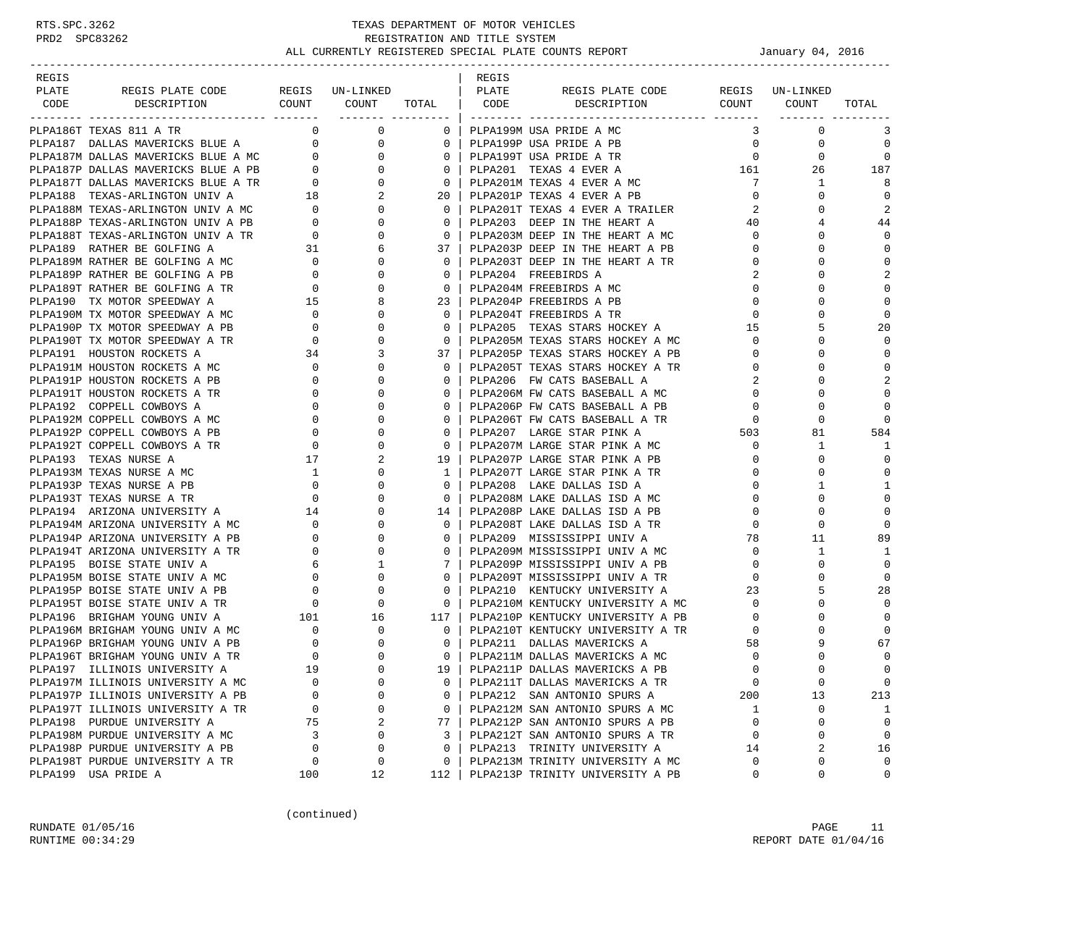| REGIS |                                                                                                                     |                                        |                                                        |                                                     | REGIS |                                                        |                                     |                 |                |
|-------|---------------------------------------------------------------------------------------------------------------------|----------------------------------------|--------------------------------------------------------|-----------------------------------------------------|-------|--------------------------------------------------------|-------------------------------------|-----------------|----------------|
| PLATE | REGIS PLATE CODE                                                                                                    |                                        | REGIS UN-LINKED                                        |                                                     | PLATE | REGIS PLATE CODE<br>COUNT COUNT TOTAL CODE DESCRIPTION |                                     | REGIS UN-LINKED |                |
| CODE  | DESCRIPTION                                                                                                         |                                        |                                                        |                                                     |       |                                                        |                                     | COUNT COUNT     | TOTAL          |
|       | PLPA186T TEXAS 811 A TR                                                                                             |                                        | $\overline{0}$<br>$\overline{0}$                       | 0 <sup>1</sup>                                      |       | PLPA199M USA PRIDE A MC                                | 3                                   | $\mathbf 0$     | 3              |
|       | PLPA187 DALLAS MAVERICKS BLUE A 0<br>PLPA187M DALLAS MAVERICKS BLUE A MC 0<br>PLPA187P DALLAS MAVERICKS BLUE A PB 0 |                                        | $\overline{0}$                                         | $0-1$                                               |       | PLPA199P USA PRIDE A PB                                | $\overline{0}$                      | 0               | $\mathbf 0$    |
|       |                                                                                                                     |                                        | $\mathbf{0}$                                           | 0 <sup>1</sup>                                      |       | PLPA199T USA PRIDE A TR                                | $\overline{0}$                      | $\mathbf 0$     | $\overline{0}$ |
|       |                                                                                                                     |                                        | $\mathbf{0}$                                           | 0 <sup>1</sup>                                      |       | PLPA201 TEXAS 4 EVER A 161                             |                                     | 26              | 187            |
|       |                                                                                                                     |                                        | $\mathbf{0}$                                           | 0 <sup>1</sup>                                      |       | PLPA201M TEXAS 4 EVER A MC                             | $7\phantom{0}$                      | $\mathbf{1}$    | 8              |
|       |                                                                                                                     |                                        | 2                                                      | 20 <sub>1</sub>                                     |       | PLPA201P TEXAS 4 EVER A PB                             | $\overline{0}$                      | $\Omega$        | $\overline{0}$ |
|       |                                                                                                                     |                                        | $\mathbf{0}$                                           | $\overline{0}$                                      |       | PLPA201T TEXAS 4 EVER A TRAILER                        | $\mathbf{2}$                        | $\Omega$        | 2              |
|       |                                                                                                                     |                                        | $\mathbf{0}$                                           | $0-1$                                               |       | PLPA203 DEEP IN THE HEART A                            | 40                                  |                 | 44             |
|       |                                                                                                                     |                                        | $\Omega$                                               | $\Omega$                                            |       | PLPA203M DEEP IN THE HEART A MC                        | $\mathbf{0}$                        | $\Omega$        | $\Omega$       |
|       |                                                                                                                     |                                        |                                                        | 37 I                                                |       | PLPA203P DEEP IN THE HEART A PB                        | $\overline{0}$                      | 0               | $\mathbf 0$    |
|       |                                                                                                                     |                                        | $\Omega$                                               | 0 <sup>1</sup>                                      |       | PLPA203T DEEP IN THE HEART A TR                        | $\mathbf{0}$                        |                 | $\mathbf 0$    |
|       |                                                                                                                     |                                        | $\mathbf{0}$                                           | $\mathbf{0}$                                        |       | PLPA204 FREEBIRDS A                                    | 2                                   | $\Omega$        | 2              |
|       |                                                                                                                     |                                        |                                                        | 0 <sup>1</sup>                                      |       | PLPA204M FREEBIRDS A MC                                | $\mathbf 0$                         | $\Omega$        | $\mathbf 0$    |
|       |                                                                                                                     |                                        |                                                        | 23 <sub>1</sub>                                     |       | PLPA204P FREEBIRDS A PB                                | $\mathbf{0}$                        | $\Omega$        | $\mathbf 0$    |
|       | PLPA190M TX MOTOR SPEEDWAY A MC 0<br>PLPA190P TX MOTOR SPEEDWAY A PB 0                                              |                                        | $\mathbf{0}$                                           | $0-1$                                               |       | PLPA204T FREEBIRDS A TR                                | $\mathbf{0}$                        | $\Omega$        | $\mathbf 0$    |
|       |                                                                                                                     |                                        | $\Omega$                                               | 0 <sup>1</sup>                                      |       | PLPA205 TEXAS STARS HOCKEY A                           | 15                                  | 5               | 20             |
|       | PLPA190T TX MOTOR SPEEDWAY A TR                                                                                     | $\overline{0}$                         | 0                                                      | $\circ$ 1                                           |       | PLPA205M TEXAS STARS HOCKEY A MC                       | $\overline{0}$                      | $\Omega$        | $\Omega$       |
|       | PLPA191 HOUSTON ROCKETS A                                                                                           |                                        | 3                                                      | 37 <sup>1</sup>                                     |       | PLPA205P TEXAS STARS HOCKEY A PB                       | $\mathbf{0}$                        | $\Omega$        | $\mathbf 0$    |
|       | PLPA191M HOUSTON ROCKETS A MC                                                                                       |                                        | $\Omega$                                               | $0-1$                                               |       | PLPA205T TEXAS STARS HOCKEY A TR                       | $\mathbf{0}$                        | $\Omega$        | $\mathbf 0$    |
|       | PLPA191P HOUSTON ROCKETS A PB                                                                                       |                                        | $\mathbf{0}$                                           | $\overline{0}$                                      |       | PLPA206 FW CATS BASEBALL A                             | 2                                   | $\Omega$        | 2              |
|       | PLPA191T HOUSTON ROCKETS A TR                                                                                       |                                        | $\Omega$                                               | $0-1$                                               |       | PLPA206M FW CATS BASEBALL A MC                         | $\mathbf{0}$                        | $\Omega$        | $\mathbf 0$    |
|       | PLPA192 COPPELL COWBOYS A                                                                                           |                                        | 0                                                      | $\overline{0}$                                      |       | PLPA206P FW CATS BASEBALL A PB                         | $\circ$                             | $\mathbf 0$     | $\mathbf 0$    |
|       | PLPA192M COPPELL COWBOYS A MC                                                                                       |                                        | 0                                                      | $\mathbf{0}$                                        |       | PLPA206T FW CATS BASEBALL A TR                         | $\overline{0}$                      | $\Omega$        | $\Omega$       |
|       | PLPA192P COPPELL COWBOYS A PB                                                                                       |                                        | $\Omega$                                               | $\Omega$                                            |       | PLPA207 LARGE STAR PINK A                              | $\begin{array}{c}0\\503\end{array}$ | 81              | 584            |
|       | PLPA192T COPPELL COWBOYS A TR                                                                                       | $\begin{array}{c} 0 \\ 17 \end{array}$ | $\mathbf{0}$                                           | $\mathbf{0}$                                        |       | PLPA207M LARGE STAR PINK A MC                          | $\overline{0}$                      | 1               | 1              |
|       | PLPA193 TEXAS NURSE A                                                                                               |                                        | 2                                                      | 19 I                                                |       | PLPA207P LARGE STAR PINK A PB                          | $\mathbf 0$                         | $\Omega$        | $\mathbf 0$    |
|       | PLPA193M TEXAS NURSE A MC                                                                                           |                                        | $\mathbf{0}$                                           | $\mathbf{1}$                                        |       | PLPA207T LARGE STAR PINK A TR                          | $\mathbf{0}$                        | $\Omega$        | $\mathbf 0$    |
|       | PLPA193P TEXAS NURSE A PB                                                                                           |                                        | 0                                                      | $0-1$                                               |       | PLPA208 LAKE DALLAS ISD A                              | $\mathbf{0}$                        | 1               | $\mathbf{1}$   |
|       | PLPA193T TEXAS NURSE A TR                                                                                           |                                        | $\begin{array}{c} 1 \\ 0 \\ 0 \end{array}$<br>$\Omega$ | $0-1$                                               |       | PLPA208M LAKE DALLAS ISD A MC                          | $\overline{0}$                      | $\Omega$        | $\mathbf 0$    |
|       | PLPA194 ARIZONA UNIVERSITY A 14<br>PLPA194M ARIZONA UNIVERSITY A MC 0                                               |                                        | $\mathbf{0}$                                           | 14 l                                                |       | PLPA208P LAKE DALLAS ISD A PB                          | $\overline{0}$                      | 0               | $\mathbf 0$    |
|       |                                                                                                                     |                                        | $\Omega$                                               | 0 <sup>1</sup>                                      |       | PLPA208T LAKE DALLAS ISD A TR                          | $\mathbf{0}$                        | $\mathbf 0$     | $\mathbf 0$    |
|       | PLPA194P ARIZONA UNIVERSITY A PB                                                                                    | $\overline{0}$                         | $\mathbf{0}$                                           | 0 <sup>1</sup>                                      |       | PLPA209 MISSISSIPPI UNIV A                             | 78                                  | 11              | 89             |
|       | PLPA194T ARIZONA UNIVERSITY A TR                                                                                    |                                        |                                                        | 0 <sup>1</sup>                                      |       | PLPA209M MISSISSIPPI UNIV A MC                         | $\overline{0}$                      | $\mathbf{1}$    | 1              |
|       | PLPA195 BOISE STATE UNIV A                                                                                          |                                        |                                                        |                                                     |       | PLPA209P MISSISSIPPI UNIV A PB                         | $\overline{0}$                      | $\Omega$        | $\mathbf 0$    |
|       | PLPA195M BOISE STATE UNIV A MC                                                                                      |                                        |                                                        | $0-1$                                               |       | PLPA209T MISSISSIPPI UNIV A TR                         | $\overline{0}$                      | 0               | $\Omega$       |
|       | PLPA195P BOISE STATE UNIV A PB                                                                                      |                                        |                                                        | 0 <sup>1</sup>                                      |       | PLPA210 KENTUCKY UNIVERSITY A                          | 23                                  | 5               | 28             |
|       | PLPA195T BOISE STATE UNIV A TR                                                                                      |                                        |                                                        | $\overline{\phantom{0}}$ 0 $\overline{\phantom{0}}$ |       | PLPA210M KENTUCKY UNIVERSITY A MC                      | $\overline{0}$                      | $\Omega$        | $\Omega$       |
|       | PLPA196 BRIGHAM YOUNG UNIV A                                                                                        |                                        |                                                        | 117                                                 |       | PLPA210P KENTUCKY UNIVERSITY A PB                      | $\overline{0}$                      | $\Omega$        | $\Omega$       |
|       | PLPA196M BRIGHAM YOUNG UNIV A MC                                                                                    |                                        |                                                        | $\overline{\phantom{0}}$ 0 $\overline{\phantom{0}}$ |       | PLPA210T KENTUCKY UNIVERSITY A TR                      | $\overline{0}$                      |                 | $\Omega$       |
|       | PLPA196P BRIGHAM YOUNG UNIV A PB                                                                                    |                                        |                                                        | $\overline{\phantom{0}}$ 0 $\overline{\phantom{0}}$ |       | PLPA211 DALLAS MAVERICKS A                             | 58                                  | 9               | 67             |
|       | PLPA196T BRIGHAM YOUNG UNIV A TR                                                                                    |                                        |                                                        | $\overline{0}$                                      |       | PLPA211M DALLAS MAVERICKS A MC                         | $\mathbf 0$                         |                 | $\mathbf 0$    |
|       | PLPA197 ILLINOIS UNIVERSITY A                                                                                       | 19                                     | $\cap$                                                 | 19 <sup>1</sup>                                     |       | PLPA211P DALLAS MAVERICKS A PB                         | $\cap$                              | $\Omega$        | $\Omega$       |
|       | PLPA197M ILLINOIS UNIVERSITY A MC                                                                                   | 0                                      | 0                                                      | 0                                                   |       | PLPA211T DALLAS MAVERICKS A TR                         | 0                                   | $\mathsf 0$     | $\mathbf 0$    |
|       | PLPA197P ILLINOIS UNIVERSITY A PB                                                                                   | $\Omega$                               | 0                                                      | 0                                                   |       | PLPA212 SAN ANTONIO SPURS A                            | 200                                 | 13              | 213            |
|       | PLPA197T ILLINOIS UNIVERSITY A TR                                                                                   | 0                                      | 0                                                      | $\mathbf{0}$                                        |       | PLPA212M SAN ANTONIO SPURS A MC                        | 1                                   | 0               | 1              |
|       | PLPA198 PURDUE UNIVERSITY A                                                                                         | 75                                     | 2                                                      | 77                                                  |       | PLPA212P SAN ANTONIO SPURS A PB                        | $\mathbf 0$                         | 0               | $\mathbf 0$    |
|       | PLPA198M PURDUE UNIVERSITY A MC                                                                                     | 3                                      | 0                                                      | 3                                                   |       | PLPA212T SAN ANTONIO SPURS A TR                        | 0                                   | 0               | 0              |
|       | PLPA198P PURDUE UNIVERSITY A PB                                                                                     | 0                                      | 0                                                      | 0                                                   |       | PLPA213 TRINITY UNIVERSITY A                           | 14                                  | 2               | 16             |
|       | PLPA198T PURDUE UNIVERSITY A TR                                                                                     | 0                                      | 0                                                      | 0                                                   |       | PLPA213M TRINITY UNIVERSITY A MC                       | 0                                   | 0               | $\mathbf 0$    |
|       | PLPA199 USA PRIDE A                                                                                                 | 100                                    | 12                                                     | 112                                                 |       | PLPA213P TRINITY UNIVERSITY A PB                       | 0                                   | 0               | 0              |

(continued)

RUNDATE  $01/05/16$  PAGE 11 RUNTIME  $00:34:29$  REPORT DATE  $01/04/16$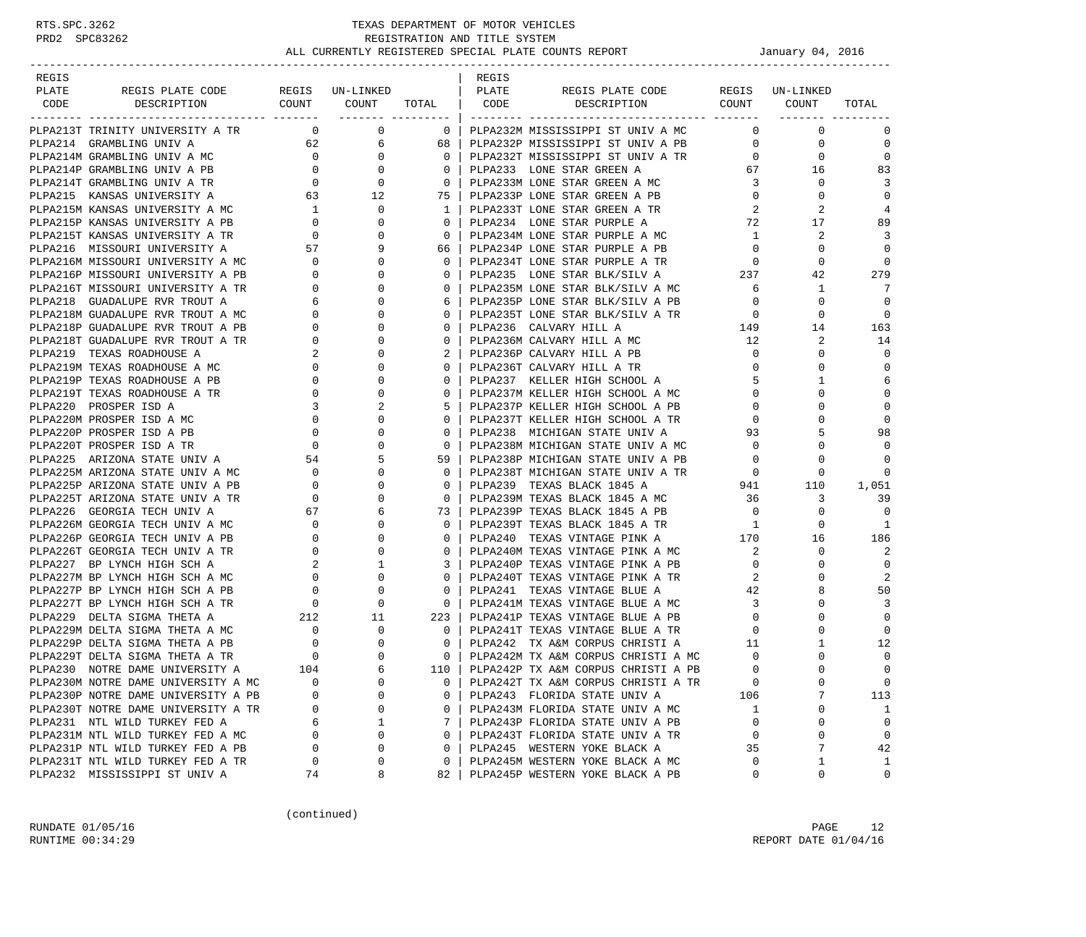| REGIS |                                                                                                                                                                            |          |         |                | REGIS |                                                                                                        |                |                               |                |
|-------|----------------------------------------------------------------------------------------------------------------------------------------------------------------------------|----------|---------|----------------|-------|--------------------------------------------------------------------------------------------------------|----------------|-------------------------------|----------------|
| PLATE |                                                                                                                                                                            |          |         |                |       |                                                                                                        |                |                               |                |
|       |                                                                                                                                                                            |          |         |                |       |                                                                                                        |                |                               |                |
|       | PLPA213T TRINITY UNIVERSITY A TR $_{0}$ 0 0                                                                                                                                |          |         |                |       |                                                                                                        |                | $\mathbf{0}$                  | $\mathbf 0$    |
|       | PLPA214 GRAMBLING UNIV A                                                                                                                                                   |          | 62 6 68 |                |       | PLPA232P MISSISSIPPI ST UNIV A PB 0                                                                    |                | 0                             | $\mathbf 0$    |
|       |                                                                                                                                                                            |          |         | 0 <sup>1</sup> |       | PLPA232T MISSISSIPPI ST UNIV A TR<br>PLPA232T MISSISSIPPI ST UNIV A TR<br>PLPA233 LONE STAR GREEN A 67 |                | $\mathbf{0}$                  | $\mathbf 0$    |
|       |                                                                                                                                                                            |          |         | $\overline{0}$ |       |                                                                                                        |                | 16                            | 83             |
|       | PLPA214M GRAMBLING UNIV A MC<br>PLPA214P GRAMBLING UNIV A PB<br>PLPA214T GRAMBLING UNIV A TR<br>PLPA214T GRAMBLING UNIV A TR<br>0 0 0<br>PLPA215 KANSAS UNIVERSITY A 63 12 |          |         | $\overline{0}$ |       |                                                                                                        |                | $\mathbf{0}$                  | 3              |
|       |                                                                                                                                                                            |          |         | 75             |       | PLPA233M LONE STAR GREEN A MC 3<br>PLPA233P LONE STAR GREEN A PB 0<br>PLPA233P LONE STAR GREEN A PB    |                | $\overline{0}$<br>$\mathbf 0$ | $\mathbf 0$    |
|       |                                                                                                                                                                            |          |         |                |       | PLPA233T LONE STAR GREEN A TR                                                                          |                | 2                             | 4              |
|       |                                                                                                                                                                            |          |         |                |       | PLPA234 LONE STAR PURPLE A                                                                             |                | $\frac{2}{72}$<br>17          | 89             |
|       |                                                                                                                                                                            |          |         |                |       | PLPA234M LONE STAR PURPLE A MC 1                                                                       |                | 2                             | 3              |
|       |                                                                                                                                                                            |          |         |                |       |                                                                                                        |                | 0                             | $\mathbf 0$    |
|       |                                                                                                                                                                            |          |         |                |       | PLPA234P LONE STAR PURPLE A PB 0<br>PLPA234T LONE STAR PURPLE A TR 0                                   |                | $\mathbf 0$                   | $\mathbf 0$    |
|       |                                                                                                                                                                            |          |         |                |       | PLPA235 LONE STAR BLK/SILV A 237                                                                       |                | 42                            | 279            |
|       |                                                                                                                                                                            |          |         |                |       |                                                                                                        |                | $\mathbf{1}$                  | -7             |
|       |                                                                                                                                                                            |          |         |                |       | PLPA235M LONE STAR BLK/SILV A MC 6<br>PLPA235P LONE STAR BLK/SILV A PB 0                               |                | $\mathbf{0}$                  | $\Omega$       |
|       |                                                                                                                                                                            |          |         |                |       |                                                                                                        |                | $\mathbf{0}$                  | $\mathbf 0$    |
|       |                                                                                                                                                                            |          |         |                |       |                                                                                                        |                | 14                            | 163            |
|       |                                                                                                                                                                            |          |         |                |       | PLPA236M CALVARY HILL A MC                                                                             | 12             | 2                             | 14             |
|       |                                                                                                                                                                            |          |         |                |       | PLPA236P CALVARY HILL A PB                                                                             | $\overline{0}$ | $\mathbf 0$                   | $\Omega$       |
|       |                                                                                                                                                                            |          |         |                |       | PLPA236T CALVARY HILL A TR                                                                             | $\overline{0}$ | $\Omega$                      | $\Omega$       |
|       |                                                                                                                                                                            |          |         |                |       | PLPA237 KELLER HIGH SCHOOL A                                                                           |                | $5 -$<br>1                    | 6              |
|       |                                                                                                                                                                            |          |         |                |       | PLPA237M KELLER HIGH SCHOOL A MC                                                                       | $\overline{0}$ | $\mathbf 0$                   | $\mathbf{0}$   |
|       |                                                                                                                                                                            |          |         |                |       | PLPA237P KELLER HIGH SCHOOL A PB                                                                       |                | $\overline{0}$<br>$\mathbf 0$ | $\mathbf 0$    |
|       |                                                                                                                                                                            |          |         |                |       | PLPA237T KELLER HIGH SCHOOL A TR                                                                       | $\overline{0}$ | 0                             | $\Omega$       |
|       |                                                                                                                                                                            |          |         |                |       | PLPAZ37T KELLER HIGH SCHOOL A TR<br>PLPA238 MICHIGAN STATE UNIV A 93                                   |                | 5                             | 98             |
|       |                                                                                                                                                                            |          |         |                |       |                                                                                                        |                | $\mathbf{0}$                  | $\Omega$       |
|       |                                                                                                                                                                            |          |         |                |       |                                                                                                        |                | $\mathbf 0$                   | $\mathbf 0$    |
|       |                                                                                                                                                                            |          |         |                |       |                                                                                                        |                |                               | $\mathbf 0$    |
|       |                                                                                                                                                                            |          |         |                |       |                                                                                                        |                |                               | 1,051          |
|       |                                                                                                                                                                            |          |         |                |       | PLPA239 IEANS BLACK 1845 A MC 36                                                                       |                | 3                             | 39             |
|       |                                                                                                                                                                            |          |         |                |       |                                                                                                        |                | $\mathbf{0}$                  | $\Omega$       |
|       |                                                                                                                                                                            |          |         |                |       | PLPA239P TEXAS BLACK 1845 A PB 0<br>PLPA239T TEXAS BLACK 1845 A TR 1                                   |                | $\mathbf{0}$                  | 1              |
|       |                                                                                                                                                                            |          |         |                |       | PLPA240 TEXAS VINTAGE PINK A 170                                                                       |                | 16                            | 186            |
|       |                                                                                                                                                                            |          |         |                |       |                                                                                                        |                | 0                             | 2              |
|       |                                                                                                                                                                            |          |         |                |       |                                                                                                        |                | 0                             | $\mathbf 0$    |
|       |                                                                                                                                                                            |          |         |                |       |                                                                                                        | 2              | 0                             | $\overline{2}$ |
|       |                                                                                                                                                                            |          |         |                |       | PLPA240T TEXAS VINTAGE PINK A TR<br>TIPA240T TEXAS VINTAGE PINK A TR                                   | 42             | 8                             | 50             |
|       |                                                                                                                                                                            |          |         |                |       |                                                                                                        |                | 0                             | 3              |
|       |                                                                                                                                                                            |          |         |                |       |                                                                                                        |                | $\mathbf 0$                   | $\Omega$       |
|       |                                                                                                                                                                            |          |         |                |       |                                                                                                        |                | $\Omega$                      | $\Omega$       |
|       |                                                                                                                                                                            |          |         |                |       |                                                                                                        |                | 1                             | 12             |
|       |                                                                                                                                                                            |          |         |                |       |                                                                                                        |                | $\Omega$                      | $\mathbf 0$    |
|       |                                                                                                                                                                            |          |         |                |       | 110   PLPA242P TX A&M CORPUS CHRISTI A PB                                                              | $\Omega$       | $\Omega$                      | $\Omega$       |
|       | PLPA230M NOTRE DAME UNIVERSITY A MC                                                                                                                                        | 0        | 0       |                |       | PLPA242T TX A&M CORPUS CHRISTI A TR                                                                    | $\mathbf 0$    | $\mathbf 0$                   | 0              |
|       | PLPA230P NOTRE DAME UNIVERSITY A PB                                                                                                                                        | $\Omega$ | 0       | 0              |       | PLPA243 FLORIDA STATE UNIV A                                                                           | 106            | 7                             | 113            |
|       | PLPA230T NOTRE DAME UNIVERSITY A TR                                                                                                                                        | 0        | 0       | $\mathbf{0}$   |       | PLPA243M FLORIDA STATE UNIV A MC                                                                       | <sup>1</sup>   | 0                             | 1              |
|       | PLPA231 NTL WILD TURKEY FED A                                                                                                                                              | 6        | 1       | 7              |       | PLPA243P FLORIDA STATE UNIV A PB                                                                       | $\mathbf 0$    | 0                             | $\mathbf 0$    |
|       | PLPA231M NTL WILD TURKEY FED A MC                                                                                                                                          | $\Omega$ | 0       | $\Omega$       |       | PLPA243T FLORIDA STATE UNIV A TR                                                                       | $\mathbf 0$    | 0                             | $\mathbf 0$    |
|       | PLPA231P NTL WILD TURKEY FED A PB                                                                                                                                          | 0        | 0       | $\mathbf{0}$   |       | PLPA245 WESTERN YOKE BLACK A                                                                           | 35             | 7                             | 42             |
|       | PLPA231T NTL WILD TURKEY FED A TR                                                                                                                                          | 0        | 0       | 0              |       | PLPA245M WESTERN YOKE BLACK A MC                                                                       | $\Omega$       | 1                             | 1              |
|       | PLPA232 MISSISSIPPI ST UNIV A                                                                                                                                              | 74       | 8       | 82             |       | PLPA245P WESTERN YOKE BLACK A PB                                                                       | 0              | 0                             | 0              |

(continued)

RUNDATE 01/05/16 PAGE 12 RUNTIME  $00:34:29$  REPORT DATE  $01/04/16$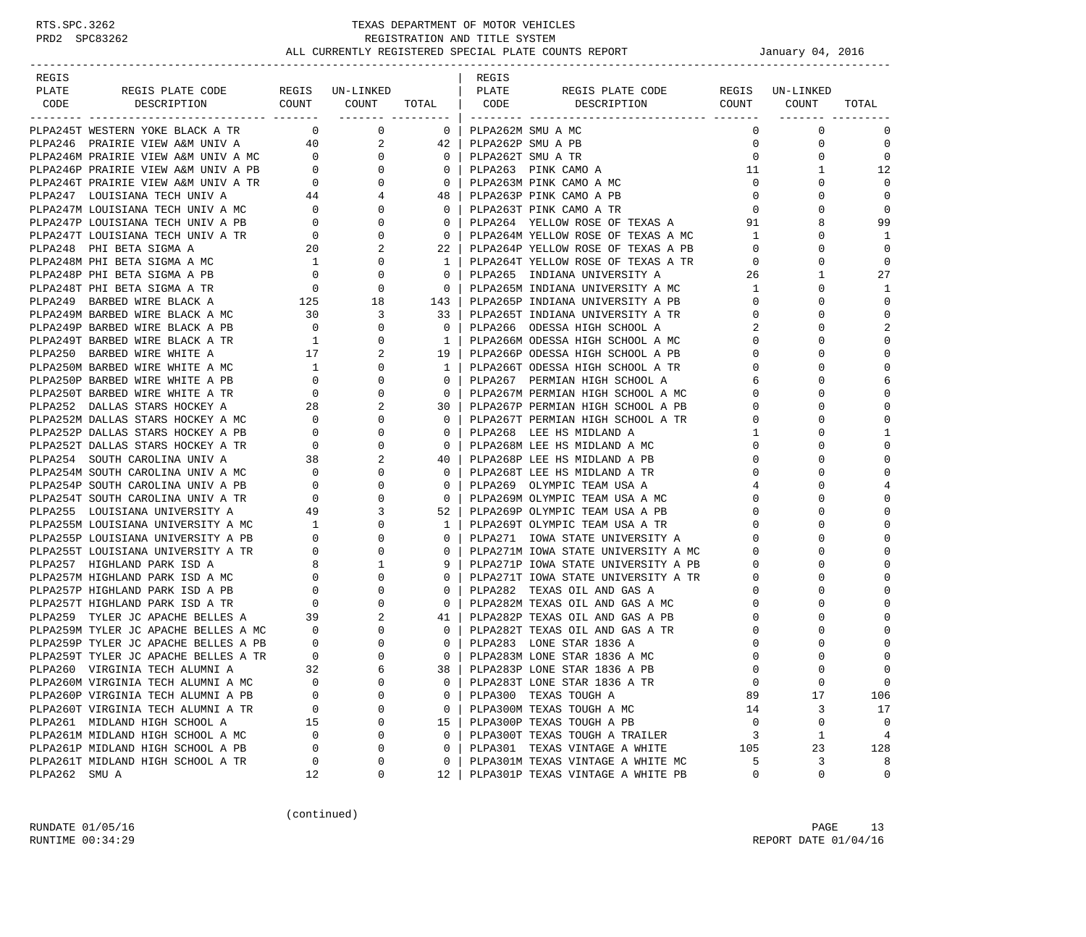| REGIS                                                                                                                                                                                                                                                |              |                     |                                                     | REGIS |                                                                          |                |                               |                |
|------------------------------------------------------------------------------------------------------------------------------------------------------------------------------------------------------------------------------------------------------|--------------|---------------------|-----------------------------------------------------|-------|--------------------------------------------------------------------------|----------------|-------------------------------|----------------|
| PLATE<br>REGIS PLATE CODE REGIS UN-LINKED   PLATE<br>CODE DESCRIPTION COUNT COUNT TOTAL CODE DESCRIPTION COUNT COUNT                                                                                                                                 |              |                     |                                                     |       | REGIS PLATE CODE REGIS UN-LINKED                                         |                |                               |                |
|                                                                                                                                                                                                                                                      |              | _______ ___________ |                                                     |       |                                                                          |                |                               | TOTAL          |
| PLPA245T WESTERN YOKE BLACK A TR $\qquad \qquad 0$                                                                                                                                                                                                   |              |                     | $\overline{\mathbf{0}}$                             |       | PLPA262M SMU A MC                                                        | $\Omega$       | $\mathbf 0$                   | 0              |
| PLPA246 PRAIRIE VIEW A&M UNIV A 40                                                                                                                                                                                                                   |              |                     | $2 \qquad 42 \mid$                                  |       | PLPA262P SMU A PB                                                        | 0              | $\mathbf 0$                   | $\mathbf 0$    |
|                                                                                                                                                                                                                                                      |              |                     |                                                     |       | PLPA262T SMU A TR                                                        | $\mathbf 0$    | $\mathbf 0$                   | $\mathbf 0$    |
|                                                                                                                                                                                                                                                      |              |                     |                                                     |       | PLPA263 PINK CAMO A                                                      | 11             | 1                             | 12             |
|                                                                                                                                                                                                                                                      |              |                     |                                                     |       | PLPA263M PINK CAMO A MC                                                  | $\circ$        | $\Omega$                      | $\overline{0}$ |
|                                                                                                                                                                                                                                                      |              |                     |                                                     |       | PLPA263P PINK CAMO A PB                                                  | $\mathbf 0$    | $\Omega$                      | $\overline{0}$ |
|                                                                                                                                                                                                                                                      |              |                     |                                                     |       | PLPA263T PINK CAMO A TR                                                  | $\overline{0}$ | $\Omega$                      | 0              |
|                                                                                                                                                                                                                                                      |              |                     |                                                     |       | PLPA264 YELLOW ROSE OF TEXAS A                                           | 91             |                               | 99             |
| $[ADB2460 PRRIREVIEW AAM UNIV A MC\nPLPA246P PRARIE VIEW AAM UNIV A PB\n0 0 0 0\n0 0 0\n0 0 0\n0 0 0\n0 0 0\n0 0 0\n0 0 0\n0 0 0\n0 0 0\n0 0 0\n0 0 0\n0 0 0\n0 0 0\n0 0 0\n0 0 0\n0 0 0\n0 0 0\n0 0 0\n0 0 0\n0 0 0\n0 0 0\n0 0 0\$                 |              |                     |                                                     |       | PLPA264M YELLOW ROSE OF TEXAS A MC                                       | $\overline{1}$ | $\Omega$                      | -1             |
|                                                                                                                                                                                                                                                      |              | 2                   | 22 <sub>1</sub>                                     |       | PLPAZ04M IBLUON ROSE OF TEXAS A PB<br>PLPA264P YELLOW ROSE OF TEXAS A PB | $\overline{0}$ | $\Omega$                      | $\mathbf 0$    |
| PLPA248 PHI BETA SIGMA A MC 20<br>PLPA248M PHI BETA SIGMA A MC 1                                                                                                                                                                                     |              | $\mathbf{0}$        | $\mathbf{1}$                                        |       | PLPA264T YELLOW ROSE OF TEXAS A TR                                       | $\overline{0}$ | $\Omega$                      | $\overline{0}$ |
| PLPA248P PHI BETA SIGMA A PB $0$ 0 0<br>PLPA248T PHI BETA SIGMA A TR $0$ 0 0<br>PLPA249 BARBED WIRE BLACK A 125 18                                                                                                                                   |              |                     | $\overline{0}$                                      |       | PLPA265 INDIANA UNIVERSITY A                                             | 26             | $\mathbf{1}$                  | 27             |
|                                                                                                                                                                                                                                                      |              |                     | $\overline{0}$                                      |       | PLPA265M INDIANA UNIVERSITY A MC                                         | $\mathbf{1}$   | $\Omega$                      | $\mathbf{1}$   |
|                                                                                                                                                                                                                                                      |              |                     | 143                                                 |       | PLPA265P INDIANA UNIVERSITY A PB<br>p <sub>LPA265</sub> m types: -       | $\overline{0}$ | $\Omega$                      | $\mathbf 0$    |
|                                                                                                                                                                                                                                                      |              | 3                   | 33                                                  |       | PLPA265T INDIANA UNIVERSITY A TR<br>Indiana Service Control &            |                | $0 \qquad \qquad$<br>$\Omega$ | $\mathbf 0$    |
| PLPA249M BARBED WIRE BLACK A MC $\qquad \qquad 30$<br>PLPA249P BARBED WIRE BLACK A PB $\qquad \qquad 0$                                                                                                                                              |              | 0                   | $\overline{\mathbf{0}}$                             |       | PLPA266 ODESSA HIGH SCHOOL A                                             | 2              | $\Omega$                      | $\overline{2}$ |
| PLPA249T BARBED WIRE BLACK A TR                                                                                                                                                                                                                      | $\mathbf{1}$ | 0                   | $\overline{1}$                                      |       | PLPA266M ODESSA HIGH SCHOOL A MC                                         | $\mathbf{0}$   | $\Omega$                      | $\mathbf 0$    |
|                                                                                                                                                                                                                                                      |              | 2                   | 19 <sup>1</sup>                                     |       | PLPA266P ODESSA HIGH SCHOOL A PB                                         | $\mathbf 0$    | $\Omega$                      | $\mathbf 0$    |
|                                                                                                                                                                                                                                                      |              | $\Omega$            | $\mathbf{1}$                                        |       | PLPA266T ODESSA HIGH SCHOOL A TR                                         | $\Omega$       | $\Omega$                      | $\mathbf 0$    |
|                                                                                                                                                                                                                                                      |              | 0                   | $\mathbf{0}$                                        |       | PLPA267 PERMIAN HIGH SCHOOL A                                            | 6              | $\Omega$                      | 6              |
|                                                                                                                                                                                                                                                      |              | $\Omega$            | $\overline{0}$                                      |       | PLPA267M PERMIAN HIGH SCHOOL A MC                                        | $\mathbf{0}$   | $\Omega$                      | $\mathbf 0$    |
|                                                                                                                                                                                                                                                      |              | 2                   | 30                                                  |       | PLPA267P PERMIAN HIGH SCHOOL A PB                                        | 0              | $\Omega$                      | $\mathbf 0$    |
|                                                                                                                                                                                                                                                      |              | $\mathbf{0}$        | $\overline{0}$                                      |       | PLPA267T PERMIAN HIGH SCHOOL A TR                                        | 0              | $\Omega$                      | $\Omega$       |
| PLPA250 BARBED WIRE BLACK A TR<br>PLPA250 BARBED WIRE WHITE A 17<br>PLPA250M BARBED WIRE WHITE A MC 1<br>PLPA250P BARBED WIRE WHITE A PB 0<br>PLPA250T BARBED WIRE WHITE A TR 0<br>PLPA252 DALLAS STARS HOCKEY A 28<br>PLPA252M DALLAS STA           |              | $\Omega$            | $\mathbf 0$                                         |       | PLPA268 LEE HS MIDLAND A                                                 | 1              | $\Omega$                      | 1              |
|                                                                                                                                                                                                                                                      |              | 0                   | $\overline{0}$                                      |       | PLPA268M LEE HS MIDLAND A MC                                             | 0              | $\Omega$                      | $\mathbf 0$    |
|                                                                                                                                                                                                                                                      |              | 2                   | 40                                                  |       | PLPA268P LEE HS MIDLAND A PB                                             | 0              | $\Omega$                      | $\mathbf 0$    |
|                                                                                                                                                                                                                                                      |              | $\mathbf{0}$        | $\overline{0}$                                      |       | PLPA268T LEE HS MIDLAND A TR                                             | $\mathbf 0$    | $\Omega$                      | $\mathbf 0$    |
|                                                                                                                                                                                                                                                      |              | 0                   | $\overline{0}$                                      |       | PLPA269 OLYMPIC TEAM USA A                                               | 4              | $\Omega$                      | 4              |
|                                                                                                                                                                                                                                                      |              | $\Omega$            | $\overline{0}$                                      |       | PLPA269M OLYMPIC TEAM USA A MC                                           | $\Omega$       | $\Omega$                      | $\mathbf 0$    |
| PLPA255 LOUISIANA UNIVERSITY A<br>PLPA255M LOUISIANA UNIVERSITY A MC 1<br>DIDACEER LOUISIANA UNIVERSITY A MC 1                                                                                                                                       |              | 3                   | 52                                                  |       | PLPA269P OLYMPIC TEAM USA A PB                                           | $\mathbf{0}$   | $\Omega$                      | $\mathbf 0$    |
|                                                                                                                                                                                                                                                      |              | $\Omega$            | $\mathbf{1}$                                        |       | PLPA269T OLYMPIC TEAM USA A TR                                           | $\mathbf{0}$   | $\Omega$                      | $\mathbf 0$    |
|                                                                                                                                                                                                                                                      |              | 0                   | $\mathbf{0}$                                        |       | PLPA271 IOWA STATE UNIVERSITY A                                          | $\mathbf{0}$   | $\Omega$                      | $\mathbf 0$    |
|                                                                                                                                                                                                                                                      |              | 0                   | $\mathbf{0}$                                        |       | PLPA271M IOWA STATE UNIVERSITY A MC                                      | $\mathbf 0$    | $\Omega$                      | $\Omega$       |
|                                                                                                                                                                                                                                                      |              | 1                   | 9                                                   |       | PLPA271P IOWA STATE UNIVERSITY A PB                                      | $\mathbf{0}$   | $\Omega$                      | $\Omega$       |
| PLPA255M LOUISIANA UNIVERSITY A MC<br>PLPA255P LOUISIANA UNIVERSITY A PB<br>0<br>PLPA255T LOUISIANA UNIVERSITY A TR<br>0<br>PLPA257 HIGHLAND PARK ISD A MC<br>0<br>PLPA257P HIGHLAND PARK ISD A MC<br>0<br>PLPA257T HIGHLAND PARK ISD A TR<br>0<br>P |              | 0                   | $\mathbf{0}$                                        |       | PLPA271T IOWA STATE UNIVERSITY A TR                                      | $\overline{0}$ | $\Omega$                      | $\mathbf 0$    |
|                                                                                                                                                                                                                                                      |              | $\Omega$            | $\mathbf{0}$                                        |       | PLPA282 TEXAS OIL AND GAS A                                              | $\mathbf{0}$   | $\Omega$                      | $\mathbf 0$    |
|                                                                                                                                                                                                                                                      |              | $\mathbf 0$         | $\overline{0}$                                      |       | PLPA282M TEXAS OIL AND GAS A MC                                          | $\mathbf{0}$   | $\Omega$                      | $\mathbf 0$    |
|                                                                                                                                                                                                                                                      |              | 2                   | 41                                                  |       | PLPA282P TEXAS OIL AND GAS A PB                                          | $\mathbf 0$    | $\Omega$                      | $\Omega$       |
|                                                                                                                                                                                                                                                      |              | $\mathbf{0}$        | $\overline{0}$                                      |       | PLPA282T TEXAS OIL AND GAS A TR                                          | $\Omega$       | $\Omega$                      | $\Omega$       |
|                                                                                                                                                                                                                                                      |              | 0                   | $\circ$                                             |       | PLPA283 LONE STAR 1836 A                                                 | 0              | $\Omega$                      | $\mathbf 0$    |
|                                                                                                                                                                                                                                                      |              | $\Omega$            | $\overline{\phantom{0}}$ 0 $\overline{\phantom{0}}$ |       | PLPA283M LONE STAR 1836 A MC                                             | $\Omega$       |                               | $\mathbf 0$    |
| PLPA260 VIRGINIA TECH ALUMNI A                                                                                                                                                                                                                       | 32           |                     |                                                     |       | 38   PLPA283P LONE STAR 1836 A PB                                        | $\Omega$       | $\cap$                        | $\Omega$       |
| PLPA260M VIRGINIA TECH ALUMNI A MC                                                                                                                                                                                                                   | 0            | 0                   | 0                                                   |       | PLPA283T LONE STAR 1836 A TR                                             | $\mathbf 0$    | $\mathbf 0$                   | $\mathbf 0$    |
| PLPA260P VIRGINIA TECH ALUMNI A PB                                                                                                                                                                                                                   | 0            | $\Omega$            | 0                                                   |       | PLPA300 TEXAS TOUGH A                                                    | 89             | 17                            | 106            |
| PLPA260T VIRGINIA TECH ALUMNI A TR                                                                                                                                                                                                                   | 0            | 0                   | 0                                                   |       | PLPA300M TEXAS TOUGH A MC                                                | 14             | 3                             | 17             |
| PLPA261 MIDLAND HIGH SCHOOL A                                                                                                                                                                                                                        | 15           | $\mathbf 0$         | 15                                                  |       | PLPA300P TEXAS TOUGH A PB                                                | 0              | 0                             | $\overline{0}$ |
| PLPA261M MIDLAND HIGH SCHOOL A MC                                                                                                                                                                                                                    | 0            | $\Omega$            | 0                                                   |       | PLPA300T TEXAS TOUGH A TRAILER                                           | 3              | $\mathbf{1}$                  | 4              |
| PLPA261P MIDLAND HIGH SCHOOL A PB                                                                                                                                                                                                                    | $\Omega$     | 0                   | $\mathbf 0$                                         |       | PLPA301 TEXAS VINTAGE A WHITE                                            | 105            | 23                            | 128            |
| PLPA261T MIDLAND HIGH SCHOOL A TR                                                                                                                                                                                                                    | 0            | 0                   | 0                                                   |       | PLPA301M TEXAS VINTAGE A WHITE MC                                        | 5              | 3                             | 8              |
| PLPA262 SMU A                                                                                                                                                                                                                                        | 12           | 0                   | 12                                                  |       | PLPA301P TEXAS VINTAGE A WHITE PB                                        | 0              | $\mathbf 0$                   | 0              |

(continued)

RUNDATE 01/05/16 PAGE 13 RUNTIME  $00:34:29$  REPORT DATE  $01/04/16$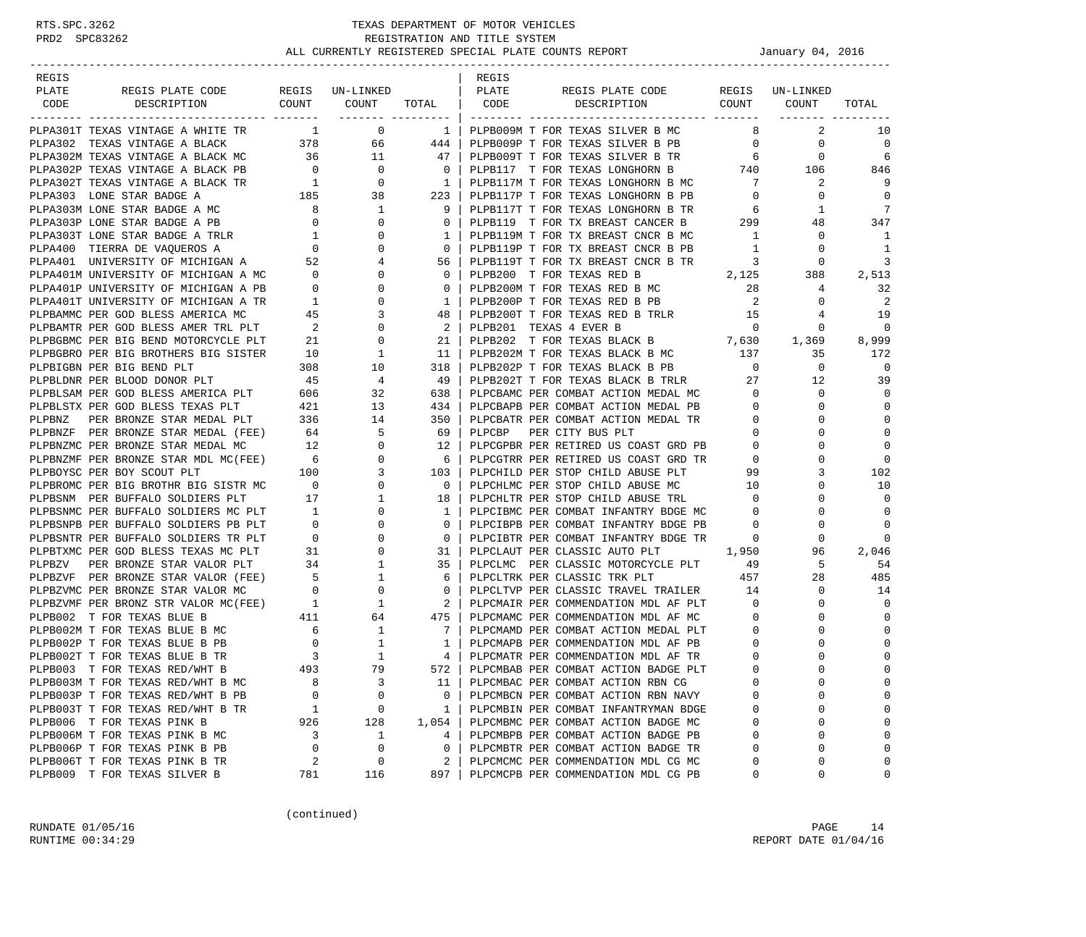| REGIS |                                                                                                                                                                                                                                                                                                                      |                |                                         |                | REGIS  |                                                                                     |                          |                 |             |
|-------|----------------------------------------------------------------------------------------------------------------------------------------------------------------------------------------------------------------------------------------------------------------------------------------------------------------------|----------------|-----------------------------------------|----------------|--------|-------------------------------------------------------------------------------------|--------------------------|-----------------|-------------|
| PLATE | REGIS PLATE CODE REGIS UN-LINKED                                                                                                                                                                                                                                                                                     |                |                                         | PLATE          |        | REGIS PLATE CODE                                                                    |                          | REGIS UN-LINKED |             |
|       | CODE DESCRIPTION                                                                                                                                                                                                                                                                                                     |                |                                         |                |        | COUNT COUNT TOTAL   CODE DESCRIPTION                                                |                          | COUNT COUNT     | TOTAL       |
|       |                                                                                                                                                                                                                                                                                                                      |                |                                         |                |        |                                                                                     |                          |                 |             |
|       | PLPA301T TEXAS VINTAGE A WHITE TR $1$ 0                                                                                                                                                                                                                                                                              |                |                                         | 1 <sup>1</sup> |        | PLPB009M T FOR TEXAS SILVER B MC                                                    | 8 <sup>1</sup>           | 2               | 10          |
|       | PLPA302 TEXAS VINTAGE A BLACK 378 66 444                                                                                                                                                                                                                                                                             |                |                                         |                |        | PLPB009P T FOR TEXAS SILVER B PB                                                    | $\overline{0}$           | $\mathbf 0$     | $\mathbf 0$ |
|       |                                                                                                                                                                                                                                                                                                                      |                |                                         | 47             |        | PLPB009T T FOR TEXAS SILVER B TR                                                    |                          | $\mathbf 0$     | 6           |
|       |                                                                                                                                                                                                                                                                                                                      |                |                                         | $\overline{0}$ |        |                                                                                     |                          |                 | 846         |
|       |                                                                                                                                                                                                                                                                                                                      |                |                                         | 1 <sub>1</sub> |        | PLPB117M T FOR TEXAS LONGHORN B MC 7<br>PLPB117P T FOR TEXAS LONGHORN B PB 0        |                          | 2               | 9           |
|       |                                                                                                                                                                                                                                                                                                                      |                |                                         | 223            |        |                                                                                     | $\overline{0}$           | $\mathbf 0$     | $\mathbf 0$ |
|       |                                                                                                                                                                                                                                                                                                                      |                |                                         | 9              |        | PLPB117T T FOR TEXAS LONGHORN B TR 6                                                |                          | 1               | 7           |
|       |                                                                                                                                                                                                                                                                                                                      |                |                                         | $0-1$          |        | PLPB119 T FOR TX BREAST CANCER B 299                                                |                          | 48              | 347         |
|       |                                                                                                                                                                                                                                                                                                                      |                |                                         | 1              |        | PLPB119M T FOR TX BREAST CNCR B MC 1                                                |                          | $\mathbf{0}$    | -1          |
|       |                                                                                                                                                                                                                                                                                                                      |                |                                         | $\mathbf{0}$   |        | PLPB119P T FOR TX BREAST CNCR B PB                                                  | $\overline{1}$           | $\mathbf{0}$    | -1          |
|       |                                                                                                                                                                                                                                                                                                                      |                |                                         | 56             |        | PLPB119T T FOR TX BREAST CNCR B TR                                                  | $\overline{\mathbf{3}}$  | 0               | 3           |
|       |                                                                                                                                                                                                                                                                                                                      |                |                                         | $\mathbf{0}$   |        | 2,125<br>PLPB200 T FOR TEXAS RED B                                                  |                          | 388             | 2,513       |
|       |                                                                                                                                                                                                                                                                                                                      |                |                                         | $\mathbf{0}$   |        | PLPB200M T FOR TEXAS RED B MC                                                       | 28                       | 4               | 32          |
|       | PLPA303 LONE STAR BADGE A<br>PLPA303M LONE STAR BADGE A MC<br>PLPA303P LONE STAR BADGE A PB<br>PLPA303T LONE STAR BADGE A TRLR<br>PLPA400 TIERRA DE VAQUEROS A 0<br>PLPA401 UNIVERSITY OF MICHIGAN A 52<br>PLPA401M UNIVERSITY OF MICHIGAN                                                                           |                |                                         | $\mathbf{1}$   |        | PLPB200P T FOR TEXAS RED B PB                                                       | $\overline{\phantom{a}}$ | 0               | 2           |
|       |                                                                                                                                                                                                                                                                                                                      |                |                                         | 48             |        | PLPB200T T FOR TEXAS RED B TRLR 15                                                  |                          | 4               | 19          |
|       | A DE DAPUTUL FER GOD BLESS AMERICA MC 45<br>PLPBAMTR PER GOD BLESS AMER TRL PLT 2 0<br>DI.DRGBMC DED BLESS BLESS AMER TRL PLT 2                                                                                                                                                                                      |                |                                         | $\overline{2}$ |        | PLPB201 TEXAS 4 EVER B                                                              | $\overline{0}$           | 0               | $\mathbf 0$ |
|       | PLPBGBMC PER BIG BEND MOTORCYCLE PLT                                                                                                                                                                                                                                                                                 | 21             | $\overline{0}$                          | 21             |        | PLPB202 T FOR TEXAS BLACK B $7,630$ 1,369<br>PLPB202M T FOR TEXAS BLACK B MC 137 35 |                          |                 | 8,999       |
|       | PLPBGBRO PER BIG BROTHERS BIG SISTER                                                                                                                                                                                                                                                                                 | 10             | 1                                       | 11             |        |                                                                                     |                          |                 | 172         |
|       |                                                                                                                                                                                                                                                                                                                      |                | 10                                      | 318            |        | PLPB202P T FOR TEXAS BLACK B PB                                                     | $\overline{0}$           | $\overline{0}$  | 0           |
|       | PLPBIGBN PER BIG BEND PLT 308<br>PLPBLDNR PER BLOOD DONOR PLT 45<br>PLPBLSAM PER GOD BLESS AMERICA PLT 606                                                                                                                                                                                                           |                | 4                                       | -49            |        |                                                                                     |                          | 12              | 39          |
|       |                                                                                                                                                                                                                                                                                                                      |                | 32                                      | 638            |        | PLPB202T T FOR TEXAS BLACK B TRLR 27<br>PLPCBAMC PER COMBAT ACTION MEDAL MC 0       |                          | $\mathbf 0$     | $\mathbf 0$ |
|       | PLPBLSTX PER GOD BLESS TEXAS PLT 421                                                                                                                                                                                                                                                                                 |                |                                         | 434            |        | PLPCBAPB PER COMBAT ACTION MEDAL PB 0                                               |                          | $\mathbf 0$     | $\Omega$    |
|       | PLPBNZ PER BRONZE STAR MEDAL PLT                                                                                                                                                                                                                                                                                     | 336            | $\begin{array}{c} 13 \\ 14 \end{array}$ | 350            |        | PLPCBATR PER COMBAT ACTION MEDAL TR                                                 |                          | $\Omega$        | $\Omega$    |
|       | PLPBNZF PER BRONZE STAR MEDAL (FEE) 64                                                                                                                                                                                                                                                                               |                | 5                                       | 69             | PLPCBP | PER CITY BUS PLT                                                                    | $\circ$                  | $\Omega$        | $\Omega$    |
|       |                                                                                                                                                                                                                                                                                                                      |                |                                         | 12             |        | PLPCGPBR PER RETIRED US COAST GRD PB                                                | $\overline{0}$           | 0               | $\Omega$    |
|       |                                                                                                                                                                                                                                                                                                                      |                |                                         | 6              |        | PLPCGTRR PER RETIRED US COAST GRD TR                                                | $\overline{0}$           | $\Omega$        | $\mathbf 0$ |
|       |                                                                                                                                                                                                                                                                                                                      |                |                                         | 103            |        | PLPCHILD PER STOP CHILD ABUSE PLT                                                   | 99                       | 3               | 102         |
|       |                                                                                                                                                                                                                                                                                                                      |                |                                         | $\mathbf{0}$   |        | PLPCHLMC PER STOP CHILD ABUSE MC                                                    | 10                       | $\Omega$        | 10          |
|       |                                                                                                                                                                                                                                                                                                                      |                |                                         | 18             |        | PLPCHLTR PER STOP CHILD ABUSE TRL                                                   | $\overline{0}$           | $\Omega$        | $\Omega$    |
|       | PLPBSNMC PER BUFFALO SOLDIERS MC PLT 1<br>DIPBSNMC PER BUFFALO SOLDIERS PB PLT 0                                                                                                                                                                                                                                     |                | 0                                       | 1              |        | PLPCIBMC PER COMBAT INFANTRY BDGE MC                                                | $\overline{0}$           | 0               | $\mathbf 0$ |
|       |                                                                                                                                                                                                                                                                                                                      |                | $\mathbf{0}$                            | $\mathbf{0}$   |        | PLPCIBPB PER COMBAT INFANTRY BDGE PB                                                | $\overline{0}$           | $\mathbf 0$     | $\mathbf 0$ |
|       | PLPBSNTR PER BUFFALO SOLDIERS TR PLT                                                                                                                                                                                                                                                                                 | $\overline{0}$ | $\mathbf{0}$                            | $\mathbf{0}$   |        | PLPCIBTR PER COMBAT INFANTRY BDGE TR                                                | $\sim$ 0                 | 0               | 0           |
|       |                                                                                                                                                                                                                                                                                                                      |                |                                         | 31             |        | PLPCLAUT PER CLASSIC AUTO PLT                                                       | 1,950                    | 96              | 2,046       |
|       |                                                                                                                                                                                                                                                                                                                      |                |                                         | - 35           |        | PLPCLMC PER CLASSIC MOTORCYCLE PLT 49                                               |                          | 5               | 54          |
|       |                                                                                                                                                                                                                                                                                                                      |                |                                         | 6              |        | PLPCLTRK PER CLASSIC TRK PLT                                                        | 457                      | 28              | 485         |
|       | PLPBTXMC PER GOD BLESS TEXAS MC PLT 31 0<br>PLPBZV PER BRONZE STAR VALOR PLT 34 1<br>PLPBZVF PER BRONZE STAR VALOR (FEE) 5 1<br>PLPBZVMC PER BRONZE STAR VALOR MC 0 0                                                                                                                                                |                |                                         | $\overline{0}$ |        | PLPCLTVP PER CLASSIC TRAVEL TRAILER                                                 | 14                       | $\mathbf 0$     | 14          |
|       | PLPBZWF PER BRONZ STR VALOR MC(FEE) $\begin{array}{ccc} 0 & 0 & 0 \\ 0 & 0 & 0 \\ 0 & 1 & 1 & 2 \\ 0 & 0 & 1 & 1 \\ 0 & 0 & 1 & 1 \\ 0 & 0 & 0 & 1 \\ 0 & 0 & 0 & 1 \\ 0 & 0 & 0 & 1 \\ 0 & 0 & 0 & 1 \\ 0 & 0 & 0 & 1 \\ 0 & 0 & 0 & 1 \\ 0 & 0 & 0 & 1 \\ 0 & 0 & 0 & 1 \\ 0 & 0 & 0 & 1 \\ 0 & 0 & 0 & 1 \\ 0 & $ |                |                                         |                |        | PLPCMAIR PER COMMENDATION MDL AF PLT 0                                              |                          | 0               | $\Omega$    |
|       |                                                                                                                                                                                                                                                                                                                      |                |                                         |                |        | PLPCMAMC PER COMMENDATION MDL AF MC                                                 | $\overline{0}$           | $\Omega$        | $\Omega$    |
|       |                                                                                                                                                                                                                                                                                                                      |                |                                         |                |        | PLPCMAMD PER COMBAT ACTION MEDAL PLT                                                | $\overline{\mathbf{0}}$  | $\Omega$        | $\Omega$    |
|       |                                                                                                                                                                                                                                                                                                                      |                |                                         |                |        | PLPCMAPB PER COMMENDATION MDL AF PB                                                 | $\overline{0}$           | $\mathbf 0$     | $\Omega$    |
|       |                                                                                                                                                                                                                                                                                                                      |                |                                         |                |        | PLPCMATR PER COMMENDATION MDL AF TR                                                 | $\overline{0}$           | $\Omega$        | 0           |
|       | PLPB003 T FOR TEXAS RED/WHT B                                                                                                                                                                                                                                                                                        | 493            | 79                                      |                |        | 572   PLPCMBAB PER COMBAT ACTION BADGE PLT                                          | $\Omega$                 | $\Omega$        | $\Omega$    |
|       | PLPB003M T FOR TEXAS RED/WHT B MC                                                                                                                                                                                                                                                                                    | 8              | 3                                       | 11             |        | PLPCMBAC PER COMBAT ACTION RBN CG                                                   | $\Omega$                 | 0               | $\Omega$    |
|       | PLPB003P T FOR TEXAS RED/WHT B PB                                                                                                                                                                                                                                                                                    | O              | 0                                       | 0              |        | PLPCMBCN PER COMBAT ACTION RBN NAVY                                                 |                          | O               | $\Omega$    |
|       | PLPB003T T FOR TEXAS RED/WHT B TR                                                                                                                                                                                                                                                                                    | 1              | 0                                       | 1              |        | PLPCMBIN PER COMBAT INFANTRYMAN BDGE                                                | 0                        | 0               | $\Omega$    |
|       | PLPB006 T FOR TEXAS PINK B                                                                                                                                                                                                                                                                                           | 926            | 128                                     | 1,054          |        | PLPCMBMC PER COMBAT ACTION BADGE MC                                                 | 0                        | 0               | $\Omega$    |
|       | PLPB006M T FOR TEXAS PINK B MC                                                                                                                                                                                                                                                                                       | 3              | 1                                       | 4              |        | PLPCMBPB PER COMBAT ACTION BADGE PB                                                 | 0                        | 0               |             |
|       | PLPB006P T FOR TEXAS PINK B PB                                                                                                                                                                                                                                                                                       | 0              | 0                                       | 0              |        | PLPCMBTR PER COMBAT ACTION BADGE TR                                                 | 0                        | 0               | $\Omega$    |
|       | PLPB006T T FOR TEXAS PINK B TR                                                                                                                                                                                                                                                                                       | 2              | 0                                       | 2              |        | PLPCMCMC PER COMMENDATION MDL CG MC                                                 | 0                        | 0               | $\Omega$    |
|       | PLPB009 T FOR TEXAS SILVER B                                                                                                                                                                                                                                                                                         | 781            | 116                                     | 897            |        | PLPCMCPB PER COMMENDATION MDL CG PB                                                 | 0                        | 0               | 0           |

(continued)

RUNDATE 01/05/16 PAGE 14 RUNTIME  $00:34:29$  REPORT DATE  $01/04/16$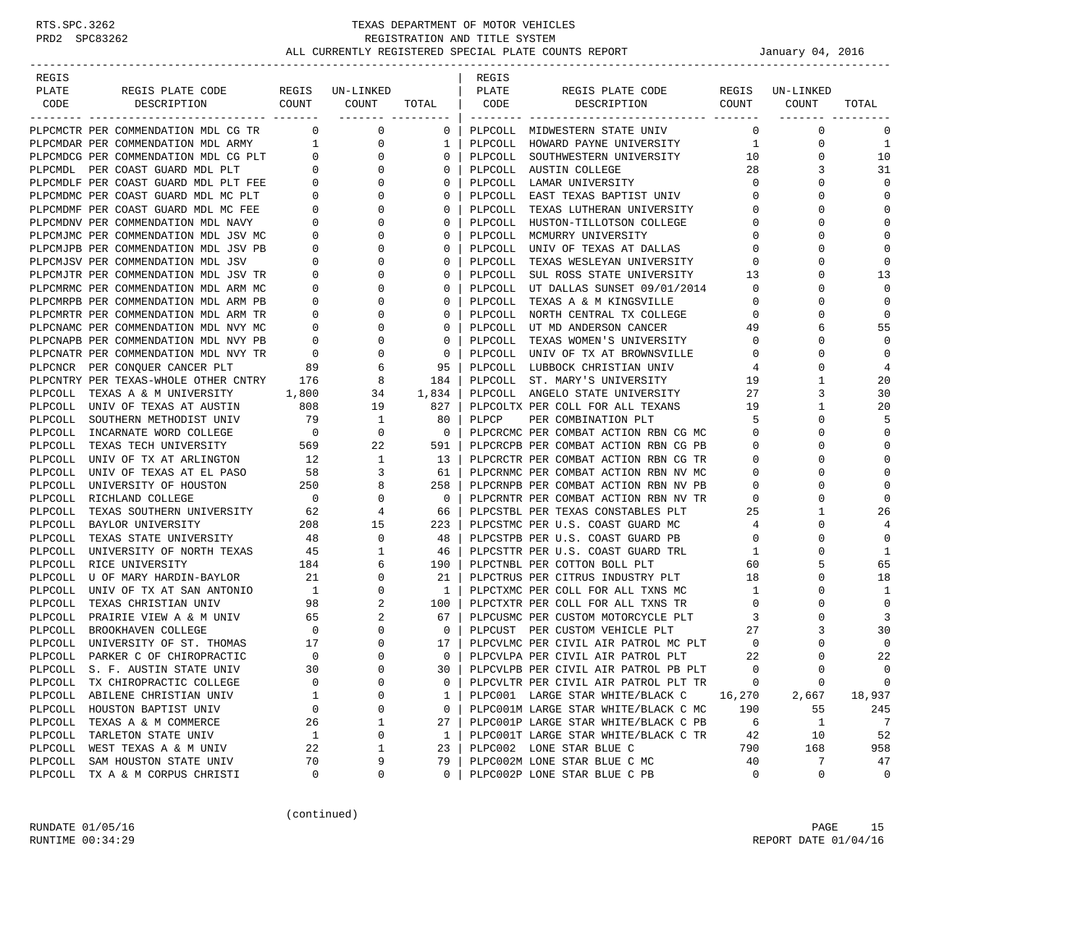| REGIS              |                                                      |                          |                            |              | REGIS   |                                                                   |                |               |                  |
|--------------------|------------------------------------------------------|--------------------------|----------------------------|--------------|---------|-------------------------------------------------------------------|----------------|---------------|------------------|
| PLATE              | REGIS PLATE CODE                                     |                          | REGIS UN-LINKED            |              | PLATE   | REGIS PLATE CODE                                                  | REGIS          | UN-LINKED     |                  |
| CODE               | DESCRIPTION                                          | COUNT                    | COUNT<br>------- --------- | TOTAL        | CODE    | DESCRIPTION                                                       | COUNT          | COUNT         | TOTAL            |
|                    | PLPCMCTR PER COMMENDATION MDL CG TR                  | $\mathbf{0}$             | 0                          | 0            |         | PLPCOLL MIDWESTERN STATE UNIV                                     | 0              | $\mathbf 0$   | 0                |
|                    | PLPCMDAR PER COMMENDATION MDL ARMY 1                 |                          | 0                          | 1            | PLPCOLL | HOWARD PAYNE UNIVERSITY                                           | 1              | 0             | 1                |
|                    | PLPCMDCG PER COMMENDATION MDL CG PLT                 | $\mathbf{0}$             | $\mathbf{0}$               | 0            | PLPCOLL | SOUTHWESTERN UNIVERSITY                                           | 10             | 0             | 10               |
|                    | PLPCMDL PER COAST GUARD MDL PLT                      | $\mathbf{0}$             | $\mathbf{0}$               | $\Omega$     | PLPCOLL | AUSTIN COLLEGE                                                    | 28             | 3             | 31               |
|                    | PLPCMDLF PER COAST GUARD MDL PLT FEE                 | 0                        | 0                          | 0            | PLPCOLL | LAMAR UNIVERSITY                                                  | $\mathbf 0$    | 0             | $\mathbf 0$      |
|                    | PLPCMDMC PER COAST GUARD MDL MC PLT                  | 0                        | 0                          | 0            | PLPCOLL | EAST TEXAS BAPTIST UNIV                                           | $\mathbf 0$    | $\Omega$      | $\mathbf 0$      |
|                    | PLPCMDMF PER COAST GUARD MDL MC FEE                  | 0                        | 0                          | 0            | PLPCOLL | TEXAS LUTHERAN UNIVERSITY                                         | 0              | 0             | 0                |
|                    | PLPCMDNV PER COMMENDATION MDL NAVY                   | 0                        | 0                          | 0            | PLPCOLL | HUSTON-TILLOTSON COLLEGE                                          | $\mathbf 0$    | $\Omega$      | $\mathbf 0$      |
|                    | PLPCMJMC PER COMMENDATION MDL JSV MC                 | 0                        | 0                          | $\Omega$     | PLPCOLL | MCMURRY UNIVERSITY                                                | 0              | $\Omega$      | 0                |
|                    | PLPCMJPB PER COMMENDATION MDL JSV PB                 | 0                        | 0                          | 0            | PLPCOLL | UNIV OF TEXAS AT DALLAS                                           | 0              | 0             | $\mathbf 0$      |
|                    | PLPCMJSV PER COMMENDATION MDL JSV                    | 0                        | 0                          | 0            | PLPCOLL | TEXAS WESLEYAN UNIVERSITY                                         | 0              | $\Omega$      | 0                |
|                    | PLPCMJTR PER COMMENDATION MDL JSV TR                 | 0                        | 0                          | 0            | PLPCOLL | SUL ROSS STATE UNIVERSITY                                         | 13             | 0             | 13               |
|                    | PLPCMRMC PER COMMENDATION MDL ARM MC                 | 0                        | 0                          | 0            | PLPCOLL | UT DALLAS SUNSET 09/01/2014                                       | $\mathbf 0$    | $\Omega$      | $\mathbf 0$      |
|                    | PLPCMRPB PER COMMENDATION MDL ARM PB                 | 0                        | 0                          | $\Omega$     | PLPCOLL | TEXAS A & M KINGSVILLE                                            | 0              | $\Omega$      | $\mathbf 0$      |
|                    | PLPCMRTR PER COMMENDATION MDL ARM TR                 | 0                        | 0                          | 0            | PLPCOLL | NORTH CENTRAL TX COLLEGE                                          | 0              | 0             | $\mathbf 0$      |
|                    | PLPCNAMC PER COMMENDATION MDL NVY MC                 | $\mathbf 0$              | 0                          | 0            | PLPCOLL | UT MD ANDERSON CANCER                                             | 49             | 6             | 55               |
|                    | PLPCNAPB PER COMMENDATION MDL NVY PB                 | 0                        | 0                          | 0            | PLPCOLL | TEXAS WOMEN'S UNIVERSITY                                          | $\circ$        | 0             | $\mathbf 0$      |
|                    | PLPCNATR PER COMMENDATION MDL NVY TR                 | $\overline{0}$           | $\mathbf 0$                | $\mathbf 0$  | PLPCOLL | UNIV OF TX AT BROWNSVILLE                                         | 0              | $\Omega$      | $\mathbf 0$      |
|                    | PLPCNCR PER CONOUER CANCER PLT                       | 89                       | 6                          | 95           | PLPCOLL | LUBBOCK CHRISTIAN UNIV                                            | 4              | $\Omega$      | $\overline{4}$   |
|                    | PLPCNTRY PER TEXAS-WHOLE OTHER CNTRY 176             |                          | 8                          | 184          | PLPCOLL | ST. MARY'S UNIVERSITY                                             | 19             | 1             | 20               |
|                    | PLPCOLL TEXAS A & M UNIVERSITY                       | 1,800                    | 34                         | 1,834        |         | PLPCOLL ANGELO STATE UNIVERSITY                                   | 27             | 3             | 30               |
|                    | PLPCOLL UNIV OF TEXAS AT AUSTIN                      | 808                      | 19                         | 827          |         | PLPCOLTX PER COLL FOR ALL TEXANS                                  | 19             | 1             | 20               |
|                    | PLPCOLL SOUTHERN METHODIST UNIV                      | 79                       | 1                          | 80           | PLPCP   | PER COMBINATION PLT                                               | 5              | $\Omega$      | 5                |
|                    | PLPCOLL INCARNATE WORD COLLEGE                       | $\overline{\phantom{0}}$ | 0                          | $\mathbf 0$  |         | PLPCRCMC PER COMBAT ACTION RBN CG MC                              | 0              | $\Omega$      | 0                |
|                    | PLPCOLL TEXAS TECH UNIVERSITY                        | 569                      | 22                         | 591          |         | PLPCRCPB PER COMBAT ACTION RBN CG PB                              | 0              | 0             | 0                |
|                    | PLPCOLL UNIV OF TX AT ARLINGTON                      | 12                       | $\mathbf{1}$               | 13           |         | PLPCRCTR PER COMBAT ACTION RBN CG TR                              | $\mathbf 0$    | $\Omega$      | 0                |
| PLPCOLL            | UNIV OF TEXAS AT EL PASO                             | 58                       | 3                          | 61           |         | PLPCRNMC PER COMBAT ACTION RBN NV MC                              | 0              | 0             | 0                |
|                    | PLPCOLL UNIVERSITY OF HOUSTON                        | 250                      | 8                          | 258          |         | PLPCRNPB PER COMBAT ACTION RBN NV PB                              | 0              |               | $\mathbf 0$      |
|                    | PLPCOLL RICHLAND COLLEGE                             | $\overline{\phantom{0}}$ | 0                          | 0            |         | PLPCRNTR PER COMBAT ACTION RBN NV TR                              | 0              | $\Omega$      | $\mathbf 0$      |
| PLPCOLL            | TEXAS SOUTHERN UNIVERSITY                            | 62                       | 4                          | 66           |         | PLPCSTBL PER TEXAS CONSTABLES PLT                                 | 25             | 1<br>$\Omega$ | 26               |
|                    | PLPCOLL BAYLOR UNIVERSITY                            | 208                      | 15                         | 223          |         | PLPCSTMC PER U.S. COAST GUARD MC                                  | 4              | $\Omega$      | 4<br>$\mathbf 0$ |
| PLPCOLL<br>PLPCOLL | TEXAS STATE UNIVERSITY                               | 48<br>45                 | 0<br>1                     | 48<br>46     |         | PLPCSTPB PER U.S. COAST GUARD PB                                  | 0<br>1         |               | $\mathbf{1}$     |
|                    | UNIVERSITY OF NORTH TEXAS<br>PLPCOLL RICE UNIVERSITY | 184                      | 6                          | 190          |         | PLPCSTTR PER U.S. COAST GUARD TRL<br>PLPCTNBL PER COTTON BOLL PLT | 60             | 5             | 65               |
| PLPCOLL            | U OF MARY HARDIN-BAYLOR                              | 21                       | 0                          | 21           |         | PLPCTRUS PER CITRUS INDUSTRY PLT                                  | 18             | 0             | 18               |
|                    | PLPCOLL UNIV OF TX AT SAN ANTONIO                    | $\overline{1}$           | $\mathbf 0$                | 1            |         | PLPCTXMC PER COLL FOR ALL TXNS MC                                 | $\mathbf{1}$   | $\Omega$      | 1                |
| PLPCOLL            | TEXAS CHRISTIAN UNIV                                 | 98                       | 2                          | 100          |         | PLPCTXTR PER COLL FOR ALL TXNS TR                                 | $\circ$        | 0             | $\mathbf 0$      |
|                    | PLPCOLL PRAIRIE VIEW A & M UNIV                      | 65                       | 2                          | 67           |         | PLPCUSMC PER CUSTOM MOTORCYCLE PLT                                | 3              | $\Omega$      | 3                |
|                    | PLPCOLL BROOKHAVEN COLLEGE                           | $\overline{\phantom{0}}$ | 0                          | $\mathbf 0$  |         | PLPCUST PER CUSTOM VEHICLE PLT                                    | 27             | 3             | 30               |
| PLPCOLL            | UNIVERSITY OF ST. THOMAS                             | 17                       | 0                          | 17           |         | PLECTURE PER CIVIL AIR PATROL MC PLT                              | $\overline{0}$ | 0             | $\mathbf 0$      |
| PLPCOLL            | PARKER C OF CHIROPRACTIC                             | $\overline{0}$           | $\mathbf 0$                | $\mathbf{0}$ |         | PLPCVLPA PER CIVIL AIR PATROL PLT                                 | 22             | $\Omega$      | 22               |
| PLPCOLL            | S. F. AUSTIN STATE UNIV                              | 30                       | $\Omega$                   | 30           |         | PLPCVLPB PER CIVIL AIR PATROL PB PLT                              | $\Omega$       | $\Omega$      | $\Omega$         |
|                    | PLPCOLL TX CHIROPRACTIC COLLEGE                      | 0                        | 0                          | 0            |         | PLPCVLTR PER CIVIL AIR PATROL PLT TR                              | 0              | 0             | $\mathbf 0$      |
|                    | PLPCOLL ABILENE CHRISTIAN UNIV                       | 1                        | 0                          | 1            |         | PLPC001 LARGE STAR WHITE/BLACK C                                  | 16,270         | 2,667         | 18,937           |
|                    | PLPCOLL HOUSTON BAPTIST UNIV                         | 0                        | 0                          | 0            |         | PLPC001M LARGE STAR WHITE/BLACK C MC                              | 190            | 55            | 245              |
|                    | PLPCOLL TEXAS A & M COMMERCE                         | 26                       | 1                          | 27           |         | PLPC001P LARGE STAR WHITE/BLACK C PB                              | 6              | 1             | 7                |
|                    | PLPCOLL TARLETON STATE UNIV                          | $\mathbf{1}$             | 0                          | 1            |         | PLPC001T LARGE STAR WHITE/BLACK C TR                              | 42             | 10            | 52               |
|                    | PLPCOLL WEST TEXAS A & M UNIV                        | 22                       | 1                          | 23           |         | PLPC002 LONE STAR BLUE C                                          | 790            | 168           | 958              |
|                    | PLPCOLL SAM HOUSTON STATE UNIV                       | 70                       | 9                          | 79           |         | PLPC002M LONE STAR BLUE C MC                                      | 40             | 7             | 47               |
|                    | PLPCOLL TX A & M CORPUS CHRISTI                      | 0                        | 0                          | 0            |         | PLPC002P LONE STAR BLUE C PB                                      | 0              | 0             | 0                |

(continued)

RUNDATE 01/05/16 PAGE 15 RUNTIME  $00:34:29$  REPORT DATE  $01/04/16$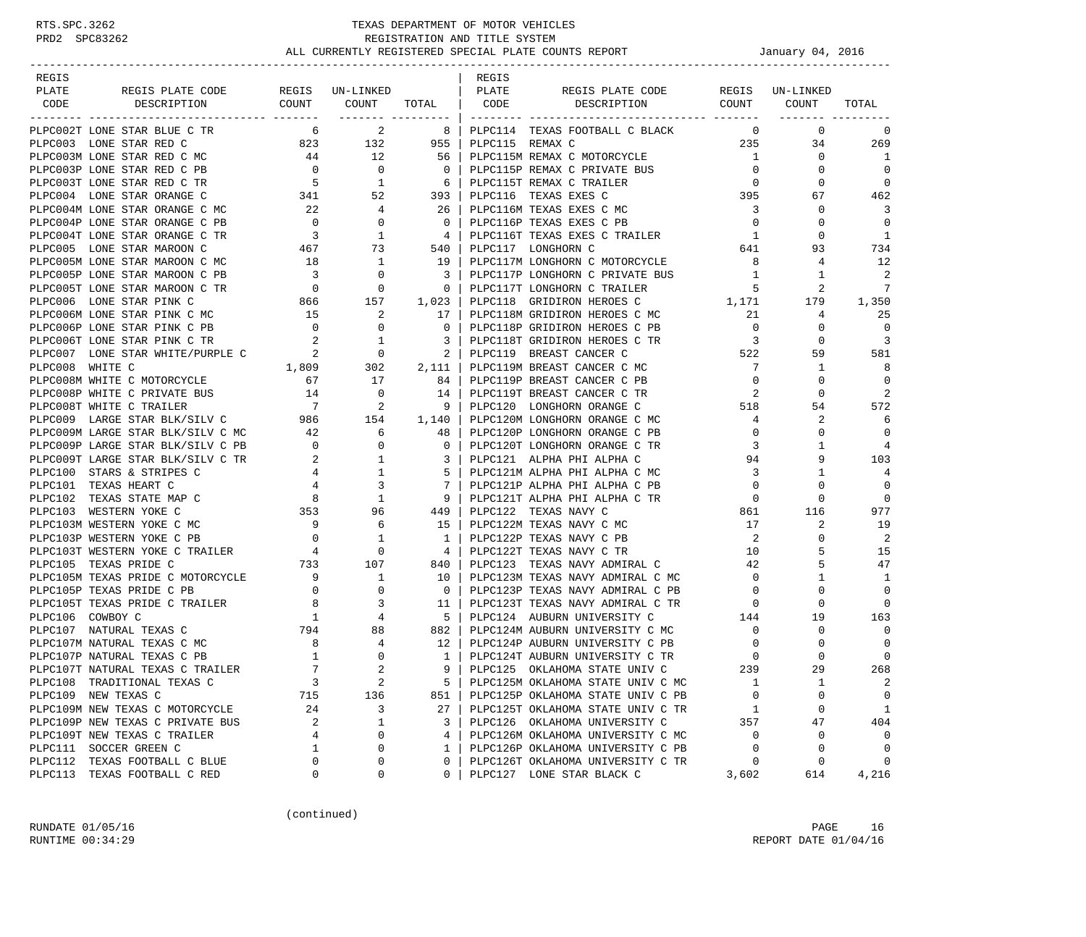| REGIS                                                                  |                                         |                                                                                                           |                                                                                 | REGIS           |                                                                    |                          |             |                |
|------------------------------------------------------------------------|-----------------------------------------|-----------------------------------------------------------------------------------------------------------|---------------------------------------------------------------------------------|-----------------|--------------------------------------------------------------------|--------------------------|-------------|----------------|
| REGIS PLATE CODE REGIS UN-LINKED   PLATE<br>PLATE                      |                                         |                                                                                                           |                                                                                 |                 | REGIS PLATE CODE REGIS UN-LINKED                                   |                          |             |                |
| CODE<br>DESCRIPTION                                                    |                                         | COUNT COUNT TOTAL   CODE                                                                                  |                                                                                 |                 | DESCRIPTION COUNT COUNT                                            |                          |             | TOTAL          |
| PLPC002T LONE STAR BLUE C TR                                           | 6                                       | ------- ---------<br>$\overline{a}$                                                                       | 8 <sup>1</sup>                                                                  |                 | PLPC114 TEXAS FOOTBALL C BLACK                                     | $\overline{0}$           | $\mathbf 0$ | 0              |
| PLPC003 LONE STAR RED C                                                |                                         |                                                                                                           |                                                                                 | PLPC115 REMAX C |                                                                    | 235                      | 34          | 269            |
| PLPC003M LONE STAR RED C MC                                            |                                         | $\begin{array}{cccc} 823 & 132 & 955 \ 44 & 12 & 56 \ 0 & 0 & 0 \ 5 & 1 & 6 \ 341 & 52 & 393 \end{array}$ |                                                                                 |                 | PLPC115M REMAX C MOTORCYCLE                                        | 1                        | $\mathbf 0$ | 1              |
| PLPC003P LONE STAR RED C PB                                            |                                         |                                                                                                           |                                                                                 |                 | PLPC115P REMAX C PRIVATE BUS                                       | $\overline{0}$           | $\circ$     | $\Omega$       |
| PLPC003T LONE STAR RED C TR                                            |                                         |                                                                                                           |                                                                                 |                 | PLPC115T REMAX C TRAILER                                           | $\overline{0}$           | 0           | 0              |
| PLPC004 LONE STAR ORANGE C                                             |                                         |                                                                                                           |                                                                                 |                 | PLPC116 TEXAS EXES C                                               | 395                      | 67          | 462            |
| PLPC004M LONE STAR ORANGE C MC                                         | 22                                      | $\overline{4}$                                                                                            | 26                                                                              |                 | PLPC116M TEXAS EXES C MC                                           | $\overline{3}$           | 0           | 3              |
| PLPC004P LONE STAR ORANGE C PB                                         | $\overline{0}$                          | $\mathbf{0}$                                                                                              | $\overline{0}$                                                                  |                 | PLPC116P TEXAS EXES C PB                                           | $\overline{0}$           | 0           | $\Omega$       |
| PLPC004T LONE STAR ORANGE C TR                                         | $\overline{\mathbf{3}}$                 | $\begin{array}{c} 0 \\ 1 \end{array}$                                                                     | 4                                                                               |                 | PLPC116T TEXAS EXES C TRAILER 1                                    |                          | $\Omega$    | -1             |
| PLPC005 LONE STAR MAROON C                                             |                                         |                                                                                                           |                                                                                 |                 | PLPC117 LONGHORN C                                                 | 641                      | 93          | 734            |
|                                                                        |                                         | $467$ 73<br>$\overline{1}$                                                                                | 540<br>  19                                                                     |                 | PLPC117M LONGHORN C MOTORCYCLE                                     |                          |             |                |
| PLPC005M LONE STAR MAROON C MC                                         | 18                                      |                                                                                                           | 19 <sup>1</sup>                                                                 |                 |                                                                    | 8 <sup>8</sup>           | 4           | 12             |
| PLPC005P LONE STAR MAROON C PB                                         | $\overline{\mathbf{3}}$                 | $\overline{0}$<br>$\overline{0}$                                                                          | $\overline{\phantom{a}}$<br>$\overline{\phantom{0}}$ 0 $\overline{\phantom{0}}$ |                 | PLPC117P LONGHORN C PRIVATE BUS                                    | $\overline{1}$           | 1<br>2      | 2<br>7         |
| PLPC005T LONE STAR MAROON C TR                                         |                                         | $\begin{array}{ccc} & 0 & 0 \\ 866 & & 157 \end{array}$                                                   | 1,023                                                                           |                 | PLPC117T LONGHORN C TRAILER<br>PLPC118 GRIDIRON HEROES C 1,171 179 | $5^{\circ}$              |             |                |
| PLPC006 LONE STAR PINK C                                               |                                         |                                                                                                           |                                                                                 |                 |                                                                    |                          |             | 1,350          |
| PLPC006M LONE STAR PINK C MC 15                                        |                                         | $\overline{\mathbf{c}}$                                                                                   | 17                                                                              |                 | PLPC118M GRIDIRON HEROES C MC                                      | 21                       | 4           | 25             |
| PLPC006P LONE STAR PINK C PB                                           | $\overline{0}$                          | $\overline{\phantom{0}}$                                                                                  | $\overline{0}$                                                                  |                 | PLPC118P GRIDIRON HEROES C PB                                      | $\overline{0}$           | $\circ$     | $\overline{0}$ |
| PLPC006T LONE STAR PINK C TR                                           |                                         |                                                                                                           |                                                                                 |                 | PLPC118T GRIDIRON HEROES C TR                                      | $\overline{3}$           | $\circ$     | 3              |
| PLPC007 LONE STAR WHITE/PURPLE C                                       |                                         |                                                                                                           |                                                                                 |                 | PLPC119 BREAST CANCER C                                            | 522                      | 59          | 581            |
| PLPC008 WHITE C                                                        |                                         |                                                                                                           |                                                                                 |                 | PLPC119M BREAST CANCER C MC                                        | 7                        | 1           | -8             |
| PLPC008M WHITE C MOTORCYCLE                                            | $\begin{array}{c} 67 \\ 14 \end{array}$ | 17                                                                                                        | 84                                                                              |                 | PLPC119P BREAST CANCER C PB                                        | $\overline{0}$           | 0           | $\overline{0}$ |
| PLPC008P WHITE C PRIVATE BUS                                           |                                         | $\overline{\phantom{0}}$                                                                                  | 14                                                                              |                 | PLPC119T BREAST CANCER C TR                                        | 2                        | 0           | 2              |
| PLPC008T WHITE C TRAILER                                               |                                         | $\begin{array}{cccc} & & & & 7 & & 2 \\ \text{C} & & & & 986 & & 154 \end{array}$                         | $\overline{9}$                                                                  |                 | PLPC120 LONGHORN ORANGE C                                          | 518                      | 54          | 572            |
| PLPC009 LARGE STAR BLK/SILV C                                          |                                         |                                                                                                           | 1,140                                                                           |                 | PLPC120M LONGHORN ORANGE C MC                                      | 4                        | 2           | 6              |
| PLPC009M LARGE STAR BLK/SILV C MC 42                                   |                                         | 6                                                                                                         | 48                                                                              |                 | PLPC120P LONGHORN ORANGE C PB                                      | $\circ$                  | 0           | $\overline{0}$ |
| PLPC009P LARGE STAR BLK/SILV C PB                                      | $\overline{\phantom{a}}$                |                                                                                                           | $\mathbf{0}$                                                                    |                 | PLPC120T LONGHORN ORANGE C TR                                      | 3                        | 1           | $\overline{4}$ |
| PLPC009T LARGE STAR BLK/SILV C TR                                      | $\overline{\phantom{a}}$ 2              |                                                                                                           | $\overline{3}$                                                                  |                 | PLPC121 ALPHA PHI ALPHA C                                          | 94                       | 9           | 103            |
| PLPC100 STARS & STRIPES C                                              |                                         |                                                                                                           | 5                                                                               |                 | PLPC121M ALPHA PHI ALPHA C MC                                      | $\overline{3}$           | 1           | 4              |
| PLPC101 TEXAS HEART C                                                  |                                         | $\begin{array}{cccc} 0 & & & 0 \\ 2 & & & 1 \\ 4 & & & 1 \\ 4 & & & 3 \\ 8 & & & 1 \end{array}$           | 7                                                                               |                 | PLPC121P ALPHA PHI ALPHA C PB                                      | $\overline{0}$           | 0           | $\overline{0}$ |
| PLPC102 TEXAS STATE MAP C                                              | $\frac{4}{8}$                           |                                                                                                           | 9                                                                               |                 | PLPC121T ALPHA PHI ALPHA C TR                                      | $\overline{0}$           | $\Omega$    | $\Omega$       |
| PLPC103 WESTERN YOKE C                                                 | $\begin{array}{c} 353 \\ 9 \end{array}$ | 96                                                                                                        | 449                                                                             |                 | PLPC122 TEXAS NAVY C                                               | 861                      | 116         | 977            |
| PLPC103M WESTERN YOKE C MC                                             |                                         | 6                                                                                                         | 15                                                                              |                 | PLPC122M TEXAS NAVY C MC                                           | 17                       | 2           | 19             |
| PLPC103P WESTERN YOKE C PB                                             |                                         | $\begin{array}{ccc} & 0 & & 1 \\ & 4 & & 0 \\ \textbf{733} & & 107 \end{array}$                           | $\mathbf{1}$                                                                    |                 | PLPC122P TEXAS NAVY C PB                                           | $\overline{2}$           | 0           | 2              |
| PLPC103T WESTERN YOKE C TRAILER                                        |                                         |                                                                                                           | 4 <sub>1</sub>                                                                  |                 | PLPC122T TEXAS NAVY C TR                                           | 10                       | 5           | 15             |
| PLPC105 TEXAS PRIDE C                                                  |                                         |                                                                                                           | 840                                                                             |                 | PLPC123 TEXAS NAVY ADMIRAL C                                       | 42                       | 5           | 47             |
| PLPC105M TEXAS PRIDE C MOTORCYCLE 9<br>PLPC105P TEXAS PRIDE C PB 0 0 0 |                                         |                                                                                                           | 10                                                                              |                 | PLPC123M TEXAS NAVY ADMIRAL C MC                                   | $\overline{\mathbf{0}}$  | 1           | -1             |
|                                                                        |                                         |                                                                                                           | $\overline{0}$                                                                  |                 | PLPC123P TEXAS NAVY ADMIRAL C PB                                   | $\overline{0}$           | $\mathbf 0$ | $\mathbf 0$    |
| PLPC105T TEXAS PRIDE C TRAILER 8                                       |                                         | LER 8 3<br>1 4<br>794 88                                                                                  | 11                                                                              |                 | PLPC123T TEXAS NAVY ADMIRAL C TR                                   | $\overline{\phantom{0}}$ | $\circ$     | $\Omega$       |
| PLPC106 COWBOY C                                                       |                                         |                                                                                                           | 5 <sup>1</sup>                                                                  |                 | PLPC124 AUBURN UNIVERSITY C                                        | 144                      | 19          | 163            |
| PLPC107 NATURAL TEXAS C                                                |                                         |                                                                                                           | 882                                                                             |                 | PLPC124M AUBURN UNIVERSITY C MC                                    | $\overline{0}$           | $\circ$     | $\overline{0}$ |
| PLPC107M NATURAL TEXAS C MC                                            | $\begin{array}{c} 8 \\ 1 \end{array}$   | $\begin{array}{c} 4 \\ 0 \end{array}$                                                                     | 12                                                                              |                 | PLPC124P AUBURN UNIVERSITY C PB                                    | $\overline{0}$           | 0           | $\overline{0}$ |
| PLPC107P NATURAL TEXAS C PB                                            |                                         |                                                                                                           | $1\vert$                                                                        |                 | PLPC124T AUBURN UNIVERSITY C TR                                    | $\circ$                  | $\Omega$    | $\overline{0}$ |
| PLPC107T NATURAL TEXAS C TRAILER                                       | $\overline{7}$                          | $\overline{2}$                                                                                            | 9                                                                               |                 | PLPC125 OKLAHOMA STATE UNIV C                                      | 239                      | 29          | 268            |
| PLPC108 TRADITIONAL TEXAS C                                            | $\overline{3}$                          | $\overline{c}$                                                                                            | 5                                                                               |                 | PLPC125M OKLAHOMA STATE UNIV C MC                                  | 1                        | 1           | 2              |
| PLPC109 NEW TEXAS C                                                    | 715                                     | 136                                                                                                       | 851                                                                             |                 | PLPC125P OKLAHOMA STATE UNIV C PB                                  | $\mathbf 0$              | 0           | 0              |
| PLPC109M NEW TEXAS C MOTORCYCLE                                        | 24                                      | 3                                                                                                         | 27                                                                              |                 | PLPC125T OKLAHOMA STATE UNIV C TR                                  | <sup>1</sup>             | 0           | 1              |
| PLPC109P NEW TEXAS C PRIVATE BUS                                       | 2                                       | 1                                                                                                         | 3                                                                               |                 | PLPC126 OKLAHOMA UNIVERSITY C                                      | 357                      | 47          | 404            |
| PLPC109T NEW TEXAS C TRAILER                                           | 4                                       | 0                                                                                                         | 4                                                                               |                 | PLPC126M OKLAHOMA UNIVERSITY C MC                                  | $\overline{0}$           | 0           | 0              |
| PLPC111 SOCCER GREEN C                                                 | $\mathbf 1$                             | 0                                                                                                         | $\mathbf{1}$                                                                    |                 | PLPC126P OKLAHOMA UNIVERSITY C PB                                  | $\mathbf 0$              | 0           | $\overline{0}$ |
| PLPC112 TEXAS FOOTBALL C BLUE                                          | 0                                       | 0                                                                                                         | $\mathbf{0}$                                                                    |                 | PLPC126T OKLAHOMA UNIVERSITY C TR                                  | 0                        | 0           | $\circ$        |
| PLPC113 TEXAS FOOTBALL C RED                                           | $\mathbf{0}$                            | 0                                                                                                         | $\Omega$                                                                        |                 | PLPC127 LONE STAR BLACK C                                          | 3,602                    | 614         | 4,216          |

(continued)

RUNDATE 01/05/16 PAGE 16 RUNTIME  $00:34:29$  REPORT DATE  $01/04/16$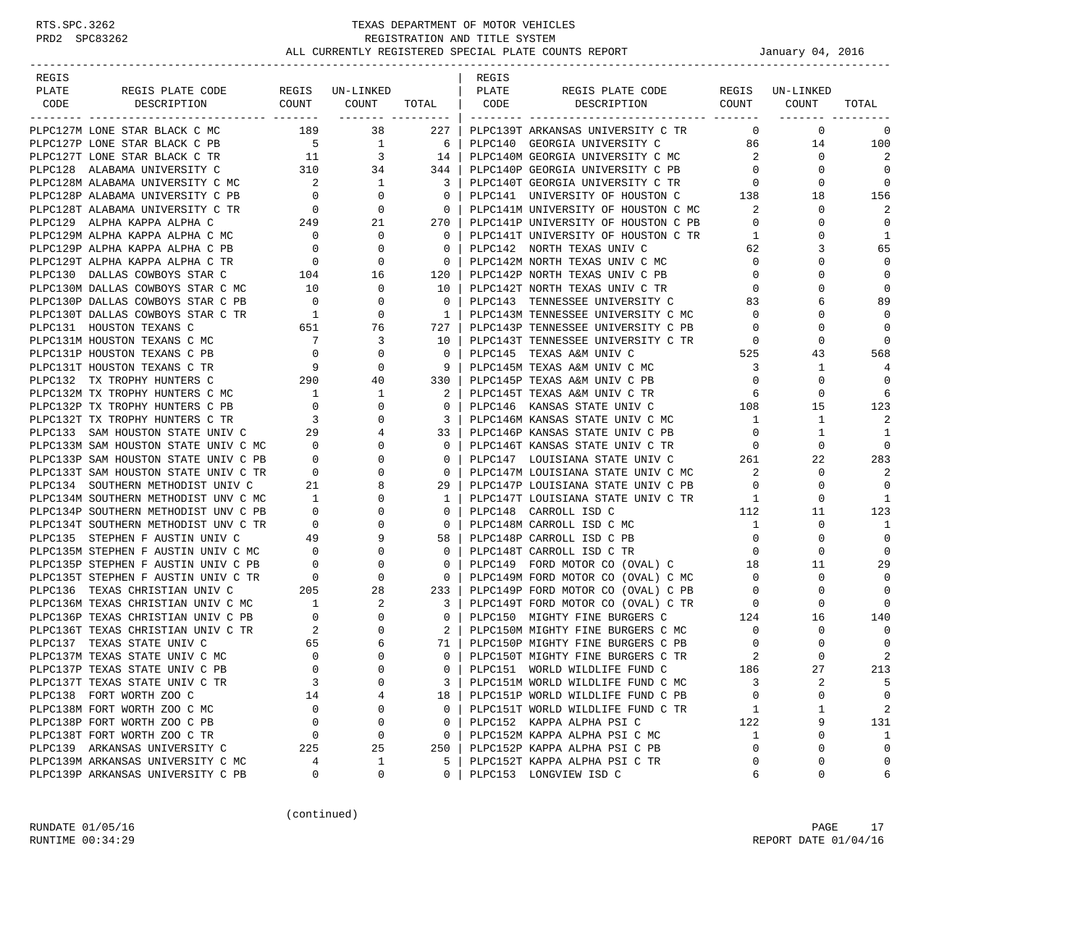| REGIS |                                                                                                                                                                                                                                            |                                                                   |                                                                         |                                                     | REGIS |                                                                                                                                                                     |                            |                       |                |
|-------|--------------------------------------------------------------------------------------------------------------------------------------------------------------------------------------------------------------------------------------------|-------------------------------------------------------------------|-------------------------------------------------------------------------|-----------------------------------------------------|-------|---------------------------------------------------------------------------------------------------------------------------------------------------------------------|----------------------------|-----------------------|----------------|
| PLATE |                                                                                                                                                                                                                                            |                                                                   |                                                                         |                                                     |       | REGIS PLATE CODE REGIS UN-LINKED                                                                                                                                    |                            |                       |                |
| CODE  |                                                                                                                                                                                                                                            |                                                                   |                                                                         |                                                     |       |                                                                                                                                                                     |                            | <u>-------- -----</u> | TOTAL          |
|       | PLPC127M LONE STAR BLACK C MC 189 38                                                                                                                                                                                                       |                                                                   |                                                                         |                                                     |       | 227   PLPC139T ARKANSAS UNIVERSITY C TR                                                                                                                             | $\circ$                    | $\overline{0}$        | 0              |
|       | PLPC127P LONE STAR BLACK C PB                                                                                                                                                                                                              |                                                                   |                                                                         |                                                     |       |                                                                                                                                                                     |                            | 86 11<br>14           | 100            |
|       | PLPC127T LONE STAR BLACK C TR                                                                                                                                                                                                              |                                                                   |                                                                         |                                                     |       |                                                                                                                                                                     | $\overline{\phantom{a}}$ 2 | $\overline{0}$        | 2              |
|       | PLPC128 ALABAMA UNIVERSITY C                                                                                                                                                                                                               |                                                                   |                                                                         |                                                     |       | 5 1 6 PLPC140 GEORGIA UNIVERSITY C<br>11 3 14 PLPC140M GEORGIA UNIVERSITY C MC<br>310 34 344 PLPC140P GEORGIA UNIVERSITY C PB<br>PLPC140P GEORGIA UNIVERSITY C PB 0 |                            | $\Omega$              | $\Omega$       |
|       |                                                                                                                                                                                                                                            |                                                                   |                                                                         |                                                     |       |                                                                                                                                                                     |                            | $\mathbf{0}$          | 0              |
|       |                                                                                                                                                                                                                                            |                                                                   |                                                                         |                                                     |       | PLPC140T GEORGIA UNIVERSITY C TR<br>PLPC141 UNIVERSITY OF HOUSTON C 138                                                                                             |                            | 18                    | 156            |
|       |                                                                                                                                                                                                                                            |                                                                   |                                                                         |                                                     |       | PLPC141M UNIVERSITY OF HOUSTON C MC                                                                                                                                 | 2                          | 0                     | 2              |
|       |                                                                                                                                                                                                                                            |                                                                   |                                                                         |                                                     |       |                                                                                                                                                                     | $\overline{0}$             | $\Omega$              | $\mathbf 0$    |
|       | PLPC128 ALABAMA UNIVERSITY C MC<br>PLPC128 ALABAMA UNIVERSITY C MC<br>PLPC128 ALABAMA UNIVERSITY C PB<br>PLPC128 ALABAMA UNIVERSITY C PB<br>PLPC129 ALPHA KAPPA ALPHA C<br>PLPC129 ALPHA KAPPA ALPHA C MC<br>PLPC129 ALPHA KAPPA ALPHA C M |                                                                   |                                                                         |                                                     |       | PLPC141T UNIVERSITY OF HOUSTON C TR                                                                                                                                 | $\mathbf{1}$               | $\Omega$              | 1              |
|       |                                                                                                                                                                                                                                            |                                                                   |                                                                         |                                                     |       |                                                                                                                                                                     | 62                         | 3                     | 65             |
|       |                                                                                                                                                                                                                                            |                                                                   |                                                                         |                                                     |       |                                                                                                                                                                     | $\overline{0}$             | $\Omega$              | $\mathbf 0$    |
|       |                                                                                                                                                                                                                                            |                                                                   |                                                                         |                                                     |       | PLPC142P NORTH TEXAS UNIV C PB                                                                                                                                      | $\overline{0}$             | $\Omega$              | $\mathbf 0$    |
|       | PLPC130M DALLAS COWBOYS STAR C MC                                                                                                                                                                                                          |                                                                   |                                                                         | 10                                                  |       | PLPC142T NORTH TEXAS UNIV C TR                                                                                                                                      | $\overline{0}$             | $\Omega$              | $\mathbf 0$    |
|       | PLPC130P DALLAS COWBOYS STAR C PB                                                                                                                                                                                                          |                                                                   |                                                                         | $\overline{0}$                                      |       | PLPC143 TENNESSEE UNIVERSITY C                                                                                                                                      | 83                         |                       | 89             |
|       | PLPC130T DALLAS COWBOYS STAR C TR                                                                                                                                                                                                          |                                                                   |                                                                         | $\overline{1}$                                      |       |                                                                                                                                                                     | $\mathbf{0}$               | 0                     | $\Omega$       |
|       | PLPC131 HOUSTON TEXANS C                                                                                                                                                                                                                   |                                                                   |                                                                         | 727 I                                               |       | PLPC143M TENNESSEE UNIVERSITY C MC<br>PLPC143P TENNESSEE UNIVERSITY C PB                                                                                            | $\overline{0}$             | $\Omega$              | $\mathbf 0$    |
|       | PLPC131M HOUSTON TEXANS C MC                                                                                                                                                                                                               |                                                                   |                                                                         | 10                                                  |       | PLPC143T TENNESSEE UNIVERSITY C TR 0                                                                                                                                |                            | $\mathbf 0$           | $\Omega$       |
|       | PLPC131P HOUSTON TEXANS C PB                                                                                                                                                                                                               |                                                                   | CMC 10 0<br>CPB 0 0<br>CTR 1 0<br>651 76<br>7 3<br>0 0<br>9 0<br>290 40 | $\overline{0}$                                      |       | PLPC145 TEXAS A&M UNIV C                                                                                                                                            | 525                        | 43                    | 568            |
|       | PLPC131T HOUSTON TEXANS C TR                                                                                                                                                                                                               |                                                                   |                                                                         | 9 <sup>1</sup>                                      |       | PLPC145M TEXAS A&M UNIV C MC                                                                                                                                        | $\overline{\mathbf{3}}$    | $\mathbf{1}$          | 4              |
|       |                                                                                                                                                                                                                                            |                                                                   |                                                                         | 330                                                 |       | PLPC145P TEXAS A&M UNIV C PB                                                                                                                                        | $\overline{0}$             | 0                     | $\Omega$       |
|       |                                                                                                                                                                                                                                            |                                                                   |                                                                         | $\overline{2}$                                      |       | PLPC145T TEXAS A&M UNIV C TR                                                                                                                                        | 6                          | 0                     | 6              |
|       |                                                                                                                                                                                                                                            |                                                                   |                                                                         | $\overline{0}$                                      |       | PLPC146 KANSAS STATE UNIV C 108                                                                                                                                     |                            | 15                    | 123            |
|       |                                                                                                                                                                                                                                            |                                                                   |                                                                         | $\overline{\phantom{a}3}$                           |       | PLPC146M KANSAS STATE UNIV C MC                                                                                                                                     | $\overline{1}$             | $\mathbf{1}$          | 2              |
|       | PLPC132 TX TROPHY HUNTERS C<br>PLPC132M TX TROPHY HUNTERS C MC<br>PLPC132M TX TROPHY HUNTERS C MC<br>PLPC132P TX TROPHY HUNTERS C PB<br>PLPC132T TX TROPHY HUNTERS C TR<br>PLPC133 SAM HOUSTON STATE UNIV C 29 4                           |                                                                   |                                                                         | $33-1$                                              |       | PLPC146P KANSAS STATE UNIV C PB                                                                                                                                     | $\overline{0}$             | 1                     | -1             |
|       |                                                                                                                                                                                                                                            |                                                                   | $\mathbf{0}$                                                            | $\overline{0}$                                      |       |                                                                                                                                                                     | $\circ$                    | $\mathbf{0}$          | $\mathbf 0$    |
|       | PLPC133M SAM HOUSTON STATE UNIV C MC 0<br>PLPC133P SAM HOUSTON STATE UNIV C PB 0<br>PLPC133P SAM HOUSTON STATE UNIV C PB                                                                                                                   |                                                                   | $\overline{0}$                                                          | $\overline{0}$                                      |       | PLPC146T KANSAS STATE UNIV C TR<br>PLPC147 LOUISIANA STATE UNIV C 261                                                                                               |                            | 22                    | 283            |
|       |                                                                                                                                                                                                                                            |                                                                   | $\mathbf 0$                                                             | $\overline{0}$                                      |       | PLPC147M LOUISIANA STATE UNIV C MC 2                                                                                                                                |                            | $\mathbf{0}$          | 2              |
|       |                                                                                                                                                                                                                                            |                                                                   | 8                                                                       | 29                                                  |       | PLPC147P LOUISIANA STATE UNIV C PB                                                                                                                                  | $\overline{0}$             | $\Omega$              | $\Omega$       |
|       |                                                                                                                                                                                                                                            |                                                                   | $\mathbf{0}$                                                            | 1                                                   |       | PLPC147T LOUISIANA STATE UNIV C TR                                                                                                                                  | $\overline{1}$             | $\Omega$              | -1             |
|       | PLPC133T SAM HOUSTON STATE UNIV C TE<br>PLPC133T SAM HOUSTON STATE UNIV C TR<br>PLPC134 SOUTHERN METHODIST UNIV C 21<br>PLPC134M SOUTHERN METHODIST UNV C PB<br>PLPC134T SOUTHERN METHODIST UNV C TR 0                                     |                                                                   | $\overline{0}$                                                          | $\overline{0}$                                      |       | PLPC148 CARROLL ISD C                                                                                                                                               | 112                        | 11                    | 123            |
|       |                                                                                                                                                                                                                                            |                                                                   | $\mathbf{0}$                                                            | $\overline{0}$                                      |       | PLPC148M CARROLL ISD C MC                                                                                                                                           | $\mathbf{1}$               | 0                     | 1              |
|       |                                                                                                                                                                                                                                            |                                                                   | $9^{\circ}$                                                             | 58                                                  |       | PLPC148P CARROLL ISD C PB                                                                                                                                           | $\overline{0}$             | $\mathbf 0$           | $\mathbf 0$    |
|       |                                                                                                                                                                                                                                            |                                                                   | $\overline{0}$                                                          | 0 <sup>1</sup>                                      |       | PLPC148T CARROLL ISD C TR                                                                                                                                           | $\overline{0}$             | $\mathbf 0$           | $\mathbf 0$    |
|       |                                                                                                                                                                                                                                            |                                                                   | $\mathbf{0}$                                                            | $\overline{0}$                                      |       | PLPC149 FORD MOTOR CO (OVAL) C 18                                                                                                                                   |                            | 11                    | 29             |
|       | PLPC134T SOUTHERN METHODIST UNV C IR<br>PLPC135 STEPHEN F AUSTIN UNIV C 49<br>PLPC135M STEPHEN F AUSTIN UNIV C MC 0<br>PLPC135P STEPHEN F AUSTIN UNIV C PB 0<br>PLPC135T STEPHEN F AUSTIN UNIV C TR 0<br>PLPC136 TEXAS CHRISTIAN UNIV C    |                                                                   | $\overline{0}$                                                          | $\overline{0}$                                      |       |                                                                                                                                                                     | $\overline{0}$             | $\mathbf{0}$          | $\Omega$       |
|       |                                                                                                                                                                                                                                            |                                                                   | 28                                                                      | 233                                                 |       | PLPC149M FORD MOTOR CO (OVAL) C MC<br>PLPC149P FORD MOTOR CO (OVAL) C PB                                                                                            | $\overline{0}$             | $\Omega$              | $\mathbf 0$    |
|       | PLPC136M TEXAS CHRISTIAN UNIV C MC 1                                                                                                                                                                                                       | $\begin{bmatrix} 1 & 1 \\ 0 & 2 \\ 65 & 0 \\ 0 & 0 \end{bmatrix}$ | 2                                                                       | $\overline{\mathbf{3}}$                             |       |                                                                                                                                                                     |                            | 0                     | $\Omega$       |
|       | PLPC136P TEXAS CHRISTIAN UNIV C PB                                                                                                                                                                                                         |                                                                   | $\mathbf 0$                                                             | $\overline{\phantom{0}}$ 0 $\overline{\phantom{0}}$ |       | PLPC149T FORD MOTOR CO (OVAL) C TR<br>PLPC150 MIGHTY FINE BURGERS C 124<br>PLPC150M MIGHTY FINE BURGERS C MC 0                                                      |                            | 16                    | 140            |
|       | PLPC136T TEXAS CHRISTIAN UNIV C TR                                                                                                                                                                                                         |                                                                   | $\overline{0}$                                                          |                                                     |       |                                                                                                                                                                     |                            | $\mathbf{0}$          | $\mathbf 0$    |
|       | PLPC137 TEXAS STATE UNIV C                                                                                                                                                                                                                 |                                                                   | 6                                                                       | 71 I                                                |       | PLPC150P MIGHTY FINE BURGERS C PB                                                                                                                                   | $\overline{0}$             | $\mathbf{0}$          | $\overline{0}$ |
|       | PLPC137M TEXAS STATE UNIV C MC                                                                                                                                                                                                             | $\begin{array}{c} 65 \\ 0 \end{array}$                            | $\overline{0}$                                                          | $0-1$                                               |       | PLPC150T MIGHTY FINE BURGERS C TR                                                                                                                                   | 2                          | $\Omega$              | 2              |
|       | PLPC137P TEXAS STATE UNIV C PB                                                                                                                                                                                                             |                                                                   | $\Omega$                                                                | $\Omega$                                            |       | PLPC151 WORLD WILDLIFE FUND C                                                                                                                                       | 186                        | 27                    | 213            |
|       | PLPC137T TEXAS STATE UNIV C TR                                                                                                                                                                                                             | 3                                                                 | 0                                                                       | 3                                                   |       | PLPC151M WORLD WILDLIFE FUND C MC                                                                                                                                   | 3                          | 2                     | 5              |
|       | PLPC138 FORT WORTH ZOO C                                                                                                                                                                                                                   | 14                                                                | 4                                                                       | 18                                                  |       | PLPC151P WORLD WILDLIFE FUND C PB                                                                                                                                   | $\mathbf 0$                | 0                     | 0              |
|       | PLPC138M FORT WORTH ZOO C MC                                                                                                                                                                                                               | 0                                                                 | 0                                                                       | $\mathbf{0}$                                        |       | PLPC151T WORLD WILDLIFE FUND C TR                                                                                                                                   | 1                          | 1                     | 2              |
|       | PLPC138P FORT WORTH ZOO C PB                                                                                                                                                                                                               | $\mathbf 0$                                                       | $\mathsf 0$                                                             | 0                                                   |       | PLPC152 KAPPA ALPHA PSI C                                                                                                                                           | 122                        | 9                     | 131            |
|       | PLPC138T FORT WORTH ZOO C TR                                                                                                                                                                                                               | 0                                                                 | $\mathsf 0$                                                             | $\mathbf{0}$                                        |       | PLPC152M KAPPA ALPHA PSI C MC                                                                                                                                       | 1                          | 0                     | 1              |
|       | PLPC139 ARKANSAS UNIVERSITY C                                                                                                                                                                                                              | 225                                                               | 25                                                                      | 250                                                 |       | PLPC152P KAPPA ALPHA PSI C PB                                                                                                                                       | $\mathbf 0$                | 0                     | $\mathbf 0$    |
|       | PLPC139M ARKANSAS UNIVERSITY C MC                                                                                                                                                                                                          | 4                                                                 | 1                                                                       | 5                                                   |       | PLPC152T KAPPA ALPHA PSI C TR                                                                                                                                       | 0                          | 0                     | 0              |
|       | PLPC139P ARKANSAS UNIVERSITY C PB                                                                                                                                                                                                          | 0                                                                 | 0                                                                       | $\mathbf{0}$                                        |       | PLPC153 LONGVIEW ISD C                                                                                                                                              | 6                          | 0                     | 6              |

(continued)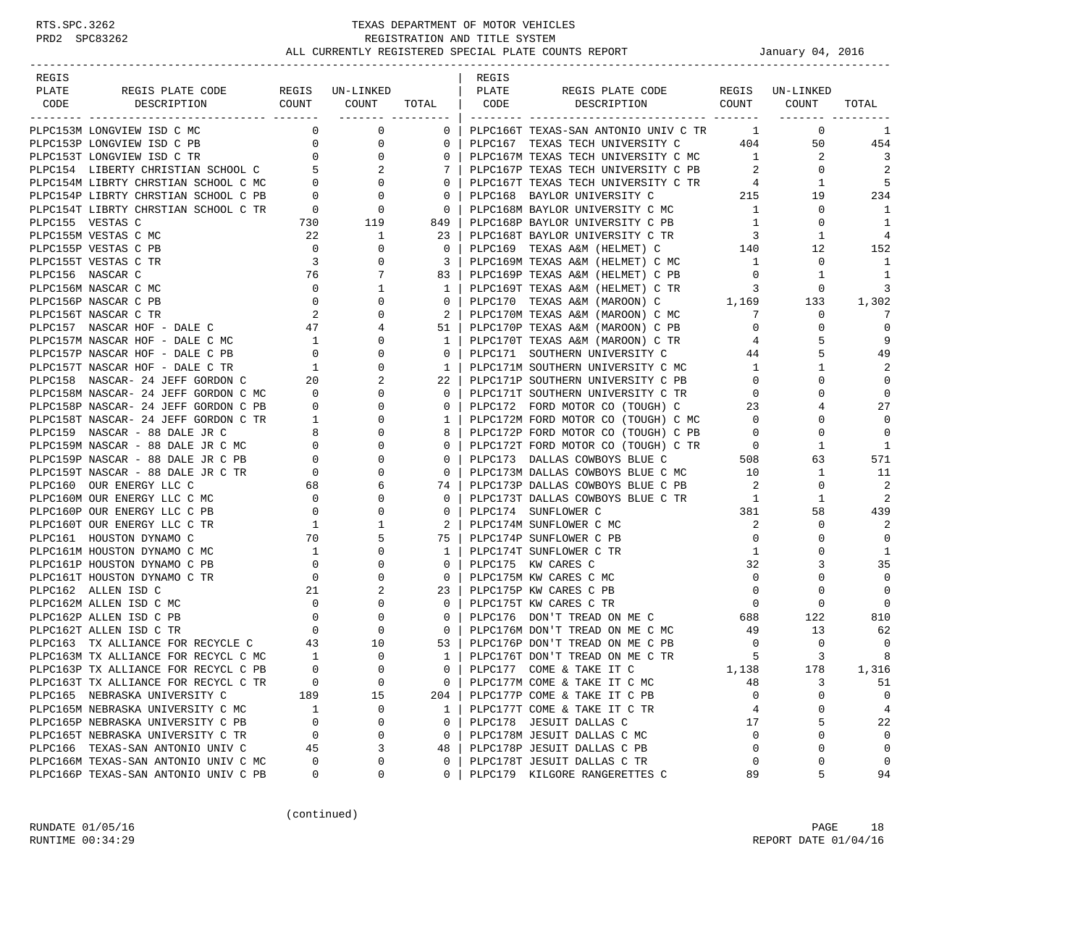| PLATE<br>PLATE<br>REGIS PLATE CODE<br>REGIS UN-LINKED<br>REGIS PLATE CODE REGIS UN-LINKED<br>COUNT COUNT<br>DESCRIPTION COUNT COUNT<br>TOTAL   CODE<br>CODE<br>DESCRIPTION<br>TOTAL<br>___________________<br>$\overline{0}$<br>$\overline{0}$<br>PLPC166T TEXAS-SAN ANTONIO UNIV C TR 1<br>$\mathbf{0}$<br>PLPC153M LONGVIEW ISD C MC<br>$0-1$<br>1<br>$\overline{0}$<br>$\overline{0}$<br>PLPC167 TEXAS TECH UNIVERSITY C 404<br>PLPC153P LONGVIEW ISD C PB<br>50<br>454<br>$\begin{array}{c} 0 \\ 0 \end{array}$<br>$\mathbf{0}$<br>$\overline{0}$<br>0<br>PLPC167M TEXAS TECH UNIVERSITY C MC<br>$\overline{\mathbf{1}}$<br>2<br>$\overline{3}$<br>PLPC153T LONGVIEW ISD C TR<br>PLPC154 LIBERTY CHRISTIAN SCHOOL C 5<br>PLPC167P TEXAS TECH UNIVERSITY C PB<br>2<br>$\overline{\mathbf{2}}$<br>$\mathbf 0$<br>-2<br>7<br>$\begin{array}{c} 0 \\ 0 \end{array}$<br>$\overline{0}$<br>PLPC167T TEXAS TECH UNIVERSITY C TR<br>PLPC167T TEXAS TECH UNIVERSITY C TR 215<br>5<br>PLPC154M LIBRTY CHRSTIAN SCHOOL C MC<br>$4\overline{4}$<br>1<br>0<br>PLPC154P LIBRTY CHRSTIAN SCHOOL C PB<br>$\overline{0}$<br>234<br>$\overline{0}$<br>19<br>$\overline{0}$<br>$\overline{0}$<br>PLPC168M BAYLOR UNIVERSITY C MC 1<br>PLPC154T LIBRTY CHRSTIAN SCHOOL C TR<br>0<br>$\overline{0}$<br>1<br>$\frac{730}{22}$<br>119<br>PLPC155 VESTAS C<br>PLPC168P BAYLOR UNIVERSITY C PB<br>$\mathbf{1}$<br>1<br>849<br>0<br>PLPC168T BAYLOR UNIVERSITY C TR 3<br>PLPC155M VESTAS C MC<br>$\mathbf{1}$<br>23<br>4<br>1<br>PLPC155P VESTAS C PB<br>$\overline{0}$<br>152<br>0<br>$\overline{0}$<br>PLPC169 TEXAS A&M (HELMET) C 140<br>12<br>$\overline{\mathbf{3}}$<br>PLPC155T VESTAS C TR<br>0<br>PLPC169M TEXAS A&M (HELMET) C MC<br>$\mathbf 0$<br>3<br>$\overline{1}$<br>- 1<br>PLPC156 NASCAR C<br>76<br>7<br>PLPC169P TEXAS A&M (HELMET) C PB<br>1<br>83<br>$\overline{0}$<br>1<br>PLPC156M NASCAR C MC<br>$\overline{0}$<br>1<br>PLPC169T TEXAS A&M (HELMET) C TR<br>3<br>3<br>$\mathbf{1}$<br>0<br>PLPC170 TEXAS A&M (MAROON) C 1,169<br>133<br>PLPC156P NASCAR C PB<br>$\overline{0}$<br>0<br>1,302<br>0<br>PLPC170M TEXAS A&M (MAROON) C MC<br>PLPC156T NASCAR C TR<br>$\sim$ 2<br>0<br>2<br>0<br>7<br>7<br>$\overline{47}$<br>0<br>PLPC157 NASCAR HOF - DALE C<br>4<br>51<br>PLPC170P TEXAS A&M (MAROON) C PB<br>$\mathbf{0}$<br>$\Omega$<br>9<br>PLPC157M NASCAR HOF - DALE C MC<br>$\begin{array}{c} 1 \\ 0 \\ 1 \end{array}$<br>0<br>PLPC170T TEXAS A&M (MAROON) C TR<br>5<br>1<br>4<br>49<br>PLPC157P NASCAR HOF - DALE C PB<br>0<br>$\mathbf{0}$<br>PLPC171 SOUTHERN UNIVERSITY C<br>5<br>44<br>PLPC171M SOUTHERN UNIVERSITY C MC<br>PLPC157T NASCAR HOF - DALE C TR<br>0<br>2<br>1<br>1<br>1<br>$\begin{array}{cc} & 20 \\ \text{MC} & 0 \end{array}$<br>PLPC158 NASCAR- 24 JEFF GORDON C<br>2<br>PLPC171P SOUTHERN UNIVERSITY C PB<br>$\mathbf 0$<br>22<br>$\mathbf{0}$<br>0<br>PLPC158M NASCAR- 24 JEFF GORDON C MC<br>$\mathbf{0}$<br>$\Omega$<br>$\mathbf 0$<br>$\mathbf{0}$<br>PLPC171T SOUTHERN UNIVERSITY C TR<br>$\mathbf{0}$<br>$\overline{0}$<br>27<br>PLPC158P NASCAR- 24 JEFF GORDON C PB<br>$\mathbf{0}$<br>PLPC172 FORD MOTOR CO (TOUGH) C<br>23<br>$\mathbf{0}$<br>4<br>$\begin{array}{c} 1 \\ 8 \end{array}$<br>PLPC158T NASCAR- 24 JEFF GORDON C TR<br>0<br>$\mathbf{1}$<br>PLPC172M FORD MOTOR CO (TOUGH) C MC<br>PLPC172P FORD MOTOR CO (TOUGH) C PB<br>$\overline{0}$<br>$\Omega$<br>$\Omega$<br>PLPC159 NASCAR - 88 DALE JR C<br>$\Omega$<br>$\Omega$<br>8<br>$\overline{0}$<br>0<br>$\begin{array}{c} 0 \\ 0 \end{array}$<br>PLPC159M NASCAR - 88 DALE JR C MC<br>0<br>PLPC172T FORD MOTOR CO (TOUGH) C TR 0<br>PLPC173 DALLAS COWBOYS BLUE C 508<br>1<br>$\mathbf{0}$<br>1<br>PLPC159P NASCAR - 88 DALE JR C PB<br>0<br>571<br>$\mathbf{0}$<br>63<br>$\overline{0}$<br>PLPC173M DALLAS COWBOYS BLUE C MC 10<br>PLPC159T NASCAR - 88 DALE JR C TR<br>0<br>$\mathbf{1}$<br>11<br>$\mathbf{0}$<br>$\overline{\phantom{0}}$<br>2<br>PLPC160 OUR ENERGY LLC C<br>PLPC173P DALLAS COWBOYS BLUE C PB<br>0<br>68<br>6<br>74 I<br>PLPC160M OUR ENERGY LLC C MC 0<br>$\overline{1}$<br>0<br>PLPC173T DALLAS COWBOYS BLUE C TR<br>2<br>$\Omega$<br>1<br>PLPC160P OUR ENERGY LLC C PB<br>$\sim$ 0<br>0<br>PLPC174 SUNFLOWER C<br>381<br>58<br>439<br>$\mathbf{0}$<br>2<br>PLPC160T OUR ENERGY LLC C TR<br>PLPC174M SUNFLOWER C MC<br>2<br>0<br>$\overline{1}$<br>1<br>2<br>70<br>PLPC161 HOUSTON DYNAMO C<br>5<br>75<br>PLPC174P SUNFLOWER C PB<br>$\overline{0}$<br>0<br>$\mathbf 0$<br>PLPC161M HOUSTON DYNAMO C MC<br>$\overline{1}$<br>0<br>PLPC174T SUNFLOWER C TR<br>$\mathbf{1}$<br>1<br>$\mathbf{1}$<br>0<br>35<br>PLPC161P HOUSTON DYNAMO C PB<br>$\overline{\phantom{0}}$<br>0<br>32<br>$\Omega$<br>PLPC175 KW CARES C<br>3<br>PLPC161T HOUSTON DYNAMO C TR<br>$\overline{0}$<br>0<br>$\mathbf 0$<br>$\mathbf{0}$<br>PLPC175M KW CARES C MC<br>0<br>0<br>PLPC162 ALLEN ISD C<br>21<br>2<br>$\overline{0}$<br>$\Omega$<br>$\mathbf 0$<br>23<br>PLPC175P KW CARES C PB<br>$\overline{0}$<br>$\mathbf 0$<br>PLPC162M ALLEN ISD C MC<br>PLPC175T KW CARES C TR<br>$\mathbf 0$<br>$\overline{0}$<br>$\mathbf{0}$<br>$\overline{\phantom{0}}$<br>$\begin{array}{c}\n 688\n \end{array}$<br>$\mathbf 0$<br>PLPC162P ALLEN ISD C PB<br>$\overline{\phantom{0}}$<br>122<br>810<br>$\circ$<br>PLPC176 DON'T TREAD ON ME C<br>PLPC176M DON'T TREAD ON ME C MC<br>49<br>PLPC162T ALLEN ISD C TR<br>$\overline{0}$<br>62<br>$\overline{0}$<br>$\overline{0}$<br>13<br>PLPC163 TX ALLIANCE FOR RECYCLE C<br>43<br>10<br>PLPC176P DON'T TREAD ON ME C PB<br>$\overline{0}$<br>53  <br>0<br>0<br>$\mathbf{0}$<br>$\overline{5}$<br>$\overline{1}$<br>PLPC176T DON'T TREAD ON ME C TR<br>3<br>8<br>PLPC163M TX ALLIANCE FOR RECYCL C MC<br>1<br>$\Omega$<br>PLPC163P TX ALLIANCE FOR RECYCL C PB<br>$\Omega$<br>$\Omega$<br>PLPC177 COME & TAKE IT C<br>1,138<br>178<br>1,316<br>$\mathbf 0$<br>PLPC163T TX ALLIANCE FOR RECYCL C TR<br>$\mathbf 0$<br>PLPC177M COME & TAKE IT C MC<br>3<br>0<br>48<br>51<br>PLPC165 NEBRASKA UNIVERSITY C<br>189<br>15<br>PLPC177P COME & TAKE IT C PB<br>0<br>$\mathbf 0$<br>204<br>$\Omega$<br>PLPC165M NEBRASKA UNIVERSITY C MC<br>PLPC177T COME & TAKE IT C TR<br>4<br>0<br>$\overline{4}$<br>1<br>0<br>$\mathbf{1}$<br>$\mathbf 0$<br>5<br>PLPC165P NEBRASKA UNIVERSITY C PB<br>0<br>PLPC178 JESUIT DALLAS C<br>22<br>0<br>17<br>PLPC165T NEBRASKA UNIVERSITY C TR<br>PLPC178M JESUIT DALLAS C MC<br>0<br>$\mathbf 0$<br>0<br>$\mathbf 0$<br>0<br>0<br>3<br>PLPC166 TEXAS-SAN ANTONIO UNIV C<br>PLPC178P JESUIT DALLAS C PB<br>$\mathbf 0$<br>0<br>$\mathbf 0$<br>45<br>48 |       |  |  |       |  |  |
|-------------------------------------------------------------------------------------------------------------------------------------------------------------------------------------------------------------------------------------------------------------------------------------------------------------------------------------------------------------------------------------------------------------------------------------------------------------------------------------------------------------------------------------------------------------------------------------------------------------------------------------------------------------------------------------------------------------------------------------------------------------------------------------------------------------------------------------------------------------------------------------------------------------------------------------------------------------------------------------------------------------------------------------------------------------------------------------------------------------------------------------------------------------------------------------------------------------------------------------------------------------------------------------------------------------------------------------------------------------------------------------------------------------------------------------------------------------------------------------------------------------------------------------------------------------------------------------------------------------------------------------------------------------------------------------------------------------------------------------------------------------------------------------------------------------------------------------------------------------------------------------------------------------------------------------------------------------------------------------------------------------------------------------------------------------------------------------------------------------------------------------------------------------------------------------------------------------------------------------------------------------------------------------------------------------------------------------------------------------------------------------------------------------------------------------------------------------------------------------------------------------------------------------------------------------------------------------------------------------------------------------------------------------------------------------------------------------------------------------------------------------------------------------------------------------------------------------------------------------------------------------------------------------------------------------------------------------------------------------------------------------------------------------------------------------------------------------------------------------------------------------------------------------------------------------------------------------------------------------------------------------------------------------------------------------------------------------------------------------------------------------------------------------------------------------------------------------------------------------------------------------------------------------------------------------------------------------------------------------------------------------------------------------------------------------------------------------------------------------------------------------------------------------------------------------------------------------------------------------------------------------------------------------------------------------------------------------------------------------------------------------------------------------------------------------------------------------------------------------------------------------------------------------------------------------------------------------------------------------------------------------------------------------------------------------------------------------------------------------------------------------------------------------------------------------------------------------------------------------------------------------------------------------------------------------------------------------------------------------------------------------------------------------------------------------------------------------------------------------------------------------------------------------------------------------------------------------------------------------------------------------------------------------------------------------------------------------------------------------------------------------------------------------------------------------------------------------------------------------------------------------------------------------------------------------------------------------------------------------------------------------------------------------------------------------------------------------------------------------------------------------------------------------------------------------------------------------------------------------------------------------------------------------------------------------------------------------------------------------------------------------------------------------------------------------------------------------------------------------------------------------------------------------------------------------------------------------------------------------------------------------------------------------------------------------------------------------------------------------------------------------------------------------------------------------------------------------------------------------------------------------------------------------------------------------------------------------------------------------------------------------------------------------------------------------------------------------------------------------------------------------------------------------------------------------------------------------------------------------------------------------------------------------------------------------------------------------------------------------------------|-------|--|--|-------|--|--|
|                                                                                                                                                                                                                                                                                                                                                                                                                                                                                                                                                                                                                                                                                                                                                                                                                                                                                                                                                                                                                                                                                                                                                                                                                                                                                                                                                                                                                                                                                                                                                                                                                                                                                                                                                                                                                                                                                                                                                                                                                                                                                                                                                                                                                                                                                                                                                                                                                                                                                                                                                                                                                                                                                                                                                                                                                                                                                                                                                                                                                                                                                                                                                                                                                                                                                                                                                                                                                                                                                                                                                                                                                                                                                                                                                                                                                                                                                                                                                                                                                                                                                                                                                                                                                                                                                                                                                                                                                                                                                                                                                                                                                                                                                                                                                                                                                                                                                                                                                                                                                                                                                                                                                                                                                                                                                                                                                                                                                                                                                                                                                                                                                                                                                                                                                                                                                                                                                                                                                                                                                                                                                                                                                                                                                                                                                                                                                                                                                                                                                                                                                                                                                         | REGIS |  |  | REGIS |  |  |
|                                                                                                                                                                                                                                                                                                                                                                                                                                                                                                                                                                                                                                                                                                                                                                                                                                                                                                                                                                                                                                                                                                                                                                                                                                                                                                                                                                                                                                                                                                                                                                                                                                                                                                                                                                                                                                                                                                                                                                                                                                                                                                                                                                                                                                                                                                                                                                                                                                                                                                                                                                                                                                                                                                                                                                                                                                                                                                                                                                                                                                                                                                                                                                                                                                                                                                                                                                                                                                                                                                                                                                                                                                                                                                                                                                                                                                                                                                                                                                                                                                                                                                                                                                                                                                                                                                                                                                                                                                                                                                                                                                                                                                                                                                                                                                                                                                                                                                                                                                                                                                                                                                                                                                                                                                                                                                                                                                                                                                                                                                                                                                                                                                                                                                                                                                                                                                                                                                                                                                                                                                                                                                                                                                                                                                                                                                                                                                                                                                                                                                                                                                                                                         |       |  |  |       |  |  |
|                                                                                                                                                                                                                                                                                                                                                                                                                                                                                                                                                                                                                                                                                                                                                                                                                                                                                                                                                                                                                                                                                                                                                                                                                                                                                                                                                                                                                                                                                                                                                                                                                                                                                                                                                                                                                                                                                                                                                                                                                                                                                                                                                                                                                                                                                                                                                                                                                                                                                                                                                                                                                                                                                                                                                                                                                                                                                                                                                                                                                                                                                                                                                                                                                                                                                                                                                                                                                                                                                                                                                                                                                                                                                                                                                                                                                                                                                                                                                                                                                                                                                                                                                                                                                                                                                                                                                                                                                                                                                                                                                                                                                                                                                                                                                                                                                                                                                                                                                                                                                                                                                                                                                                                                                                                                                                                                                                                                                                                                                                                                                                                                                                                                                                                                                                                                                                                                                                                                                                                                                                                                                                                                                                                                                                                                                                                                                                                                                                                                                                                                                                                                                         |       |  |  |       |  |  |
|                                                                                                                                                                                                                                                                                                                                                                                                                                                                                                                                                                                                                                                                                                                                                                                                                                                                                                                                                                                                                                                                                                                                                                                                                                                                                                                                                                                                                                                                                                                                                                                                                                                                                                                                                                                                                                                                                                                                                                                                                                                                                                                                                                                                                                                                                                                                                                                                                                                                                                                                                                                                                                                                                                                                                                                                                                                                                                                                                                                                                                                                                                                                                                                                                                                                                                                                                                                                                                                                                                                                                                                                                                                                                                                                                                                                                                                                                                                                                                                                                                                                                                                                                                                                                                                                                                                                                                                                                                                                                                                                                                                                                                                                                                                                                                                                                                                                                                                                                                                                                                                                                                                                                                                                                                                                                                                                                                                                                                                                                                                                                                                                                                                                                                                                                                                                                                                                                                                                                                                                                                                                                                                                                                                                                                                                                                                                                                                                                                                                                                                                                                                                                         |       |  |  |       |  |  |
|                                                                                                                                                                                                                                                                                                                                                                                                                                                                                                                                                                                                                                                                                                                                                                                                                                                                                                                                                                                                                                                                                                                                                                                                                                                                                                                                                                                                                                                                                                                                                                                                                                                                                                                                                                                                                                                                                                                                                                                                                                                                                                                                                                                                                                                                                                                                                                                                                                                                                                                                                                                                                                                                                                                                                                                                                                                                                                                                                                                                                                                                                                                                                                                                                                                                                                                                                                                                                                                                                                                                                                                                                                                                                                                                                                                                                                                                                                                                                                                                                                                                                                                                                                                                                                                                                                                                                                                                                                                                                                                                                                                                                                                                                                                                                                                                                                                                                                                                                                                                                                                                                                                                                                                                                                                                                                                                                                                                                                                                                                                                                                                                                                                                                                                                                                                                                                                                                                                                                                                                                                                                                                                                                                                                                                                                                                                                                                                                                                                                                                                                                                                                                         |       |  |  |       |  |  |
|                                                                                                                                                                                                                                                                                                                                                                                                                                                                                                                                                                                                                                                                                                                                                                                                                                                                                                                                                                                                                                                                                                                                                                                                                                                                                                                                                                                                                                                                                                                                                                                                                                                                                                                                                                                                                                                                                                                                                                                                                                                                                                                                                                                                                                                                                                                                                                                                                                                                                                                                                                                                                                                                                                                                                                                                                                                                                                                                                                                                                                                                                                                                                                                                                                                                                                                                                                                                                                                                                                                                                                                                                                                                                                                                                                                                                                                                                                                                                                                                                                                                                                                                                                                                                                                                                                                                                                                                                                                                                                                                                                                                                                                                                                                                                                                                                                                                                                                                                                                                                                                                                                                                                                                                                                                                                                                                                                                                                                                                                                                                                                                                                                                                                                                                                                                                                                                                                                                                                                                                                                                                                                                                                                                                                                                                                                                                                                                                                                                                                                                                                                                                                         |       |  |  |       |  |  |
|                                                                                                                                                                                                                                                                                                                                                                                                                                                                                                                                                                                                                                                                                                                                                                                                                                                                                                                                                                                                                                                                                                                                                                                                                                                                                                                                                                                                                                                                                                                                                                                                                                                                                                                                                                                                                                                                                                                                                                                                                                                                                                                                                                                                                                                                                                                                                                                                                                                                                                                                                                                                                                                                                                                                                                                                                                                                                                                                                                                                                                                                                                                                                                                                                                                                                                                                                                                                                                                                                                                                                                                                                                                                                                                                                                                                                                                                                                                                                                                                                                                                                                                                                                                                                                                                                                                                                                                                                                                                                                                                                                                                                                                                                                                                                                                                                                                                                                                                                                                                                                                                                                                                                                                                                                                                                                                                                                                                                                                                                                                                                                                                                                                                                                                                                                                                                                                                                                                                                                                                                                                                                                                                                                                                                                                                                                                                                                                                                                                                                                                                                                                                                         |       |  |  |       |  |  |
|                                                                                                                                                                                                                                                                                                                                                                                                                                                                                                                                                                                                                                                                                                                                                                                                                                                                                                                                                                                                                                                                                                                                                                                                                                                                                                                                                                                                                                                                                                                                                                                                                                                                                                                                                                                                                                                                                                                                                                                                                                                                                                                                                                                                                                                                                                                                                                                                                                                                                                                                                                                                                                                                                                                                                                                                                                                                                                                                                                                                                                                                                                                                                                                                                                                                                                                                                                                                                                                                                                                                                                                                                                                                                                                                                                                                                                                                                                                                                                                                                                                                                                                                                                                                                                                                                                                                                                                                                                                                                                                                                                                                                                                                                                                                                                                                                                                                                                                                                                                                                                                                                                                                                                                                                                                                                                                                                                                                                                                                                                                                                                                                                                                                                                                                                                                                                                                                                                                                                                                                                                                                                                                                                                                                                                                                                                                                                                                                                                                                                                                                                                                                                         |       |  |  |       |  |  |
|                                                                                                                                                                                                                                                                                                                                                                                                                                                                                                                                                                                                                                                                                                                                                                                                                                                                                                                                                                                                                                                                                                                                                                                                                                                                                                                                                                                                                                                                                                                                                                                                                                                                                                                                                                                                                                                                                                                                                                                                                                                                                                                                                                                                                                                                                                                                                                                                                                                                                                                                                                                                                                                                                                                                                                                                                                                                                                                                                                                                                                                                                                                                                                                                                                                                                                                                                                                                                                                                                                                                                                                                                                                                                                                                                                                                                                                                                                                                                                                                                                                                                                                                                                                                                                                                                                                                                                                                                                                                                                                                                                                                                                                                                                                                                                                                                                                                                                                                                                                                                                                                                                                                                                                                                                                                                                                                                                                                                                                                                                                                                                                                                                                                                                                                                                                                                                                                                                                                                                                                                                                                                                                                                                                                                                                                                                                                                                                                                                                                                                                                                                                                                         |       |  |  |       |  |  |
|                                                                                                                                                                                                                                                                                                                                                                                                                                                                                                                                                                                                                                                                                                                                                                                                                                                                                                                                                                                                                                                                                                                                                                                                                                                                                                                                                                                                                                                                                                                                                                                                                                                                                                                                                                                                                                                                                                                                                                                                                                                                                                                                                                                                                                                                                                                                                                                                                                                                                                                                                                                                                                                                                                                                                                                                                                                                                                                                                                                                                                                                                                                                                                                                                                                                                                                                                                                                                                                                                                                                                                                                                                                                                                                                                                                                                                                                                                                                                                                                                                                                                                                                                                                                                                                                                                                                                                                                                                                                                                                                                                                                                                                                                                                                                                                                                                                                                                                                                                                                                                                                                                                                                                                                                                                                                                                                                                                                                                                                                                                                                                                                                                                                                                                                                                                                                                                                                                                                                                                                                                                                                                                                                                                                                                                                                                                                                                                                                                                                                                                                                                                                                         |       |  |  |       |  |  |
|                                                                                                                                                                                                                                                                                                                                                                                                                                                                                                                                                                                                                                                                                                                                                                                                                                                                                                                                                                                                                                                                                                                                                                                                                                                                                                                                                                                                                                                                                                                                                                                                                                                                                                                                                                                                                                                                                                                                                                                                                                                                                                                                                                                                                                                                                                                                                                                                                                                                                                                                                                                                                                                                                                                                                                                                                                                                                                                                                                                                                                                                                                                                                                                                                                                                                                                                                                                                                                                                                                                                                                                                                                                                                                                                                                                                                                                                                                                                                                                                                                                                                                                                                                                                                                                                                                                                                                                                                                                                                                                                                                                                                                                                                                                                                                                                                                                                                                                                                                                                                                                                                                                                                                                                                                                                                                                                                                                                                                                                                                                                                                                                                                                                                                                                                                                                                                                                                                                                                                                                                                                                                                                                                                                                                                                                                                                                                                                                                                                                                                                                                                                                                         |       |  |  |       |  |  |
|                                                                                                                                                                                                                                                                                                                                                                                                                                                                                                                                                                                                                                                                                                                                                                                                                                                                                                                                                                                                                                                                                                                                                                                                                                                                                                                                                                                                                                                                                                                                                                                                                                                                                                                                                                                                                                                                                                                                                                                                                                                                                                                                                                                                                                                                                                                                                                                                                                                                                                                                                                                                                                                                                                                                                                                                                                                                                                                                                                                                                                                                                                                                                                                                                                                                                                                                                                                                                                                                                                                                                                                                                                                                                                                                                                                                                                                                                                                                                                                                                                                                                                                                                                                                                                                                                                                                                                                                                                                                                                                                                                                                                                                                                                                                                                                                                                                                                                                                                                                                                                                                                                                                                                                                                                                                                                                                                                                                                                                                                                                                                                                                                                                                                                                                                                                                                                                                                                                                                                                                                                                                                                                                                                                                                                                                                                                                                                                                                                                                                                                                                                                                                         |       |  |  |       |  |  |
|                                                                                                                                                                                                                                                                                                                                                                                                                                                                                                                                                                                                                                                                                                                                                                                                                                                                                                                                                                                                                                                                                                                                                                                                                                                                                                                                                                                                                                                                                                                                                                                                                                                                                                                                                                                                                                                                                                                                                                                                                                                                                                                                                                                                                                                                                                                                                                                                                                                                                                                                                                                                                                                                                                                                                                                                                                                                                                                                                                                                                                                                                                                                                                                                                                                                                                                                                                                                                                                                                                                                                                                                                                                                                                                                                                                                                                                                                                                                                                                                                                                                                                                                                                                                                                                                                                                                                                                                                                                                                                                                                                                                                                                                                                                                                                                                                                                                                                                                                                                                                                                                                                                                                                                                                                                                                                                                                                                                                                                                                                                                                                                                                                                                                                                                                                                                                                                                                                                                                                                                                                                                                                                                                                                                                                                                                                                                                                                                                                                                                                                                                                                                                         |       |  |  |       |  |  |
|                                                                                                                                                                                                                                                                                                                                                                                                                                                                                                                                                                                                                                                                                                                                                                                                                                                                                                                                                                                                                                                                                                                                                                                                                                                                                                                                                                                                                                                                                                                                                                                                                                                                                                                                                                                                                                                                                                                                                                                                                                                                                                                                                                                                                                                                                                                                                                                                                                                                                                                                                                                                                                                                                                                                                                                                                                                                                                                                                                                                                                                                                                                                                                                                                                                                                                                                                                                                                                                                                                                                                                                                                                                                                                                                                                                                                                                                                                                                                                                                                                                                                                                                                                                                                                                                                                                                                                                                                                                                                                                                                                                                                                                                                                                                                                                                                                                                                                                                                                                                                                                                                                                                                                                                                                                                                                                                                                                                                                                                                                                                                                                                                                                                                                                                                                                                                                                                                                                                                                                                                                                                                                                                                                                                                                                                                                                                                                                                                                                                                                                                                                                                                         |       |  |  |       |  |  |
|                                                                                                                                                                                                                                                                                                                                                                                                                                                                                                                                                                                                                                                                                                                                                                                                                                                                                                                                                                                                                                                                                                                                                                                                                                                                                                                                                                                                                                                                                                                                                                                                                                                                                                                                                                                                                                                                                                                                                                                                                                                                                                                                                                                                                                                                                                                                                                                                                                                                                                                                                                                                                                                                                                                                                                                                                                                                                                                                                                                                                                                                                                                                                                                                                                                                                                                                                                                                                                                                                                                                                                                                                                                                                                                                                                                                                                                                                                                                                                                                                                                                                                                                                                                                                                                                                                                                                                                                                                                                                                                                                                                                                                                                                                                                                                                                                                                                                                                                                                                                                                                                                                                                                                                                                                                                                                                                                                                                                                                                                                                                                                                                                                                                                                                                                                                                                                                                                                                                                                                                                                                                                                                                                                                                                                                                                                                                                                                                                                                                                                                                                                                                                         |       |  |  |       |  |  |
|                                                                                                                                                                                                                                                                                                                                                                                                                                                                                                                                                                                                                                                                                                                                                                                                                                                                                                                                                                                                                                                                                                                                                                                                                                                                                                                                                                                                                                                                                                                                                                                                                                                                                                                                                                                                                                                                                                                                                                                                                                                                                                                                                                                                                                                                                                                                                                                                                                                                                                                                                                                                                                                                                                                                                                                                                                                                                                                                                                                                                                                                                                                                                                                                                                                                                                                                                                                                                                                                                                                                                                                                                                                                                                                                                                                                                                                                                                                                                                                                                                                                                                                                                                                                                                                                                                                                                                                                                                                                                                                                                                                                                                                                                                                                                                                                                                                                                                                                                                                                                                                                                                                                                                                                                                                                                                                                                                                                                                                                                                                                                                                                                                                                                                                                                                                                                                                                                                                                                                                                                                                                                                                                                                                                                                                                                                                                                                                                                                                                                                                                                                                                                         |       |  |  |       |  |  |
|                                                                                                                                                                                                                                                                                                                                                                                                                                                                                                                                                                                                                                                                                                                                                                                                                                                                                                                                                                                                                                                                                                                                                                                                                                                                                                                                                                                                                                                                                                                                                                                                                                                                                                                                                                                                                                                                                                                                                                                                                                                                                                                                                                                                                                                                                                                                                                                                                                                                                                                                                                                                                                                                                                                                                                                                                                                                                                                                                                                                                                                                                                                                                                                                                                                                                                                                                                                                                                                                                                                                                                                                                                                                                                                                                                                                                                                                                                                                                                                                                                                                                                                                                                                                                                                                                                                                                                                                                                                                                                                                                                                                                                                                                                                                                                                                                                                                                                                                                                                                                                                                                                                                                                                                                                                                                                                                                                                                                                                                                                                                                                                                                                                                                                                                                                                                                                                                                                                                                                                                                                                                                                                                                                                                                                                                                                                                                                                                                                                                                                                                                                                                                         |       |  |  |       |  |  |
|                                                                                                                                                                                                                                                                                                                                                                                                                                                                                                                                                                                                                                                                                                                                                                                                                                                                                                                                                                                                                                                                                                                                                                                                                                                                                                                                                                                                                                                                                                                                                                                                                                                                                                                                                                                                                                                                                                                                                                                                                                                                                                                                                                                                                                                                                                                                                                                                                                                                                                                                                                                                                                                                                                                                                                                                                                                                                                                                                                                                                                                                                                                                                                                                                                                                                                                                                                                                                                                                                                                                                                                                                                                                                                                                                                                                                                                                                                                                                                                                                                                                                                                                                                                                                                                                                                                                                                                                                                                                                                                                                                                                                                                                                                                                                                                                                                                                                                                                                                                                                                                                                                                                                                                                                                                                                                                                                                                                                                                                                                                                                                                                                                                                                                                                                                                                                                                                                                                                                                                                                                                                                                                                                                                                                                                                                                                                                                                                                                                                                                                                                                                                                         |       |  |  |       |  |  |
|                                                                                                                                                                                                                                                                                                                                                                                                                                                                                                                                                                                                                                                                                                                                                                                                                                                                                                                                                                                                                                                                                                                                                                                                                                                                                                                                                                                                                                                                                                                                                                                                                                                                                                                                                                                                                                                                                                                                                                                                                                                                                                                                                                                                                                                                                                                                                                                                                                                                                                                                                                                                                                                                                                                                                                                                                                                                                                                                                                                                                                                                                                                                                                                                                                                                                                                                                                                                                                                                                                                                                                                                                                                                                                                                                                                                                                                                                                                                                                                                                                                                                                                                                                                                                                                                                                                                                                                                                                                                                                                                                                                                                                                                                                                                                                                                                                                                                                                                                                                                                                                                                                                                                                                                                                                                                                                                                                                                                                                                                                                                                                                                                                                                                                                                                                                                                                                                                                                                                                                                                                                                                                                                                                                                                                                                                                                                                                                                                                                                                                                                                                                                                         |       |  |  |       |  |  |
|                                                                                                                                                                                                                                                                                                                                                                                                                                                                                                                                                                                                                                                                                                                                                                                                                                                                                                                                                                                                                                                                                                                                                                                                                                                                                                                                                                                                                                                                                                                                                                                                                                                                                                                                                                                                                                                                                                                                                                                                                                                                                                                                                                                                                                                                                                                                                                                                                                                                                                                                                                                                                                                                                                                                                                                                                                                                                                                                                                                                                                                                                                                                                                                                                                                                                                                                                                                                                                                                                                                                                                                                                                                                                                                                                                                                                                                                                                                                                                                                                                                                                                                                                                                                                                                                                                                                                                                                                                                                                                                                                                                                                                                                                                                                                                                                                                                                                                                                                                                                                                                                                                                                                                                                                                                                                                                                                                                                                                                                                                                                                                                                                                                                                                                                                                                                                                                                                                                                                                                                                                                                                                                                                                                                                                                                                                                                                                                                                                                                                                                                                                                                                         |       |  |  |       |  |  |
|                                                                                                                                                                                                                                                                                                                                                                                                                                                                                                                                                                                                                                                                                                                                                                                                                                                                                                                                                                                                                                                                                                                                                                                                                                                                                                                                                                                                                                                                                                                                                                                                                                                                                                                                                                                                                                                                                                                                                                                                                                                                                                                                                                                                                                                                                                                                                                                                                                                                                                                                                                                                                                                                                                                                                                                                                                                                                                                                                                                                                                                                                                                                                                                                                                                                                                                                                                                                                                                                                                                                                                                                                                                                                                                                                                                                                                                                                                                                                                                                                                                                                                                                                                                                                                                                                                                                                                                                                                                                                                                                                                                                                                                                                                                                                                                                                                                                                                                                                                                                                                                                                                                                                                                                                                                                                                                                                                                                                                                                                                                                                                                                                                                                                                                                                                                                                                                                                                                                                                                                                                                                                                                                                                                                                                                                                                                                                                                                                                                                                                                                                                                                                         |       |  |  |       |  |  |
|                                                                                                                                                                                                                                                                                                                                                                                                                                                                                                                                                                                                                                                                                                                                                                                                                                                                                                                                                                                                                                                                                                                                                                                                                                                                                                                                                                                                                                                                                                                                                                                                                                                                                                                                                                                                                                                                                                                                                                                                                                                                                                                                                                                                                                                                                                                                                                                                                                                                                                                                                                                                                                                                                                                                                                                                                                                                                                                                                                                                                                                                                                                                                                                                                                                                                                                                                                                                                                                                                                                                                                                                                                                                                                                                                                                                                                                                                                                                                                                                                                                                                                                                                                                                                                                                                                                                                                                                                                                                                                                                                                                                                                                                                                                                                                                                                                                                                                                                                                                                                                                                                                                                                                                                                                                                                                                                                                                                                                                                                                                                                                                                                                                                                                                                                                                                                                                                                                                                                                                                                                                                                                                                                                                                                                                                                                                                                                                                                                                                                                                                                                                                                         |       |  |  |       |  |  |
|                                                                                                                                                                                                                                                                                                                                                                                                                                                                                                                                                                                                                                                                                                                                                                                                                                                                                                                                                                                                                                                                                                                                                                                                                                                                                                                                                                                                                                                                                                                                                                                                                                                                                                                                                                                                                                                                                                                                                                                                                                                                                                                                                                                                                                                                                                                                                                                                                                                                                                                                                                                                                                                                                                                                                                                                                                                                                                                                                                                                                                                                                                                                                                                                                                                                                                                                                                                                                                                                                                                                                                                                                                                                                                                                                                                                                                                                                                                                                                                                                                                                                                                                                                                                                                                                                                                                                                                                                                                                                                                                                                                                                                                                                                                                                                                                                                                                                                                                                                                                                                                                                                                                                                                                                                                                                                                                                                                                                                                                                                                                                                                                                                                                                                                                                                                                                                                                                                                                                                                                                                                                                                                                                                                                                                                                                                                                                                                                                                                                                                                                                                                                                         |       |  |  |       |  |  |
|                                                                                                                                                                                                                                                                                                                                                                                                                                                                                                                                                                                                                                                                                                                                                                                                                                                                                                                                                                                                                                                                                                                                                                                                                                                                                                                                                                                                                                                                                                                                                                                                                                                                                                                                                                                                                                                                                                                                                                                                                                                                                                                                                                                                                                                                                                                                                                                                                                                                                                                                                                                                                                                                                                                                                                                                                                                                                                                                                                                                                                                                                                                                                                                                                                                                                                                                                                                                                                                                                                                                                                                                                                                                                                                                                                                                                                                                                                                                                                                                                                                                                                                                                                                                                                                                                                                                                                                                                                                                                                                                                                                                                                                                                                                                                                                                                                                                                                                                                                                                                                                                                                                                                                                                                                                                                                                                                                                                                                                                                                                                                                                                                                                                                                                                                                                                                                                                                                                                                                                                                                                                                                                                                                                                                                                                                                                                                                                                                                                                                                                                                                                                                         |       |  |  |       |  |  |
|                                                                                                                                                                                                                                                                                                                                                                                                                                                                                                                                                                                                                                                                                                                                                                                                                                                                                                                                                                                                                                                                                                                                                                                                                                                                                                                                                                                                                                                                                                                                                                                                                                                                                                                                                                                                                                                                                                                                                                                                                                                                                                                                                                                                                                                                                                                                                                                                                                                                                                                                                                                                                                                                                                                                                                                                                                                                                                                                                                                                                                                                                                                                                                                                                                                                                                                                                                                                                                                                                                                                                                                                                                                                                                                                                                                                                                                                                                                                                                                                                                                                                                                                                                                                                                                                                                                                                                                                                                                                                                                                                                                                                                                                                                                                                                                                                                                                                                                                                                                                                                                                                                                                                                                                                                                                                                                                                                                                                                                                                                                                                                                                                                                                                                                                                                                                                                                                                                                                                                                                                                                                                                                                                                                                                                                                                                                                                                                                                                                                                                                                                                                                                         |       |  |  |       |  |  |
|                                                                                                                                                                                                                                                                                                                                                                                                                                                                                                                                                                                                                                                                                                                                                                                                                                                                                                                                                                                                                                                                                                                                                                                                                                                                                                                                                                                                                                                                                                                                                                                                                                                                                                                                                                                                                                                                                                                                                                                                                                                                                                                                                                                                                                                                                                                                                                                                                                                                                                                                                                                                                                                                                                                                                                                                                                                                                                                                                                                                                                                                                                                                                                                                                                                                                                                                                                                                                                                                                                                                                                                                                                                                                                                                                                                                                                                                                                                                                                                                                                                                                                                                                                                                                                                                                                                                                                                                                                                                                                                                                                                                                                                                                                                                                                                                                                                                                                                                                                                                                                                                                                                                                                                                                                                                                                                                                                                                                                                                                                                                                                                                                                                                                                                                                                                                                                                                                                                                                                                                                                                                                                                                                                                                                                                                                                                                                                                                                                                                                                                                                                                                                         |       |  |  |       |  |  |
|                                                                                                                                                                                                                                                                                                                                                                                                                                                                                                                                                                                                                                                                                                                                                                                                                                                                                                                                                                                                                                                                                                                                                                                                                                                                                                                                                                                                                                                                                                                                                                                                                                                                                                                                                                                                                                                                                                                                                                                                                                                                                                                                                                                                                                                                                                                                                                                                                                                                                                                                                                                                                                                                                                                                                                                                                                                                                                                                                                                                                                                                                                                                                                                                                                                                                                                                                                                                                                                                                                                                                                                                                                                                                                                                                                                                                                                                                                                                                                                                                                                                                                                                                                                                                                                                                                                                                                                                                                                                                                                                                                                                                                                                                                                                                                                                                                                                                                                                                                                                                                                                                                                                                                                                                                                                                                                                                                                                                                                                                                                                                                                                                                                                                                                                                                                                                                                                                                                                                                                                                                                                                                                                                                                                                                                                                                                                                                                                                                                                                                                                                                                                                         |       |  |  |       |  |  |
|                                                                                                                                                                                                                                                                                                                                                                                                                                                                                                                                                                                                                                                                                                                                                                                                                                                                                                                                                                                                                                                                                                                                                                                                                                                                                                                                                                                                                                                                                                                                                                                                                                                                                                                                                                                                                                                                                                                                                                                                                                                                                                                                                                                                                                                                                                                                                                                                                                                                                                                                                                                                                                                                                                                                                                                                                                                                                                                                                                                                                                                                                                                                                                                                                                                                                                                                                                                                                                                                                                                                                                                                                                                                                                                                                                                                                                                                                                                                                                                                                                                                                                                                                                                                                                                                                                                                                                                                                                                                                                                                                                                                                                                                                                                                                                                                                                                                                                                                                                                                                                                                                                                                                                                                                                                                                                                                                                                                                                                                                                                                                                                                                                                                                                                                                                                                                                                                                                                                                                                                                                                                                                                                                                                                                                                                                                                                                                                                                                                                                                                                                                                                                         |       |  |  |       |  |  |
|                                                                                                                                                                                                                                                                                                                                                                                                                                                                                                                                                                                                                                                                                                                                                                                                                                                                                                                                                                                                                                                                                                                                                                                                                                                                                                                                                                                                                                                                                                                                                                                                                                                                                                                                                                                                                                                                                                                                                                                                                                                                                                                                                                                                                                                                                                                                                                                                                                                                                                                                                                                                                                                                                                                                                                                                                                                                                                                                                                                                                                                                                                                                                                                                                                                                                                                                                                                                                                                                                                                                                                                                                                                                                                                                                                                                                                                                                                                                                                                                                                                                                                                                                                                                                                                                                                                                                                                                                                                                                                                                                                                                                                                                                                                                                                                                                                                                                                                                                                                                                                                                                                                                                                                                                                                                                                                                                                                                                                                                                                                                                                                                                                                                                                                                                                                                                                                                                                                                                                                                                                                                                                                                                                                                                                                                                                                                                                                                                                                                                                                                                                                                                         |       |  |  |       |  |  |
|                                                                                                                                                                                                                                                                                                                                                                                                                                                                                                                                                                                                                                                                                                                                                                                                                                                                                                                                                                                                                                                                                                                                                                                                                                                                                                                                                                                                                                                                                                                                                                                                                                                                                                                                                                                                                                                                                                                                                                                                                                                                                                                                                                                                                                                                                                                                                                                                                                                                                                                                                                                                                                                                                                                                                                                                                                                                                                                                                                                                                                                                                                                                                                                                                                                                                                                                                                                                                                                                                                                                                                                                                                                                                                                                                                                                                                                                                                                                                                                                                                                                                                                                                                                                                                                                                                                                                                                                                                                                                                                                                                                                                                                                                                                                                                                                                                                                                                                                                                                                                                                                                                                                                                                                                                                                                                                                                                                                                                                                                                                                                                                                                                                                                                                                                                                                                                                                                                                                                                                                                                                                                                                                                                                                                                                                                                                                                                                                                                                                                                                                                                                                                         |       |  |  |       |  |  |
|                                                                                                                                                                                                                                                                                                                                                                                                                                                                                                                                                                                                                                                                                                                                                                                                                                                                                                                                                                                                                                                                                                                                                                                                                                                                                                                                                                                                                                                                                                                                                                                                                                                                                                                                                                                                                                                                                                                                                                                                                                                                                                                                                                                                                                                                                                                                                                                                                                                                                                                                                                                                                                                                                                                                                                                                                                                                                                                                                                                                                                                                                                                                                                                                                                                                                                                                                                                                                                                                                                                                                                                                                                                                                                                                                                                                                                                                                                                                                                                                                                                                                                                                                                                                                                                                                                                                                                                                                                                                                                                                                                                                                                                                                                                                                                                                                                                                                                                                                                                                                                                                                                                                                                                                                                                                                                                                                                                                                                                                                                                                                                                                                                                                                                                                                                                                                                                                                                                                                                                                                                                                                                                                                                                                                                                                                                                                                                                                                                                                                                                                                                                                                         |       |  |  |       |  |  |
|                                                                                                                                                                                                                                                                                                                                                                                                                                                                                                                                                                                                                                                                                                                                                                                                                                                                                                                                                                                                                                                                                                                                                                                                                                                                                                                                                                                                                                                                                                                                                                                                                                                                                                                                                                                                                                                                                                                                                                                                                                                                                                                                                                                                                                                                                                                                                                                                                                                                                                                                                                                                                                                                                                                                                                                                                                                                                                                                                                                                                                                                                                                                                                                                                                                                                                                                                                                                                                                                                                                                                                                                                                                                                                                                                                                                                                                                                                                                                                                                                                                                                                                                                                                                                                                                                                                                                                                                                                                                                                                                                                                                                                                                                                                                                                                                                                                                                                                                                                                                                                                                                                                                                                                                                                                                                                                                                                                                                                                                                                                                                                                                                                                                                                                                                                                                                                                                                                                                                                                                                                                                                                                                                                                                                                                                                                                                                                                                                                                                                                                                                                                                                         |       |  |  |       |  |  |
|                                                                                                                                                                                                                                                                                                                                                                                                                                                                                                                                                                                                                                                                                                                                                                                                                                                                                                                                                                                                                                                                                                                                                                                                                                                                                                                                                                                                                                                                                                                                                                                                                                                                                                                                                                                                                                                                                                                                                                                                                                                                                                                                                                                                                                                                                                                                                                                                                                                                                                                                                                                                                                                                                                                                                                                                                                                                                                                                                                                                                                                                                                                                                                                                                                                                                                                                                                                                                                                                                                                                                                                                                                                                                                                                                                                                                                                                                                                                                                                                                                                                                                                                                                                                                                                                                                                                                                                                                                                                                                                                                                                                                                                                                                                                                                                                                                                                                                                                                                                                                                                                                                                                                                                                                                                                                                                                                                                                                                                                                                                                                                                                                                                                                                                                                                                                                                                                                                                                                                                                                                                                                                                                                                                                                                                                                                                                                                                                                                                                                                                                                                                                                         |       |  |  |       |  |  |
|                                                                                                                                                                                                                                                                                                                                                                                                                                                                                                                                                                                                                                                                                                                                                                                                                                                                                                                                                                                                                                                                                                                                                                                                                                                                                                                                                                                                                                                                                                                                                                                                                                                                                                                                                                                                                                                                                                                                                                                                                                                                                                                                                                                                                                                                                                                                                                                                                                                                                                                                                                                                                                                                                                                                                                                                                                                                                                                                                                                                                                                                                                                                                                                                                                                                                                                                                                                                                                                                                                                                                                                                                                                                                                                                                                                                                                                                                                                                                                                                                                                                                                                                                                                                                                                                                                                                                                                                                                                                                                                                                                                                                                                                                                                                                                                                                                                                                                                                                                                                                                                                                                                                                                                                                                                                                                                                                                                                                                                                                                                                                                                                                                                                                                                                                                                                                                                                                                                                                                                                                                                                                                                                                                                                                                                                                                                                                                                                                                                                                                                                                                                                                         |       |  |  |       |  |  |
|                                                                                                                                                                                                                                                                                                                                                                                                                                                                                                                                                                                                                                                                                                                                                                                                                                                                                                                                                                                                                                                                                                                                                                                                                                                                                                                                                                                                                                                                                                                                                                                                                                                                                                                                                                                                                                                                                                                                                                                                                                                                                                                                                                                                                                                                                                                                                                                                                                                                                                                                                                                                                                                                                                                                                                                                                                                                                                                                                                                                                                                                                                                                                                                                                                                                                                                                                                                                                                                                                                                                                                                                                                                                                                                                                                                                                                                                                                                                                                                                                                                                                                                                                                                                                                                                                                                                                                                                                                                                                                                                                                                                                                                                                                                                                                                                                                                                                                                                                                                                                                                                                                                                                                                                                                                                                                                                                                                                                                                                                                                                                                                                                                                                                                                                                                                                                                                                                                                                                                                                                                                                                                                                                                                                                                                                                                                                                                                                                                                                                                                                                                                                                         |       |  |  |       |  |  |
|                                                                                                                                                                                                                                                                                                                                                                                                                                                                                                                                                                                                                                                                                                                                                                                                                                                                                                                                                                                                                                                                                                                                                                                                                                                                                                                                                                                                                                                                                                                                                                                                                                                                                                                                                                                                                                                                                                                                                                                                                                                                                                                                                                                                                                                                                                                                                                                                                                                                                                                                                                                                                                                                                                                                                                                                                                                                                                                                                                                                                                                                                                                                                                                                                                                                                                                                                                                                                                                                                                                                                                                                                                                                                                                                                                                                                                                                                                                                                                                                                                                                                                                                                                                                                                                                                                                                                                                                                                                                                                                                                                                                                                                                                                                                                                                                                                                                                                                                                                                                                                                                                                                                                                                                                                                                                                                                                                                                                                                                                                                                                                                                                                                                                                                                                                                                                                                                                                                                                                                                                                                                                                                                                                                                                                                                                                                                                                                                                                                                                                                                                                                                                         |       |  |  |       |  |  |
|                                                                                                                                                                                                                                                                                                                                                                                                                                                                                                                                                                                                                                                                                                                                                                                                                                                                                                                                                                                                                                                                                                                                                                                                                                                                                                                                                                                                                                                                                                                                                                                                                                                                                                                                                                                                                                                                                                                                                                                                                                                                                                                                                                                                                                                                                                                                                                                                                                                                                                                                                                                                                                                                                                                                                                                                                                                                                                                                                                                                                                                                                                                                                                                                                                                                                                                                                                                                                                                                                                                                                                                                                                                                                                                                                                                                                                                                                                                                                                                                                                                                                                                                                                                                                                                                                                                                                                                                                                                                                                                                                                                                                                                                                                                                                                                                                                                                                                                                                                                                                                                                                                                                                                                                                                                                                                                                                                                                                                                                                                                                                                                                                                                                                                                                                                                                                                                                                                                                                                                                                                                                                                                                                                                                                                                                                                                                                                                                                                                                                                                                                                                                                         |       |  |  |       |  |  |
|                                                                                                                                                                                                                                                                                                                                                                                                                                                                                                                                                                                                                                                                                                                                                                                                                                                                                                                                                                                                                                                                                                                                                                                                                                                                                                                                                                                                                                                                                                                                                                                                                                                                                                                                                                                                                                                                                                                                                                                                                                                                                                                                                                                                                                                                                                                                                                                                                                                                                                                                                                                                                                                                                                                                                                                                                                                                                                                                                                                                                                                                                                                                                                                                                                                                                                                                                                                                                                                                                                                                                                                                                                                                                                                                                                                                                                                                                                                                                                                                                                                                                                                                                                                                                                                                                                                                                                                                                                                                                                                                                                                                                                                                                                                                                                                                                                                                                                                                                                                                                                                                                                                                                                                                                                                                                                                                                                                                                                                                                                                                                                                                                                                                                                                                                                                                                                                                                                                                                                                                                                                                                                                                                                                                                                                                                                                                                                                                                                                                                                                                                                                                                         |       |  |  |       |  |  |
|                                                                                                                                                                                                                                                                                                                                                                                                                                                                                                                                                                                                                                                                                                                                                                                                                                                                                                                                                                                                                                                                                                                                                                                                                                                                                                                                                                                                                                                                                                                                                                                                                                                                                                                                                                                                                                                                                                                                                                                                                                                                                                                                                                                                                                                                                                                                                                                                                                                                                                                                                                                                                                                                                                                                                                                                                                                                                                                                                                                                                                                                                                                                                                                                                                                                                                                                                                                                                                                                                                                                                                                                                                                                                                                                                                                                                                                                                                                                                                                                                                                                                                                                                                                                                                                                                                                                                                                                                                                                                                                                                                                                                                                                                                                                                                                                                                                                                                                                                                                                                                                                                                                                                                                                                                                                                                                                                                                                                                                                                                                                                                                                                                                                                                                                                                                                                                                                                                                                                                                                                                                                                                                                                                                                                                                                                                                                                                                                                                                                                                                                                                                                                         |       |  |  |       |  |  |
|                                                                                                                                                                                                                                                                                                                                                                                                                                                                                                                                                                                                                                                                                                                                                                                                                                                                                                                                                                                                                                                                                                                                                                                                                                                                                                                                                                                                                                                                                                                                                                                                                                                                                                                                                                                                                                                                                                                                                                                                                                                                                                                                                                                                                                                                                                                                                                                                                                                                                                                                                                                                                                                                                                                                                                                                                                                                                                                                                                                                                                                                                                                                                                                                                                                                                                                                                                                                                                                                                                                                                                                                                                                                                                                                                                                                                                                                                                                                                                                                                                                                                                                                                                                                                                                                                                                                                                                                                                                                                                                                                                                                                                                                                                                                                                                                                                                                                                                                                                                                                                                                                                                                                                                                                                                                                                                                                                                                                                                                                                                                                                                                                                                                                                                                                                                                                                                                                                                                                                                                                                                                                                                                                                                                                                                                                                                                                                                                                                                                                                                                                                                                                         |       |  |  |       |  |  |
|                                                                                                                                                                                                                                                                                                                                                                                                                                                                                                                                                                                                                                                                                                                                                                                                                                                                                                                                                                                                                                                                                                                                                                                                                                                                                                                                                                                                                                                                                                                                                                                                                                                                                                                                                                                                                                                                                                                                                                                                                                                                                                                                                                                                                                                                                                                                                                                                                                                                                                                                                                                                                                                                                                                                                                                                                                                                                                                                                                                                                                                                                                                                                                                                                                                                                                                                                                                                                                                                                                                                                                                                                                                                                                                                                                                                                                                                                                                                                                                                                                                                                                                                                                                                                                                                                                                                                                                                                                                                                                                                                                                                                                                                                                                                                                                                                                                                                                                                                                                                                                                                                                                                                                                                                                                                                                                                                                                                                                                                                                                                                                                                                                                                                                                                                                                                                                                                                                                                                                                                                                                                                                                                                                                                                                                                                                                                                                                                                                                                                                                                                                                                                         |       |  |  |       |  |  |
|                                                                                                                                                                                                                                                                                                                                                                                                                                                                                                                                                                                                                                                                                                                                                                                                                                                                                                                                                                                                                                                                                                                                                                                                                                                                                                                                                                                                                                                                                                                                                                                                                                                                                                                                                                                                                                                                                                                                                                                                                                                                                                                                                                                                                                                                                                                                                                                                                                                                                                                                                                                                                                                                                                                                                                                                                                                                                                                                                                                                                                                                                                                                                                                                                                                                                                                                                                                                                                                                                                                                                                                                                                                                                                                                                                                                                                                                                                                                                                                                                                                                                                                                                                                                                                                                                                                                                                                                                                                                                                                                                                                                                                                                                                                                                                                                                                                                                                                                                                                                                                                                                                                                                                                                                                                                                                                                                                                                                                                                                                                                                                                                                                                                                                                                                                                                                                                                                                                                                                                                                                                                                                                                                                                                                                                                                                                                                                                                                                                                                                                                                                                                                         |       |  |  |       |  |  |
|                                                                                                                                                                                                                                                                                                                                                                                                                                                                                                                                                                                                                                                                                                                                                                                                                                                                                                                                                                                                                                                                                                                                                                                                                                                                                                                                                                                                                                                                                                                                                                                                                                                                                                                                                                                                                                                                                                                                                                                                                                                                                                                                                                                                                                                                                                                                                                                                                                                                                                                                                                                                                                                                                                                                                                                                                                                                                                                                                                                                                                                                                                                                                                                                                                                                                                                                                                                                                                                                                                                                                                                                                                                                                                                                                                                                                                                                                                                                                                                                                                                                                                                                                                                                                                                                                                                                                                                                                                                                                                                                                                                                                                                                                                                                                                                                                                                                                                                                                                                                                                                                                                                                                                                                                                                                                                                                                                                                                                                                                                                                                                                                                                                                                                                                                                                                                                                                                                                                                                                                                                                                                                                                                                                                                                                                                                                                                                                                                                                                                                                                                                                                                         |       |  |  |       |  |  |
|                                                                                                                                                                                                                                                                                                                                                                                                                                                                                                                                                                                                                                                                                                                                                                                                                                                                                                                                                                                                                                                                                                                                                                                                                                                                                                                                                                                                                                                                                                                                                                                                                                                                                                                                                                                                                                                                                                                                                                                                                                                                                                                                                                                                                                                                                                                                                                                                                                                                                                                                                                                                                                                                                                                                                                                                                                                                                                                                                                                                                                                                                                                                                                                                                                                                                                                                                                                                                                                                                                                                                                                                                                                                                                                                                                                                                                                                                                                                                                                                                                                                                                                                                                                                                                                                                                                                                                                                                                                                                                                                                                                                                                                                                                                                                                                                                                                                                                                                                                                                                                                                                                                                                                                                                                                                                                                                                                                                                                                                                                                                                                                                                                                                                                                                                                                                                                                                                                                                                                                                                                                                                                                                                                                                                                                                                                                                                                                                                                                                                                                                                                                                                         |       |  |  |       |  |  |
|                                                                                                                                                                                                                                                                                                                                                                                                                                                                                                                                                                                                                                                                                                                                                                                                                                                                                                                                                                                                                                                                                                                                                                                                                                                                                                                                                                                                                                                                                                                                                                                                                                                                                                                                                                                                                                                                                                                                                                                                                                                                                                                                                                                                                                                                                                                                                                                                                                                                                                                                                                                                                                                                                                                                                                                                                                                                                                                                                                                                                                                                                                                                                                                                                                                                                                                                                                                                                                                                                                                                                                                                                                                                                                                                                                                                                                                                                                                                                                                                                                                                                                                                                                                                                                                                                                                                                                                                                                                                                                                                                                                                                                                                                                                                                                                                                                                                                                                                                                                                                                                                                                                                                                                                                                                                                                                                                                                                                                                                                                                                                                                                                                                                                                                                                                                                                                                                                                                                                                                                                                                                                                                                                                                                                                                                                                                                                                                                                                                                                                                                                                                                                         |       |  |  |       |  |  |
|                                                                                                                                                                                                                                                                                                                                                                                                                                                                                                                                                                                                                                                                                                                                                                                                                                                                                                                                                                                                                                                                                                                                                                                                                                                                                                                                                                                                                                                                                                                                                                                                                                                                                                                                                                                                                                                                                                                                                                                                                                                                                                                                                                                                                                                                                                                                                                                                                                                                                                                                                                                                                                                                                                                                                                                                                                                                                                                                                                                                                                                                                                                                                                                                                                                                                                                                                                                                                                                                                                                                                                                                                                                                                                                                                                                                                                                                                                                                                                                                                                                                                                                                                                                                                                                                                                                                                                                                                                                                                                                                                                                                                                                                                                                                                                                                                                                                                                                                                                                                                                                                                                                                                                                                                                                                                                                                                                                                                                                                                                                                                                                                                                                                                                                                                                                                                                                                                                                                                                                                                                                                                                                                                                                                                                                                                                                                                                                                                                                                                                                                                                                                                         |       |  |  |       |  |  |
|                                                                                                                                                                                                                                                                                                                                                                                                                                                                                                                                                                                                                                                                                                                                                                                                                                                                                                                                                                                                                                                                                                                                                                                                                                                                                                                                                                                                                                                                                                                                                                                                                                                                                                                                                                                                                                                                                                                                                                                                                                                                                                                                                                                                                                                                                                                                                                                                                                                                                                                                                                                                                                                                                                                                                                                                                                                                                                                                                                                                                                                                                                                                                                                                                                                                                                                                                                                                                                                                                                                                                                                                                                                                                                                                                                                                                                                                                                                                                                                                                                                                                                                                                                                                                                                                                                                                                                                                                                                                                                                                                                                                                                                                                                                                                                                                                                                                                                                                                                                                                                                                                                                                                                                                                                                                                                                                                                                                                                                                                                                                                                                                                                                                                                                                                                                                                                                                                                                                                                                                                                                                                                                                                                                                                                                                                                                                                                                                                                                                                                                                                                                                                         |       |  |  |       |  |  |
|                                                                                                                                                                                                                                                                                                                                                                                                                                                                                                                                                                                                                                                                                                                                                                                                                                                                                                                                                                                                                                                                                                                                                                                                                                                                                                                                                                                                                                                                                                                                                                                                                                                                                                                                                                                                                                                                                                                                                                                                                                                                                                                                                                                                                                                                                                                                                                                                                                                                                                                                                                                                                                                                                                                                                                                                                                                                                                                                                                                                                                                                                                                                                                                                                                                                                                                                                                                                                                                                                                                                                                                                                                                                                                                                                                                                                                                                                                                                                                                                                                                                                                                                                                                                                                                                                                                                                                                                                                                                                                                                                                                                                                                                                                                                                                                                                                                                                                                                                                                                                                                                                                                                                                                                                                                                                                                                                                                                                                                                                                                                                                                                                                                                                                                                                                                                                                                                                                                                                                                                                                                                                                                                                                                                                                                                                                                                                                                                                                                                                                                                                                                                                         |       |  |  |       |  |  |
|                                                                                                                                                                                                                                                                                                                                                                                                                                                                                                                                                                                                                                                                                                                                                                                                                                                                                                                                                                                                                                                                                                                                                                                                                                                                                                                                                                                                                                                                                                                                                                                                                                                                                                                                                                                                                                                                                                                                                                                                                                                                                                                                                                                                                                                                                                                                                                                                                                                                                                                                                                                                                                                                                                                                                                                                                                                                                                                                                                                                                                                                                                                                                                                                                                                                                                                                                                                                                                                                                                                                                                                                                                                                                                                                                                                                                                                                                                                                                                                                                                                                                                                                                                                                                                                                                                                                                                                                                                                                                                                                                                                                                                                                                                                                                                                                                                                                                                                                                                                                                                                                                                                                                                                                                                                                                                                                                                                                                                                                                                                                                                                                                                                                                                                                                                                                                                                                                                                                                                                                                                                                                                                                                                                                                                                                                                                                                                                                                                                                                                                                                                                                                         |       |  |  |       |  |  |
|                                                                                                                                                                                                                                                                                                                                                                                                                                                                                                                                                                                                                                                                                                                                                                                                                                                                                                                                                                                                                                                                                                                                                                                                                                                                                                                                                                                                                                                                                                                                                                                                                                                                                                                                                                                                                                                                                                                                                                                                                                                                                                                                                                                                                                                                                                                                                                                                                                                                                                                                                                                                                                                                                                                                                                                                                                                                                                                                                                                                                                                                                                                                                                                                                                                                                                                                                                                                                                                                                                                                                                                                                                                                                                                                                                                                                                                                                                                                                                                                                                                                                                                                                                                                                                                                                                                                                                                                                                                                                                                                                                                                                                                                                                                                                                                                                                                                                                                                                                                                                                                                                                                                                                                                                                                                                                                                                                                                                                                                                                                                                                                                                                                                                                                                                                                                                                                                                                                                                                                                                                                                                                                                                                                                                                                                                                                                                                                                                                                                                                                                                                                                                         |       |  |  |       |  |  |
| PLPC166M TEXAS-SAN ANTONIO UNIV C MC<br>0<br>PLPC178T JESUIT DALLAS C TR<br>$\Omega$<br>0<br>0<br>0<br>0                                                                                                                                                                                                                                                                                                                                                                                                                                                                                                                                                                                                                                                                                                                                                                                                                                                                                                                                                                                                                                                                                                                                                                                                                                                                                                                                                                                                                                                                                                                                                                                                                                                                                                                                                                                                                                                                                                                                                                                                                                                                                                                                                                                                                                                                                                                                                                                                                                                                                                                                                                                                                                                                                                                                                                                                                                                                                                                                                                                                                                                                                                                                                                                                                                                                                                                                                                                                                                                                                                                                                                                                                                                                                                                                                                                                                                                                                                                                                                                                                                                                                                                                                                                                                                                                                                                                                                                                                                                                                                                                                                                                                                                                                                                                                                                                                                                                                                                                                                                                                                                                                                                                                                                                                                                                                                                                                                                                                                                                                                                                                                                                                                                                                                                                                                                                                                                                                                                                                                                                                                                                                                                                                                                                                                                                                                                                                                                                                                                                                                                |       |  |  |       |  |  |
| 5<br>94<br>PLPC166P TEXAS-SAN ANTONIO UNIV C PB<br>0<br>0<br>PLPC179 KILGORE RANGERETTES C<br>89<br>$\Omega$                                                                                                                                                                                                                                                                                                                                                                                                                                                                                                                                                                                                                                                                                                                                                                                                                                                                                                                                                                                                                                                                                                                                                                                                                                                                                                                                                                                                                                                                                                                                                                                                                                                                                                                                                                                                                                                                                                                                                                                                                                                                                                                                                                                                                                                                                                                                                                                                                                                                                                                                                                                                                                                                                                                                                                                                                                                                                                                                                                                                                                                                                                                                                                                                                                                                                                                                                                                                                                                                                                                                                                                                                                                                                                                                                                                                                                                                                                                                                                                                                                                                                                                                                                                                                                                                                                                                                                                                                                                                                                                                                                                                                                                                                                                                                                                                                                                                                                                                                                                                                                                                                                                                                                                                                                                                                                                                                                                                                                                                                                                                                                                                                                                                                                                                                                                                                                                                                                                                                                                                                                                                                                                                                                                                                                                                                                                                                                                                                                                                                                            |       |  |  |       |  |  |

(continued)

RUNDATE 01/05/16 PAGE 18 RUNTIME  $00:34:29$  REPORT DATE  $01/04/16$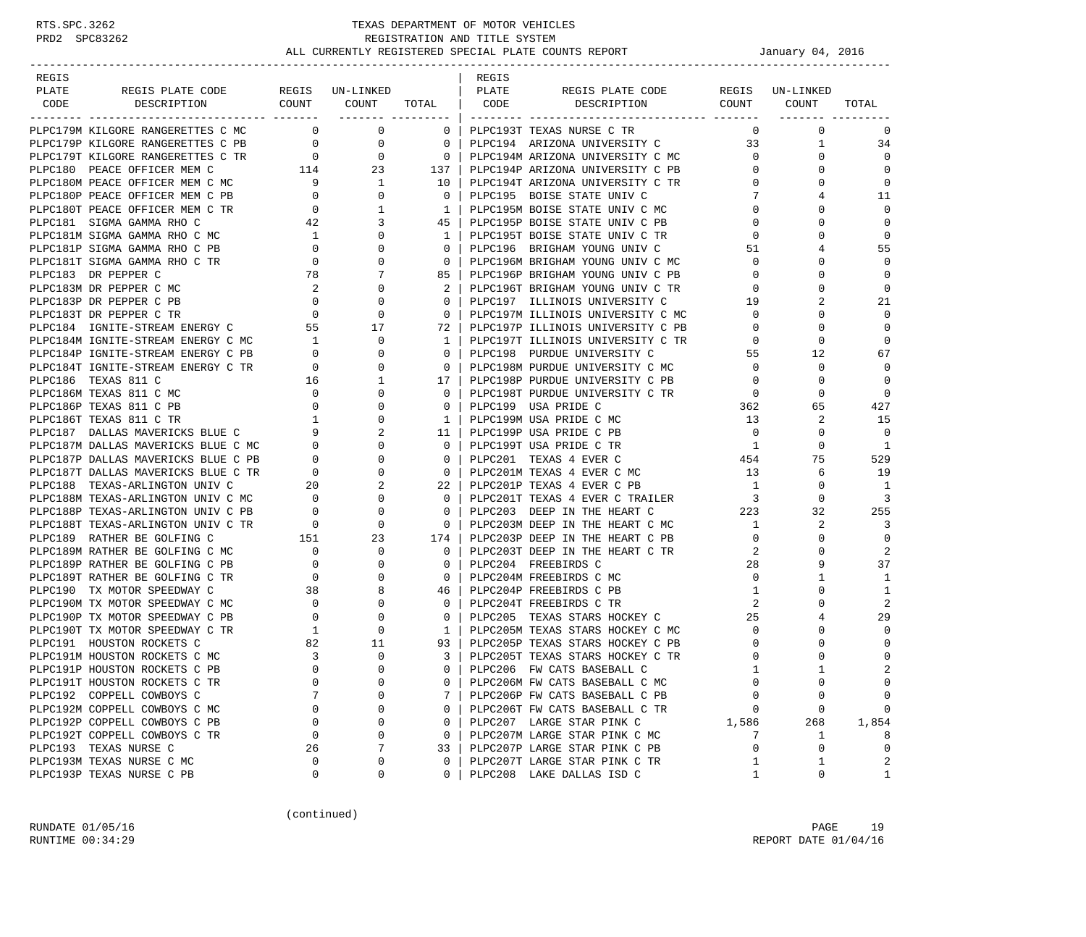| REGIS                   |                                                                                                                                                                                                  |                                             |                                                                                               |                                          | REGIS |                                      |                         |                 |                |
|-------------------------|--------------------------------------------------------------------------------------------------------------------------------------------------------------------------------------------------|---------------------------------------------|-----------------------------------------------------------------------------------------------|------------------------------------------|-------|--------------------------------------|-------------------------|-----------------|----------------|
| PLATE                   | REGIS PLATE CODE                                                                                                                                                                                 |                                             | REGIS UN-LINKED                                                                               |                                          | PLATE | REGIS PLATE CODE                     |                         | REGIS UN-LINKED |                |
| CODE                    | DESCRIPTION                                                                                                                                                                                      |                                             | COUNT COUNT TOTAL                                                                             |                                          | CODE  | DESCRIPTION COUNT COUNT              |                         |                 | TOTAL          |
|                         | PLPC179M KILGORE RANGERETTES C MC                                                                                                                                                                | $\sim$ 0                                    | ------- ---------<br>$\mathbf 0$                                                              | 0 <sup>1</sup>                           |       | PLPC193T TEXAS NURSE C TR            | $\mathbf{0}$            | $\Omega$        | $\mathbf 0$    |
|                         | PLPC179P KILGORE RANGERETTES C PB                                                                                                                                                                | $\overline{0}$                              | $\mathsf{O}$                                                                                  | $\begin{array}{ccc} & & 0 & \end{array}$ |       | PLPC194 ARIZONA UNIVERSITY C         | 33                      | $\mathbf{1}$    | 34             |
|                         | PLPC179T KILGORE RANGERETTES C TR                                                                                                                                                                |                                             |                                                                                               |                                          |       | 0   PLPC194M ARIZONA UNIVERSITY C MC | $\overline{0}$          | $\Omega$        | $\Omega$       |
|                         | PLPC180 PEACE OFFICER MEM C                                                                                                                                                                      |                                             | $\begin{array}{ccc} \text{TR} & \qquad & 0 & \qquad & 0 \\ & & 114 & \qquad & 23 \end{array}$ | 137                                      |       | PLPC194P ARIZONA UNIVERSITY C PB     | $\mathbf{0}$            | $\Omega$        | $\Omega$       |
|                         |                                                                                                                                                                                                  |                                             |                                                                                               | 10                                       |       | PLPC194T ARIZONA UNIVERSITY C TR     | $\mathbf{0}$            | $\Omega$        | $\mathbf 0$    |
|                         | PLPC180M PEACE OFFICER MEM C MC<br>PLPC180P PEACE OFFICER MEM C PB 0 0 0                                                                                                                         |                                             |                                                                                               | $\overline{0}$                           |       | PLPC195 BOISE STATE UNIV C           | 7                       |                 | 11             |
|                         | PLPC180T PEACE OFFICER MEM C TR                                                                                                                                                                  |                                             | $\mathbf{1}$                                                                                  | $\overline{1}$                           |       | PLPC195M BOISE STATE UNIV C MC       | $\mathbf{0}$            | 0               | $\mathbf 0$    |
|                         | PLPC181 SIGMA GAMMA RHO C                                                                                                                                                                        | $\begin{array}{c}0\\42\end{array}$          | 3                                                                                             |                                          |       | 45 PLPC195P BOISE STATE UNIV C PB    | $\mathbf{0}$            | 0               | $\Omega$       |
|                         | PLPC181M SIGMA GAMMA RHO C MC                                                                                                                                                                    | $\overline{1}$                              | $\mathbf{0}$                                                                                  | $\frac{1}{1}$                            |       | PLPC195T BOISE STATE UNIV C TR       | $\mathbf{0}$            | <sup>0</sup>    | $\Omega$       |
|                         | PLPC181P SIGMA GAMMA RHO C PB                                                                                                                                                                    | $\overline{0}$                              | 0                                                                                             | $\overline{0}$                           |       | PLPC196 BRIGHAM YOUNG UNIV C         | 51                      | 4               | 55             |
|                         | PLPC181T SIGMA GAMMA RHO C TR                                                                                                                                                                    | $\overline{0}$                              | $\Omega$                                                                                      | 0 <sup>1</sup>                           |       | PLPC196M BRIGHAM YOUNG UNIV C MC     | $\circ$                 | $\Omega$        | $\Omega$       |
| PLPC183 DR PEPPER C     |                                                                                                                                                                                                  | 78                                          | 7                                                                                             | 85                                       |       | PLPC196P BRIGHAM YOUNG UNIV C PB     | $\mathbf{0}$            | $\Omega$        | $\mathbf 0$    |
| PLPC183M DR PEPPER C MC |                                                                                                                                                                                                  |                                             | $\mathbf{0}$                                                                                  | 2 <sup>1</sup>                           |       | PLPC196T BRIGHAM YOUNG UNIV C TR     | $\mathbf 0$             | 0               | $\Omega$       |
| PLPC183P DR PEPPER C PB |                                                                                                                                                                                                  |                                             | $\begin{array}{c} 2 \\ 0 \end{array}$<br>$\mathbf{0}$                                         | $\Omega$                                 |       | PLPC197 ILLINOIS UNIVERSITY C        | 19                      |                 | 21             |
|                         |                                                                                                                                                                                                  |                                             |                                                                                               | $\mathbf{0}$                             |       | PLPC197M ILLINOIS UNIVERSITY C MC    | $\mathbf{0}$            | $\Omega$        | $\Omega$       |
|                         |                                                                                                                                                                                                  |                                             |                                                                                               | 72 l                                     |       | PLPC197P ILLINOIS UNIVERSITY C PB    | $\mathbf{0}$            | $\Omega$        | $\Omega$       |
|                         |                                                                                                                                                                                                  |                                             | $\mathbf{0}$                                                                                  | $\mathbf{1}$                             |       | PLPC197T ILLINOIS UNIVERSITY C TR    | $\mathbf{0}$            | $\mathbf 0$     | $\Omega$       |
|                         | PLPC184M IGNITE-STREAM ENERGY C MC 1<br>PLPC184P IGNITE-STREAM ENERGY C PB 0                                                                                                                     |                                             | 0                                                                                             | 0 <sup>1</sup>                           |       | PLPC198 PURDUE UNIVERSITY C          | 55                      | 12              | 67             |
|                         | PLPC184T IGNITE-STREAM ENERGY C TR                                                                                                                                                               | $\begin{array}{c} 0 \\ 0 \end{array}$       | $\Omega$                                                                                      | $\overline{0}$ $\overline{1}$            |       | PLPC198M PURDUE UNIVERSITY C MC      | $\overline{0}$          | 0               | $\Omega$       |
| PLPC186 TEXAS 811 C     |                                                                                                                                                                                                  | 16                                          | 1                                                                                             | 17 <sup>1</sup>                          |       | PLPC198P PURDUE UNIVERSITY C PB      | $\overline{0}$          | 0               | $\mathbf 0$    |
| PLPC186M TEXAS 811 C MC |                                                                                                                                                                                                  | $\overline{0}$                              | $\mathbf 0$                                                                                   | 0 <sup>1</sup>                           |       | PLPC198T PURDUE UNIVERSITY C TR      | $\overline{\mathbf{0}}$ | $\Omega$        | $\overline{0}$ |
| PLPC186P TEXAS 811 C PB |                                                                                                                                                                                                  |                                             | $\mathbf 0$                                                                                   | $\overline{0}$                           |       | PLPC199 USA PRIDE C                  |                         | 65              | 427            |
| PLPC186T TEXAS 811 C TR |                                                                                                                                                                                                  |                                             | $\mathbf{0}$                                                                                  |                                          |       | 1   PLPC199M USA PRIDE C MC          | 362<br>13               | 2               | 15             |
|                         | PLPC187 DALLAS MAVERICKS BLUE C                                                                                                                                                                  | $\begin{bmatrix} 0 \\ 1 \\ 9 \end{bmatrix}$ | 2                                                                                             | 11 <sup>1</sup>                          |       | PLPC199P USA PRIDE C PB              | $\overline{0}$          | 0               | $\Omega$       |
|                         | PLPC187 DALLAS MAVERICKS BLUE C MC<br>PLPC187M DALLAS MAVERICKS BLUE C MC<br>------- "AVERICKS BLUE C PB                                                                                         |                                             | $\mathbf{0}$                                                                                  | 0 <sup>1</sup>                           |       | PLPC199T USA PRIDE C TR              | $\overline{1}$          | 0               | -1             |
|                         |                                                                                                                                                                                                  |                                             | $\begin{matrix}0\\0\end{matrix}$<br>$\Omega$                                                  | $\circ$ 1                                |       | PLPC201 TEXAS 4 EVER C               | 454                     | 75              | 529            |
|                         | PLPC187T DALLAS MAVERICKS BLUE C TR                                                                                                                                                              |                                             | $\mathbf 0$                                                                                   | $\overline{0}$                           |       | PLPC201M TEXAS 4 EVER C MC           | 13                      | 6               | 19             |
|                         |                                                                                                                                                                                                  | $\overline{0}$                              | 2                                                                                             | $22 \perp$                               |       | PLPC201P TEXAS 4 EVER C PB           | $\overline{1}$          | $\Omega$        | -1             |
|                         | PLPC188 TEXAS-ARLINGTON UNIV C<br>PLPC188M TEXAS-ARLINGTON UNIV C MC<br>PLPC188P TEXAS-ARLINGTON UNIV C PB<br>PLPC188T TEXAS-ARLINGTON UNIV C TR<br>0<br>PLPC188T TEXAS-ARLINGTON UNIV C TR<br>0 |                                             | $\mathbf{0}$                                                                                  | $\Omega$                                 |       | PLPC201T TEXAS 4 EVER C TRAILER 3    |                         | $\Omega$        | $\overline{3}$ |
|                         |                                                                                                                                                                                                  |                                             | 0                                                                                             | $\circ$                                  |       | PLPC203 DEEP IN THE HEART C          | 223                     | 32              | 255            |
|                         |                                                                                                                                                                                                  |                                             | $\overline{0}$                                                                                | $\overline{0}$                           |       | PLPC203M DEEP IN THE HEART C MC      | $\overline{1}$          | 2               | 3              |
|                         |                                                                                                                                                                                                  |                                             | 23                                                                                            | 174                                      |       | PLPC203P DEEP IN THE HEART C PB      | $\overline{0}$          | 0               | $\mathbf 0$    |
|                         | PLPC189 RATHER BE GOLFING C MC 0<br>PLPC189M RATHER BE GOLFING C MC 0<br>PLPC189P RATHER BE GOLFING C PB 0                                                                                       |                                             | $\mathbf{0}$                                                                                  | $\overline{0}$                           |       | PLPC203T DEEP IN THE HEART C TR      | 2                       | 0               | 2              |
|                         |                                                                                                                                                                                                  |                                             | $\mathbf{0}$                                                                                  | $\Omega$                                 |       | PLPC204 FREEBIRDS C                  | 28                      | 9               | 37             |
|                         | PLPC189T RATHER BE GOLFING C TR                                                                                                                                                                  |                                             | $\mathbf{0}$                                                                                  | 0 <sup>1</sup>                           |       | PLPC204M FREEBIRDS C MC              | $\overline{0}$          | 1               | 1              |
|                         | PLPC190 TX MOTOR SPEEDWAY C                                                                                                                                                                      | $\begin{array}{c}0\\38\end{array}$          | 8                                                                                             |                                          |       | 46   PLPC204P FREEBIRDS C PB         | 1                       | $\Omega$        | 1              |
|                         | PLPC190M TX MOTOR SPEEDWAY C MC                                                                                                                                                                  |                                             | $\mathbf{0}$                                                                                  | $\overline{0}$                           |       | PLPC204T FREEBIRDS C TR              | 2                       | $\Omega$        | 2              |
|                         | PLPC190P TX MOTOR SPEEDWAY C PB                                                                                                                                                                  | $\begin{array}{c} 0 \\ 0 \end{array}$       | 0                                                                                             | $\overline{0}$                           |       | PLPC205 TEXAS STARS HOCKEY C         | 25                      |                 | 29             |
|                         | PLPC190T TX MOTOR SPEEDWAY C TR                                                                                                                                                                  | $\overline{1}$                              | $\overline{0}$                                                                                | $\frac{1}{2}$                            |       | PLPC205M TEXAS STARS HOCKEY C MC     | $\mathbf{0}$            | 0               | $\Omega$       |
|                         | PLPC191 HOUSTON ROCKETS C                                                                                                                                                                        | 82                                          | 11                                                                                            | 93                                       |       | PLPC205P TEXAS STARS HOCKEY C PB     | $\mathbf 0$             | $\mathbf 0$     | 0              |
|                         | PLPC191M HOUSTON ROCKETS C MC                                                                                                                                                                    | $\overline{3}$                              | $\mathbf 0$                                                                                   | 3 I                                      |       | PLPC205T TEXAS STARS HOCKEY C TR     | $\mathbf 0$             | $\Omega$        | $\mathbf 0$    |
|                         | PLPC191P HOUSTON ROCKETS C PB                                                                                                                                                                    | $\Omega$                                    | $\Omega$                                                                                      | $\Omega$                                 |       | PLPC206 FW CATS BASEBALL C           | $\mathbf{1}$            | $\overline{1}$  | $\overline{2}$ |
|                         | PLPC191T HOUSTON ROCKETS C TR                                                                                                                                                                    | 0                                           | 0                                                                                             | 0                                        |       | PLPC206M FW CATS BASEBALL C MC       | $\mathbf 0$             | 0               | 0              |
|                         | PLPC192 COPPELL COWBOYS C                                                                                                                                                                        |                                             | 0                                                                                             | 7                                        |       | PLPC206P FW CATS BASEBALL C PB       | $\Omega$                | 0               | 0              |
|                         | PLPC192M COPPELL COWBOYS C MC                                                                                                                                                                    | 0                                           | 0                                                                                             | $\mathbf{0}$                             |       | PLPC206T FW CATS BASEBALL C TR       | 0                       | 0               | $\mathbf 0$    |
|                         | PLPC192P COPPELL COWBOYS C PB                                                                                                                                                                    | $\Omega$                                    | $\mathbf 0$                                                                                   | $\mathbf{0}$                             |       | PLPC207 LARGE STAR PINK C            | 1,586                   | 268             | 1,854          |
|                         | PLPC192T COPPELL COWBOYS C TR                                                                                                                                                                    | $\mathbf 0$                                 | 0                                                                                             | $\mathbf{0}$                             |       | PLPC207M LARGE STAR PINK C MC        | 7                       | 1               | 8              |
| PLPC193 TEXAS NURSE C   |                                                                                                                                                                                                  | 26                                          | 7                                                                                             | 33                                       |       | PLPC207P LARGE STAR PINK C PB        | $\mathbf 0$             | 0               | $\mathbf 0$    |
|                         | PLPC193M TEXAS NURSE C MC                                                                                                                                                                        | 0                                           | 0                                                                                             | $\Omega$                                 |       | PLPC207T LARGE STAR PINK C TR        | 1                       | 1               | 2              |
|                         | PLPC193P TEXAS NURSE C PB                                                                                                                                                                        | 0                                           | 0                                                                                             | $\mathbf{0}$                             |       | PLPC208 LAKE DALLAS ISD C            | 1                       | 0               | $\mathbf{1}$   |

(continued)

RUNDATE 01/05/16 PAGE 19 RUNTIME  $00:34:29$  REPORT DATE  $01/04/16$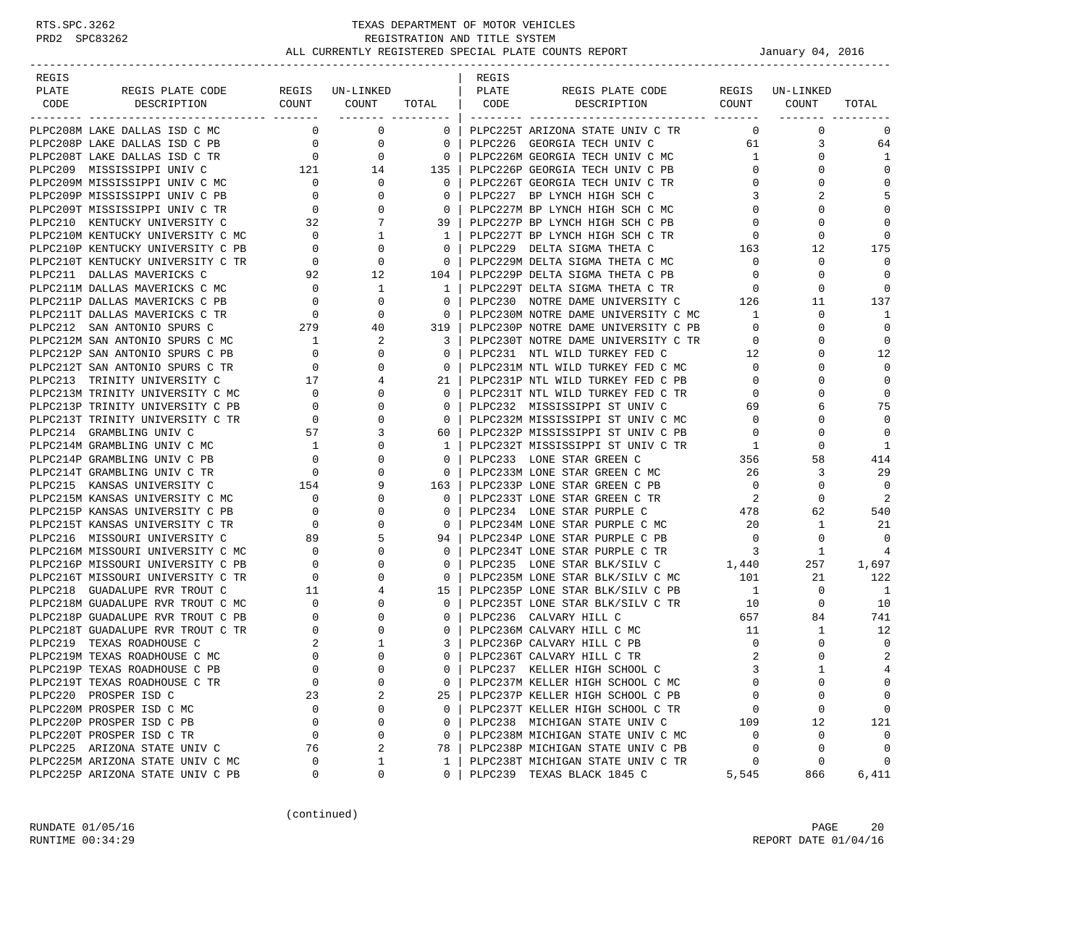| REGIS |                                   |                                                                    |                                                    |                                      | REGIS |                                                                                                             |                                                               |                 |                |
|-------|-----------------------------------|--------------------------------------------------------------------|----------------------------------------------------|--------------------------------------|-------|-------------------------------------------------------------------------------------------------------------|---------------------------------------------------------------|-----------------|----------------|
| PLATE | REGIS PLATE CODE                  |                                                                    | REGIS UN-LINKED                                    |                                      | PLATE | REGIS PLATE CODE                                                                                            |                                                               | REGIS UN-LINKED |                |
| CODE  | DESCRIPTION                       |                                                                    | COUNT COUNT                                        | TOTAL   CODE                         |       | DESCRIPTION COUNT COUNT                                                                                     |                                                               |                 | TOTAL          |
|       | PLPC208M LAKE DALLAS ISD C MC     |                                                                    | ------- ---------<br>$\overline{0}$<br>$\mathbf 0$ | 0 <sup>1</sup>                       |       | PLPC225T ARIZONA STATE UNIV C TR                                                                            | $\mathbf{0}$                                                  | $\mathbf 0$     | $\mathbf 0$    |
|       | PLPC208P LAKE DALLAS ISD C PB     | $\overline{0}$                                                     | $\overline{0}$                                     | $\circ$                              |       | PLPC226 GEORGIA TECH UNIV C                                                                                 | 61                                                            | 3               | 64             |
|       | PLPC208T LAKE DALLAS ISD C TR     | $\overline{0}$                                                     | $\mathbf{0}$                                       | $\overline{0}$                       |       | PLPC226M GEORGIA TECH UNIV C MC                                                                             | 1                                                             | 0               | 1              |
|       | PLPC209 MISSISSIPPI UNIV C        |                                                                    | TR 0 0<br>121 14                                   | $\begin{array}{c c} 135 \end{array}$ |       | PLPC226P GEORGIA TECH UNIV C PB                                                                             | $\overline{0}$                                                | $\Omega$        | $\Omega$       |
|       | PLPC209M MISSISSIPPI UNIV C MC    | $\overline{0}$                                                     | $\mathbf{0}$                                       | $\overline{0}$                       |       | PLPC226T GEORGIA TECH UNIV C TR                                                                             | $\mathbf 0$                                                   | $\Omega$        | $\mathbf 0$    |
|       | PLPC209P MISSISSIPPI UNIV C PB    | $\overline{0}$                                                     | $\mathbf{0}$                                       | $\circ$                              |       | PLPC227 BP LYNCH HIGH SCH C                                                                                 | 3                                                             |                 | 5              |
|       | PLPC209T MISSISSIPPI UNIV C TR    | $\overline{0}$                                                     | $\mathbf{0}$                                       | $\overline{0}$                       |       | PLPC227M BP LYNCH HIGH SCH C MC                                                                             | $\mathbf{0}$                                                  | 0               | $\mathbf 0$    |
|       | PLPC210 KENTUCKY UNIVERSITY C     | 32                                                                 | 7                                                  | 39 I                                 |       | PLPC227P BP LYNCH HIGH SCH C PB                                                                             | $\mathbf 0$                                                   | U               | $\Omega$       |
|       | PLPC210M KENTUCKY UNIVERSITY C MC | $\overline{0}$                                                     | $\mathbf{1}$                                       | $\mathbf{1}$                         |       | PLPC227T BP LYNCH HIGH SCH C TR                                                                             | $\overline{0}$                                                | $\Omega$        | $\Omega$       |
|       | PLPC210P KENTUCKY UNIVERSITY C PB |                                                                    | $\mathbf 0$                                        | $\overline{0}$                       |       | PLPC229 DELTA SIGMA THETA C                                                                                 | 163                                                           | 12              | 175            |
|       | PLPC210T KENTUCKY UNIVERSITY C TR | $\begin{array}{c}\n0 \\ 1\n\end{array}$<br>$\overline{\mathbf{0}}$ | $\mathbf{0}$                                       | $\overline{\mathbf{0}}$              |       | PLPC229M DELTA SIGMA THETA C MC                                                                             | $\overline{0}$                                                | 0               | $\Omega$       |
|       | PLPC211 DALLAS MAVERICKS C        |                                                                    | 92 12                                              | 104                                  |       | PLPC229P DELTA SIGMA THETA C PB                                                                             | $\mathbf{0}$                                                  | 0               | $\Omega$       |
|       | PLPC211M DALLAS MAVERICKS C MC    | $\overline{0}$                                                     | $\mathbf{1}$                                       | $\mathbf{1}$                         |       | PLPC229T DELTA SIGMA THETA C TR                                                                             | $\overline{0}$                                                | 0               | $\Omega$       |
|       | PLPC211P DALLAS MAVERICKS C PB    | $\overline{0}$                                                     | $\mathbf{0}$                                       | $\Omega$                             |       | PLPC230 NOTRE DAME UNIVERSITY C                                                                             | 126                                                           | 11              | 137            |
|       | PLPC211T DALLAS MAVERICKS C TR    |                                                                    | $\mathbf{0}$                                       | $\overline{0}$                       |       | PLPC230M NOTRE DAME UNIVERSITY C MC                                                                         | $\overline{1}$                                                | 0               | 1              |
|       | PLPC212 SAN ANTONIO SPURS C       | $\begin{array}{c}0\\279\end{array}$                                | 40                                                 | 319                                  |       | PLPC230P NOTRE DAME UNIVERSITY C PB                                                                         | $\overline{0}$                                                | $\Omega$        | $\overline{0}$ |
|       | PLPC212M SAN ANTONIO SPURS C MC   |                                                                    | 2                                                  | 3                                    |       | PLPC230T NOTRE DAME UNIVERSITY C TR                                                                         | $\overline{0}$                                                | $\Omega$        | 0              |
|       | PLPC212P SAN ANTONIO SPURS C PB   | $\overline{1}$<br>$\overline{0}$                                   | 0                                                  | $\mathbf{0}$                         |       | PLPC231 NTL WILD TURKEY FED C                                                                               | 12                                                            | 0               | 12             |
|       | PLPC212T SAN ANTONIO SPURS C TR   | $\overline{0}$                                                     | $\Omega$                                           | $\Omega$                             |       |                                                                                                             | $\overline{0}$                                                | 0               | $\Omega$       |
|       | PLPC213 TRINITY UNIVERSITY C      |                                                                    | 4                                                  | 21                                   |       | PLPC231M NTL WILD TURKEY FED C MC<br>PLPC231M NTL WILD TURKEY FED C MC<br>PLPC231P NTL WILD TURKEY FED C PB | $\mathbf{0}$                                                  | 0               | 0              |
|       | PLPC213M TRINITY UNIVERSITY C MC  | 17<br>$\overline{\phantom{0}}$                                     | $\Omega$                                           | $\Omega$                             |       | PLPC231T NTL WILD TURKEY FED C TR                                                                           | $\mathbf{0}$                                                  |                 | 0              |
|       | PLPC213P TRINITY UNIVERSITY C PB  | $\overline{0}$                                                     | 0                                                  | $\overline{0}$                       |       | PLPC232 MISSISSIPPI ST UNIV C                                                                               | 69                                                            | 6               | 75             |
|       | PLPC213T TRINITY UNIVERSITY C TR  | $\overline{0}$                                                     | 0                                                  | $\mathbf{0}$                         |       | PLPC232M MISSISSIPPI ST UNIV C MC                                                                           | $\overline{0}$                                                | 0               | $\Omega$       |
|       | PLPC214 GRAMBLING UNIV C          | 57                                                                 | 3                                                  | 60 I                                 |       | PLPC232P MISSISSIPPI ST UNIV C PB                                                                           | $\overline{0}$                                                | 0               | $\Omega$       |
|       | PLPC214M GRAMBLING UNIV C MC      | $\overline{\mathbf{1}}$                                            | $\mathbf{0}$                                       | 1                                    |       | PLPC232T MISSISSIPPI ST UNIV C TR                                                                           |                                                               | 0               | 1              |
|       | PLPC214P GRAMBLING UNIV C PB      | $\overline{0}$                                                     | $\Omega$                                           | $\Omega$                             |       | PLPC233 LONE STAR GREEN C                                                                                   | $\begin{array}{ccc}\n\text{TR} & & 1 \\ & & 356\n\end{array}$ | 58              | 414            |
|       | PLPC214T GRAMBLING UNIV C TR      |                                                                    | 0                                                  | $\overline{0}$                       |       | PLPC233M LONE STAR GREEN C MC                                                                               | 26                                                            | 3               | 29             |
|       | PLPC215 KANSAS UNIVERSITY C       | $\begin{array}{c}0\\154\end{array}$                                | 9                                                  | 163                                  |       | PLPC233P LONE STAR GREEN C PB                                                                               | $\overline{0}$                                                | $\Omega$        | $\Omega$       |
|       | PLPC215M KANSAS UNIVERSITY C MC   | $\overline{0}$                                                     | 0                                                  | $\Omega$                             |       | PLPC233T LONE STAR GREEN C TR                                                                               | $\overline{\phantom{a}}^2$                                    | $\Omega$        | 2              |
|       | PLPC215P KANSAS UNIVERSITY C PB   | $\overline{0}$                                                     | $\mathbf{0}$                                       | $\mathbf{0}$                         |       | PLPC234 LONE STAR PURPLE C                                                                                  | 478                                                           | 62              | 540            |
|       | PLPC215T KANSAS UNIVERSITY C TR   | $\overline{\mathbf{0}}$                                            | $\Omega$                                           | $\overline{0}$                       |       | PLPC234M LONE STAR PURPLE C MC                                                                              | 20                                                            | 1               | 21             |
|       | PLPC216 MISSOURI UNIVERSITY C     | 89                                                                 | 5                                                  | 94                                   |       | PLPC234P LONE STAR PURPLE C PB                                                                              | $\overline{0}$                                                | 0               | $\Omega$       |
|       | PLPC216M MISSOURI UNIVERSITY C MC |                                                                    | 0                                                  | $\mathbf{0}$                         |       | PLPC234T LONE STAR PURPLE C TR                                                                              | $\overline{\mathbf{3}}$                                       | 1               | 4              |
|       | PLPC216P MISSOURI UNIVERSITY C PB | $\begin{array}{c} 0 \\ 0 \end{array}$                              | $\Omega$                                           | $\Omega$                             |       | PLPC235 LONE STAR BLK/SILV C 1,440                                                                          |                                                               | 257             | 1,697          |
|       | PLPC216T MISSOURI UNIVERSITY C TR |                                                                    | 0                                                  | $\overline{0}$                       |       |                                                                                                             |                                                               | 21              | 122            |
|       | PLPC218 GUADALUPE RVR TROUT C     | $\begin{array}{c} 0 \\ 11 \end{array}$                             | 4                                                  | 15                                   |       | PLPC235M LONE STAR BLK/SILV C MC 101<br>PLPC235P LONE STAR BLK/SILV C PB 1                                  |                                                               | $\overline{0}$  | $\overline{1}$ |
|       | PLPC218M GUADALUPE RVR TROUT C MC | $\overline{0}$                                                     | 0                                                  | $\overline{0}$                       |       | PLPC235T LONE STAR BLK/SILV C TR                                                                            | 10                                                            | $\mathbf{0}$    | 10             |
|       | PLPC218P GUADALUPE RVR TROUT C PB | $\overline{0}$                                                     | 0                                                  | $\mathbf{0}$                         |       | PLPC236 CALVARY HILL C                                                                                      | 657                                                           | 84              | 741            |
|       | PLPC218T GUADALUPE RVR TROUT C TR | $\overline{0}$                                                     | $\Omega$                                           | $\Omega$                             |       | PLPC236M CALVARY HILL C MC                                                                                  | 11                                                            | $\mathbf{1}$    | 12             |
|       | PLPC219 TEXAS ROADHOUSE C         | 2                                                                  | 1                                                  | 3                                    |       | PLPC236P CALVARY HILL C PB                                                                                  | $\overline{0}$                                                | 0               | $\mathbf 0$    |
|       | PLPC219M TEXAS ROADHOUSE C MC     | $\mathbf{0}$                                                       | $\Omega$                                           | $\Omega$                             |       | PLPC236T CALVARY HILL C TR                                                                                  | 2                                                             | $\Omega$        | 2              |
|       | PLPC219P TEXAS ROADHOUSE C PB     | $\Omega$                                                           | $\Omega$                                           | $\Omega$                             |       | PLPC237 KELLER HIGH SCHOOL C                                                                                |                                                               | $\mathbf{1}$    | $\overline{4}$ |
|       | PLPC219T TEXAS ROADHOUSE C TR     | 0                                                                  | 0                                                  | 0                                    |       | PLPC237M KELLER HIGH SCHOOL C MC                                                                            | $\mathbf 0$                                                   | 0               | 0              |
|       | PLPC220 PROSPER ISD C             | 23                                                                 | 2                                                  | 25                                   |       | PLPC237P KELLER HIGH SCHOOL C PB                                                                            | $\mathbf 0$                                                   | 0               | 0              |
|       | PLPC220M PROSPER ISD C MC         | 0                                                                  | 0                                                  | $\mathbf{0}$                         |       | PLPC237T KELLER HIGH SCHOOL C TR                                                                            | 0                                                             | 0               | 0              |
|       | PLPC220P PROSPER ISD C PB         | $\mathbf 0$                                                        | $\mathbf 0$                                        | $\mathbf{0}$                         |       | PLPC238 MICHIGAN STATE UNIV C                                                                               | 109                                                           | 12              | 121            |
|       | PLPC220T PROSPER ISD C TR         | $\mathbf 0$                                                        | 0                                                  | $\mathbf{0}$                         |       | PLPC238M MICHIGAN STATE UNIV C MC                                                                           | $\mathbf 0$                                                   | $\mathbf 0$     | $\mathbf 0$    |
|       | PLPC225 ARIZONA STATE UNIV C      | 76                                                                 | 2                                                  | 78                                   |       | PLPC238P MICHIGAN STATE UNIV C PB                                                                           | $\mathbf 0$                                                   | 0               | $\mathbf 0$    |
|       | PLPC225M ARIZONA STATE UNIV C MC  | 0                                                                  | 1                                                  | $\mathbf{1}$                         |       | PLPC238T MICHIGAN STATE UNIV C TR                                                                           | 0                                                             | 0               | $\Omega$       |
|       | PLPC225P ARIZONA STATE UNIV C PB  | 0                                                                  | 0                                                  | $\Omega$                             |       | PLPC239 TEXAS BLACK 1845 C                                                                                  | 5,545                                                         | 866             | 6,411          |

(continued)

RUNDATE 01/05/16 PAGE 20 RUNTIME  $00:34:29$  REPORT DATE  $01/04/16$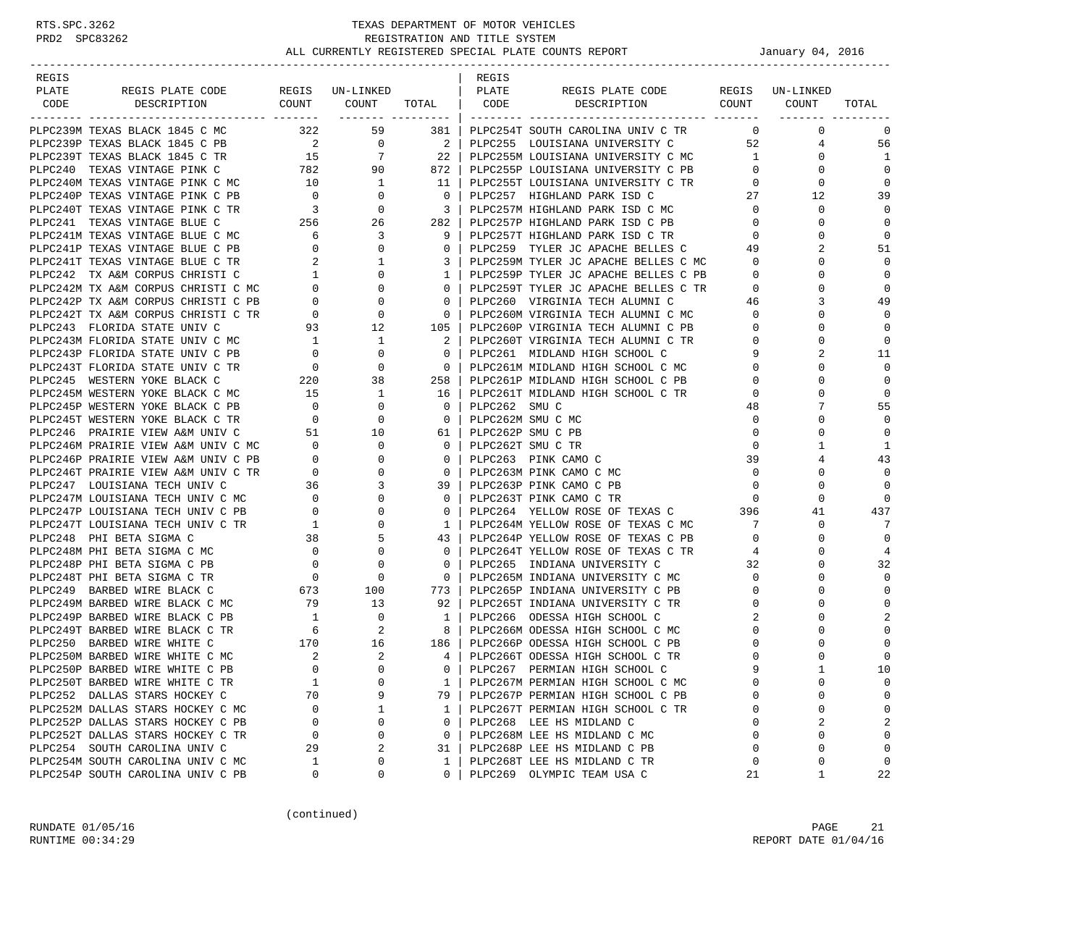| REGIS |                                                                                                                                                                                                                                                |                                            |                                                                                                |                                                     | REGIS                  |                                                                                                                                                                                                                                                           |                   |                                          |                |
|-------|------------------------------------------------------------------------------------------------------------------------------------------------------------------------------------------------------------------------------------------------|--------------------------------------------|------------------------------------------------------------------------------------------------|-----------------------------------------------------|------------------------|-----------------------------------------------------------------------------------------------------------------------------------------------------------------------------------------------------------------------------------------------------------|-------------------|------------------------------------------|----------------|
| PLATE | REGIS PLATE CODE                                                                                                                                                                                                                               |                                            | REGIS UN-LINKED   PLATE                                                                        |                                                     |                        | REGIS PLATE CODE REGIS UN-LINKED<br>DESCRIPTION COUNT COUNT TOTAL CODE DESCRIPTION COUNT COUNT                                                                                                                                                            |                   |                                          |                |
| CODE  |                                                                                                                                                                                                                                                |                                            |                                                                                                |                                                     |                        |                                                                                                                                                                                                                                                           |                   |                                          | TOTAL          |
|       | PLPC239M TEXAS BLACK 1845 C MC 322 59                                                                                                                                                                                                          |                                            |                                                                                                |                                                     |                        | 381   PLPC254T SOUTH CAROLINA UNIV C TR                                                                                                                                                                                                                   |                   | $\overline{0}$<br>$\mathbf{0}$           | $\mathbf 0$    |
|       |                                                                                                                                                                                                                                                |                                            |                                                                                                |                                                     |                        | PLPC239P TEXAS BLACK 1845 C PB<br>PLPC239T TEXAS BLACK 1845 C TR<br>PLPC240 TEXAS BLACK 1845 C TR<br>PLPC240 TEXAS VINTAGE PINK C 782<br>22 PLPC255P LOUISIANA UNIVERSITY C MC<br>32 PLPC255P LOUISIANA UNIVERSITY C PB<br>PLPC255 LOUISIANA UNIVERSITY C |                   | 52 and $\overline{52}$<br>$\overline{4}$ | 56             |
|       |                                                                                                                                                                                                                                                |                                            |                                                                                                |                                                     |                        |                                                                                                                                                                                                                                                           | 1                 | $\mathbf{0}$                             | 1              |
|       |                                                                                                                                                                                                                                                |                                            |                                                                                                |                                                     |                        |                                                                                                                                                                                                                                                           | $\mathbf{0}$      | 0                                        | $\Omega$       |
|       | PLPC240 TEXAS VINTAGE PINK C 782 90<br>PLPC240M TEXAS VINTAGE PINK C MC 10 1<br>PLPC240P TEXAS VINTAGE PINK C PB 0 0<br>PLPC240T TEXAS VINTAGE PINK C TR 3 0<br>PLPC241 TEXAS VINTAGE BLUE C 256 26<br>PLPC241M TEXAS VINTAGE BLUE C MC        |                                            |                                                                                                |                                                     |                        | 11   PLPC255T LOUISIANA UNIVERSITY C TR<br>0   DLPC255T LOUISIANA UNIVERSITY C TR                                                                                                                                                                         | $0 \qquad \qquad$ | 0                                        | $\mathbf 0$    |
|       |                                                                                                                                                                                                                                                |                                            |                                                                                                |                                                     |                        |                                                                                                                                                                                                                                                           | 27                | 12                                       | 39             |
|       |                                                                                                                                                                                                                                                |                                            |                                                                                                | $\begin{array}{c c} \hline \end{array}$ 3           |                        | PLPC257M HIGHLAND PARK ISD C MC                                                                                                                                                                                                                           | $\overline{0}$    | 0                                        | $\Omega$       |
|       |                                                                                                                                                                                                                                                |                                            |                                                                                                |                                                     |                        | 282   PLPC257P HIGHLAND PARK ISD C PB                                                                                                                                                                                                                     | $\mathbf{0}$      | $\Omega$                                 | $\Omega$       |
|       |                                                                                                                                                                                                                                                |                                            |                                                                                                | 9 <sup>1</sup>                                      |                        | PLPC257T HIGHLAND PARK ISD C TR                                                                                                                                                                                                                           | $\mathbf{0}$      | $\Omega$                                 | $\Omega$       |
|       |                                                                                                                                                                                                                                                |                                            |                                                                                                | $\mathbf{0}$                                        |                        | PLPC259 TYLER JC APACHE BELLES C                                                                                                                                                                                                                          | 49                |                                          | 51             |
|       |                                                                                                                                                                                                                                                |                                            |                                                                                                | $\overline{\phantom{a}3}$                           |                        | PLPC259M TYLER JC APACHE BELLES C MC                                                                                                                                                                                                                      | $\Omega$          | $\Omega$                                 | $\mathbf 0$    |
|       |                                                                                                                                                                                                                                                |                                            |                                                                                                | $1\quad$                                            |                        | PLPC259P TYLER JC APACHE BELLES C PB                                                                                                                                                                                                                      | $\overline{0}$    | $\Omega$                                 | $\mathbf 0$    |
|       |                                                                                                                                                                                                                                                |                                            |                                                                                                |                                                     |                        | 0   PLPC259T TYLER JC APACHE BELLES C TR                                                                                                                                                                                                                  | $\overline{0}$    | $\Omega$                                 | $\Omega$       |
|       |                                                                                                                                                                                                                                                |                                            |                                                                                                | $\overline{\phantom{0}}$ 0 $\overline{\phantom{0}}$ |                        | PLPC260 VIRGINIA TECH ALUMNI C                                                                                                                                                                                                                            | 46                | 3                                        | 49             |
|       |                                                                                                                                                                                                                                                |                                            |                                                                                                | $\overline{0}$                                      |                        |                                                                                                                                                                                                                                                           | $\overline{0}$    | $\Omega$                                 | $\Omega$       |
|       |                                                                                                                                                                                                                                                |                                            |                                                                                                | 105                                                 |                        | PLPC260M VIRGINIA TECH ALUMNI C MC<br>PLPC260P VIRGINIA TECH ALUMNI C PB                                                                                                                                                                                  | $\mathbf{0}$      | $\Omega$                                 | $\mathbf 0$    |
|       | PLPC243M FLORIDA STATE UNIV C MC                                                                                                                                                                                                               |                                            | $\overline{1}$                                                                                 | 2                                                   |                        | PLPC260T VIRGINIA TECH ALUMNI C TR                                                                                                                                                                                                                        | $\mathbf{0}$      | $\Omega$                                 | $\mathbf 0$    |
|       | PLPC243P FLORIDA STATE UNIV C PB                                                                                                                                                                                                               | $\begin{array}{c} 1 \\ 0 \end{array}$      | 0                                                                                              | $\overline{0}$                                      |                        | PLPC261 MIDLAND HIGH SCHOOL C                                                                                                                                                                                                                             | 9                 |                                          | 11             |
|       | PLPC243T FLORIDA STATE UNIV C TR                                                                                                                                                                                                               |                                            | 0                                                                                              | $\overline{0}$                                      |                        | PLPC261M MIDLAND HIGH SCHOOL C MC                                                                                                                                                                                                                         | $\Omega$          | $\Omega$                                 | $\Omega$       |
|       | PLPC245 WESTERN YOKE BLACK C                                                                                                                                                                                                                   |                                            | 38                                                                                             | 258                                                 |                        | PLPC261P MIDLAND HIGH SCHOOL C PB                                                                                                                                                                                                                         | 0                 | 0                                        | $\mathbf 0$    |
|       | PLPC245M WESTERN YOKE BLACK C MC                                                                                                                                                                                                               | $\begin{array}{c}0\\0\\220\\15\end{array}$ | $\overline{1}$                                                                                 | 16 l                                                |                        | PLPC261T MIDLAND HIGH SCHOOL C TR                                                                                                                                                                                                                         | 0                 | $\Omega$                                 | $\mathbf 0$    |
|       | PLPC245P WESTERN YOKE BLACK C PB                                                                                                                                                                                                               | $\begin{array}{c} 0 \\ 0 \end{array}$      | $\mathbf{0}$                                                                                   | $\overline{0}$                                      | PLPC262 SMUC           |                                                                                                                                                                                                                                                           | 48                | 7                                        | 55             |
|       | PLPC245T WESTERN YOKE BLACK C TR                                                                                                                                                                                                               |                                            | 0                                                                                              | $\overline{\mathbf{0}}$                             | PLPC262M SMU C MC      |                                                                                                                                                                                                                                                           | $\mathbf 0$       | $\Omega$                                 | $\Omega$       |
|       | PLPC246 PRAIRIE VIEW A&M UNIV C                                                                                                                                                                                                                |                                            | $51$ 10                                                                                        |                                                     | 61   PLPC262P SMU C PB |                                                                                                                                                                                                                                                           | $\mathbf 0$       | $\Omega$                                 | $\Omega$       |
|       | PIPC246M PRAIRIE VIEW A&M UNIV C MC<br>PIPC246P PRAIRIE VIEW A&M UNIV C PB<br>0<br>PIPC246T PRAIRIE VIEW A&M UNIV C TR<br>0<br>PIPC247 LOUISIANA TECH UNIV C MC<br>PIPC247M LOUISIANA TECH UNIV C PB<br>0<br>PIPC247T LOUISIANA TECH UNIV C TR |                                            | $\overline{0}$                                                                                 |                                                     | 0   PLPC262T SMU C TR  |                                                                                                                                                                                                                                                           | $\mathbf 0$       | 1                                        | 1              |
|       |                                                                                                                                                                                                                                                |                                            | $\mathbf{0}$                                                                                   | $\overline{0}$                                      |                        | PLPC263 PINK CAMO C                                                                                                                                                                                                                                       | 39                | 4                                        | 43             |
|       |                                                                                                                                                                                                                                                |                                            | $\mathbf{0}$                                                                                   | $\overline{0}$                                      |                        | PLPC263M PINK CAMO C MC                                                                                                                                                                                                                                   | $\overline{0}$    | $\Omega$                                 | $\mathbf 0$    |
|       |                                                                                                                                                                                                                                                |                                            | $\mathbf{3}$                                                                                   |                                                     |                        | 39   PLPC263P PINK CAMO C PB                                                                                                                                                                                                                              | $\mathbf 0$       | $\Omega$                                 | $\Omega$       |
|       |                                                                                                                                                                                                                                                |                                            | $\mathbf{0}$                                                                                   | $\overline{0}$                                      |                        | PLPC263T PINK CAMO C TR                                                                                                                                                                                                                                   | $\Omega$          | $\Omega$                                 | $\Omega$       |
|       |                                                                                                                                                                                                                                                |                                            | $\mathbf 0$                                                                                    | $\mathbf{0}$                                        |                        | PLPC264 YELLOW ROSE OF TEXAS C<br>296                                                                                                                                                                                                                     |                   | 41                                       | 437            |
|       |                                                                                                                                                                                                                                                |                                            | $\mathbf{0}$                                                                                   | $1 \quad$                                           |                        | PLPC264M YELLOW ROSE OF TEXAS C MC                                                                                                                                                                                                                        | 7                 | 0                                        | -7             |
|       |                                                                                                                                                                                                                                                |                                            | 5                                                                                              | 43                                                  |                        | PLPC264P YELLOW ROSE OF TEXAS C PB                                                                                                                                                                                                                        | $\Omega$          | $\Omega$                                 | $\Omega$       |
|       |                                                                                                                                                                                                                                                |                                            | $\mathbf{0}$                                                                                   | 0 <sup>1</sup>                                      |                        | PLPC264T YELLOW ROSE OF TEXAS C TR                                                                                                                                                                                                                        | 4                 | $\Omega$                                 | $\overline{4}$ |
|       |                                                                                                                                                                                                                                                |                                            | 0                                                                                              | $\overline{0}$                                      |                        | PLPC265 INDIANA UNIVERSITY C                                                                                                                                                                                                                              | 32                | $\Omega$                                 | 32             |
|       |                                                                                                                                                                                                                                                |                                            | $\mathbf{0}$                                                                                   | $\overline{0}$                                      |                        | PLPC265M INDIANA UNIVERSITY C MC                                                                                                                                                                                                                          | $\mathbf 0$       | 0                                        | $\Omega$       |
|       | PLPC248M PHI BETA SIGMA C MC<br>PLPC248P PHI BETA SIGMA C PB<br>PLPC248T PHI BETA SIGMA C TR<br>PLPC249 BARBED WIRE BLACK C 673                                                                                                                |                                            | 100                                                                                            | 773                                                 |                        | PLPC265P INDIANA UNIVERSITY C PB                                                                                                                                                                                                                          | $\mathbf{0}$      | $\Omega$                                 | $\mathbf 0$    |
|       | PLPC249M BARBED WIRE BLACK C MC                                                                                                                                                                                                                | 79                                         | 13                                                                                             | $92 \mid$                                           |                        | PLPC265T INDIANA UNIVERSITY C TR                                                                                                                                                                                                                          | $\Omega$          | $\Omega$                                 | $\Omega$       |
|       | PLPC249P BARBED WIRE BLACK C PB                                                                                                                                                                                                                | $\frac{1}{6}$                              | $\begin{array}{c} 0 \\ 2 \end{array}$                                                          | $1 \quad$                                           |                        | PLPC266 ODESSA HIGH SCHOOL C                                                                                                                                                                                                                              | 2                 | $\Omega$                                 | 2              |
|       | PLPC249T BARBED WIRE BLACK C TR                                                                                                                                                                                                                |                                            |                                                                                                |                                                     |                        | 8   PLPC266M ODESSA HIGH SCHOOL C MC                                                                                                                                                                                                                      | $\Omega$          |                                          | $\Omega$       |
|       | PLPC250 BARBED WIRE WHITE C                                                                                                                                                                                                                    |                                            | $\begin{array}{cc} 170 & \hspace{1.5cm} 16 \\ \hspace{1.5cm} 2 & \hspace{1.5cm} 2 \end{array}$ |                                                     |                        | 186   PLPC266P ODESSA HIGH SCHOOL C PB                                                                                                                                                                                                                    | 0                 | 0                                        | $\mathbf 0$    |
|       | PLPC250M BARBED WIRE WHITE C MC                                                                                                                                                                                                                |                                            |                                                                                                | $4 \vert$                                           |                        | PLPC266T ODESSA HIGH SCHOOL C TR                                                                                                                                                                                                                          | $\Omega$          |                                          | $\mathbf 0$    |
|       | PLPC250P BARBED WIRE WHITE C PB                                                                                                                                                                                                                | $\Omega$                                   | $\Omega$                                                                                       | $\Omega$                                            |                        | PLPC267 PERMIAN HIGH SCHOOL C                                                                                                                                                                                                                             |                   | $\mathbf{1}$                             | 10             |
|       | PLPC250T BARBED WIRE WHITE C TR                                                                                                                                                                                                                | $\mathbf{1}$                               | 0                                                                                              | 1                                                   |                        | PLPC267M PERMIAN HIGH SCHOOL C MC                                                                                                                                                                                                                         |                   | $\Omega$                                 | 0              |
|       | PLPC252 DALLAS STARS HOCKEY C                                                                                                                                                                                                                  | 70                                         | 9                                                                                              | 79                                                  |                        | PLPC267P PERMIAN HIGH SCHOOL C PB                                                                                                                                                                                                                         | U                 | $\Omega$                                 | 0              |
|       | PLPC252M DALLAS STARS HOCKEY C MC                                                                                                                                                                                                              | 0                                          | 1                                                                                              | $\mathbf{1}$                                        |                        | PLPC267T PERMIAN HIGH SCHOOL C TR                                                                                                                                                                                                                         | 0                 | $\Omega$                                 | 0              |
|       | PLPC252P DALLAS STARS HOCKEY C PB                                                                                                                                                                                                              | 0                                          | $\mathbf 0$                                                                                    | $\mathbf{0}$                                        |                        | PLPC268 LEE HS MIDLAND C                                                                                                                                                                                                                                  | $\Omega$          | $\overline{2}$                           | 2              |
|       | PLPC252T DALLAS STARS HOCKEY C TR                                                                                                                                                                                                              | 0                                          | 0                                                                                              | $\mathbf{0}$                                        |                        | PLPC268M LEE HS MIDLAND C MC                                                                                                                                                                                                                              | $\Omega$          | $\Omega$                                 | $\mathbf 0$    |
|       | PLPC254 SOUTH CAROLINA UNIV C                                                                                                                                                                                                                  | 29                                         | 2                                                                                              | 31                                                  |                        | PLPC268P LEE HS MIDLAND C PB                                                                                                                                                                                                                              | $\mathbf 0$       | $\Omega$                                 | $\mathbf{0}$   |
|       | PLPC254M SOUTH CAROLINA UNIV C MC                                                                                                                                                                                                              | 1                                          | 0                                                                                              | $\mathbf{1}$                                        |                        | PLPC268T LEE HS MIDLAND C TR                                                                                                                                                                                                                              | 0                 | 0                                        | $\mathbf 0$    |
|       | PLPC254P SOUTH CAROLINA UNIV C PB                                                                                                                                                                                                              | 0                                          | 0                                                                                              | 0                                                   |                        | PLPC269 OLYMPIC TEAM USA C                                                                                                                                                                                                                                | 21                | 1                                        | 22             |

(continued)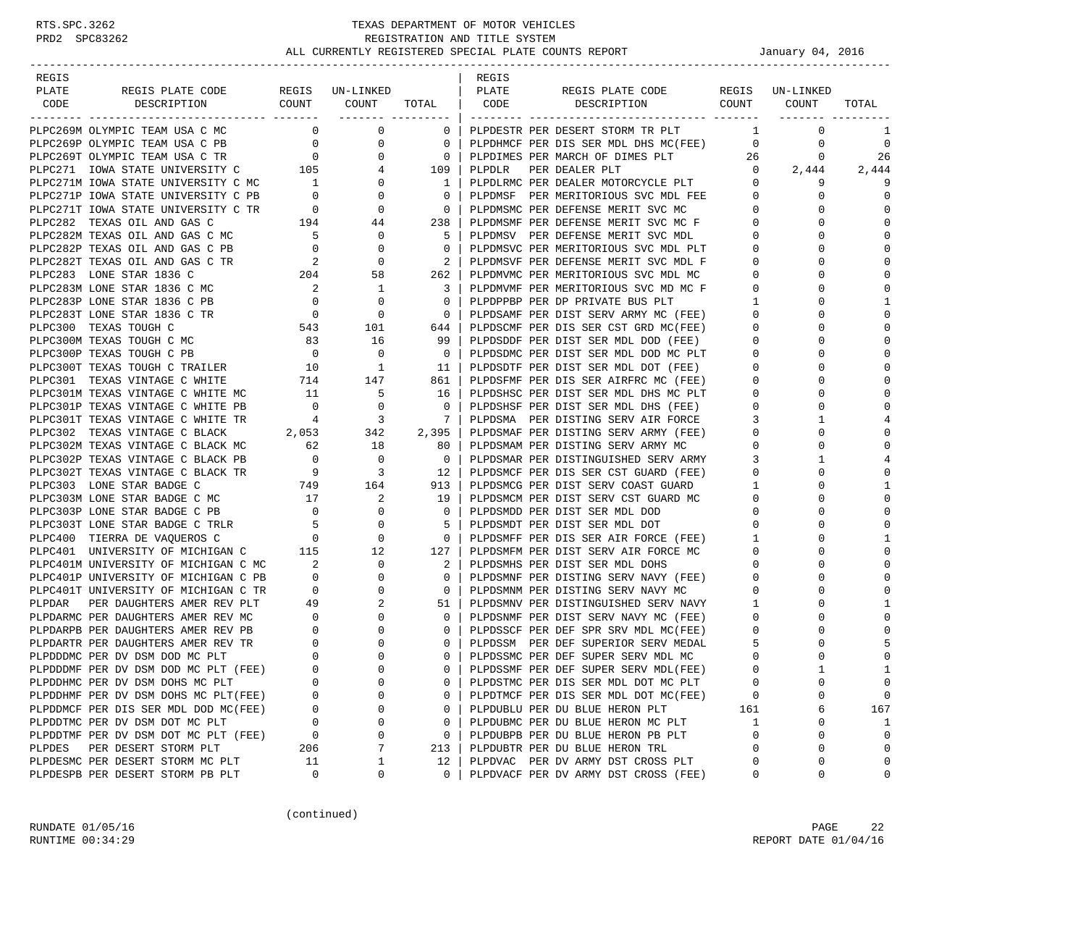| REGIS                                                                                                                                                                                                                                      |                                        |                                                                                       |                          | REGIS  |                                                                                                                  |                |              |              |
|--------------------------------------------------------------------------------------------------------------------------------------------------------------------------------------------------------------------------------------------|----------------------------------------|---------------------------------------------------------------------------------------|--------------------------|--------|------------------------------------------------------------------------------------------------------------------|----------------|--------------|--------------|
| REGIS PLATE CODE REGIS UN-LINKED   PLATE<br>PLATE                                                                                                                                                                                          |                                        |                                                                                       |                          |        | REGIS PLATE CODE REGIS UN-LINKED                                                                                 |                |              |              |
| DESCRIPTION COUNT COUNT<br>CODE                                                                                                                                                                                                            |                                        |                                                                                       |                          |        | TOTAL CODE DESCRIPTION COUNT COUNT                                                                               |                |              | TOTAL        |
|                                                                                                                                                                                                                                            |                                        |                                                                                       |                          |        |                                                                                                                  |                |              |              |
| PLPC269M OLYMPIC TEAM USA C MC                                                                                                                                                                                                             |                                        | $\overline{0}$<br>$\overline{0}$                                                      | $\overline{0}$           |        | PLPDESTR PER DESERT STORM TR PLT                                                                                 | $\mathbf{1}$   | $\mathbf 0$  | 1            |
| PLPC269P OLYMPIC TEAM USA C PB<br>PLPC269T OLYMPIC TEAM USA C TR<br>PLPC271 IOWA STATE UNIVERSITY C 105<br>PLPC271 IOWA STATE UNIVERSITY C 105                                                                                             |                                        | $\overline{0}$                                                                        | $\overline{\phantom{0}}$ |        | PLPDHMCF PER DIS SER MDL DHS MC(FEE)                                                                             | $\overline{0}$ | 0            | $\mathbf 0$  |
|                                                                                                                                                                                                                                            |                                        | $\overline{0}$                                                                        | $\overline{0}$           |        |                                                                                                                  |                | 0            | 26           |
|                                                                                                                                                                                                                                            |                                        |                                                                                       | $4\overline{ }$<br>109   | PLPDLR | PER DEALER PLT                                                                                                   |                | $0 \t 2,444$ | 2,444        |
|                                                                                                                                                                                                                                            |                                        |                                                                                       | $\mathbf{1}$             |        | PLPDLRMC PER DEALER MOTORCYCLE PLT                                                                               | 0              | 9            | 9            |
|                                                                                                                                                                                                                                            |                                        |                                                                                       | $\overline{0}$           |        | PLPDMSF PER MERITORIOUS SVC MDL FEE                                                                              | $\mathbf{0}$   | $\Omega$     | 0            |
|                                                                                                                                                                                                                                            |                                        |                                                                                       | $\overline{\phantom{0}}$ |        | PLPDMSMC PER DEFENSE MERIT SVC MC                                                                                | $\overline{0}$ | $\Omega$     | $\mathbf 0$  |
| PIPC271 IOWA STATE UNIVERSITY C MC<br>PIPC271 IOWA STATE UNIVERSITY C MC<br>PIPC271 IOWA STATE UNIVERSITY C PB<br>PIPC271 IOWA STATE UNIVERSITY C TR<br>PIPC282 TEXAS OIL AND GAS C MC<br>PIPC282P TEXAS OIL AND GAS C MC<br>PIPC282P TEXA |                                        |                                                                                       | 238                      |        | PLPDMSMF PER DEFENSE MERIT SVC MC F                                                                              | $\overline{0}$ |              | $\Omega$     |
|                                                                                                                                                                                                                                            |                                        |                                                                                       | -5                       |        | PLPDMSV PER DEFENSE MERIT SVC MDL                                                                                | $\mathbf{0}$   | $\Omega$     | $\Omega$     |
|                                                                                                                                                                                                                                            |                                        |                                                                                       | $\overline{0}$           |        | PLPDMSVC PER MERITORIOUS SVC MDL PLT                                                                             | $\mathbf{0}$   | 0            | $\Omega$     |
|                                                                                                                                                                                                                                            |                                        |                                                                                       | 2                        |        | PLPDMSVF PER DEFENSE MERIT SVC MDL F                                                                             | $\mathbf{0}$   | $\Omega$     | $\mathbf 0$  |
|                                                                                                                                                                                                                                            |                                        |                                                                                       | 262                      |        | PLPDMVMC PER MERITORIOUS SVC MDL MC                                                                              | $\mathbf{0}$   | $\Omega$     | $\Omega$     |
| PLPC283M LONE STAR 1836 C MC 2<br>PLPC283P LONE STAR 1836 C PB 0                                                                                                                                                                           |                                        | $\mathbf{1}$                                                                          | 3                        |        | PLPDMVMF PER MERITORIOUS SVC MD MC F                                                                             | $\mathbf{0}$   | $\Omega$     | $\Omega$     |
|                                                                                                                                                                                                                                            |                                        | $\mathbf 0$                                                                           | $\bigcirc$               |        | PLPDPPBP PER DP PRIVATE BUS PLT                                                                                  | $\mathbf{1}$   | $\Omega$     | 1            |
| PLPC283T LONE STAR 1836 C TR                                                                                                                                                                                                               | $\begin{array}{c}0\\543\end{array}$    | $\mathbf{0}$                                                                          | $\overline{\phantom{0}}$ |        | PLPDSAMF PER DIST SERV ARMY MC (FEE)                                                                             | $\mathbf{0}$   | $\Omega$     | $\Omega$     |
| PLPC300 TEXAS TOUGH C                                                                                                                                                                                                                      |                                        | 101                                                                                   | 644                      |        | PLPDSCMF PER DIS SER CST GRD MC(FEE)                                                                             | $\mathbf 0$    |              | $\mathbf 0$  |
| PLPC300M TEXAS TOUGH C MC<br>$\frac{83}{2}$                                                                                                                                                                                                |                                        | 16                                                                                    | 99                       |        | PLPDSDDF PER DIST SER MDL DOD (FEE)                                                                              | $\mathbf{0}$   | $\Omega$     | $\Omega$     |
| PLPC300P TEXAS TOUGH C PB                                                                                                                                                                                                                  | $\overline{0}$                         | $\mathbf 0$                                                                           | $\overline{\phantom{0}}$ |        | PLPDSDMC PER DIST SER MDL DOD MC PLT                                                                             | $\mathbf 0$    |              | $\Omega$     |
| PLPC300T TEXAS TOUGH C TRAILER 10                                                                                                                                                                                                          |                                        | $\overline{1}$                                                                        | 11                       |        | PLPDSDTF PER DIST SER MDL DOT (FEE)                                                                              | $\mathbf{0}$   | $\Omega$     | $\Omega$     |
| PLPC301 TEXAS VINTAGE C WHITE                                                                                                                                                                                                              |                                        | $AC$ $714$ $147$<br>$11$ 5                                                            | 861                      |        | PLPDSFMF PER DIS SER AIRFRC MC (FEE)                                                                             | $\mathbf{0}$   | 0            | $\Omega$     |
| PLPC301M TEXAS VINTAGE C WHITE MC                                                                                                                                                                                                          |                                        |                                                                                       | 16                       |        | PLPDSHSC PER DIST SER MDL DHS MC PLT                                                                             | $\mathbf 0$    |              | $\mathbf 0$  |
| PLPC301P TEXAS VINTAGE C WHITE PB                                                                                                                                                                                                          | $\overline{0}$                         | $\mathbf{0}$                                                                          | $\overline{\phantom{0}}$ |        | PLPDSHSF PER DIST SER MDL DHS (FEE)                                                                              | $\mathbf{0}$   | $\Omega$     | $\Omega$     |
| PLPC301T TEXAS VINTAGE C WHITE TR                                                                                                                                                                                                          | $4\overline{4}$                        | $\overline{\phantom{a}}$ 3<br>TR $\begin{array}{cc} 4 & 3 \\ 2,053 & 342 \end{array}$ | $\overline{7}$           |        | PLPDSMA PER DISTING SERV AIR FORCE                                                                               | 3              |              | 4            |
| PLPC302 TEXAS VINTAGE C BLACK                                                                                                                                                                                                              |                                        |                                                                                       | 2,395                    |        | PLPDSMAF PER DISTING SERV ARMY (FEE)                                                                             | $\mathbf 0$    | $\Omega$     | 0            |
| PLPC302M TEXAS VINTAGE C BLACK MC                                                                                                                                                                                                          | $\begin{array}{c} 62 \\ 0 \end{array}$ | 18                                                                                    | 80                       |        | PLPDSMAM PER DISTING SERV ARMY MC                                                                                | $\mathbf{0}$   | 0            | $\Omega$     |
| PLPC302P TEXAS VINTAGE C BLACK PB                                                                                                                                                                                                          |                                        | $\overline{\phantom{0}}$                                                              | $\overline{0}$           |        | PLPDSMAR PER DISTINGUISHED SERV ARMY                                                                             | 3              |              | 4            |
| PLPC302T TEXAS VINTAGE C BLACK TR                                                                                                                                                                                                          |                                        |                                                                                       | 12                       |        | PLPDSMCF PER DIS SER CST GUARD (FEE)<br>PLPDSMCF FER DIST SERV COAST GUARD<br>PLPDSMCG PER DIST SERV COAST GUARD | $\mathbf{0}$   | 0            | 0            |
| PLPC303 LONE STAR BADGE C                                                                                                                                                                                                                  |                                        |                                                                                       | 913                      |        |                                                                                                                  | $\mathbf{1}$   | $\Omega$     | 1            |
| PLPC303M LONE STAR BADGE C MC                                                                                                                                                                                                              |                                        |                                                                                       | 19                       |        |                                                                                                                  | $\mathbf 0$    | $\Omega$     | $\mathbf 0$  |
| PLPC303P LONE STAR BADGE C PB                                                                                                                                                                                                              |                                        |                                                                                       | 0                        |        | PLPDSMDD PER DIST SER MDL DOD                                                                                    | $\mathbf 0$    | 0            | $\Omega$     |
| PLPC303T LONE STAR BADGE C TRLR                                                                                                                                                                                                            |                                        |                                                                                       | - 5                      |        | PLPDSMDT PER DIST SER MDL DOT                                                                                    | $\mathbf 0$    | $\Omega$     | $\mathbf 0$  |
| PLPC400 TIERRA DE VAQUEROS C                                                                                                                                                                                                               |                                        |                                                                                       | $\overline{\phantom{0}}$ |        | PLPDSMFF PER DIS SER AIR FORCE (FEE)                                                                             | 1              | $\Omega$     | 1            |
| PLPC401 UNIVERSITY OF MICHIGAN C                                                                                                                                                                                                           |                                        |                                                                                       | 127                      |        | PLPDSMFM PER DIST SERV AIR FORCE MC                                                                              | $\mathbf{0}$   |              | $\Omega$     |
| PLPC401M UNIVERSITY OF MICHIGAN C MC 2                                                                                                                                                                                                     |                                        | $\mathbf{0}$                                                                          | 2                        |        | PLPDSMHS PER DIST SER MDL DOHS                                                                                   | $\mathbf{0}$   | ∩            | $\Omega$     |
| PLPC401P UNIVERSITY OF MICHIGAN C PB                                                                                                                                                                                                       | $\begin{matrix} 0 \\ 0 \end{matrix}$   | 0                                                                                     | $\mathbf{0}$             |        | PLPDSMNF PER DISTING SERV NAVY (FEE)                                                                             | $\mathbf 0$    | 0            | $\Omega$     |
| PLPC401T UNIVERSITY OF MICHIGAN C TR                                                                                                                                                                                                       |                                        | 0                                                                                     | $\overline{\mathbf{0}}$  |        | PLPDSMNM PER DISTING SERV NAVY MC                                                                                | $\mathbf{0}$   |              | $\mathbf 0$  |
| PER DAUGHTERS AMER REV PLT<br>PLPDAR                                                                                                                                                                                                       | 49                                     | 2                                                                                     | 51                       |        | PLPDSMNV PER DISTINGUISHED SERV NAVY                                                                             | $\mathbf{1}$   | $\Omega$     | 1            |
| PLPDARMC PER DAUGHTERS AMER REV MC                                                                                                                                                                                                         | $\begin{array}{c} 0 \\ 0 \end{array}$  | $\mathbf{0}$                                                                          | $\mathbf 0$              |        | PLPDSNMF PER DIST SERV NAVY MC (FEE)                                                                             | $\mathbf{0}$   |              | $\Omega$     |
| PLPDARPB PER DAUGHTERS AMER REV PB                                                                                                                                                                                                         |                                        | 0                                                                                     | $\mathbf{0}$             |        | PLPDSSCF PER DEF SPR SRV MDL MC(FEE)                                                                             | $\mathbf 0$    |              |              |
| PLPDARTR PER DAUGHTERS AMER REV TR                                                                                                                                                                                                         | $\begin{matrix} 0 \\ 0 \end{matrix}$   | 0                                                                                     | $\mathbf{0}$             |        | PLPDSSM PER DEF SUPERIOR SERV MEDAL                                                                              | 5              | 0            | 5            |
| PLPDDDMC PER DV DSM DOD MC PLT                                                                                                                                                                                                             | $\overline{0}$                         | $\Omega$                                                                              | $\Omega$                 |        | PLPDSSMC PER DEF SUPER SERV MDL MC                                                                               | $\Omega$       |              | $\mathbf 0$  |
| PLPDDDMF PER DV DSM DOD MC PLT (FEE)                                                                                                                                                                                                       | $\Omega$                               | $\Omega$                                                                              | $\Omega$                 |        | PLPDSSMF PER DEF SUPER SERV MDL(FEE)                                                                             | $\Omega$       |              | $\mathbf{1}$ |
| PLPDDHMC PER DV DSM DOHS MC PLT                                                                                                                                                                                                            | 0                                      | 0                                                                                     | 0                        |        | PLPDSTMC PER DIS SER MDL DOT MC PLT                                                                              | $\mathbf 0$    | $\Omega$     | 0            |
| PLPDDHMF PER DV DSM DOHS MC PLT(FEE)                                                                                                                                                                                                       | 0                                      | O                                                                                     | 0                        |        | PLPDTMCF PER DIS SER MDL DOT MC(FEE)                                                                             | 0              | O            | 0            |
| PLPDDMCF PER DIS SER MDL DOD MC(FEE)                                                                                                                                                                                                       | 0                                      | 0                                                                                     | 0                        |        | PLPDUBLU PER DU BLUE HERON PLT                                                                                   | 161            | 6            | 167          |
| PLPDDTMC PER DV DSM DOT MC PLT                                                                                                                                                                                                             | 0                                      | 0                                                                                     | 0                        |        | PLPDUBMC PER DU BLUE HERON MC PLT                                                                                | 1              | $\Omega$     | 1            |
| PLPDDTMF PER DV DSM DOT MC PLT (FEE)                                                                                                                                                                                                       | 0                                      | 0                                                                                     | 0                        |        | PLPDUBPB PER DU BLUE HERON PB PLT                                                                                | $\mathbf 0$    | $\Omega$     | $\mathbf 0$  |
| PLPDES<br>PER DESERT STORM PLT                                                                                                                                                                                                             | 206                                    | 7                                                                                     | 213                      |        | PLPDUBTR PER DU BLUE HERON TRL                                                                                   | 0              | $\Omega$     | 0            |
| PLPDESMC PER DESERT STORM MC PLT                                                                                                                                                                                                           | 11                                     | 1                                                                                     | 12                       |        | PLPDVAC PER DV ARMY DST CROSS PLT                                                                                | 0              | $\Omega$     | 0            |
| PLPDESPB PER DESERT STORM PB PLT                                                                                                                                                                                                           | 0                                      | 0                                                                                     | 0                        |        | PLPDVACF PER DV ARMY DST CROSS (FEE)                                                                             | 0              | 0            | 0            |

(continued)

RUNDATE 01/05/16 PAGE 22 RUNTIME  $00:34:29$  REPORT DATE  $01/04/16$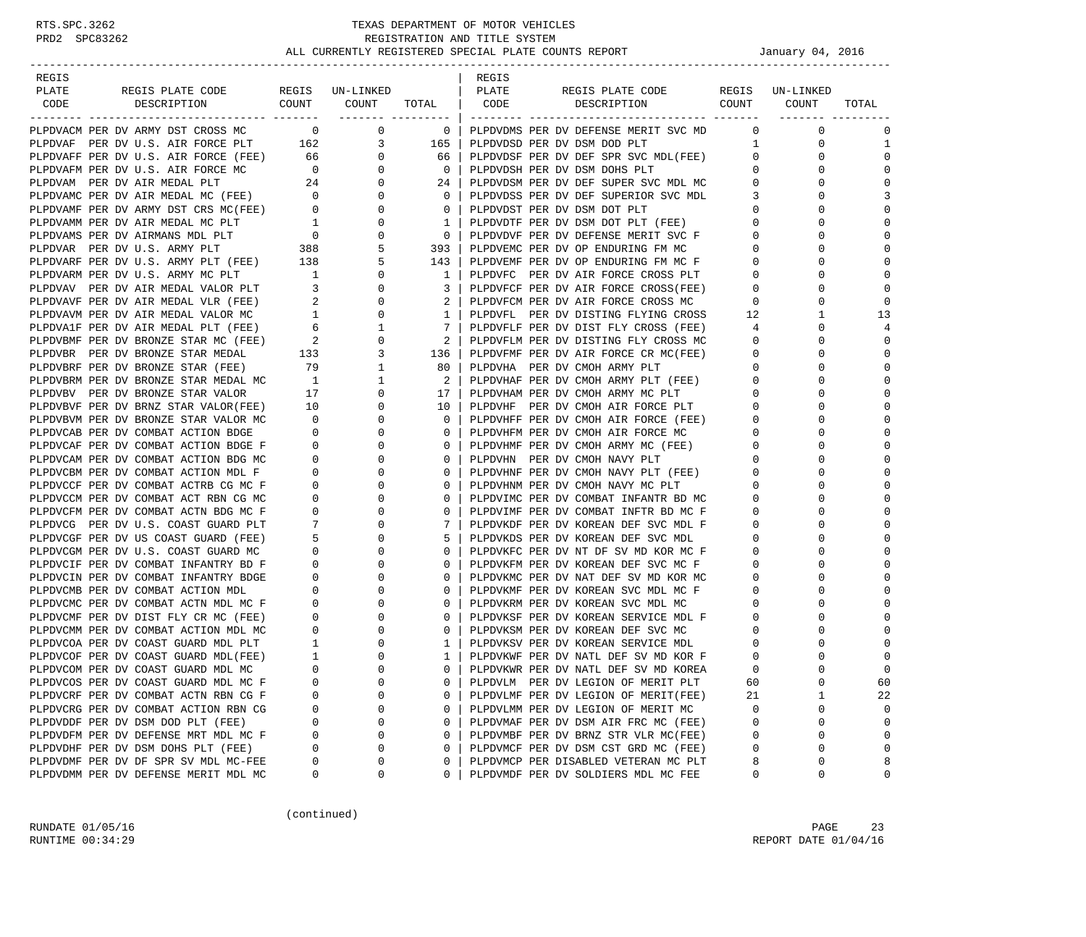-----------------------------------------------------------------------------------------------------------------------------------

| REGIS |                                                                                                                                                                                                   |                                                    |                                  |                              | REGIS |                                                                              |                                |                             |                      |
|-------|---------------------------------------------------------------------------------------------------------------------------------------------------------------------------------------------------|----------------------------------------------------|----------------------------------|------------------------------|-------|------------------------------------------------------------------------------|--------------------------------|-----------------------------|----------------------|
| PLATE | REGIS PLATE CODE REGIS UN-LINKED                                                                                                                                                                  |                                                    |                                  |                              | PLATE | REGIS PLATE CODE                                                             |                                | REGIS UN-LINKED             |                      |
| CODE  | DESCRIPTION COUNT COUNT TOTAL   CODE                                                                                                                                                              |                                                    |                                  |                              |       | DESCRIPTION COUNT COUNT                                                      |                                |                             | TOTAL                |
|       |                                                                                                                                                                                                   |                                                    |                                  |                              |       |                                                                              |                                | _____________________       |                      |
|       | PLPDVACM PER DV ARMY DST CROSS MC $0$ 0 0 0 0 0 DLPDVAF PER DV U.S. AIR FORCE PLT 162 3                                                                                                           |                                                    |                                  |                              |       | 0 DELPDVDMS PER DV DEFENSE MERIT SVC MD                                      |                                | $\mathbf{0}$                | $\mathbf 0$          |
|       |                                                                                                                                                                                                   |                                                    |                                  | 165 l                        |       | PLPDVDSD PER DV DSM DOD PLT                                                  | $\mathbf{1}$                   | $\mathbf{0}$                | $\mathbf{1}$         |
|       | PLPDVAFF PER DV U.S. AIR FORCE (FEE)                                                                                                                                                              | 66                                                 | $\overline{0}$                   | 66                           |       | PLPDVDSF PER DV DEF SPR SVC MDL(FEE)                                         | $\overline{0}$                 | $\Omega$                    | $\Omega$             |
|       | PLPDVAFM PER DV U.S. AIR FORCE MC                                                                                                                                                                 | $\overline{0}$                                     |                                  | $\overline{0}$               |       | PLPDVDSH PER DV DSM DOHS PLT                                                 | $\mathbf{0}$                   | $\mathbf 0$                 | $\mathbf{0}$         |
|       | PLPDVAM PER DV AIR MEDAL PLT                                                                                                                                                                      | 24                                                 | $\begin{matrix}0\\0\end{matrix}$ | 24 l                         |       | PLPDVDSM PER DV DEF SUPER SVC MDL MC                                         | $\overline{0}$                 | $\mathbf 0$                 |                      |
|       | PLPDVAMC PER DV AIR MEDAL MC (FEE) 0                                                                                                                                                              |                                                    | 0                                | $\mathbf{0}$                 |       | PLPDVDSS PER DV DEF SUPERIOR SVC MDL                                         | 3                              | 0                           | 3                    |
|       | PLPDVAMF PER DV ARMY DST CRS MC(FEE)                                                                                                                                                              | $\sim$ 0                                           | $\mathbf 0$                      | $\mathbf{0}$                 |       | PLPDVDST PER DV DSM DOT PLT                                                  | $\overline{0}$                 | $\mathbf 0$                 | $\Omega$             |
|       |                                                                                                                                                                                                   |                                                    | $\mathbf 0$                      | $\mathbf{1}$                 |       | PLPDVDTF PER DV DSM DOT PLT (FEE)                                            | $\overline{0}$                 | $\Omega$                    | $\Omega$             |
|       | PLPDVAMM PER DV AIR MEDAL MC PLT 1<br>PLPDVAMS PER DV AIRMANS MDL PLT 0<br>PLPDVAR PER DV U.S. ARMY PLT 388<br>PLPDVARF PER DV U.S. ARMY PLT (FEE) 138<br>PLPDVARF PER DV U.S. ARMY PLT (FEE) 138 |                                                    | 0                                | $\overline{0}$               |       |                                                                              | $\overline{0}$                 | $\mathbf 0$                 | $\mathbf 0$          |
|       |                                                                                                                                                                                                   |                                                    | 5                                | 393 l                        |       | PLPDVDVF PER DV DEFENSE MERIT SVC F<br>PLPDVEMC PER DV OP ENDURING FM MC     | $\overline{0}$                 | $\mathbf 0$                 | $\Omega$             |
|       |                                                                                                                                                                                                   |                                                    | 5                                | 143                          |       |                                                                              | $\overline{0}$                 | $\mathbf 0$                 | $\Omega$             |
|       | PLPDVARM PER DV U.S. ARMY MC PLT                                                                                                                                                                  | $\frac{1}{2}$                                      | $\overline{0}$                   | $\overline{1}$               |       | PLPDVEMF PER DV OP ENDURING FM MC F<br>PLPDVFC PER DV AIR FORCE CROSS PLT    | $\Omega$                       | $\Omega$                    | $\Omega$             |
|       | PLPDVAV PER DV AIR MEDAL VALOR PLT                                                                                                                                                                | $\overline{\mathbf{3}}$                            | $\mathbf 0$                      | 3 I                          |       | PLPDVFCF PER DV AIR FORCE CROSS(FEE)<br>PLPDVFCM PER DV AIR FORCE CROSS MC   | $\mathbf 0$                    | $\mathbf{0}$                | $\Omega$             |
|       | PLPDVAVF PER DV AIR MEDAL VLR (FEE)                                                                                                                                                               | $\overline{\mathbf{2}}$                            | $\overline{0}$                   | $\overline{2}$               |       | PLPDVFCM PER DV AIR FORCE CROSS MC                                           | $\overline{0}$                 | $\mathbf 0$                 | $\Omega$             |
|       | PLPDVAVM PER DV AIR MEDAL VALOR MC                                                                                                                                                                | $\mathbf{1}$                                       | $\mathbf 0$                      | $1 \mid$                     |       | PLPDVFL PER DV DISTING FLYING CROSS                                          | 12                             | 1                           | 13                   |
|       | PLPDVA1F PER DV AIR MEDAL PLT (FEE)                                                                                                                                                               |                                                    |                                  | $7\phantom{.0}$              |       | PLPDVFLF PER DV DIST FLY CROSS (FEE)                                         | 4                              | $\Omega$                    |                      |
|       | PLPDVBMF PER DV BRONZE STAR MC (FEE)                                                                                                                                                              | $\begin{matrix} 6 \\ 2 \end{matrix}$               |                                  | $\frac{2}{2}$                |       | PLPDVFLM PER DV DISTING FLY CROSS MC                                         | $\overline{0}$                 | $\mathbf 0$                 | $\Omega$             |
|       | PLPDVBR PER DV BRONZE STAR MEDAL                                                                                                                                                                  | 133                                                |                                  | 136                          |       | PLPDVFMF PER DV AIR FORCE CR MC(FEE)                                         | $\overline{0}$                 | $\mathbf{0}$                | $\Omega$             |
|       | PLPDVBRF PER DV BRONZE STAR (FEE)                                                                                                                                                                 | 79                                                 |                                  | 80                           |       | PLPDVHA PER DV CMOH ARMY PLT                                                 | $\mathbf{0}$                   | $\mathbf 0$                 | $\Omega$             |
|       | PLPDVBRM PER DV BRONZE STAR MEDAL MC                                                                                                                                                              | $\overline{1}$                                     | $\mathbf{1}$                     | $\overline{2}$               |       | PLPDVHAF PER DV CMOH ARMY PLT (FEE)                                          | $\overline{0}$                 | $\mathbf 0$                 | $\Omega$             |
|       | PLPDVBV PER DV BRONZE STAR VALOR                                                                                                                                                                  | 17                                                 | $\overline{0}$                   | 17                           |       | PLPDVHAM PER DV CMOH ARMY MC PLT                                             | $\Omega$                       | $\Omega$                    | $\Omega$             |
|       | PLPDVBVF PER DV BRNZ STAR VALOR(FEE) 10                                                                                                                                                           |                                                    | $\mathbf 0$                      | 10                           |       | PLPDVHF PER DV CMOH AIR FORCE PLT                                            | $\mathbf{0}$                   | $\mathbf 0$                 | $\mathbf{0}$         |
|       | PLPDVBVM PER DV BRONZE STAR VALOR MC                                                                                                                                                              | $\overline{0}$                                     | $\mathbf 0$                      | $\mathbf{0}$                 |       | PLPDVHFF PER DV CMOH AIR FORCE (FEE)                                         | $\overline{0}$                 | $\mathbf 0$                 | $\Omega$             |
|       | PLPDVCAB PER DV COMBAT ACTION BDGE                                                                                                                                                                | $\overline{0}$                                     | $\mathbf 0$                      | $\mathbf{0}$                 |       | PLPDVHFM PER DV CMOH AIR FORCE MC                                            | $\mathbf 0$                    | $\mathbf 0$                 | $\Omega$             |
|       | PLPDVCAF PER DV COMBAT ACTION BDGE F                                                                                                                                                              | $\overline{0}$                                     | $\mathbf 0$                      | $\Omega$                     |       | PLPDVHMF PER DV CMOH ARMY MC (FEE)                                           | $\overline{0}$                 | $\Omega$                    | $\Omega$             |
|       | PLPDVCAM PER DV COMBAT ACTION BDG MC                                                                                                                                                              | $\mathbf{0}$                                       | $\Omega$                         | $\Omega$                     |       | PLPDVHN PER DV CMOH NAVY PLT                                                 | $\mathbf 0$                    | $\Omega$                    | $\Omega$             |
|       | PLPDVCBM PER DV COMBAT ACTION MDL F                                                                                                                                                               | $\overline{0}$                                     | $\mathbf 0$                      | $\mathbf{0}$                 |       | PLPDVHNF PER DV CMOH NAVY PLT (FEE)                                          | $\overline{0}$                 | $\mathbf 0$                 | $\Omega$             |
|       | PLPDVCCF PER DV COMBAT ACTRB CG MC F                                                                                                                                                              | $\overline{0}$                                     | $\mathbf 0$                      | $\Omega$                     |       | PLPDVHNM PER DV CMOH NAVY MC PLT                                             | $\overline{0}$                 | $\mathbf 0$                 | $\Omega$             |
|       | PLPDVCCM PER DV COMBAT ACT RBN CG MC                                                                                                                                                              | $\mathbf{0}$                                       | 0                                | 0                            |       | PLPDVIMC PER DV COMBAT INFANTR BD MC                                         | $\mathbf 0$                    | $\mathbf 0$                 | $\Omega$             |
|       | PLPDVCFM PER DV COMBAT ACTN BDG MC F                                                                                                                                                              | $\mathbf{0}$                                       | $\mathbf 0$                      | $\mathbf{0}$                 |       | PLPDVIMF PER DV COMBAT INFTR BD MC F                                         | $\mathbf 0$                    | $\mathbf 0$                 | $\Omega$             |
|       | PLPDVCG PER DV U.S. COAST GUARD PLT                                                                                                                                                               | $7\phantom{.0}$                                    | $\mathbf 0$                      | 7                            |       | PLPDVKDF PER DV KOREAN DEF SVC MDL F                                         | $\overline{0}$                 | $\mathbf{0}$                | $\Omega$             |
|       | PLPDVCGF PER DV US COAST GUARD (FEE)                                                                                                                                                              | 5                                                  | $\circ$                          | 5                            |       | PLPDVKDS PER DV KOREAN DEF SVC MDL                                           | $\mathbf 0$                    | $\mathbf 0$                 | $\Omega$             |
|       | PLPDVCGM PER DV U.S. COAST GUARD MC                                                                                                                                                               | $\mathbf{0}$                                       | $\mathbf 0$                      | $\Omega$                     |       | PLPDVKFC PER DV NT DF SV MD KOR MC F                                         | $\overline{0}$                 | $\mathbf 0$                 | $\Omega$             |
|       | PLPDVCIF PER DV COMBAT INFANTRY BD F                                                                                                                                                              | $\Omega$                                           | $\Omega$                         | $\Omega$                     |       | PLPDVKFM PER DV KOREAN DEF SVC MC F                                          | $\Omega$                       | $\Omega$                    |                      |
|       | PLPDVCIN PER DV COMBAT INFANTRY BDGE                                                                                                                                                              | $\overline{0}$                                     | $\mathbf 0$                      | $\mathbf{0}$                 |       | PLPDVKMC PER DV NAT DEF SV MD KOR MC                                         | $\mathbf 0$                    | 0                           | $\mathbf{0}$         |
|       | PLPDVCMB PER DV COMBAT ACTION MDL                                                                                                                                                                 | $\mathbf{0}$                                       | $\mathbf 0$                      | $\mathbf{0}$                 |       | PLPDVKMF PER DV KOREAN SVC MDL MC F                                          | $\overline{0}$                 | $\mathbf{0}$                | $\Omega$             |
|       | PLPDVCMC PER DV COMBAT ACTN MDL MC F                                                                                                                                                              | $\overline{0}$                                     | $\mathbf 0$                      | 0                            |       | PLPDVKRM PER DV KOREAN SVC MDL MC                                            | $\overline{0}$                 | $\mathbf 0$                 |                      |
|       | PLPDVCMF PER DV DIST FLY CR MC (FEE)                                                                                                                                                              | $\mathbf{0}$                                       | $\mathbf 0$                      | $\Omega$                     |       | PLPDVKSF PER DV KOREAN SERVICE MDL F                                         | $\overline{0}$                 | $\mathbf 0$                 | $\Omega$             |
|       | PLPDVCMM PER DV COMBAT ACTION MDL MC                                                                                                                                                              | $\Omega$                                           | $\Omega$                         | $\Omega$                     |       | PLPDVKSM PER DV KOREAN DEF SVC MC                                            | $\Omega$                       | $\Omega$                    | $\Omega$             |
|       | PLPDVCOA PER DV COAST GUARD MDL PLT                                                                                                                                                               | $\mathbf{1}$                                       | 0                                | $\mathbf{1}$                 |       | PLPDVKSV PER DV KOREAN SERVICE MDL                                           | $\overline{0}$                 | $\mathbf 0$                 | $\mathbf 0$          |
|       | PLPDVCOF PER DV COAST GUARD MDL(FEE)                                                                                                                                                              | $\overline{1}$                                     | $\mathbf 0$                      | $\mathbf{1}$                 |       | PLPDVKWF PER DV NATL DEF SV MD KOR F                                         | $\Omega$                       | $\Omega$                    | $\Omega$             |
|       | PLPDVCOM PER DV COAST GUARD MDL MC                                                                                                                                                                | $\overline{0}$                                     | $\mathbf 0$                      | 0                            |       | PLPDVKWR PER DV NATL DEF SV MD KOREA                                         | $\mathbf 0$                    | 0                           | $\Omega$             |
|       | PLPDVCOS PER DV COAST GUARD MDL MC F                                                                                                                                                              | $\overline{0}$                                     | $\mathbf 0$                      | $\Omega$                     |       | PLPDVLM PER DV LEGION OF MERIT PLT                                           | 60                             | $\Omega$                    | 60                   |
|       | PLPDVCRF PER DV COMBAT ACTN RBN CG F                                                                                                                                                              | $\begin{array}{c} 0 \\ 0 \end{array}$              | $\mathbf 0$                      | $\Omega$                     |       | PLPDVLMF PER DV LEGION OF MERIT(FEE)                                         | 21                             | $\mathbf{1}$                | 22                   |
|       | PLPDVCRG PER DV COMBAT ACTION RBN CG                                                                                                                                                              |                                                    | 0                                | $\mathbf{0}$                 |       | PLPDVLMM PER DV LEGION OF MERIT MC                                           | $\overline{0}$                 | 0                           | $\mathbf 0$          |
|       | PLPDVDDF PER DV DSM DOD PLT (FEE)                                                                                                                                                                 |                                                    | $\mathbf 0$                      | 0                            |       | PLPDVMAF PER DV DSM AIR FRC MC (FEE)                                         | $\overline{0}$                 | $\mathbf{0}$                | $\Omega$<br>$\Omega$ |
|       | PLPDVDFM PER DV DEFENSE MRT MDL MC F<br>PLPDVDHF PER DV DSM DOHS PLT (FEE)                                                                                                                        | $\begin{matrix}0\\0\end{matrix}$<br>$\overline{0}$ | 0<br>$\mathbf 0$                 | $\mathbf{0}$<br>$\mathbf{0}$ |       | PLPDVMBF PER DV BRNZ STR VLR MC(FEE)<br>PLPDVMCF PER DV DSM CST GRD MC (FEE) | $\mathbf{0}$<br>$\overline{0}$ | $\mathbf{0}$<br>$\mathbf 0$ | $\Omega$             |
|       | PLPDVDMF PER DV DF SPR SV MDL MC-FEE                                                                                                                                                              | $\overline{0}$                                     | $\mathbf 0$                      | $\Omega$                     |       | PLPDVMCP PER DISABLED VETERAN MC PLT                                         | 8                              | $\Omega$                    | 8                    |
|       | PLPDVDMM PER DV DEFENSE MERIT MDL MC                                                                                                                                                              | $\Omega$                                           | $\Omega$                         | $\Omega$                     |       | PLPDVMDF PER DV SOLDIERS MDL MC FEE                                          | $\Omega$                       | $\Omega$                    | $\Omega$             |
|       |                                                                                                                                                                                                   |                                                    |                                  |                              |       |                                                                              |                                |                             |                      |

(continued)

RUNDATE 01/05/16 PAGE 23 RUNTIME  $00:34:29$  REPORT DATE  $01/04/16$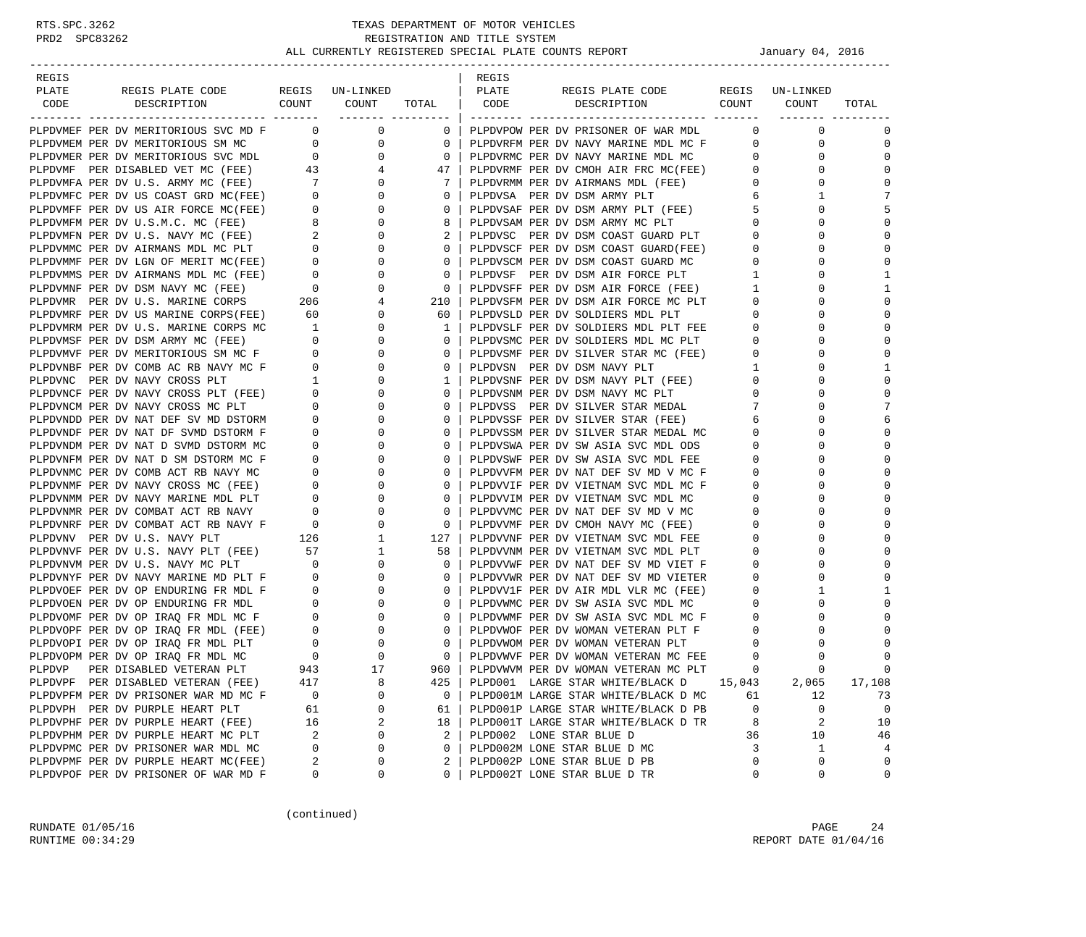| PLATE<br>REGIS PLATE CODE<br>REGIS UN-LINKED<br>PLATE<br>REGIS PLATE CODE<br>REGIS UN-LINKED<br>COUNT<br>COUNT<br>COUNT<br>CODE<br>DESCRIPTION<br>TOTAL<br>CODE<br>DESCRIPTION<br>COUNT<br>TOTAL<br>________ ______<br>$\overline{0}$<br>$\overline{0}$<br>$\mathbf 0$<br>PLPDVMEF PER DV MERITORIOUS SVC MD F<br>$\mathbf{0}$<br>PLPDVPOW PER DV PRISONER OF WAR MDL<br>$\mathbf{0}$<br>0<br>$\overline{0}$<br>0<br>$\mathbf 0$<br>PLPDVMEM PER DV MERITORIOUS SM MC<br>0<br>PLPDVRFM PER DV NAVY MARINE MDL MC F<br>$\mathbf{0}$<br>0<br>$\sim$ 0<br>$\mathbf{0}$<br>$\mathbf 0$<br>PLPDVMER PER DV MERITORIOUS SVC MDL<br>$\mathbf{0}$<br>PLPDVRMC PER DV NAVY MARINE MDL MC<br>$\mathbf{0}$<br>0<br>PLPDVRMF PER DV CMOH AIR FRC MC(FEE)<br>PLPDVMF PER DISABLED VET MC (FEE) 43<br>$\Omega$<br>4<br>47<br>$\mathbf{0}$<br>$\Omega$<br>PLPDVMFA PER DV U.S. ARMY MC (FEE) 7<br>PLPDVMFC PER DV US COAST GRD MC(FEE) 0<br>$\Omega$<br>0<br>7<br>PLPDVRMM PER DV AIRMANS MDL (FEE)<br>$\mathbf{0}$<br>0<br>7<br>$\mathbf{0}$<br>0<br>PLPDVSA PER DV DSM ARMY PLT<br>6<br>$\overline{0}$<br>5<br>5<br>PLPDVMFF PER DV US AIR FORCE MC(FEE)<br>0<br>0<br>PLPDVSAF PER DV DSM ARMY PLT (FEE)<br>0<br>$\begin{array}{c} 8 \\ 2 \end{array}$<br>$\mathbf{0}$<br>8<br>$\mathbf 0$<br>$\Omega$<br>PLPDVSAM PER DV DSM ARMY MC PLT<br>$\Omega$<br>PLPDVMFM PER DV U.S.M.C. MC (FEE)<br>PLPDVSC PER DV DSM COAST GUARD PLT<br>$\Omega$<br>PLPDVMFN PER DV U.S. NAVY MC (FEE)<br>$\mathbf{0}$<br>2<br>$\mathbf 0$<br>$\Omega$<br>$\Omega$<br>$\overline{0}$<br>0<br>0<br>PLPDVSCF PER DV DSM COAST GUARD(FEE)<br>0<br>PLPDVMMC PER DV AIRMANS MDL MC PLT<br>$\begin{matrix} & & & 0 \\ & & & 0 \\ & & & 0 \end{matrix}$<br>$\mathbf{0}$<br>$\mathbf 0$<br>PLPDVMMF PER DV LGN OF MERIT MC(FEE)<br>0<br>0<br>PLPDVSCM PER DV DSM COAST GUARD MC<br>0<br>$\Omega$<br>$\overline{\phantom{0}}$<br>PLPDVSF PER DV DSM AIR FORCE PLT<br>PLPDVMMS PER DV AIRMANS MDL MC (FEE)<br>0<br>$\Omega$<br>1<br>$\Omega$<br>1<br>$\overline{0}$<br>$\mathbf{0}$<br>$\mathbf{1}$<br>1<br>PLPDVMNF PER DV DSM NAVY MC (FEE)<br>0<br>PLPDVSFF PER DV DSM AIR FORCE (FEE)<br>$\Omega$<br>206<br>$\Omega$<br>PLPDVMR PER DV U.S. MARINE CORPS<br>4<br>210<br>PLPDVSFM PER DV DSM AIR FORCE MC PLT<br>$\mathbf{0}$<br>$\Omega$<br>$\Omega$<br>60<br>0<br>PLPDVSLD PER DV SOLDIERS MDL PLT<br>0<br>0<br>PLPDVMRF PER DV US MARINE CORPS(FEE)<br>60<br>$\mathbf 0$<br>$\mathbf 0$<br>PLPDVMRM PER DV U.S. MARINE CORPS MC<br>0<br>1<br>PLPDVSLF PER DV SOLDIERS MDL PLT FEE<br>$\Omega$<br>$\mathbf{1}$<br>$\Omega$<br>PLPDVMSF PER DV DSM ARMY MC (FEE)<br>$\overline{0}$<br>0<br>$\mathbf 0$<br>PLPDVSMC PER DV SOLDIERS MDL MC PLT<br>$\mathbf{0}$<br>0<br>$\overline{0}$<br>0<br>$\Omega$<br>PLPDVMVF PER DV MERITORIOUS SM MC F<br>0<br>0<br>PLPDVSMF PER DV SILVER STAR MC (FEE)<br>$\Omega$<br>$\overline{0}$<br>PLPDVNBF PER DV COMB AC RB NAVY MC F<br>0<br>$\Omega$<br>PLPDVSN PER DV DSM NAVY PLT<br>$\Omega$<br>1<br>1<br>$\Omega$<br>PLPDVNC PER DV NAVY CROSS PLT<br>$\mathbf{1}$<br>0<br>PLPDVSNF PER DV DSM NAVY PLT (FEE)<br>0<br>1<br>0<br>$\overline{\phantom{0}}$<br>$\mathbf 0$<br>$\mathbf 0$<br>PLPDVNCF PER DV NAVY CROSS PLT (FEE)<br>0<br>$\mathbf 0$<br>PLPDVSNM PER DV DSM NAVY MC PLT<br>$\Omega$<br>7<br>7<br>PLPDVNCM PER DV NAVY CROSS MC PLT<br>$\overline{0}$<br>0<br>0<br>PLPDVSS PER DV SILVER STAR MEDAL<br>$\Omega$<br>$\mathbf{0}$<br>0<br>6<br>6<br>PLPDVNDD PER DV NAT DEF SV MD DSTORM<br>0<br>PLPDVSSF PER DV SILVER STAR (FEE)<br>$\Omega$<br>$\Omega$<br>PLPDVNDF PER DV NAT DF SVMD DSTORM F<br>0<br>$\mathbf{0}$<br>$\Omega$<br>PLPDVSSM PER DV SILVER STAR MEDAL MC<br>$\mathbf{0}$<br>$\Omega$<br>$\Omega$<br>PLPDVNDM PER DV NAT D SVMD DSTORM MC<br>0<br>0<br>0<br>PLPDVSWA PER DV SW ASIA SVC MDL ODS<br>0<br>0<br>$\mathbf 0$<br>$\mathbf 0$<br>PLPDVNFM PER DV NAT D SM DSTORM MC F<br>$\mathbf 0$<br>$\mathbf{0}$<br>0<br>PLPDVSWF PER DV SW ASIA SVC MDL FEE<br>$\Omega$<br>$\Omega$<br>PLPDVNMC PER DV COMB ACT RB NAVY MC<br>0<br>0<br>0<br>PLPDVVFM PER DV NAT DEF SV MD V MC F<br>$\mathbf{0}$<br>0<br>$\mathbf{0}$<br>$\mathbf 0$<br>$\Omega$<br>PLPDVNMF PER DV NAVY CROSS MC (FEE)<br>0<br>0<br>PLPDVVIF PER DV VIETNAM SVC MDL MC F<br>$\Omega$<br>$\Omega$<br>PLPDVNMM PER DV NAVY MARINE MDL PLT<br>$\circ$<br>0<br>$\Omega$<br>PLPDVVIM PER DV VIETNAM SVC MDL MC<br>0<br>$\Omega$<br>$\Omega$<br>PLPDVNMR PER DV COMBAT ACT RB NAVY<br>$\mathbf{0}$<br>0<br>$\mathbf 0$<br>PLPDVVMC PER DV NAT DEF SV MD V MC<br>0<br>0<br>$\mathbf 0$<br>$\mathbf 0$<br>PLPDVNRF PER DV COMBAT ACT RB NAVY F<br>$\overline{0}$<br>0<br>$\mathbf 0$<br>PLPDVVMF PER DV CMOH NAVY MC (FEE)<br>$\Omega$<br>$\frac{1}{26}$<br>$\mathbf{1}$<br>$\Omega$<br>PLPDVNV PER DV U.S. NAVY PLT<br>127<br>PLPDVVNF PER DV VIETNAM SVC MDL FEE<br>0<br>$\Omega$<br>57<br>$\Omega$<br>PLPDVNVF PER DV U.S. NAVY PLT (FEE)<br>1<br>58<br>PLPDVVNM PER DV VIETNAM SVC MDL PLT<br>0<br>$\Omega$<br>$\mathbf{0}$<br>$\Omega$<br>PLPDVNVM PER DV U.S. NAVY MC PLT<br>$\overline{\mathbf{0}}$<br>$\Omega$<br>PLPDVVWF PER DV NAT DEF SV MD VIET F<br>0<br>$\Omega$<br>$\Omega$<br>PLPDVNYF PER DV NAVY MARINE MD PLT F<br>0<br>$\mathbf 0$<br>PLPDVVWR PER DV NAT DEF SV MD VIETER<br>0<br>$\circ$<br>$\mathbf{0}$<br>$\mathbf{0}$<br>1<br>PLPDVOEF PER DV OP ENDURING FR MDL F<br>$\overline{0}$<br>0<br>PLPDVV1F PER DV AIR MDL VLR MC (FEE)<br>0<br>1<br>PLPDVOEN PER DV OP ENDURING FR MDL<br>0<br>PLPDVWMC PER DV SW ASIA SVC MDL MC<br>$\Omega$<br>$\mathbf{0}$<br>0<br>$\mathbf{0}$<br>0<br>$\begin{array}{c} 0 \\ 0 \end{array}$<br>$\mathbf 0$<br>$\Omega$<br>PLPDVOMF PER DV OP IRAQ FR MDL MC F<br>$\mathbf{0}$<br>0<br>PLPDVWMF PER DV SW ASIA SVC MDL MC F<br>$\Omega$<br>PLPDVOPF PER DV OP IRAO FR MDL (FEE)<br>$\mathbf{0}$<br>$\mathbf 0$<br>PLPDVWOF PER DV WOMAN VETERAN PLT F<br>$\mathbf{0}$<br>$\Omega$<br>$\Omega$<br>PLPDVOPI PER DV OP IRAQ FR MDL PLT<br>$\begin{array}{c} 0 \\ 0 \end{array}$<br>$\overline{0}$<br>0<br>PLPDVWOM PER DV WOMAN VETERAN PLT<br>0<br>0<br>$\overline{0}$<br>$\mathbf{0}$<br>$\mathbf 0$<br>$\mathbf 0$<br>PLPDVOPM PER DV OP IRAQ FR MDL MC<br>$\Omega$<br>PLPDVWVF PER DV WOMAN VETERAN MC FEE<br>PLPDVP<br>PER DISABLED VETERAN PLT<br>943<br>17<br>$960 \mid$<br>PLPDVWVM PER DV WOMAN VETERAN MC PLT<br>$\Omega$<br>$\cap$<br>$\Omega$<br>417<br>8<br>PLPD001 LARGE STAR WHITE/BLACK D<br>17,108<br>PLPDVPF PER DISABLED VETERAN (FEE)<br>425<br>15,043<br>2,065<br>PLPDVPFM PER DV PRISONER WAR MD MC F<br>0<br>PLPD001M LARGE STAR WHITE/BLACK D MC<br>12<br>0<br>$\mathbf 0$<br>61<br>73<br>PLPD001P LARGE STAR WHITE/BLACK D PB<br>$\mathbf 0$<br>PLPDVPH PER DV PURPLE HEART PLT<br>61<br>0<br>61<br>0<br>0<br>8<br>2<br>2<br>PLPD001T LARGE STAR WHITE/BLACK D TR<br>PLPDVPHF PER DV PURPLE HEART (FEE)<br>16<br>18<br>10<br>PLPD002 LONE STAR BLUE D<br>PLPDVPHM PER DV PURPLE HEART MC PLT<br>2<br>2<br>10<br>46<br>0<br>36<br>PLPD002M LONE STAR BLUE D MC<br>3<br>PLPDVPMC PER DV PRISONER WAR MDL MC<br>0<br>0<br>0<br>1<br>4<br>PLPDVPMF PER DV PURPLE HEART MC(FEE)<br>PLPD002P LONE STAR BLUE D PB<br>0<br>0<br>2<br>0<br>2<br>0<br>PLPDVPOF PER DV PRISONER OF WAR MD F<br>0<br>0<br>PLPD002T LONE STAR BLUE D TR<br>0<br>0<br>0<br>0 |       |  |  |       |  |  |
|-------------------------------------------------------------------------------------------------------------------------------------------------------------------------------------------------------------------------------------------------------------------------------------------------------------------------------------------------------------------------------------------------------------------------------------------------------------------------------------------------------------------------------------------------------------------------------------------------------------------------------------------------------------------------------------------------------------------------------------------------------------------------------------------------------------------------------------------------------------------------------------------------------------------------------------------------------------------------------------------------------------------------------------------------------------------------------------------------------------------------------------------------------------------------------------------------------------------------------------------------------------------------------------------------------------------------------------------------------------------------------------------------------------------------------------------------------------------------------------------------------------------------------------------------------------------------------------------------------------------------------------------------------------------------------------------------------------------------------------------------------------------------------------------------------------------------------------------------------------------------------------------------------------------------------------------------------------------------------------------------------------------------------------------------------------------------------------------------------------------------------------------------------------------------------------------------------------------------------------------------------------------------------------------------------------------------------------------------------------------------------------------------------------------------------------------------------------------------------------------------------------------------------------------------------------------------------------------------------------------------------------------------------------------------------------------------------------------------------------------------------------------------------------------------------------------------------------------------------------------------------------------------------------------------------------------------------------------------------------------------------------------------------------------------------------------------------------------------------------------------------------------------------------------------------------------------------------------------------------------------------------------------------------------------------------------------------------------------------------------------------------------------------------------------------------------------------------------------------------------------------------------------------------------------------------------------------------------------------------------------------------------------------------------------------------------------------------------------------------------------------------------------------------------------------------------------------------------------------------------------------------------------------------------------------------------------------------------------------------------------------------------------------------------------------------------------------------------------------------------------------------------------------------------------------------------------------------------------------------------------------------------------------------------------------------------------------------------------------------------------------------------------------------------------------------------------------------------------------------------------------------------------------------------------------------------------------------------------------------------------------------------------------------------------------------------------------------------------------------------------------------------------------------------------------------------------------------------------------------------------------------------------------------------------------------------------------------------------------------------------------------------------------------------------------------------------------------------------------------------------------------------------------------------------------------------------------------------------------------------------------------------------------------------------------------------------------------------------------------------------------------------------------------------------------------------------------------------------------------------------------------------------------------------------------------------------------------------------------------------------------------------------------------------------------------------------------------------------------------------------------------------------------------------------------------------------------------------------------------------------------------------------------------------------------------------------------------------------------------------------------------------------------------------------------------------------------------------------------------------------------------------------------------------------------------------------------------------------------------------------------------------------------------------------------------------------------------------------------------------------------------------------------------------------------------------------------------------------------------------------------------------------------------------------------------------------------------------------------------------------------------------------------------------------------------------------------------------------------------------------------------------------------------------------------------------------------------------------------------------------------------------------------------------------------------------------------------------------------------------------------------------------------------------------------------------------------------------------------------------------------------------------------------------------------------------------------------------------------------------------------------------------------------------------------------------|-------|--|--|-------|--|--|
|                                                                                                                                                                                                                                                                                                                                                                                                                                                                                                                                                                                                                                                                                                                                                                                                                                                                                                                                                                                                                                                                                                                                                                                                                                                                                                                                                                                                                                                                                                                                                                                                                                                                                                                                                                                                                                                                                                                                                                                                                                                                                                                                                                                                                                                                                                                                                                                                                                                                                                                                                                                                                                                                                                                                                                                                                                                                                                                                                                                                                                                                                                                                                                                                                                                                                                                                                                                                                                                                                                                                                                                                                                                                                                                                                                                                                                                                                                                                                                                                                                                                                                                                                                                                                                                                                                                                                                                                                                                                                                                                                                                                                                                                                                                                                                                                                                                                                                                                                                                                                                                                                                                                                                                                                                                                                                                                                                                                                                                                                                                                                                                                                                                                                                                                                                                                                                                                                                                                                                                                                                                                                                                                                                                                                                                                                                                                                                                                                                                                                                                                                                                                                                                                                                                                                                                                                                                                                                                                                                                                                                                                                                                                                                                                                                                                                                                   | REGIS |  |  | REGIS |  |  |
|                                                                                                                                                                                                                                                                                                                                                                                                                                                                                                                                                                                                                                                                                                                                                                                                                                                                                                                                                                                                                                                                                                                                                                                                                                                                                                                                                                                                                                                                                                                                                                                                                                                                                                                                                                                                                                                                                                                                                                                                                                                                                                                                                                                                                                                                                                                                                                                                                                                                                                                                                                                                                                                                                                                                                                                                                                                                                                                                                                                                                                                                                                                                                                                                                                                                                                                                                                                                                                                                                                                                                                                                                                                                                                                                                                                                                                                                                                                                                                                                                                                                                                                                                                                                                                                                                                                                                                                                                                                                                                                                                                                                                                                                                                                                                                                                                                                                                                                                                                                                                                                                                                                                                                                                                                                                                                                                                                                                                                                                                                                                                                                                                                                                                                                                                                                                                                                                                                                                                                                                                                                                                                                                                                                                                                                                                                                                                                                                                                                                                                                                                                                                                                                                                                                                                                                                                                                                                                                                                                                                                                                                                                                                                                                                                                                                                                                   |       |  |  |       |  |  |
|                                                                                                                                                                                                                                                                                                                                                                                                                                                                                                                                                                                                                                                                                                                                                                                                                                                                                                                                                                                                                                                                                                                                                                                                                                                                                                                                                                                                                                                                                                                                                                                                                                                                                                                                                                                                                                                                                                                                                                                                                                                                                                                                                                                                                                                                                                                                                                                                                                                                                                                                                                                                                                                                                                                                                                                                                                                                                                                                                                                                                                                                                                                                                                                                                                                                                                                                                                                                                                                                                                                                                                                                                                                                                                                                                                                                                                                                                                                                                                                                                                                                                                                                                                                                                                                                                                                                                                                                                                                                                                                                                                                                                                                                                                                                                                                                                                                                                                                                                                                                                                                                                                                                                                                                                                                                                                                                                                                                                                                                                                                                                                                                                                                                                                                                                                                                                                                                                                                                                                                                                                                                                                                                                                                                                                                                                                                                                                                                                                                                                                                                                                                                                                                                                                                                                                                                                                                                                                                                                                                                                                                                                                                                                                                                                                                                                                                   |       |  |  |       |  |  |
|                                                                                                                                                                                                                                                                                                                                                                                                                                                                                                                                                                                                                                                                                                                                                                                                                                                                                                                                                                                                                                                                                                                                                                                                                                                                                                                                                                                                                                                                                                                                                                                                                                                                                                                                                                                                                                                                                                                                                                                                                                                                                                                                                                                                                                                                                                                                                                                                                                                                                                                                                                                                                                                                                                                                                                                                                                                                                                                                                                                                                                                                                                                                                                                                                                                                                                                                                                                                                                                                                                                                                                                                                                                                                                                                                                                                                                                                                                                                                                                                                                                                                                                                                                                                                                                                                                                                                                                                                                                                                                                                                                                                                                                                                                                                                                                                                                                                                                                                                                                                                                                                                                                                                                                                                                                                                                                                                                                                                                                                                                                                                                                                                                                                                                                                                                                                                                                                                                                                                                                                                                                                                                                                                                                                                                                                                                                                                                                                                                                                                                                                                                                                                                                                                                                                                                                                                                                                                                                                                                                                                                                                                                                                                                                                                                                                                                                   |       |  |  |       |  |  |
|                                                                                                                                                                                                                                                                                                                                                                                                                                                                                                                                                                                                                                                                                                                                                                                                                                                                                                                                                                                                                                                                                                                                                                                                                                                                                                                                                                                                                                                                                                                                                                                                                                                                                                                                                                                                                                                                                                                                                                                                                                                                                                                                                                                                                                                                                                                                                                                                                                                                                                                                                                                                                                                                                                                                                                                                                                                                                                                                                                                                                                                                                                                                                                                                                                                                                                                                                                                                                                                                                                                                                                                                                                                                                                                                                                                                                                                                                                                                                                                                                                                                                                                                                                                                                                                                                                                                                                                                                                                                                                                                                                                                                                                                                                                                                                                                                                                                                                                                                                                                                                                                                                                                                                                                                                                                                                                                                                                                                                                                                                                                                                                                                                                                                                                                                                                                                                                                                                                                                                                                                                                                                                                                                                                                                                                                                                                                                                                                                                                                                                                                                                                                                                                                                                                                                                                                                                                                                                                                                                                                                                                                                                                                                                                                                                                                                                                   |       |  |  |       |  |  |
|                                                                                                                                                                                                                                                                                                                                                                                                                                                                                                                                                                                                                                                                                                                                                                                                                                                                                                                                                                                                                                                                                                                                                                                                                                                                                                                                                                                                                                                                                                                                                                                                                                                                                                                                                                                                                                                                                                                                                                                                                                                                                                                                                                                                                                                                                                                                                                                                                                                                                                                                                                                                                                                                                                                                                                                                                                                                                                                                                                                                                                                                                                                                                                                                                                                                                                                                                                                                                                                                                                                                                                                                                                                                                                                                                                                                                                                                                                                                                                                                                                                                                                                                                                                                                                                                                                                                                                                                                                                                                                                                                                                                                                                                                                                                                                                                                                                                                                                                                                                                                                                                                                                                                                                                                                                                                                                                                                                                                                                                                                                                                                                                                                                                                                                                                                                                                                                                                                                                                                                                                                                                                                                                                                                                                                                                                                                                                                                                                                                                                                                                                                                                                                                                                                                                                                                                                                                                                                                                                                                                                                                                                                                                                                                                                                                                                                                   |       |  |  |       |  |  |
|                                                                                                                                                                                                                                                                                                                                                                                                                                                                                                                                                                                                                                                                                                                                                                                                                                                                                                                                                                                                                                                                                                                                                                                                                                                                                                                                                                                                                                                                                                                                                                                                                                                                                                                                                                                                                                                                                                                                                                                                                                                                                                                                                                                                                                                                                                                                                                                                                                                                                                                                                                                                                                                                                                                                                                                                                                                                                                                                                                                                                                                                                                                                                                                                                                                                                                                                                                                                                                                                                                                                                                                                                                                                                                                                                                                                                                                                                                                                                                                                                                                                                                                                                                                                                                                                                                                                                                                                                                                                                                                                                                                                                                                                                                                                                                                                                                                                                                                                                                                                                                                                                                                                                                                                                                                                                                                                                                                                                                                                                                                                                                                                                                                                                                                                                                                                                                                                                                                                                                                                                                                                                                                                                                                                                                                                                                                                                                                                                                                                                                                                                                                                                                                                                                                                                                                                                                                                                                                                                                                                                                                                                                                                                                                                                                                                                                                   |       |  |  |       |  |  |
|                                                                                                                                                                                                                                                                                                                                                                                                                                                                                                                                                                                                                                                                                                                                                                                                                                                                                                                                                                                                                                                                                                                                                                                                                                                                                                                                                                                                                                                                                                                                                                                                                                                                                                                                                                                                                                                                                                                                                                                                                                                                                                                                                                                                                                                                                                                                                                                                                                                                                                                                                                                                                                                                                                                                                                                                                                                                                                                                                                                                                                                                                                                                                                                                                                                                                                                                                                                                                                                                                                                                                                                                                                                                                                                                                                                                                                                                                                                                                                                                                                                                                                                                                                                                                                                                                                                                                                                                                                                                                                                                                                                                                                                                                                                                                                                                                                                                                                                                                                                                                                                                                                                                                                                                                                                                                                                                                                                                                                                                                                                                                                                                                                                                                                                                                                                                                                                                                                                                                                                                                                                                                                                                                                                                                                                                                                                                                                                                                                                                                                                                                                                                                                                                                                                                                                                                                                                                                                                                                                                                                                                                                                                                                                                                                                                                                                                   |       |  |  |       |  |  |
|                                                                                                                                                                                                                                                                                                                                                                                                                                                                                                                                                                                                                                                                                                                                                                                                                                                                                                                                                                                                                                                                                                                                                                                                                                                                                                                                                                                                                                                                                                                                                                                                                                                                                                                                                                                                                                                                                                                                                                                                                                                                                                                                                                                                                                                                                                                                                                                                                                                                                                                                                                                                                                                                                                                                                                                                                                                                                                                                                                                                                                                                                                                                                                                                                                                                                                                                                                                                                                                                                                                                                                                                                                                                                                                                                                                                                                                                                                                                                                                                                                                                                                                                                                                                                                                                                                                                                                                                                                                                                                                                                                                                                                                                                                                                                                                                                                                                                                                                                                                                                                                                                                                                                                                                                                                                                                                                                                                                                                                                                                                                                                                                                                                                                                                                                                                                                                                                                                                                                                                                                                                                                                                                                                                                                                                                                                                                                                                                                                                                                                                                                                                                                                                                                                                                                                                                                                                                                                                                                                                                                                                                                                                                                                                                                                                                                                                   |       |  |  |       |  |  |
|                                                                                                                                                                                                                                                                                                                                                                                                                                                                                                                                                                                                                                                                                                                                                                                                                                                                                                                                                                                                                                                                                                                                                                                                                                                                                                                                                                                                                                                                                                                                                                                                                                                                                                                                                                                                                                                                                                                                                                                                                                                                                                                                                                                                                                                                                                                                                                                                                                                                                                                                                                                                                                                                                                                                                                                                                                                                                                                                                                                                                                                                                                                                                                                                                                                                                                                                                                                                                                                                                                                                                                                                                                                                                                                                                                                                                                                                                                                                                                                                                                                                                                                                                                                                                                                                                                                                                                                                                                                                                                                                                                                                                                                                                                                                                                                                                                                                                                                                                                                                                                                                                                                                                                                                                                                                                                                                                                                                                                                                                                                                                                                                                                                                                                                                                                                                                                                                                                                                                                                                                                                                                                                                                                                                                                                                                                                                                                                                                                                                                                                                                                                                                                                                                                                                                                                                                                                                                                                                                                                                                                                                                                                                                                                                                                                                                                                   |       |  |  |       |  |  |
|                                                                                                                                                                                                                                                                                                                                                                                                                                                                                                                                                                                                                                                                                                                                                                                                                                                                                                                                                                                                                                                                                                                                                                                                                                                                                                                                                                                                                                                                                                                                                                                                                                                                                                                                                                                                                                                                                                                                                                                                                                                                                                                                                                                                                                                                                                                                                                                                                                                                                                                                                                                                                                                                                                                                                                                                                                                                                                                                                                                                                                                                                                                                                                                                                                                                                                                                                                                                                                                                                                                                                                                                                                                                                                                                                                                                                                                                                                                                                                                                                                                                                                                                                                                                                                                                                                                                                                                                                                                                                                                                                                                                                                                                                                                                                                                                                                                                                                                                                                                                                                                                                                                                                                                                                                                                                                                                                                                                                                                                                                                                                                                                                                                                                                                                                                                                                                                                                                                                                                                                                                                                                                                                                                                                                                                                                                                                                                                                                                                                                                                                                                                                                                                                                                                                                                                                                                                                                                                                                                                                                                                                                                                                                                                                                                                                                                                   |       |  |  |       |  |  |
|                                                                                                                                                                                                                                                                                                                                                                                                                                                                                                                                                                                                                                                                                                                                                                                                                                                                                                                                                                                                                                                                                                                                                                                                                                                                                                                                                                                                                                                                                                                                                                                                                                                                                                                                                                                                                                                                                                                                                                                                                                                                                                                                                                                                                                                                                                                                                                                                                                                                                                                                                                                                                                                                                                                                                                                                                                                                                                                                                                                                                                                                                                                                                                                                                                                                                                                                                                                                                                                                                                                                                                                                                                                                                                                                                                                                                                                                                                                                                                                                                                                                                                                                                                                                                                                                                                                                                                                                                                                                                                                                                                                                                                                                                                                                                                                                                                                                                                                                                                                                                                                                                                                                                                                                                                                                                                                                                                                                                                                                                                                                                                                                                                                                                                                                                                                                                                                                                                                                                                                                                                                                                                                                                                                                                                                                                                                                                                                                                                                                                                                                                                                                                                                                                                                                                                                                                                                                                                                                                                                                                                                                                                                                                                                                                                                                                                                   |       |  |  |       |  |  |
|                                                                                                                                                                                                                                                                                                                                                                                                                                                                                                                                                                                                                                                                                                                                                                                                                                                                                                                                                                                                                                                                                                                                                                                                                                                                                                                                                                                                                                                                                                                                                                                                                                                                                                                                                                                                                                                                                                                                                                                                                                                                                                                                                                                                                                                                                                                                                                                                                                                                                                                                                                                                                                                                                                                                                                                                                                                                                                                                                                                                                                                                                                                                                                                                                                                                                                                                                                                                                                                                                                                                                                                                                                                                                                                                                                                                                                                                                                                                                                                                                                                                                                                                                                                                                                                                                                                                                                                                                                                                                                                                                                                                                                                                                                                                                                                                                                                                                                                                                                                                                                                                                                                                                                                                                                                                                                                                                                                                                                                                                                                                                                                                                                                                                                                                                                                                                                                                                                                                                                                                                                                                                                                                                                                                                                                                                                                                                                                                                                                                                                                                                                                                                                                                                                                                                                                                                                                                                                                                                                                                                                                                                                                                                                                                                                                                                                                   |       |  |  |       |  |  |
|                                                                                                                                                                                                                                                                                                                                                                                                                                                                                                                                                                                                                                                                                                                                                                                                                                                                                                                                                                                                                                                                                                                                                                                                                                                                                                                                                                                                                                                                                                                                                                                                                                                                                                                                                                                                                                                                                                                                                                                                                                                                                                                                                                                                                                                                                                                                                                                                                                                                                                                                                                                                                                                                                                                                                                                                                                                                                                                                                                                                                                                                                                                                                                                                                                                                                                                                                                                                                                                                                                                                                                                                                                                                                                                                                                                                                                                                                                                                                                                                                                                                                                                                                                                                                                                                                                                                                                                                                                                                                                                                                                                                                                                                                                                                                                                                                                                                                                                                                                                                                                                                                                                                                                                                                                                                                                                                                                                                                                                                                                                                                                                                                                                                                                                                                                                                                                                                                                                                                                                                                                                                                                                                                                                                                                                                                                                                                                                                                                                                                                                                                                                                                                                                                                                                                                                                                                                                                                                                                                                                                                                                                                                                                                                                                                                                                                                   |       |  |  |       |  |  |
|                                                                                                                                                                                                                                                                                                                                                                                                                                                                                                                                                                                                                                                                                                                                                                                                                                                                                                                                                                                                                                                                                                                                                                                                                                                                                                                                                                                                                                                                                                                                                                                                                                                                                                                                                                                                                                                                                                                                                                                                                                                                                                                                                                                                                                                                                                                                                                                                                                                                                                                                                                                                                                                                                                                                                                                                                                                                                                                                                                                                                                                                                                                                                                                                                                                                                                                                                                                                                                                                                                                                                                                                                                                                                                                                                                                                                                                                                                                                                                                                                                                                                                                                                                                                                                                                                                                                                                                                                                                                                                                                                                                                                                                                                                                                                                                                                                                                                                                                                                                                                                                                                                                                                                                                                                                                                                                                                                                                                                                                                                                                                                                                                                                                                                                                                                                                                                                                                                                                                                                                                                                                                                                                                                                                                                                                                                                                                                                                                                                                                                                                                                                                                                                                                                                                                                                                                                                                                                                                                                                                                                                                                                                                                                                                                                                                                                                   |       |  |  |       |  |  |
|                                                                                                                                                                                                                                                                                                                                                                                                                                                                                                                                                                                                                                                                                                                                                                                                                                                                                                                                                                                                                                                                                                                                                                                                                                                                                                                                                                                                                                                                                                                                                                                                                                                                                                                                                                                                                                                                                                                                                                                                                                                                                                                                                                                                                                                                                                                                                                                                                                                                                                                                                                                                                                                                                                                                                                                                                                                                                                                                                                                                                                                                                                                                                                                                                                                                                                                                                                                                                                                                                                                                                                                                                                                                                                                                                                                                                                                                                                                                                                                                                                                                                                                                                                                                                                                                                                                                                                                                                                                                                                                                                                                                                                                                                                                                                                                                                                                                                                                                                                                                                                                                                                                                                                                                                                                                                                                                                                                                                                                                                                                                                                                                                                                                                                                                                                                                                                                                                                                                                                                                                                                                                                                                                                                                                                                                                                                                                                                                                                                                                                                                                                                                                                                                                                                                                                                                                                                                                                                                                                                                                                                                                                                                                                                                                                                                                                                   |       |  |  |       |  |  |
|                                                                                                                                                                                                                                                                                                                                                                                                                                                                                                                                                                                                                                                                                                                                                                                                                                                                                                                                                                                                                                                                                                                                                                                                                                                                                                                                                                                                                                                                                                                                                                                                                                                                                                                                                                                                                                                                                                                                                                                                                                                                                                                                                                                                                                                                                                                                                                                                                                                                                                                                                                                                                                                                                                                                                                                                                                                                                                                                                                                                                                                                                                                                                                                                                                                                                                                                                                                                                                                                                                                                                                                                                                                                                                                                                                                                                                                                                                                                                                                                                                                                                                                                                                                                                                                                                                                                                                                                                                                                                                                                                                                                                                                                                                                                                                                                                                                                                                                                                                                                                                                                                                                                                                                                                                                                                                                                                                                                                                                                                                                                                                                                                                                                                                                                                                                                                                                                                                                                                                                                                                                                                                                                                                                                                                                                                                                                                                                                                                                                                                                                                                                                                                                                                                                                                                                                                                                                                                                                                                                                                                                                                                                                                                                                                                                                                                                   |       |  |  |       |  |  |
|                                                                                                                                                                                                                                                                                                                                                                                                                                                                                                                                                                                                                                                                                                                                                                                                                                                                                                                                                                                                                                                                                                                                                                                                                                                                                                                                                                                                                                                                                                                                                                                                                                                                                                                                                                                                                                                                                                                                                                                                                                                                                                                                                                                                                                                                                                                                                                                                                                                                                                                                                                                                                                                                                                                                                                                                                                                                                                                                                                                                                                                                                                                                                                                                                                                                                                                                                                                                                                                                                                                                                                                                                                                                                                                                                                                                                                                                                                                                                                                                                                                                                                                                                                                                                                                                                                                                                                                                                                                                                                                                                                                                                                                                                                                                                                                                                                                                                                                                                                                                                                                                                                                                                                                                                                                                                                                                                                                                                                                                                                                                                                                                                                                                                                                                                                                                                                                                                                                                                                                                                                                                                                                                                                                                                                                                                                                                                                                                                                                                                                                                                                                                                                                                                                                                                                                                                                                                                                                                                                                                                                                                                                                                                                                                                                                                                                                   |       |  |  |       |  |  |
|                                                                                                                                                                                                                                                                                                                                                                                                                                                                                                                                                                                                                                                                                                                                                                                                                                                                                                                                                                                                                                                                                                                                                                                                                                                                                                                                                                                                                                                                                                                                                                                                                                                                                                                                                                                                                                                                                                                                                                                                                                                                                                                                                                                                                                                                                                                                                                                                                                                                                                                                                                                                                                                                                                                                                                                                                                                                                                                                                                                                                                                                                                                                                                                                                                                                                                                                                                                                                                                                                                                                                                                                                                                                                                                                                                                                                                                                                                                                                                                                                                                                                                                                                                                                                                                                                                                                                                                                                                                                                                                                                                                                                                                                                                                                                                                                                                                                                                                                                                                                                                                                                                                                                                                                                                                                                                                                                                                                                                                                                                                                                                                                                                                                                                                                                                                                                                                                                                                                                                                                                                                                                                                                                                                                                                                                                                                                                                                                                                                                                                                                                                                                                                                                                                                                                                                                                                                                                                                                                                                                                                                                                                                                                                                                                                                                                                                   |       |  |  |       |  |  |
|                                                                                                                                                                                                                                                                                                                                                                                                                                                                                                                                                                                                                                                                                                                                                                                                                                                                                                                                                                                                                                                                                                                                                                                                                                                                                                                                                                                                                                                                                                                                                                                                                                                                                                                                                                                                                                                                                                                                                                                                                                                                                                                                                                                                                                                                                                                                                                                                                                                                                                                                                                                                                                                                                                                                                                                                                                                                                                                                                                                                                                                                                                                                                                                                                                                                                                                                                                                                                                                                                                                                                                                                                                                                                                                                                                                                                                                                                                                                                                                                                                                                                                                                                                                                                                                                                                                                                                                                                                                                                                                                                                                                                                                                                                                                                                                                                                                                                                                                                                                                                                                                                                                                                                                                                                                                                                                                                                                                                                                                                                                                                                                                                                                                                                                                                                                                                                                                                                                                                                                                                                                                                                                                                                                                                                                                                                                                                                                                                                                                                                                                                                                                                                                                                                                                                                                                                                                                                                                                                                                                                                                                                                                                                                                                                                                                                                                   |       |  |  |       |  |  |
|                                                                                                                                                                                                                                                                                                                                                                                                                                                                                                                                                                                                                                                                                                                                                                                                                                                                                                                                                                                                                                                                                                                                                                                                                                                                                                                                                                                                                                                                                                                                                                                                                                                                                                                                                                                                                                                                                                                                                                                                                                                                                                                                                                                                                                                                                                                                                                                                                                                                                                                                                                                                                                                                                                                                                                                                                                                                                                                                                                                                                                                                                                                                                                                                                                                                                                                                                                                                                                                                                                                                                                                                                                                                                                                                                                                                                                                                                                                                                                                                                                                                                                                                                                                                                                                                                                                                                                                                                                                                                                                                                                                                                                                                                                                                                                                                                                                                                                                                                                                                                                                                                                                                                                                                                                                                                                                                                                                                                                                                                                                                                                                                                                                                                                                                                                                                                                                                                                                                                                                                                                                                                                                                                                                                                                                                                                                                                                                                                                                                                                                                                                                                                                                                                                                                                                                                                                                                                                                                                                                                                                                                                                                                                                                                                                                                                                                   |       |  |  |       |  |  |
|                                                                                                                                                                                                                                                                                                                                                                                                                                                                                                                                                                                                                                                                                                                                                                                                                                                                                                                                                                                                                                                                                                                                                                                                                                                                                                                                                                                                                                                                                                                                                                                                                                                                                                                                                                                                                                                                                                                                                                                                                                                                                                                                                                                                                                                                                                                                                                                                                                                                                                                                                                                                                                                                                                                                                                                                                                                                                                                                                                                                                                                                                                                                                                                                                                                                                                                                                                                                                                                                                                                                                                                                                                                                                                                                                                                                                                                                                                                                                                                                                                                                                                                                                                                                                                                                                                                                                                                                                                                                                                                                                                                                                                                                                                                                                                                                                                                                                                                                                                                                                                                                                                                                                                                                                                                                                                                                                                                                                                                                                                                                                                                                                                                                                                                                                                                                                                                                                                                                                                                                                                                                                                                                                                                                                                                                                                                                                                                                                                                                                                                                                                                                                                                                                                                                                                                                                                                                                                                                                                                                                                                                                                                                                                                                                                                                                                                   |       |  |  |       |  |  |
|                                                                                                                                                                                                                                                                                                                                                                                                                                                                                                                                                                                                                                                                                                                                                                                                                                                                                                                                                                                                                                                                                                                                                                                                                                                                                                                                                                                                                                                                                                                                                                                                                                                                                                                                                                                                                                                                                                                                                                                                                                                                                                                                                                                                                                                                                                                                                                                                                                                                                                                                                                                                                                                                                                                                                                                                                                                                                                                                                                                                                                                                                                                                                                                                                                                                                                                                                                                                                                                                                                                                                                                                                                                                                                                                                                                                                                                                                                                                                                                                                                                                                                                                                                                                                                                                                                                                                                                                                                                                                                                                                                                                                                                                                                                                                                                                                                                                                                                                                                                                                                                                                                                                                                                                                                                                                                                                                                                                                                                                                                                                                                                                                                                                                                                                                                                                                                                                                                                                                                                                                                                                                                                                                                                                                                                                                                                                                                                                                                                                                                                                                                                                                                                                                                                                                                                                                                                                                                                                                                                                                                                                                                                                                                                                                                                                                                                   |       |  |  |       |  |  |
|                                                                                                                                                                                                                                                                                                                                                                                                                                                                                                                                                                                                                                                                                                                                                                                                                                                                                                                                                                                                                                                                                                                                                                                                                                                                                                                                                                                                                                                                                                                                                                                                                                                                                                                                                                                                                                                                                                                                                                                                                                                                                                                                                                                                                                                                                                                                                                                                                                                                                                                                                                                                                                                                                                                                                                                                                                                                                                                                                                                                                                                                                                                                                                                                                                                                                                                                                                                                                                                                                                                                                                                                                                                                                                                                                                                                                                                                                                                                                                                                                                                                                                                                                                                                                                                                                                                                                                                                                                                                                                                                                                                                                                                                                                                                                                                                                                                                                                                                                                                                                                                                                                                                                                                                                                                                                                                                                                                                                                                                                                                                                                                                                                                                                                                                                                                                                                                                                                                                                                                                                                                                                                                                                                                                                                                                                                                                                                                                                                                                                                                                                                                                                                                                                                                                                                                                                                                                                                                                                                                                                                                                                                                                                                                                                                                                                                                   |       |  |  |       |  |  |
|                                                                                                                                                                                                                                                                                                                                                                                                                                                                                                                                                                                                                                                                                                                                                                                                                                                                                                                                                                                                                                                                                                                                                                                                                                                                                                                                                                                                                                                                                                                                                                                                                                                                                                                                                                                                                                                                                                                                                                                                                                                                                                                                                                                                                                                                                                                                                                                                                                                                                                                                                                                                                                                                                                                                                                                                                                                                                                                                                                                                                                                                                                                                                                                                                                                                                                                                                                                                                                                                                                                                                                                                                                                                                                                                                                                                                                                                                                                                                                                                                                                                                                                                                                                                                                                                                                                                                                                                                                                                                                                                                                                                                                                                                                                                                                                                                                                                                                                                                                                                                                                                                                                                                                                                                                                                                                                                                                                                                                                                                                                                                                                                                                                                                                                                                                                                                                                                                                                                                                                                                                                                                                                                                                                                                                                                                                                                                                                                                                                                                                                                                                                                                                                                                                                                                                                                                                                                                                                                                                                                                                                                                                                                                                                                                                                                                                                   |       |  |  |       |  |  |
|                                                                                                                                                                                                                                                                                                                                                                                                                                                                                                                                                                                                                                                                                                                                                                                                                                                                                                                                                                                                                                                                                                                                                                                                                                                                                                                                                                                                                                                                                                                                                                                                                                                                                                                                                                                                                                                                                                                                                                                                                                                                                                                                                                                                                                                                                                                                                                                                                                                                                                                                                                                                                                                                                                                                                                                                                                                                                                                                                                                                                                                                                                                                                                                                                                                                                                                                                                                                                                                                                                                                                                                                                                                                                                                                                                                                                                                                                                                                                                                                                                                                                                                                                                                                                                                                                                                                                                                                                                                                                                                                                                                                                                                                                                                                                                                                                                                                                                                                                                                                                                                                                                                                                                                                                                                                                                                                                                                                                                                                                                                                                                                                                                                                                                                                                                                                                                                                                                                                                                                                                                                                                                                                                                                                                                                                                                                                                                                                                                                                                                                                                                                                                                                                                                                                                                                                                                                                                                                                                                                                                                                                                                                                                                                                                                                                                                                   |       |  |  |       |  |  |
|                                                                                                                                                                                                                                                                                                                                                                                                                                                                                                                                                                                                                                                                                                                                                                                                                                                                                                                                                                                                                                                                                                                                                                                                                                                                                                                                                                                                                                                                                                                                                                                                                                                                                                                                                                                                                                                                                                                                                                                                                                                                                                                                                                                                                                                                                                                                                                                                                                                                                                                                                                                                                                                                                                                                                                                                                                                                                                                                                                                                                                                                                                                                                                                                                                                                                                                                                                                                                                                                                                                                                                                                                                                                                                                                                                                                                                                                                                                                                                                                                                                                                                                                                                                                                                                                                                                                                                                                                                                                                                                                                                                                                                                                                                                                                                                                                                                                                                                                                                                                                                                                                                                                                                                                                                                                                                                                                                                                                                                                                                                                                                                                                                                                                                                                                                                                                                                                                                                                                                                                                                                                                                                                                                                                                                                                                                                                                                                                                                                                                                                                                                                                                                                                                                                                                                                                                                                                                                                                                                                                                                                                                                                                                                                                                                                                                                                   |       |  |  |       |  |  |
|                                                                                                                                                                                                                                                                                                                                                                                                                                                                                                                                                                                                                                                                                                                                                                                                                                                                                                                                                                                                                                                                                                                                                                                                                                                                                                                                                                                                                                                                                                                                                                                                                                                                                                                                                                                                                                                                                                                                                                                                                                                                                                                                                                                                                                                                                                                                                                                                                                                                                                                                                                                                                                                                                                                                                                                                                                                                                                                                                                                                                                                                                                                                                                                                                                                                                                                                                                                                                                                                                                                                                                                                                                                                                                                                                                                                                                                                                                                                                                                                                                                                                                                                                                                                                                                                                                                                                                                                                                                                                                                                                                                                                                                                                                                                                                                                                                                                                                                                                                                                                                                                                                                                                                                                                                                                                                                                                                                                                                                                                                                                                                                                                                                                                                                                                                                                                                                                                                                                                                                                                                                                                                                                                                                                                                                                                                                                                                                                                                                                                                                                                                                                                                                                                                                                                                                                                                                                                                                                                                                                                                                                                                                                                                                                                                                                                                                   |       |  |  |       |  |  |
|                                                                                                                                                                                                                                                                                                                                                                                                                                                                                                                                                                                                                                                                                                                                                                                                                                                                                                                                                                                                                                                                                                                                                                                                                                                                                                                                                                                                                                                                                                                                                                                                                                                                                                                                                                                                                                                                                                                                                                                                                                                                                                                                                                                                                                                                                                                                                                                                                                                                                                                                                                                                                                                                                                                                                                                                                                                                                                                                                                                                                                                                                                                                                                                                                                                                                                                                                                                                                                                                                                                                                                                                                                                                                                                                                                                                                                                                                                                                                                                                                                                                                                                                                                                                                                                                                                                                                                                                                                                                                                                                                                                                                                                                                                                                                                                                                                                                                                                                                                                                                                                                                                                                                                                                                                                                                                                                                                                                                                                                                                                                                                                                                                                                                                                                                                                                                                                                                                                                                                                                                                                                                                                                                                                                                                                                                                                                                                                                                                                                                                                                                                                                                                                                                                                                                                                                                                                                                                                                                                                                                                                                                                                                                                                                                                                                                                                   |       |  |  |       |  |  |
|                                                                                                                                                                                                                                                                                                                                                                                                                                                                                                                                                                                                                                                                                                                                                                                                                                                                                                                                                                                                                                                                                                                                                                                                                                                                                                                                                                                                                                                                                                                                                                                                                                                                                                                                                                                                                                                                                                                                                                                                                                                                                                                                                                                                                                                                                                                                                                                                                                                                                                                                                                                                                                                                                                                                                                                                                                                                                                                                                                                                                                                                                                                                                                                                                                                                                                                                                                                                                                                                                                                                                                                                                                                                                                                                                                                                                                                                                                                                                                                                                                                                                                                                                                                                                                                                                                                                                                                                                                                                                                                                                                                                                                                                                                                                                                                                                                                                                                                                                                                                                                                                                                                                                                                                                                                                                                                                                                                                                                                                                                                                                                                                                                                                                                                                                                                                                                                                                                                                                                                                                                                                                                                                                                                                                                                                                                                                                                                                                                                                                                                                                                                                                                                                                                                                                                                                                                                                                                                                                                                                                                                                                                                                                                                                                                                                                                                   |       |  |  |       |  |  |
|                                                                                                                                                                                                                                                                                                                                                                                                                                                                                                                                                                                                                                                                                                                                                                                                                                                                                                                                                                                                                                                                                                                                                                                                                                                                                                                                                                                                                                                                                                                                                                                                                                                                                                                                                                                                                                                                                                                                                                                                                                                                                                                                                                                                                                                                                                                                                                                                                                                                                                                                                                                                                                                                                                                                                                                                                                                                                                                                                                                                                                                                                                                                                                                                                                                                                                                                                                                                                                                                                                                                                                                                                                                                                                                                                                                                                                                                                                                                                                                                                                                                                                                                                                                                                                                                                                                                                                                                                                                                                                                                                                                                                                                                                                                                                                                                                                                                                                                                                                                                                                                                                                                                                                                                                                                                                                                                                                                                                                                                                                                                                                                                                                                                                                                                                                                                                                                                                                                                                                                                                                                                                                                                                                                                                                                                                                                                                                                                                                                                                                                                                                                                                                                                                                                                                                                                                                                                                                                                                                                                                                                                                                                                                                                                                                                                                                                   |       |  |  |       |  |  |
|                                                                                                                                                                                                                                                                                                                                                                                                                                                                                                                                                                                                                                                                                                                                                                                                                                                                                                                                                                                                                                                                                                                                                                                                                                                                                                                                                                                                                                                                                                                                                                                                                                                                                                                                                                                                                                                                                                                                                                                                                                                                                                                                                                                                                                                                                                                                                                                                                                                                                                                                                                                                                                                                                                                                                                                                                                                                                                                                                                                                                                                                                                                                                                                                                                                                                                                                                                                                                                                                                                                                                                                                                                                                                                                                                                                                                                                                                                                                                                                                                                                                                                                                                                                                                                                                                                                                                                                                                                                                                                                                                                                                                                                                                                                                                                                                                                                                                                                                                                                                                                                                                                                                                                                                                                                                                                                                                                                                                                                                                                                                                                                                                                                                                                                                                                                                                                                                                                                                                                                                                                                                                                                                                                                                                                                                                                                                                                                                                                                                                                                                                                                                                                                                                                                                                                                                                                                                                                                                                                                                                                                                                                                                                                                                                                                                                                                   |       |  |  |       |  |  |
|                                                                                                                                                                                                                                                                                                                                                                                                                                                                                                                                                                                                                                                                                                                                                                                                                                                                                                                                                                                                                                                                                                                                                                                                                                                                                                                                                                                                                                                                                                                                                                                                                                                                                                                                                                                                                                                                                                                                                                                                                                                                                                                                                                                                                                                                                                                                                                                                                                                                                                                                                                                                                                                                                                                                                                                                                                                                                                                                                                                                                                                                                                                                                                                                                                                                                                                                                                                                                                                                                                                                                                                                                                                                                                                                                                                                                                                                                                                                                                                                                                                                                                                                                                                                                                                                                                                                                                                                                                                                                                                                                                                                                                                                                                                                                                                                                                                                                                                                                                                                                                                                                                                                                                                                                                                                                                                                                                                                                                                                                                                                                                                                                                                                                                                                                                                                                                                                                                                                                                                                                                                                                                                                                                                                                                                                                                                                                                                                                                                                                                                                                                                                                                                                                                                                                                                                                                                                                                                                                                                                                                                                                                                                                                                                                                                                                                                   |       |  |  |       |  |  |
|                                                                                                                                                                                                                                                                                                                                                                                                                                                                                                                                                                                                                                                                                                                                                                                                                                                                                                                                                                                                                                                                                                                                                                                                                                                                                                                                                                                                                                                                                                                                                                                                                                                                                                                                                                                                                                                                                                                                                                                                                                                                                                                                                                                                                                                                                                                                                                                                                                                                                                                                                                                                                                                                                                                                                                                                                                                                                                                                                                                                                                                                                                                                                                                                                                                                                                                                                                                                                                                                                                                                                                                                                                                                                                                                                                                                                                                                                                                                                                                                                                                                                                                                                                                                                                                                                                                                                                                                                                                                                                                                                                                                                                                                                                                                                                                                                                                                                                                                                                                                                                                                                                                                                                                                                                                                                                                                                                                                                                                                                                                                                                                                                                                                                                                                                                                                                                                                                                                                                                                                                                                                                                                                                                                                                                                                                                                                                                                                                                                                                                                                                                                                                                                                                                                                                                                                                                                                                                                                                                                                                                                                                                                                                                                                                                                                                                                   |       |  |  |       |  |  |
|                                                                                                                                                                                                                                                                                                                                                                                                                                                                                                                                                                                                                                                                                                                                                                                                                                                                                                                                                                                                                                                                                                                                                                                                                                                                                                                                                                                                                                                                                                                                                                                                                                                                                                                                                                                                                                                                                                                                                                                                                                                                                                                                                                                                                                                                                                                                                                                                                                                                                                                                                                                                                                                                                                                                                                                                                                                                                                                                                                                                                                                                                                                                                                                                                                                                                                                                                                                                                                                                                                                                                                                                                                                                                                                                                                                                                                                                                                                                                                                                                                                                                                                                                                                                                                                                                                                                                                                                                                                                                                                                                                                                                                                                                                                                                                                                                                                                                                                                                                                                                                                                                                                                                                                                                                                                                                                                                                                                                                                                                                                                                                                                                                                                                                                                                                                                                                                                                                                                                                                                                                                                                                                                                                                                                                                                                                                                                                                                                                                                                                                                                                                                                                                                                                                                                                                                                                                                                                                                                                                                                                                                                                                                                                                                                                                                                                                   |       |  |  |       |  |  |
|                                                                                                                                                                                                                                                                                                                                                                                                                                                                                                                                                                                                                                                                                                                                                                                                                                                                                                                                                                                                                                                                                                                                                                                                                                                                                                                                                                                                                                                                                                                                                                                                                                                                                                                                                                                                                                                                                                                                                                                                                                                                                                                                                                                                                                                                                                                                                                                                                                                                                                                                                                                                                                                                                                                                                                                                                                                                                                                                                                                                                                                                                                                                                                                                                                                                                                                                                                                                                                                                                                                                                                                                                                                                                                                                                                                                                                                                                                                                                                                                                                                                                                                                                                                                                                                                                                                                                                                                                                                                                                                                                                                                                                                                                                                                                                                                                                                                                                                                                                                                                                                                                                                                                                                                                                                                                                                                                                                                                                                                                                                                                                                                                                                                                                                                                                                                                                                                                                                                                                                                                                                                                                                                                                                                                                                                                                                                                                                                                                                                                                                                                                                                                                                                                                                                                                                                                                                                                                                                                                                                                                                                                                                                                                                                                                                                                                                   |       |  |  |       |  |  |
|                                                                                                                                                                                                                                                                                                                                                                                                                                                                                                                                                                                                                                                                                                                                                                                                                                                                                                                                                                                                                                                                                                                                                                                                                                                                                                                                                                                                                                                                                                                                                                                                                                                                                                                                                                                                                                                                                                                                                                                                                                                                                                                                                                                                                                                                                                                                                                                                                                                                                                                                                                                                                                                                                                                                                                                                                                                                                                                                                                                                                                                                                                                                                                                                                                                                                                                                                                                                                                                                                                                                                                                                                                                                                                                                                                                                                                                                                                                                                                                                                                                                                                                                                                                                                                                                                                                                                                                                                                                                                                                                                                                                                                                                                                                                                                                                                                                                                                                                                                                                                                                                                                                                                                                                                                                                                                                                                                                                                                                                                                                                                                                                                                                                                                                                                                                                                                                                                                                                                                                                                                                                                                                                                                                                                                                                                                                                                                                                                                                                                                                                                                                                                                                                                                                                                                                                                                                                                                                                                                                                                                                                                                                                                                                                                                                                                                                   |       |  |  |       |  |  |
|                                                                                                                                                                                                                                                                                                                                                                                                                                                                                                                                                                                                                                                                                                                                                                                                                                                                                                                                                                                                                                                                                                                                                                                                                                                                                                                                                                                                                                                                                                                                                                                                                                                                                                                                                                                                                                                                                                                                                                                                                                                                                                                                                                                                                                                                                                                                                                                                                                                                                                                                                                                                                                                                                                                                                                                                                                                                                                                                                                                                                                                                                                                                                                                                                                                                                                                                                                                                                                                                                                                                                                                                                                                                                                                                                                                                                                                                                                                                                                                                                                                                                                                                                                                                                                                                                                                                                                                                                                                                                                                                                                                                                                                                                                                                                                                                                                                                                                                                                                                                                                                                                                                                                                                                                                                                                                                                                                                                                                                                                                                                                                                                                                                                                                                                                                                                                                                                                                                                                                                                                                                                                                                                                                                                                                                                                                                                                                                                                                                                                                                                                                                                                                                                                                                                                                                                                                                                                                                                                                                                                                                                                                                                                                                                                                                                                                                   |       |  |  |       |  |  |
|                                                                                                                                                                                                                                                                                                                                                                                                                                                                                                                                                                                                                                                                                                                                                                                                                                                                                                                                                                                                                                                                                                                                                                                                                                                                                                                                                                                                                                                                                                                                                                                                                                                                                                                                                                                                                                                                                                                                                                                                                                                                                                                                                                                                                                                                                                                                                                                                                                                                                                                                                                                                                                                                                                                                                                                                                                                                                                                                                                                                                                                                                                                                                                                                                                                                                                                                                                                                                                                                                                                                                                                                                                                                                                                                                                                                                                                                                                                                                                                                                                                                                                                                                                                                                                                                                                                                                                                                                                                                                                                                                                                                                                                                                                                                                                                                                                                                                                                                                                                                                                                                                                                                                                                                                                                                                                                                                                                                                                                                                                                                                                                                                                                                                                                                                                                                                                                                                                                                                                                                                                                                                                                                                                                                                                                                                                                                                                                                                                                                                                                                                                                                                                                                                                                                                                                                                                                                                                                                                                                                                                                                                                                                                                                                                                                                                                                   |       |  |  |       |  |  |
|                                                                                                                                                                                                                                                                                                                                                                                                                                                                                                                                                                                                                                                                                                                                                                                                                                                                                                                                                                                                                                                                                                                                                                                                                                                                                                                                                                                                                                                                                                                                                                                                                                                                                                                                                                                                                                                                                                                                                                                                                                                                                                                                                                                                                                                                                                                                                                                                                                                                                                                                                                                                                                                                                                                                                                                                                                                                                                                                                                                                                                                                                                                                                                                                                                                                                                                                                                                                                                                                                                                                                                                                                                                                                                                                                                                                                                                                                                                                                                                                                                                                                                                                                                                                                                                                                                                                                                                                                                                                                                                                                                                                                                                                                                                                                                                                                                                                                                                                                                                                                                                                                                                                                                                                                                                                                                                                                                                                                                                                                                                                                                                                                                                                                                                                                                                                                                                                                                                                                                                                                                                                                                                                                                                                                                                                                                                                                                                                                                                                                                                                                                                                                                                                                                                                                                                                                                                                                                                                                                                                                                                                                                                                                                                                                                                                                                                   |       |  |  |       |  |  |
|                                                                                                                                                                                                                                                                                                                                                                                                                                                                                                                                                                                                                                                                                                                                                                                                                                                                                                                                                                                                                                                                                                                                                                                                                                                                                                                                                                                                                                                                                                                                                                                                                                                                                                                                                                                                                                                                                                                                                                                                                                                                                                                                                                                                                                                                                                                                                                                                                                                                                                                                                                                                                                                                                                                                                                                                                                                                                                                                                                                                                                                                                                                                                                                                                                                                                                                                                                                                                                                                                                                                                                                                                                                                                                                                                                                                                                                                                                                                                                                                                                                                                                                                                                                                                                                                                                                                                                                                                                                                                                                                                                                                                                                                                                                                                                                                                                                                                                                                                                                                                                                                                                                                                                                                                                                                                                                                                                                                                                                                                                                                                                                                                                                                                                                                                                                                                                                                                                                                                                                                                                                                                                                                                                                                                                                                                                                                                                                                                                                                                                                                                                                                                                                                                                                                                                                                                                                                                                                                                                                                                                                                                                                                                                                                                                                                                                                   |       |  |  |       |  |  |
|                                                                                                                                                                                                                                                                                                                                                                                                                                                                                                                                                                                                                                                                                                                                                                                                                                                                                                                                                                                                                                                                                                                                                                                                                                                                                                                                                                                                                                                                                                                                                                                                                                                                                                                                                                                                                                                                                                                                                                                                                                                                                                                                                                                                                                                                                                                                                                                                                                                                                                                                                                                                                                                                                                                                                                                                                                                                                                                                                                                                                                                                                                                                                                                                                                                                                                                                                                                                                                                                                                                                                                                                                                                                                                                                                                                                                                                                                                                                                                                                                                                                                                                                                                                                                                                                                                                                                                                                                                                                                                                                                                                                                                                                                                                                                                                                                                                                                                                                                                                                                                                                                                                                                                                                                                                                                                                                                                                                                                                                                                                                                                                                                                                                                                                                                                                                                                                                                                                                                                                                                                                                                                                                                                                                                                                                                                                                                                                                                                                                                                                                                                                                                                                                                                                                                                                                                                                                                                                                                                                                                                                                                                                                                                                                                                                                                                                   |       |  |  |       |  |  |
|                                                                                                                                                                                                                                                                                                                                                                                                                                                                                                                                                                                                                                                                                                                                                                                                                                                                                                                                                                                                                                                                                                                                                                                                                                                                                                                                                                                                                                                                                                                                                                                                                                                                                                                                                                                                                                                                                                                                                                                                                                                                                                                                                                                                                                                                                                                                                                                                                                                                                                                                                                                                                                                                                                                                                                                                                                                                                                                                                                                                                                                                                                                                                                                                                                                                                                                                                                                                                                                                                                                                                                                                                                                                                                                                                                                                                                                                                                                                                                                                                                                                                                                                                                                                                                                                                                                                                                                                                                                                                                                                                                                                                                                                                                                                                                                                                                                                                                                                                                                                                                                                                                                                                                                                                                                                                                                                                                                                                                                                                                                                                                                                                                                                                                                                                                                                                                                                                                                                                                                                                                                                                                                                                                                                                                                                                                                                                                                                                                                                                                                                                                                                                                                                                                                                                                                                                                                                                                                                                                                                                                                                                                                                                                                                                                                                                                                   |       |  |  |       |  |  |
|                                                                                                                                                                                                                                                                                                                                                                                                                                                                                                                                                                                                                                                                                                                                                                                                                                                                                                                                                                                                                                                                                                                                                                                                                                                                                                                                                                                                                                                                                                                                                                                                                                                                                                                                                                                                                                                                                                                                                                                                                                                                                                                                                                                                                                                                                                                                                                                                                                                                                                                                                                                                                                                                                                                                                                                                                                                                                                                                                                                                                                                                                                                                                                                                                                                                                                                                                                                                                                                                                                                                                                                                                                                                                                                                                                                                                                                                                                                                                                                                                                                                                                                                                                                                                                                                                                                                                                                                                                                                                                                                                                                                                                                                                                                                                                                                                                                                                                                                                                                                                                                                                                                                                                                                                                                                                                                                                                                                                                                                                                                                                                                                                                                                                                                                                                                                                                                                                                                                                                                                                                                                                                                                                                                                                                                                                                                                                                                                                                                                                                                                                                                                                                                                                                                                                                                                                                                                                                                                                                                                                                                                                                                                                                                                                                                                                                                   |       |  |  |       |  |  |
|                                                                                                                                                                                                                                                                                                                                                                                                                                                                                                                                                                                                                                                                                                                                                                                                                                                                                                                                                                                                                                                                                                                                                                                                                                                                                                                                                                                                                                                                                                                                                                                                                                                                                                                                                                                                                                                                                                                                                                                                                                                                                                                                                                                                                                                                                                                                                                                                                                                                                                                                                                                                                                                                                                                                                                                                                                                                                                                                                                                                                                                                                                                                                                                                                                                                                                                                                                                                                                                                                                                                                                                                                                                                                                                                                                                                                                                                                                                                                                                                                                                                                                                                                                                                                                                                                                                                                                                                                                                                                                                                                                                                                                                                                                                                                                                                                                                                                                                                                                                                                                                                                                                                                                                                                                                                                                                                                                                                                                                                                                                                                                                                                                                                                                                                                                                                                                                                                                                                                                                                                                                                                                                                                                                                                                                                                                                                                                                                                                                                                                                                                                                                                                                                                                                                                                                                                                                                                                                                                                                                                                                                                                                                                                                                                                                                                                                   |       |  |  |       |  |  |
|                                                                                                                                                                                                                                                                                                                                                                                                                                                                                                                                                                                                                                                                                                                                                                                                                                                                                                                                                                                                                                                                                                                                                                                                                                                                                                                                                                                                                                                                                                                                                                                                                                                                                                                                                                                                                                                                                                                                                                                                                                                                                                                                                                                                                                                                                                                                                                                                                                                                                                                                                                                                                                                                                                                                                                                                                                                                                                                                                                                                                                                                                                                                                                                                                                                                                                                                                                                                                                                                                                                                                                                                                                                                                                                                                                                                                                                                                                                                                                                                                                                                                                                                                                                                                                                                                                                                                                                                                                                                                                                                                                                                                                                                                                                                                                                                                                                                                                                                                                                                                                                                                                                                                                                                                                                                                                                                                                                                                                                                                                                                                                                                                                                                                                                                                                                                                                                                                                                                                                                                                                                                                                                                                                                                                                                                                                                                                                                                                                                                                                                                                                                                                                                                                                                                                                                                                                                                                                                                                                                                                                                                                                                                                                                                                                                                                                                   |       |  |  |       |  |  |
|                                                                                                                                                                                                                                                                                                                                                                                                                                                                                                                                                                                                                                                                                                                                                                                                                                                                                                                                                                                                                                                                                                                                                                                                                                                                                                                                                                                                                                                                                                                                                                                                                                                                                                                                                                                                                                                                                                                                                                                                                                                                                                                                                                                                                                                                                                                                                                                                                                                                                                                                                                                                                                                                                                                                                                                                                                                                                                                                                                                                                                                                                                                                                                                                                                                                                                                                                                                                                                                                                                                                                                                                                                                                                                                                                                                                                                                                                                                                                                                                                                                                                                                                                                                                                                                                                                                                                                                                                                                                                                                                                                                                                                                                                                                                                                                                                                                                                                                                                                                                                                                                                                                                                                                                                                                                                                                                                                                                                                                                                                                                                                                                                                                                                                                                                                                                                                                                                                                                                                                                                                                                                                                                                                                                                                                                                                                                                                                                                                                                                                                                                                                                                                                                                                                                                                                                                                                                                                                                                                                                                                                                                                                                                                                                                                                                                                                   |       |  |  |       |  |  |
|                                                                                                                                                                                                                                                                                                                                                                                                                                                                                                                                                                                                                                                                                                                                                                                                                                                                                                                                                                                                                                                                                                                                                                                                                                                                                                                                                                                                                                                                                                                                                                                                                                                                                                                                                                                                                                                                                                                                                                                                                                                                                                                                                                                                                                                                                                                                                                                                                                                                                                                                                                                                                                                                                                                                                                                                                                                                                                                                                                                                                                                                                                                                                                                                                                                                                                                                                                                                                                                                                                                                                                                                                                                                                                                                                                                                                                                                                                                                                                                                                                                                                                                                                                                                                                                                                                                                                                                                                                                                                                                                                                                                                                                                                                                                                                                                                                                                                                                                                                                                                                                                                                                                                                                                                                                                                                                                                                                                                                                                                                                                                                                                                                                                                                                                                                                                                                                                                                                                                                                                                                                                                                                                                                                                                                                                                                                                                                                                                                                                                                                                                                                                                                                                                                                                                                                                                                                                                                                                                                                                                                                                                                                                                                                                                                                                                                                   |       |  |  |       |  |  |
|                                                                                                                                                                                                                                                                                                                                                                                                                                                                                                                                                                                                                                                                                                                                                                                                                                                                                                                                                                                                                                                                                                                                                                                                                                                                                                                                                                                                                                                                                                                                                                                                                                                                                                                                                                                                                                                                                                                                                                                                                                                                                                                                                                                                                                                                                                                                                                                                                                                                                                                                                                                                                                                                                                                                                                                                                                                                                                                                                                                                                                                                                                                                                                                                                                                                                                                                                                                                                                                                                                                                                                                                                                                                                                                                                                                                                                                                                                                                                                                                                                                                                                                                                                                                                                                                                                                                                                                                                                                                                                                                                                                                                                                                                                                                                                                                                                                                                                                                                                                                                                                                                                                                                                                                                                                                                                                                                                                                                                                                                                                                                                                                                                                                                                                                                                                                                                                                                                                                                                                                                                                                                                                                                                                                                                                                                                                                                                                                                                                                                                                                                                                                                                                                                                                                                                                                                                                                                                                                                                                                                                                                                                                                                                                                                                                                                                                   |       |  |  |       |  |  |
|                                                                                                                                                                                                                                                                                                                                                                                                                                                                                                                                                                                                                                                                                                                                                                                                                                                                                                                                                                                                                                                                                                                                                                                                                                                                                                                                                                                                                                                                                                                                                                                                                                                                                                                                                                                                                                                                                                                                                                                                                                                                                                                                                                                                                                                                                                                                                                                                                                                                                                                                                                                                                                                                                                                                                                                                                                                                                                                                                                                                                                                                                                                                                                                                                                                                                                                                                                                                                                                                                                                                                                                                                                                                                                                                                                                                                                                                                                                                                                                                                                                                                                                                                                                                                                                                                                                                                                                                                                                                                                                                                                                                                                                                                                                                                                                                                                                                                                                                                                                                                                                                                                                                                                                                                                                                                                                                                                                                                                                                                                                                                                                                                                                                                                                                                                                                                                                                                                                                                                                                                                                                                                                                                                                                                                                                                                                                                                                                                                                                                                                                                                                                                                                                                                                                                                                                                                                                                                                                                                                                                                                                                                                                                                                                                                                                                                                   |       |  |  |       |  |  |
|                                                                                                                                                                                                                                                                                                                                                                                                                                                                                                                                                                                                                                                                                                                                                                                                                                                                                                                                                                                                                                                                                                                                                                                                                                                                                                                                                                                                                                                                                                                                                                                                                                                                                                                                                                                                                                                                                                                                                                                                                                                                                                                                                                                                                                                                                                                                                                                                                                                                                                                                                                                                                                                                                                                                                                                                                                                                                                                                                                                                                                                                                                                                                                                                                                                                                                                                                                                                                                                                                                                                                                                                                                                                                                                                                                                                                                                                                                                                                                                                                                                                                                                                                                                                                                                                                                                                                                                                                                                                                                                                                                                                                                                                                                                                                                                                                                                                                                                                                                                                                                                                                                                                                                                                                                                                                                                                                                                                                                                                                                                                                                                                                                                                                                                                                                                                                                                                                                                                                                                                                                                                                                                                                                                                                                                                                                                                                                                                                                                                                                                                                                                                                                                                                                                                                                                                                                                                                                                                                                                                                                                                                                                                                                                                                                                                                                                   |       |  |  |       |  |  |
|                                                                                                                                                                                                                                                                                                                                                                                                                                                                                                                                                                                                                                                                                                                                                                                                                                                                                                                                                                                                                                                                                                                                                                                                                                                                                                                                                                                                                                                                                                                                                                                                                                                                                                                                                                                                                                                                                                                                                                                                                                                                                                                                                                                                                                                                                                                                                                                                                                                                                                                                                                                                                                                                                                                                                                                                                                                                                                                                                                                                                                                                                                                                                                                                                                                                                                                                                                                                                                                                                                                                                                                                                                                                                                                                                                                                                                                                                                                                                                                                                                                                                                                                                                                                                                                                                                                                                                                                                                                                                                                                                                                                                                                                                                                                                                                                                                                                                                                                                                                                                                                                                                                                                                                                                                                                                                                                                                                                                                                                                                                                                                                                                                                                                                                                                                                                                                                                                                                                                                                                                                                                                                                                                                                                                                                                                                                                                                                                                                                                                                                                                                                                                                                                                                                                                                                                                                                                                                                                                                                                                                                                                                                                                                                                                                                                                                                   |       |  |  |       |  |  |

(continued)

RUNDATE 01/05/16 PAGE 24 RUNTIME  $00:34:29$  REPORT DATE  $01/04/16$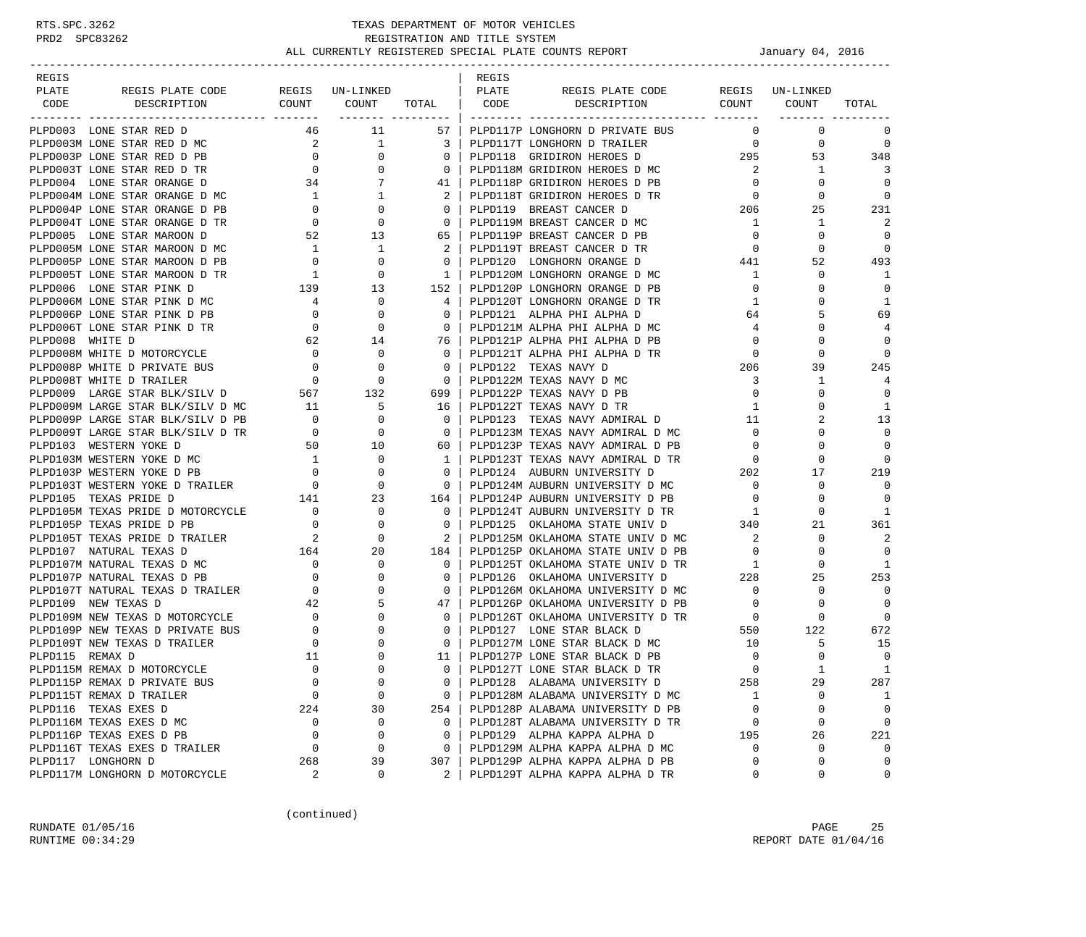-----------------------------------------------------------------------------------------------------------------------------------

| REGIS<br>PLATE |                                                                                                                                                                                                                                                                                                                                        |               |                | REGIS | REGIS PLATE CODE REGIS UN-LINKED                                                                                                                                                                                          |                                                         |                                                                                                                         |                 |
|----------------|----------------------------------------------------------------------------------------------------------------------------------------------------------------------------------------------------------------------------------------------------------------------------------------------------------------------------------------|---------------|----------------|-------|---------------------------------------------------------------------------------------------------------------------------------------------------------------------------------------------------------------------------|---------------------------------------------------------|-------------------------------------------------------------------------------------------------------------------------|-----------------|
| CODE           |                                                                                                                                                                                                                                                                                                                                        |               |                |       | DESCRIPTION COUNT COUNT                                                                                                                                                                                                   |                                                         |                                                                                                                         | TOTAL           |
|                |                                                                                                                                                                                                                                                                                                                                        |               |                |       | 46 11 57   PLPD117P LONGHORN D PRIVATE BUS                                                                                                                                                                                |                                                         |                                                                                                                         | $\Omega$        |
|                |                                                                                                                                                                                                                                                                                                                                        |               |                |       |                                                                                                                                                                                                                           |                                                         | $\begin{matrix}0&&&0\\0&&&&0\end{matrix}$                                                                               | $\overline{0}$  |
|                |                                                                                                                                                                                                                                                                                                                                        |               |                |       |                                                                                                                                                                                                                           |                                                         | $295$ 53 348                                                                                                            |                 |
|                |                                                                                                                                                                                                                                                                                                                                        |               |                |       |                                                                                                                                                                                                                           | $\overline{2}$                                          | <sup>1</sup>                                                                                                            | 3               |
|                |                                                                                                                                                                                                                                                                                                                                        |               |                |       |                                                                                                                                                                                                                           | $\overline{0}$                                          | $\Omega$                                                                                                                |                 |
|                |                                                                                                                                                                                                                                                                                                                                        |               |                |       |                                                                                                                                                                                                                           | $\overline{0}$                                          | $\mathbf 0$                                                                                                             | $\Omega$        |
|                |                                                                                                                                                                                                                                                                                                                                        |               |                |       |                                                                                                                                                                                                                           |                                                         | 25                                                                                                                      | 231             |
|                |                                                                                                                                                                                                                                                                                                                                        |               |                |       |                                                                                                                                                                                                                           | $\begin{array}{c} 206 \\ 1 \end{array}$<br>$\mathbf{1}$ | $\mathbf{1}$                                                                                                            | 2               |
|                | PLPD005 LONE STAR MAROON D<br>$\begin{tabular}{l c c c c c c c c} \hline & $1000\, \rm{M} & $1000\, \rm{M} & $1000\, \rm{M} & $1000\, \rm{M} & $1000\, \rm{M} & $1000\, \rm{M} & $1000\, \rm{M} & $1000\, \rm{M} & $1000\, \rm{M} & $1000\, \rm{M} & $1000\, \rm{M} & $1000\, \rm{M} & $1000\, \rm{M} & $1000\, \rm{M} & $1000\, \rm{$ |               |                |       | 1 1 2 PLPD118P GRIDIRON HEROES D MC<br>0 0 0 PLPD119 BREAST CANCER D<br>0 0 0 PLPD119 BREAST CANCER D<br>52 13 65 PLPD119P BREAST CANCER D PB<br>1 1 2 PLPD119T BREAST CANCER D PB<br>0 0 1 2 PLPD119T BREAST CANCER D PB |                                                         | $\begin{array}{c} 0 \\ 0 \end{array}$<br>$\Omega$                                                                       | $\Omega$        |
|                |                                                                                                                                                                                                                                                                                                                                        |               |                |       |                                                                                                                                                                                                                           |                                                         | $\mathbf 0$                                                                                                             | $\overline{0}$  |
|                |                                                                                                                                                                                                                                                                                                                                        |               |                |       |                                                                                                                                                                                                                           |                                                         | $441$<br>52                                                                                                             | 493             |
|                |                                                                                                                                                                                                                                                                                                                                        |               |                |       |                                                                                                                                                                                                                           | 1                                                       | $\mathbf 0$                                                                                                             | 1               |
|                |                                                                                                                                                                                                                                                                                                                                        |               |                |       |                                                                                                                                                                                                                           | $\overline{0}$                                          | $\Omega$                                                                                                                | $\mathbf 0$     |
|                |                                                                                                                                                                                                                                                                                                                                        |               |                |       |                                                                                                                                                                                                                           | $\mathbf{1}$                                            | 0                                                                                                                       | $\mathbf{1}$    |
|                |                                                                                                                                                                                                                                                                                                                                        |               |                |       |                                                                                                                                                                                                                           | 64                                                      | 5                                                                                                                       | 69              |
|                |                                                                                                                                                                                                                                                                                                                                        |               |                |       |                                                                                                                                                                                                                           | 4                                                       | $\Omega$                                                                                                                | 4               |
|                |                                                                                                                                                                                                                                                                                                                                        |               |                |       |                                                                                                                                                                                                                           |                                                         | $0 \qquad \qquad$<br>$\Omega$                                                                                           | $\Omega$        |
|                |                                                                                                                                                                                                                                                                                                                                        |               |                |       |                                                                                                                                                                                                                           | $\overline{0}$                                          | $\mathbf 0$                                                                                                             | $\Omega$        |
|                |                                                                                                                                                                                                                                                                                                                                        |               |                |       |                                                                                                                                                                                                                           | 206                                                     | 39                                                                                                                      | 245             |
|                |                                                                                                                                                                                                                                                                                                                                        |               |                |       |                                                                                                                                                                                                                           | $\overline{3}$                                          | $\mathbf{1}$                                                                                                            | 4               |
|                | PLPD009 LARGE STAR BLK/SILV D<br>PLPD009M LARGE STAR BLK/SILV D MC 11<br>COOR LARGE STAR BLK/SILV D PB 0                                                                                                                                                                                                                               |               |                |       |                                                                                                                                                                                                                           | $\overline{0}$                                          | $\Omega$                                                                                                                | $\Omega$        |
|                |                                                                                                                                                                                                                                                                                                                                        |               |                |       | 16   PLPD122T TEXAS NAVY D TR                                                                                                                                                                                             | 1                                                       | $\Omega$                                                                                                                | $\mathbf{1}$    |
|                |                                                                                                                                                                                                                                                                                                                                        | $\frac{5}{0}$ | $\overline{0}$ |       |                                                                                                                                                                                                                           |                                                         | 2                                                                                                                       | 13              |
|                | PLPD009P LARGE STAR BLK/SILV D PB<br>PLPD009P LARGE STAR BLK/SILV D PB<br>PLPD009P LARGE STAR BLK/SILV D PB<br>PLPD103 WESTERN YOKE D<br>PLPD103 WESTERN YOKE D MC<br>PLPD1031 WESTERN YOKE D MC<br>PLPD1037 WESTERN YOKE D PB<br>PLPD1037 W                                                                                           |               |                |       | 0   PLPD123M TEXAS NAVY ADMIRAL D MC                                                                                                                                                                                      |                                                         | $\overline{0}$<br>$\Omega$                                                                                              | $\Omega$        |
|                |                                                                                                                                                                                                                                                                                                                                        |               |                |       | 60   PLPD123P TEXAS NAVY ADMIRAL D PB                                                                                                                                                                                     |                                                         | $\overline{0}$<br>$\Omega$                                                                                              | $\Omega$        |
|                |                                                                                                                                                                                                                                                                                                                                        |               |                |       | 1   PLPD123T TEXAS NAVY ADMIRAL D TR<br>0 1 PLPD124 AUBURN UNIVERSITY D<br>0 202 DLPD124M AUBURN UNIVERSITY D MC<br>164 PLPD124P AUBURN UNIVERSITY D MC                                                                   |                                                         | $\Omega$                                                                                                                | $\Omega$        |
|                |                                                                                                                                                                                                                                                                                                                                        |               |                |       |                                                                                                                                                                                                                           |                                                         | 17                                                                                                                      | 219             |
|                |                                                                                                                                                                                                                                                                                                                                        |               |                |       |                                                                                                                                                                                                                           |                                                         | $\Omega$                                                                                                                | $\Omega$        |
|                |                                                                                                                                                                                                                                                                                                                                        |               |                |       | 164   PLPD124P AUBURN UNIVERSITY D PB                                                                                                                                                                                     |                                                         | $\Omega$                                                                                                                | $\Omega$        |
|                |                                                                                                                                                                                                                                                                                                                                        |               |                |       | 0   PLPD124T AUBURN UNIVERSITY D TR<br>0   PLPD124T AUBURN UNIVERSITY D TR<br>0   PLPD125 OKLAHOMA STATE UNIV D 340                                                                                                       |                                                         | $\mathbf 0$                                                                                                             | $\blacksquare$  |
|                |                                                                                                                                                                                                                                                                                                                                        |               |                |       |                                                                                                                                                                                                                           |                                                         | 21                                                                                                                      | 361             |
|                |                                                                                                                                                                                                                                                                                                                                        |               |                |       | 2   PLPD125M OKLAHOMA STATE UNIV D MC                                                                                                                                                                                     | $\overline{\mathbf{2}}$                                 | $\Omega$                                                                                                                | 2               |
|                |                                                                                                                                                                                                                                                                                                                                        |               |                |       | 184   PLPD125P OKLAHOMA STATE UNIV D PB                                                                                                                                                                                   | $\overline{0}$                                          | $\Omega$                                                                                                                |                 |
|                |                                                                                                                                                                                                                                                                                                                                        |               |                |       | 0   PLPD125T OKLAHOMA STATE UNIV D TR                                                                                                                                                                                     | $\mathbf{1}$                                            | $\mathbf{0}$                                                                                                            | -1              |
|                |                                                                                                                                                                                                                                                                                                                                        |               | $\overline{0}$ |       | PLPD126 OKLAHOMA UNIVERSITY D                                                                                                                                                                                             | $\begin{array}{ccc}\n 1 & 1 \\  228 & 0\n \end{array}$  | 25                                                                                                                      | 253             |
|                |                                                                                                                                                                                                                                                                                                                                        |               |                |       | 0   PLPD126M OKLAHOMA UNIVERSITY D MC                                                                                                                                                                                     | $\overline{0}$                                          | $\Omega$                                                                                                                | $\Omega$        |
|                |                                                                                                                                                                                                                                                                                                                                        |               |                |       | 47   PLPD126P OKLAHOMA UNIVERSITY D PB                                                                                                                                                                                    | $\bigcirc$                                              | $\Omega$                                                                                                                |                 |
|                |                                                                                                                                                                                                                                                                                                                                        |               |                |       | $0$   PLPD126T OKLAHOMA UNIVERSITY D TR                                                                                                                                                                                   | $\overline{0}$                                          | $\mathbf 0$                                                                                                             | $\bigcirc$      |
|                |                                                                                                                                                                                                                                                                                                                                        |               |                |       | 0   PLPD127 LONE STAR BLACK D                                                                                                                                                                                             |                                                         | $\begin{matrix}0&0\\550&122\end{matrix}$                                                                                | 672             |
|                |                                                                                                                                                                                                                                                                                                                                        |               |                |       | 0   PLPD127M LONE STAR BLACK D MC                                                                                                                                                                                         | 10                                                      | 5                                                                                                                       | 15              |
|                |                                                                                                                                                                                                                                                                                                                                        |               |                |       | 11 PLPD127P LONE STAR BLACK D PB                                                                                                                                                                                          | $\overline{0}$                                          | $\Omega$                                                                                                                | $\Omega$        |
|                |                                                                                                                                                                                                                                                                                                                                        |               |                |       | 0   PLPD127T LONE STAR BLACK D TR                                                                                                                                                                                         | $\overline{0}$                                          | $\mathbf{1}$                                                                                                            | $\mathbf{1}$    |
|                |                                                                                                                                                                                                                                                                                                                                        |               |                |       |                                                                                                                                                                                                                           |                                                         | 29                                                                                                                      | 287             |
|                |                                                                                                                                                                                                                                                                                                                                        |               |                |       |                                                                                                                                                                                                                           |                                                         | $\mathbf 0$                                                                                                             | $\overline{1}$  |
|                |                                                                                                                                                                                                                                                                                                                                        |               |                |       | 254   PLPD128P ALABAMA UNIVERSITY D PB                                                                                                                                                                                    |                                                         |                                                                                                                         |                 |
|                | PLPDI15 REMAX D<br>PLPD115M REMAX D MOTORCYCLE<br>PLPD115P REMAX D PRIVATE BUS<br>PLPD115T REMAX D TRAILER<br>PLPD116 TEXAS EXES D<br>PLPD116 TEXAS EXES D MC<br>PLPD116P TEXAS EXES D PB<br>PLPD116P TEXAS EXES D PB<br>PLPD116T TEXAS EXES D                                                                                         |               |                |       | 0   PLPD128T ALABAMA UNIVERSITY D TR                                                                                                                                                                                      |                                                         | $\begin{array}{ccc} & 0 & & 0 \ & 0 & & 0 \ & 0 & & 0 \ 195 & & 26 & \ & 0 & & 0 \ & 0 & & 0 \ & 0 & & & 0 \end{array}$ | $\Omega$        |
|                |                                                                                                                                                                                                                                                                                                                                        |               |                |       | 0   PLPD129 ALPHA KAPPA ALPHA D                                                                                                                                                                                           |                                                         |                                                                                                                         | 221<br>$\Omega$ |
|                |                                                                                                                                                                                                                                                                                                                                        |               |                |       | 0   PLPD129M ALPHA KAPPA ALPHA D MC<br>307   PLPD129P ALPHA KAPPA ALPHA D PB                                                                                                                                              |                                                         |                                                                                                                         | $\Omega$        |
|                |                                                                                                                                                                                                                                                                                                                                        |               |                |       | 2   PLPD129T ALPHA KAPPA ALPHA D TR                                                                                                                                                                                       | $\overline{a}$                                          |                                                                                                                         | $\mathbf 0$     |
|                |                                                                                                                                                                                                                                                                                                                                        |               |                |       |                                                                                                                                                                                                                           |                                                         |                                                                                                                         |                 |

(continued)

RUNDATE 01/05/16 PAGE 25 RUNTIME  $00:34:29$  REPORT DATE  $01/04/16$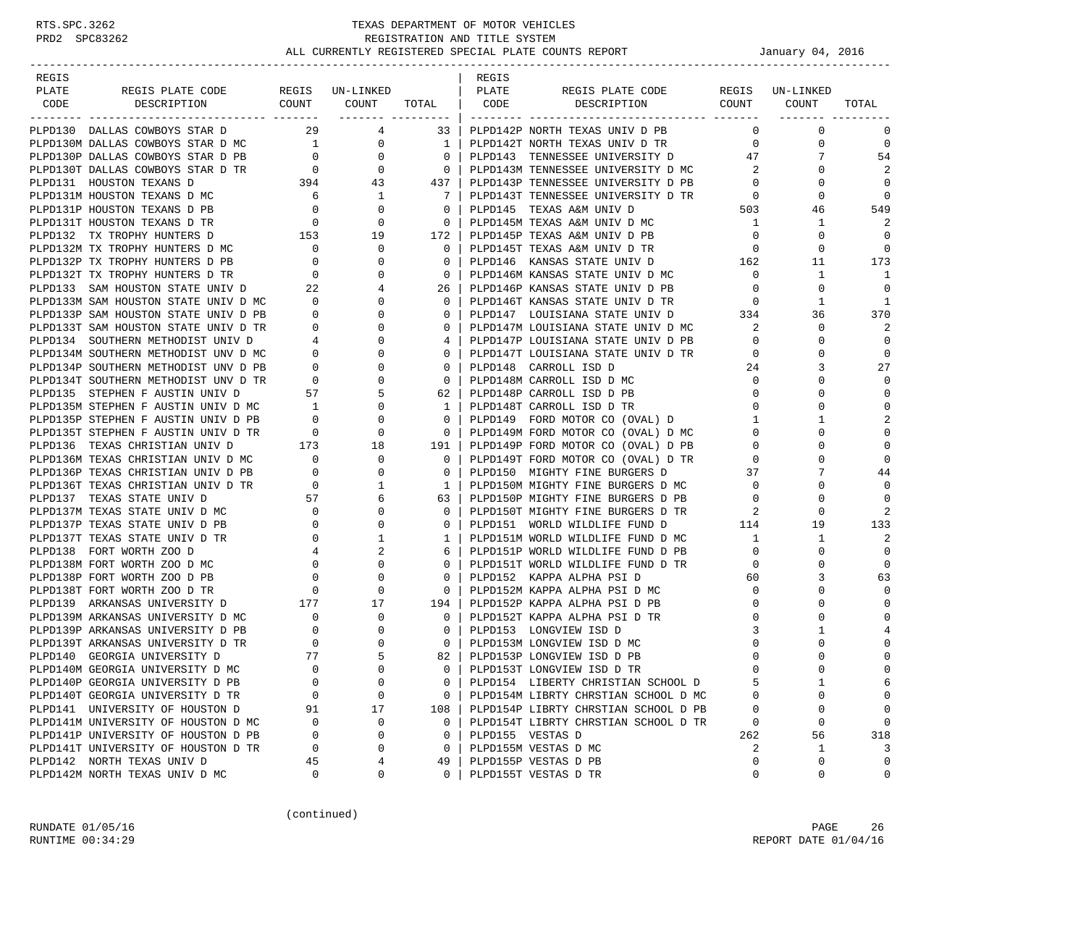| REGIS |                                                                                                                                                                                                                                               |          |                                                                                                                         |                                                     | REGIS |                                                                                                             |                |                               |                |
|-------|-----------------------------------------------------------------------------------------------------------------------------------------------------------------------------------------------------------------------------------------------|----------|-------------------------------------------------------------------------------------------------------------------------|-----------------------------------------------------|-------|-------------------------------------------------------------------------------------------------------------|----------------|-------------------------------|----------------|
| PLATE | REGIS PLATE CODE REGIS UN-LINKED   PLATE                                                                                                                                                                                                      |          |                                                                                                                         |                                                     |       | REGIS PLATE CODE REGIS UN-LINKED                                                                            |                |                               |                |
| CODE  |                                                                                                                                                                                                                                               |          |                                                                                                                         |                                                     |       | DESCRIPTION COUNT COUNT TOTAL CODE DESCRIPTION COUNT COUNT                                                  |                | -------------                 | TOTAL          |
|       | PLPD130 DALLAS COWBOYS STAR D 29 4                                                                                                                                                                                                            |          |                                                                                                                         |                                                     |       | 33   PLPD142P NORTH TEXAS UNIV D PB                                                                         |                | $\overline{0}$<br>$\mathbf 0$ | 0              |
|       |                                                                                                                                                                                                                                               |          |                                                                                                                         |                                                     |       | PLPD142T NORTH TEXAS UNIV D TR                                                                              | $\overline{0}$ | 0                             | 0              |
|       |                                                                                                                                                                                                                                               |          |                                                                                                                         |                                                     |       | 0   PLPD143 TENNESSEE UNIVERSITY D               47                                                         |                | 7                             | 54             |
|       |                                                                                                                                                                                                                                               |          |                                                                                                                         |                                                     |       | PLPD143M TENNESSEE UNIVERSITY D MC 2                                                                        |                | $\Omega$                      | 2              |
|       |                                                                                                                                                                                                                                               |          |                                                                                                                         |                                                     |       |                                                                                                             |                | $\mathbf 0$                   | 0              |
|       |                                                                                                                                                                                                                                               |          |                                                                                                                         |                                                     |       |                                                                                                             |                | 0                             | $\mathbf 0$    |
|       |                                                                                                                                                                                                                                               |          |                                                                                                                         |                                                     |       | PLPD143P TENNESSEE UNIVERSITY D PB<br>PLPD143T TENNESSEE UNIVERSITY D TR<br>PLPD145 TEXAS A&M UNIV D 503    |                | 46                            | 549            |
|       |                                                                                                                                                                                                                                               |          |                                                                                                                         |                                                     |       | PLPD145M TEXAS A&M UNIV D MC                                                                                | $\overline{1}$ | 1                             | 2              |
|       |                                                                                                                                                                                                                                               |          |                                                                                                                         |                                                     |       | PLPD145P TEXAS A&M UNIV D PB                                                                                | $\overline{0}$ | $\mathbf 0$                   | 0              |
|       |                                                                                                                                                                                                                                               |          |                                                                                                                         | $\overline{0}$                                      |       |                                                                                                             | $\overline{0}$ | 0                             | 0              |
|       |                                                                                                                                                                                                                                               |          |                                                                                                                         | $\overline{0}$                                      |       | PLPD145T TEXAS A&M UNIV D TR<br>PLPD146 KANSAS STATE UNIV D 162                                             |                | 11                            | 173            |
|       |                                                                                                                                                                                                                                               |          |                                                                                                                         |                                                     |       |                                                                                                             |                | 1                             | 1              |
|       |                                                                                                                                                                                                                                               |          |                                                                                                                         |                                                     |       | PLPD146M KANSAS STATE UNIV D MC 0<br>PLPD146P KANSAS STATE UNIV D PB 0                                      |                | $\mathbf 0$                   | $\Omega$       |
|       |                                                                                                                                                                                                                                               |          |                                                                                                                         |                                                     |       | PLPD146T KANSAS STATE UNIV D TR                                                                             | $\overline{0}$ | 1                             | 1              |
|       |                                                                                                                                                                                                                                               |          |                                                                                                                         |                                                     |       |                                                                                                             |                | 36                            | 370            |
|       |                                                                                                                                                                                                                                               |          |                                                                                                                         |                                                     |       |                                                                                                             |                | 0                             | 2              |
|       |                                                                                                                                                                                                                                               |          |                                                                                                                         |                                                     |       | PLPD147P LOUISIANA STATE UNIV D PB 0                                                                        |                | 0                             | 0              |
|       | PLPD132 TX TROPHY HUNTERS D<br>PLPD132M TX TROPHY HUNTERS D MC<br>PLPD132P TX TROPHY HUNTERS D MC<br>PLPD132P TX TROPHY HUNTERS D PB<br>0 0 0<br>PLPD133 SAM HOUSTON STATE UNIV D<br>22 4<br>PLPD133M SAM HOUSTON STATE UNIV D MC<br>PLPD133P |          | $\begin{array}{ccc} 0 & & & \\ 4 & & & \\ 0 & & & \\ 0 & & & \\ 0 & & & 0 \\ 0 & & & 4 & \\ 0 & & & 0 & \\ \end{array}$ |                                                     |       | 4   PLPD147P LOUISIANA STATE UNIV D TR<br>0   PLPD147T LOUISIANA STATE UNIV D TR                            | $\overline{0}$ | 0                             | 0              |
|       |                                                                                                                                                                                                                                               |          |                                                                                                                         |                                                     |       |                                                                                                             | 24             | 3                             | 27             |
|       |                                                                                                                                                                                                                                               |          |                                                                                                                         | $\begin{array}{c c} 0 \end{array}$                  |       | PLPD148M CARROLL ISD D MC                                                                                   | $\overline{0}$ | 0                             | $\mathbf 0$    |
|       |                                                                                                                                                                                                                                               |          |                                                                                                                         | 62                                                  |       | PLPD148P CARROLL ISD D PB                                                                                   |                | $\overline{0}$<br>$\Omega$    | $\mathbf 0$    |
|       |                                                                                                                                                                                                                                               |          |                                                                                                                         | $\overline{1}$                                      |       |                                                                                                             |                | $\overline{0}$<br>0           | $\Omega$       |
|       |                                                                                                                                                                                                                                               |          |                                                                                                                         | $\overline{\phantom{0}}$ 0 $\overline{\phantom{0}}$ |       |                                                                                                             |                | 1                             | $\overline{2}$ |
|       | PLPD135M STEPHEN F AUSTIN UNIV D MC<br>PLPD135P STEPHEN F AUSTIN UNIV D PB 0 0 0<br>PLPD135T STEPHEN F AUSTIN UNIV D TR 0 0 0                                                                                                                 |          |                                                                                                                         | $\overline{\phantom{0}}$ 0 $\overline{\phantom{0}}$ |       |                                                                                                             |                | $\Omega$                      | $\mathbf 0$    |
|       |                                                                                                                                                                                                                                               |          |                                                                                                                         |                                                     |       |                                                                                                             |                | 0                             | 0              |
|       |                                                                                                                                                                                                                                               |          |                                                                                                                         | $\begin{array}{c c} 191 &   \\ 0 &   \end{array}$   |       | PLPD149P FORD MOTOR CO (OVAL) D PB 0<br>PLPD149T FORD MOTOR CO (OVAL) D TR 0                                |                | $\Omega$                      | $\mathbf 0$    |
|       |                                                                                                                                                                                                                                               |          |                                                                                                                         | $\overline{0}$                                      |       | PLPD150 MIGHTY FINE BURGERS D                                                                               | 37             | 7                             | 44             |
|       |                                                                                                                                                                                                                                               |          |                                                                                                                         | $1 \vert$                                           |       |                                                                                                             | $\overline{0}$ | 0                             | $\Omega$       |
|       |                                                                                                                                                                                                                                               |          |                                                                                                                         | 63                                                  |       | PLPD150M MIGHTY FINE BURGERS D MC<br>PLPD150P MIGHTY FINE BURGERS D PB                                      | $\overline{0}$ | 0                             | $\mathbf 0$    |
|       |                                                                                                                                                                                                                                               |          |                                                                                                                         | $\circ$                                             |       |                                                                                                             |                | 0                             | 2              |
|       |                                                                                                                                                                                                                                               |          |                                                                                                                         | $\overline{0}$                                      |       | PLPD150P MIGHII FINE BURGERS D TR<br>PLPD150T MIGHTY FINE BURGERS D TR<br>114                               |                | 19                            | 133            |
|       |                                                                                                                                                                                                                                               |          |                                                                                                                         | 1                                                   |       |                                                                                                             |                | $\mathbf{1}$                  | 2              |
|       |                                                                                                                                                                                                                                               |          |                                                                                                                         | 6                                                   |       | PLPD151M WORLD WILDLIFE FUND D MC<br>PLPD151P WORLD WILDLIFE FUND D PB<br>PLPD151T WORLD WILDLIFE FUND D TR |                | $\mathbf 0$                   | 0              |
|       |                                                                                                                                                                                                                                               |          |                                                                                                                         | $\overline{0}$                                      |       |                                                                                                             |                | $\Omega$                      | 0              |
|       |                                                                                                                                                                                                                                               |          |                                                                                                                         | $\circ$                                             |       | PLPD152 KAPPA ALPHA PSI D                                                                                   | 60             | 3                             | 63             |
|       | PLPD135T STEPHEN F AUSTIN UNIV D TR<br>PLPD136 TEXAS CHRISTIAN UNIV D 173 18<br>PLPD136M TEXAS CHRISTIAN UNIV D MC 0 0 0<br>PLPD136P TEXAS CHRISTIAN UNIV D PB 0 0 0<br>PLPD136T TEXAS CHRISTIAN UNIV D TR 0 1<br>PLPD137 TEXAS STATE U       |          |                                                                                                                         | $\overline{0}$                                      |       | PLPD152M KAPPA ALPHA PSI D MC                                                                               | $\overline{0}$ | $\Omega$                      | $\mathbf 0$    |
|       | PLPD139 ARKANSAS UNIVERSITY D<br>PLPD139 ARKANSAS UNIVERSITY D MC<br>PLPD139P ARKANSAS UNIVERSITY D PB<br>PLPD139T ARKANSAS UNIVERSITY D PB<br>PLPD139T ARKANSAS UNIVERSITY D TR<br>PLPD140 GEORGIA UNIVERSITY D MC<br>PLPD140M GEORGIA UN    |          |                                                                                                                         |                                                     |       | PLPD152P KAPPA ALPHA PSI D PB                                                                               | $\overline{0}$ | $\Omega$                      | $\bigcap$      |
|       |                                                                                                                                                                                                                                               |          |                                                                                                                         |                                                     |       | PLPD152T KAPPA ALPHA PSI D TR                                                                               | $\mathbf 0$    | 0                             | $\bigcap$      |
|       |                                                                                                                                                                                                                                               |          |                                                                                                                         |                                                     |       | PLPD153 LONGVIEW ISD D                                                                                      | 3              | -1.                           |                |
|       |                                                                                                                                                                                                                                               |          |                                                                                                                         |                                                     |       | PLPD153M LONGVIEW ISD D MC                                                                                  | 0              | 0                             | $\cap$         |
|       |                                                                                                                                                                                                                                               |          |                                                                                                                         | 82                                                  |       | PLPD153P LONGVIEW ISD D PB                                                                                  | $\mathbf 0$    | $\Omega$                      | $\mathbf 0$    |
|       |                                                                                                                                                                                                                                               |          |                                                                                                                         | $\Omega$                                            |       | PLPD153T LONGVIEW ISD D TR                                                                                  | $\cap$         | $\cap$                        | $\Omega$       |
|       | PLPD140P GEORGIA UNIVERSITY D PB                                                                                                                                                                                                              | 0        | $\mathbf 0$                                                                                                             | 0                                                   |       | PLPD154 LIBERTY CHRISTIAN SCHOOL D                                                                          |                | 1                             | 6              |
|       | PLPD140T GEORGIA UNIVERSITY D TR                                                                                                                                                                                                              | $\Omega$ | 0                                                                                                                       | $\mathbf{0}$                                        |       | PLPD154M LIBRTY CHRSTIAN SCHOOL D MC                                                                        | ∩              | 0                             | 0              |
|       | PLPD141 UNIVERSITY OF HOUSTON D                                                                                                                                                                                                               | 91       | 17                                                                                                                      | 108                                                 |       | PLPD154P LIBRTY CHRSTIAN SCHOOL D PB                                                                        | 0              | 0                             | 0              |
|       | PLPD141M UNIVERSITY OF HOUSTON D MC                                                                                                                                                                                                           | $\Omega$ | 0                                                                                                                       | $\mathbf{0}$                                        |       | PLPD154T LIBRTY CHRSTIAN SCHOOL D TR                                                                        | $\mathbf 0$    | 0                             | 0              |
|       | PLPD141P UNIVERSITY OF HOUSTON D PB                                                                                                                                                                                                           | 0        | 0                                                                                                                       | 0                                                   |       | PLPD155 VESTAS D                                                                                            | 262            | 56                            | 318            |
|       | PLPD141T UNIVERSITY OF HOUSTON D TR                                                                                                                                                                                                           | 0        | 0                                                                                                                       | $\mathbf{0}$                                        |       | PLPD155M VESTAS D MC                                                                                        | 2              | 1                             | 3              |
|       | PLPD142 NORTH TEXAS UNIV D                                                                                                                                                                                                                    | 45       | 4                                                                                                                       | 49                                                  |       | PLPD155P VESTAS D PB                                                                                        | $\Omega$       | 0                             | $\mathbf 0$    |
|       | PLPD142M NORTH TEXAS UNIV D MC                                                                                                                                                                                                                | 0        | 0                                                                                                                       | $\Omega$                                            |       | PLPD155T VESTAS D TR                                                                                        | $\mathbf 0$    | 0                             | 0              |

(continued)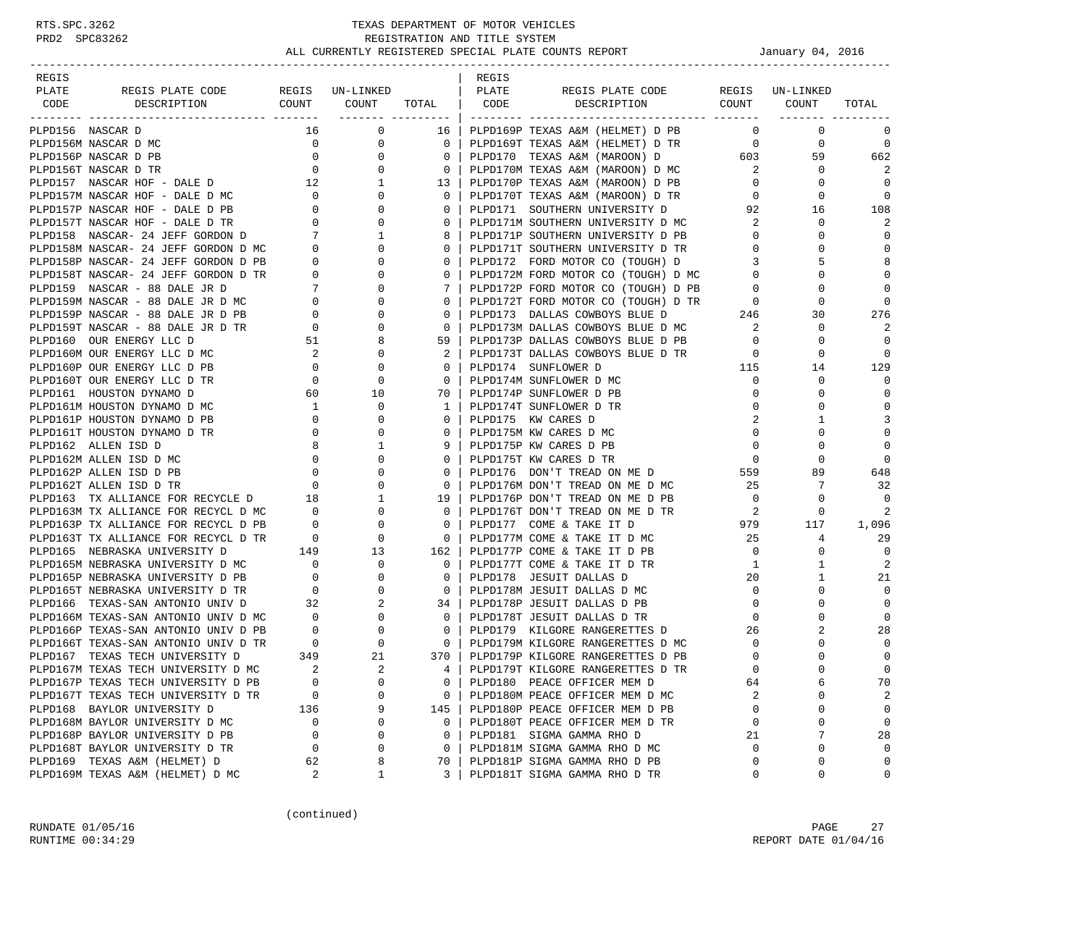| REGIS                                                                                                                                                                                                             |                                                             |                                                                                                                                                                                                        |                          | REGIS |                                                                                                                                                                                               |                                                                       |                 |                |
|-------------------------------------------------------------------------------------------------------------------------------------------------------------------------------------------------------------------|-------------------------------------------------------------|--------------------------------------------------------------------------------------------------------------------------------------------------------------------------------------------------------|--------------------------|-------|-----------------------------------------------------------------------------------------------------------------------------------------------------------------------------------------------|-----------------------------------------------------------------------|-----------------|----------------|
| PLATE<br>REGIS PLATE CODE REGIS UN-LINKED                                                                                                                                                                         |                                                             |                                                                                                                                                                                                        |                          | PLATE | REGIS PLATE CODE                                                                                                                                                                              |                                                                       | REGIS UN-LINKED |                |
| CODE<br>DESCRIPTION                                                                                                                                                                                               |                                                             | -<br>COUNT COUNT                                                                                                                                                                                       | TOTAL                    | CODE  | DESCRIPTION                                                                                                                                                                                   |                                                                       | COUNT COUNT     | TOTAL          |
|                                                                                                                                                                                                                   |                                                             | ___________________                                                                                                                                                                                    |                          |       |                                                                                                                                                                                               |                                                                       | -------- ----   |                |
| PLPD156 NASCAR D                                                                                                                                                                                                  | 16                                                          | 0                                                                                                                                                                                                      | 16                       |       | PLPD169P TEXAS A&M (HELMET) D PB                                                                                                                                                              | $\overline{0}$                                                        | $\mathbf 0$     | 0              |
| PLPD156M NASCAR D MC                                                                                                                                                                                              |                                                             | $\overline{\phantom{a}}$<br>0                                                                                                                                                                          | $\mathbf{0}$             |       | PLPD169T TEXAS A&M (HELMET) D TR                                                                                                                                                              | $\overline{0}$                                                        | 0               | $\mathbf 0$    |
| PLPD156P NASCAR D PB                                                                                                                                                                                              |                                                             | $\begin{array}{c} 0 \\ 0 \end{array}$<br>$\mathbf{0}$                                                                                                                                                  | $\mathbf 0$              |       |                                                                                                                                                                                               |                                                                       | 59              | 662            |
| PLPD156T NASCAR D TR                                                                                                                                                                                              |                                                             | $\overline{0}$                                                                                                                                                                                         | $\mathbf 0$              |       |                                                                                                                                                                                               |                                                                       | $\circ$         | 2              |
| PLPD157 NASCAR HOF - DALE D $12$ 1 $1$ PLPD157M NASCAR HOF - DALE D MC $0$ 0 0                                                                                                                                    |                                                             |                                                                                                                                                                                                        | 13                       |       | PLPD170P TEXAS A&M (MAROON) D PB<br>PLPD170T TEXAS A&M (MAROON) D TR                                                                                                                          | $\circ$                                                               | $\circ$         | $\Omega$       |
|                                                                                                                                                                                                                   |                                                             |                                                                                                                                                                                                        | $\mathbf{0}$             |       | PLPD170T TEXAS A&M (MAROON) D TR                                                                                                                                                              | $\circ$                                                               | 0               | $\mathbf 0$    |
|                                                                                                                                                                                                                   |                                                             | $\mathbf 0$                                                                                                                                                                                            | $\circ$                  |       | PLPD171 SOUTHERN UNIVERSITY D                                                                                                                                                                 | 92                                                                    | 16              | 108            |
| PLPD157P NASCAR HOF - DALE D PB 0<br>PLPD157T NASCAR HOF - DALE D TR 0<br>PLPD158 NASCAR- 24 JEFF GORDON D 7<br>PLPD158M NASCAR- 24 JEFF GORDON D MC 0<br>PLPD158P NASCAR- 24 JEFF GORDON D PB 0                  |                                                             | $\mathbf 0$                                                                                                                                                                                            | $\circ$                  |       | PLPD171M SOUTHERN UNIVERSITY D MC<br>PLPD171P SOUTHERN UNIVERSITY D PB                                                                                                                        | 2                                                                     | $\mathbf 0$     | 2              |
|                                                                                                                                                                                                                   |                                                             | $\mathbf{1}$                                                                                                                                                                                           | 8                        |       |                                                                                                                                                                                               | $\overline{0}$                                                        | 0               | $\Omega$       |
|                                                                                                                                                                                                                   |                                                             | 0                                                                                                                                                                                                      | 0                        |       | PLPD171T SOUTHERN UNIVERSITY D TR<br>PLPD171T SOUTHERN UNIVERSITY D TR                                                                                                                        | $\mathbf{0}$                                                          | 0               | $\Omega$       |
|                                                                                                                                                                                                                   |                                                             | $\mathsf{O}$                                                                                                                                                                                           | $\circ$                  |       | PLPD172 FORD MOTOR CO (TOUGH) D                                                                                                                                                               | 3                                                                     | 5               | 8              |
| PLPD158T NASCAR- 24 JEFF GORDON D TR                                                                                                                                                                              |                                                             | $\overline{0}$                                                                                                                                                                                         | $\mathbf{0}$             |       |                                                                                                                                                                                               |                                                                       | $\mathbf 0$     | $\Omega$       |
| PLPD159 NASCAR - 88 DALE JR D                                                                                                                                                                                     |                                                             | $\mathbf{0}$                                                                                                                                                                                           | 7                        |       |                                                                                                                                                                                               |                                                                       | $\mathbf 0$     | $\Omega$       |
| PLPD159M NASCAR - 88 DALE JR D MC                                                                                                                                                                                 |                                                             | 0                                                                                                                                                                                                      | $\circ$                  |       | PLPD172M FORD MOTOR CO (TOUGH) D MC<br>PLPD172P FORD MOTOR CO (TOUGH) D PB<br>PLPD172T FORD MOTOR CO (TOUGH) D TR<br>PLPD173 DALLAS COWBOYS BLUE D 246<br>PLPD173M DALLAS COWBOYS BLUE D MC 2 |                                                                       | 0               | $\Omega$       |
| PLPD159P NASCAR - 88 DALE JR D PB                                                                                                                                                                                 |                                                             | 0                                                                                                                                                                                                      | $\circ$                  |       |                                                                                                                                                                                               |                                                                       | 30              | 276            |
| PLPD159T NASCAR - 88 DALE JR D TR                                                                                                                                                                                 |                                                             | $\begin{array}{ccc} \mathbf{TR} & & \mathbf{0} \\ & & \mathbf{0} \\ & & \mathbf{7} \\ & & \mathbf{0} \\ & & \mathbf{0} \\ & & & \mathbf{0} \\ & & & \mathbf{0} \\ & & & & \mathbf{0} \end{array}$<br>0 | $\mathbf 0$              |       | PLPD173M DALLAS COWBOYS BLUE D MC                                                                                                                                                             | $\overline{\phantom{a}}$ 2                                            | 0               | 2              |
| PLPD160 OUR ENERGY LLC D                                                                                                                                                                                          | 51                                                          | 8                                                                                                                                                                                                      | 59                       |       | PLPD173P DALLAS COWBOYS BLUE D PB                                                                                                                                                             | $\overline{0}$                                                        | $\mathbf 0$     | $\Omega$       |
| PLPD160M OUR ENERGY LLC D MC                                                                                                                                                                                      | $\overline{\mathbf{c}}$                                     | $\mathbf 0$                                                                                                                                                                                            | 2                        |       | PLPD173T DALLAS COWBOYS BLUE D TR                                                                                                                                                             | $\overline{0}$                                                        | $\mathbf 0$     | $\Omega$       |
| PLPD160P OUR ENERGY LLC D PB                                                                                                                                                                                      | $\overline{0}$                                              | $\mathbf 0$                                                                                                                                                                                            | $\circ$                  |       | PLPD174 SUNFLOWER D                                                                                                                                                                           | 115                                                                   | 14              | 129            |
| PLPD160T OUR ENERGY LLC D TR                                                                                                                                                                                      | $\overline{0}$                                              | $\begin{array}{c}\n10\n\end{array}$                                                                                                                                                                    | $\mathbf{0}$             |       | PLPD174M SUNFLOWER D MC                                                                                                                                                                       | $\overline{0}$                                                        | 0               | $\Omega$       |
| PLPD161 HOUSTON DYNAMO D                                                                                                                                                                                          | 60                                                          |                                                                                                                                                                                                        | 70                       |       | PLPD174P SUNFLOWER D PB                                                                                                                                                                       | $\mathbf 0$                                                           | $\mathbf 0$     | $\mathbf 0$    |
| PLPD161M HOUSTON DYNAMO D MC                                                                                                                                                                                      | $\overline{1}$                                              |                                                                                                                                                                                                        | 1                        |       | PLPD174T SUNFLOWER D TR                                                                                                                                                                       | 0                                                                     | 0               | $\Omega$       |
| PLPD161P HOUSTON DYNAMO D PB                                                                                                                                                                                      | $\overline{0}$                                              | 0                                                                                                                                                                                                      | $\circ$                  |       | PLPD175 KW CARES D                                                                                                                                                                            | 2                                                                     | 1               | 3              |
| PLPD161T HOUSTON DYNAMO D TR                                                                                                                                                                                      | $\overline{0}$                                              | 0                                                                                                                                                                                                      | $\circ$                  |       | PLPD175M KW CARES D MC                                                                                                                                                                        | $\mathbf 0$                                                           | $\Omega$        | $\mathbf 0$    |
| PLPD162 ALLEN ISD D                                                                                                                                                                                               |                                                             | 1                                                                                                                                                                                                      | 9                        |       | PLPD175P KW CARES D PB                                                                                                                                                                        | $\overline{0}$                                                        | 0               | $\mathbf 0$    |
| PLPD162M ALLEN ISD D MC                                                                                                                                                                                           |                                                             | $\begin{array}{c} 8 \\ 0 \end{array}$<br>$\mathbf{0}$                                                                                                                                                  | $\circ$                  |       | PLPD175T KW CARES D TR                                                                                                                                                                        | $\overline{0}$                                                        | 0               | $\mathbf 0$    |
| PLPD162P ALLEN ISD D PB                                                                                                                                                                                           |                                                             |                                                                                                                                                                                                        | $\circ$                  |       | PLPD176 DON'T TREAD ON ME D                                                                                                                                                                   | 559                                                                   | 89              | 648            |
| PLPD162T ALLEN ISD D TR                                                                                                                                                                                           | $\overline{0}$                                              |                                                                                                                                                                                                        | $\mathbf 0$              |       | PLPD176M DON'T TREAD ON ME D MC                                                                                                                                                               | 25                                                                    | 7               | 32             |
| PLPD163 TX ALLIANCE FOR RECYCLE D 18                                                                                                                                                                              |                                                             | $\begin{array}{ccc} 0 & & 0 \\ 0 & & 0 \\ 0 & & 1 \end{array}$                                                                                                                                         | 19                       |       | PLPD176P DON'T TREAD ON ME D PB                                                                                                                                                               | $\overline{0}$                                                        | 0               | 0              |
|                                                                                                                                                                                                                   |                                                             | $\overline{0}$                                                                                                                                                                                         | $\mathbf{0}$             |       | PLPD176T DON'T TREAD ON ME D TR                                                                                                                                                               |                                                                       | 0               | 2              |
| PLPD163M TX ALLIANCE FOR RECYCL D MC 0<br>PLPD163P TX ALLIANCE FOR RECYCL D PB 0<br>PLPD163P TX ALLIANCE FOR RECYCL D PB                                                                                          |                                                             | $\mathbf{0}$                                                                                                                                                                                           | $\mathbf 0$              |       | PLPD177 COME & TAKE IT D                                                                                                                                                                      | $\begin{array}{ccc}\n\text{TR} & \text{2} \\ \text{979}\n\end{array}$ | 117             | 1,096          |
|                                                                                                                                                                                                                   |                                                             |                                                                                                                                                                                                        | $\overline{\phantom{0}}$ |       | PLPD177M COME & TAKE IT D MC                                                                                                                                                                  | 25                                                                    | 4               | 29             |
|                                                                                                                                                                                                                   |                                                             |                                                                                                                                                                                                        | 162                      |       | PLPD177P COME & TAKE IT D PB                                                                                                                                                                  | $\overline{0}$                                                        | 0               | $\Omega$       |
|                                                                                                                                                                                                                   |                                                             |                                                                                                                                                                                                        | $\mathbf{0}$             |       | PLPD177T COME & TAKE IT D TR                                                                                                                                                                  | 1                                                                     | 1               | 2              |
|                                                                                                                                                                                                                   |                                                             |                                                                                                                                                                                                        | $\mathbf{0}$             |       | PLPD178 JESUIT DALLAS D                                                                                                                                                                       | 20                                                                    | 1               | 21             |
| PLPD163T TX ALLIANCE FOR RECYCL D TR 0 0 0<br>PLPD165 NEBRASKA UNIVERSITY D 149 13<br>PLPD165M NEBRASKA UNIVERSITY D MC 0 0<br>PLPD165P NEBRASKA UNIVERSITY D PB 0 0 0<br>PLPD165T NEBRASKA UNIVERSITY D TR 0 0 0 |                                                             |                                                                                                                                                                                                        | $\overline{0}$           |       | PLPD178M JESUIT DALLAS D MC                                                                                                                                                                   | $\mathbf{0}$                                                          | $\mathbf 0$     | $\mathbf 0$    |
| PLPD166 TEXAS-SAN ANTONIO UNIV D                                                                                                                                                                                  | 32                                                          | $\overline{2}$                                                                                                                                                                                         | 34                       |       | PLPD178P JESUIT DALLAS D PB                                                                                                                                                                   | $\overline{0}$                                                        | $\mathbf 0$     | $\mathbf 0$    |
|                                                                                                                                                                                                                   |                                                             | $\mathbf{0}$                                                                                                                                                                                           | $\mathbf{0}$             |       | PLPD178T JESUIT DALLAS D TR                                                                                                                                                                   | $\mathbf{0}$                                                          | 0               | $\Omega$       |
| PLPD166M TEXAS-SAN ANTONIO UNIV D MC 0<br>PLPD166P TEXAS-SAN ANTONIO UNIV D PB 0                                                                                                                                  |                                                             | $\overline{0}$                                                                                                                                                                                         | $\overline{\phantom{0}}$ |       | PLPD179 KILGORE RANGERETTES D                                                                                                                                                                 | 26                                                                    | 2               | 28             |
| PLPD166T TEXAS-SAN ANTONIO UNIV D TR                                                                                                                                                                              |                                                             | $\overline{0}$                                                                                                                                                                                         | $\overline{0}$           |       | PLPD179M KILGORE RANGERETTES D MC<br>PLPD179M KILGORE RANGERETTES D MC                                                                                                                        | $\circ$                                                               | 0               | $\Omega$       |
| PLPD167 TEXAS TECH UNIVERSITY D                                                                                                                                                                                   | $\begin{array}{ccc}\n\text{TR} & & 0 \\ & 349\n\end{array}$ | 21                                                                                                                                                                                                     | 370 l                    |       | PLPD179P KILGORE RANGERETTES D PB                                                                                                                                                             | $\overline{0}$                                                        | $\Omega$        | $\mathbf 0$    |
| PLPD167M TEXAS TECH UNIVERSITY D MC                                                                                                                                                                               | 2                                                           | $\overline{2}$                                                                                                                                                                                         | $4 \mid$                 |       | PLPD179T KILGORE RANGERETTES D TR                                                                                                                                                             | $\Omega$                                                              | $\Omega$        | $\Omega$       |
| PLPD167P TEXAS TECH UNIVERSITY D PB                                                                                                                                                                               | $\mathbf 0$                                                 | $\Omega$                                                                                                                                                                                               | 0                        |       | PLPD180 PEACE OFFICER MEM D                                                                                                                                                                   | 64                                                                    | 6               | 70             |
| PLPD167T TEXAS TECH UNIVERSITY D TR                                                                                                                                                                               | 0                                                           | $\Omega$                                                                                                                                                                                               | 0                        |       | PLPD180M PEACE OFFICER MEM D MC                                                                                                                                                               | 2                                                                     | 0               | $\overline{c}$ |
| PLPD168 BAYLOR UNIVERSITY D                                                                                                                                                                                       | 136                                                         | 9                                                                                                                                                                                                      | 145                      |       | PLPD180P PEACE OFFICER MEM D PB                                                                                                                                                               | 0                                                                     | 0               | $\mathbf 0$    |
| PLPD168M BAYLOR UNIVERSITY D MC                                                                                                                                                                                   | 0                                                           | 0                                                                                                                                                                                                      | $\circ$                  |       | PLPD180T PEACE OFFICER MEM D TR                                                                                                                                                               | $\mathbf 0$                                                           | 0               | $\mathbf 0$    |
| PLPD168P BAYLOR UNIVERSITY D PB                                                                                                                                                                                   | 0                                                           | $\Omega$                                                                                                                                                                                               | 0                        |       | PLPD181 SIGMA GAMMA RHO D                                                                                                                                                                     | 21                                                                    | 7               | 28             |
| PLPD168T BAYLOR UNIVERSITY D TR                                                                                                                                                                                   | $\mathbf 0$                                                 | $\Omega$                                                                                                                                                                                               | $\circ$                  |       | PLPD181M SIGMA GAMMA RHO D MC                                                                                                                                                                 | $\mathbf 0$                                                           | 0               | $\mathbf 0$    |
| PLPD169 TEXAS A&M (HELMET) D                                                                                                                                                                                      | 62                                                          | 8                                                                                                                                                                                                      | 70                       |       | PLPD181P SIGMA GAMMA RHO D PB                                                                                                                                                                 | 0                                                                     | 0               | $\mathbf 0$    |
| PLPD169M TEXAS A&M (HELMET) D MC                                                                                                                                                                                  | 2                                                           | 1                                                                                                                                                                                                      | 3                        |       | PLPD181T SIGMA GAMMA RHO D TR                                                                                                                                                                 | 0                                                                     | 0               | 0              |
|                                                                                                                                                                                                                   |                                                             |                                                                                                                                                                                                        |                          |       |                                                                                                                                                                                               |                                                                       |                 |                |

(continued)

RUNDATE 01/05/16 PAGE 27 RUNTIME  $00:34:29$  REPORT DATE  $01/04/16$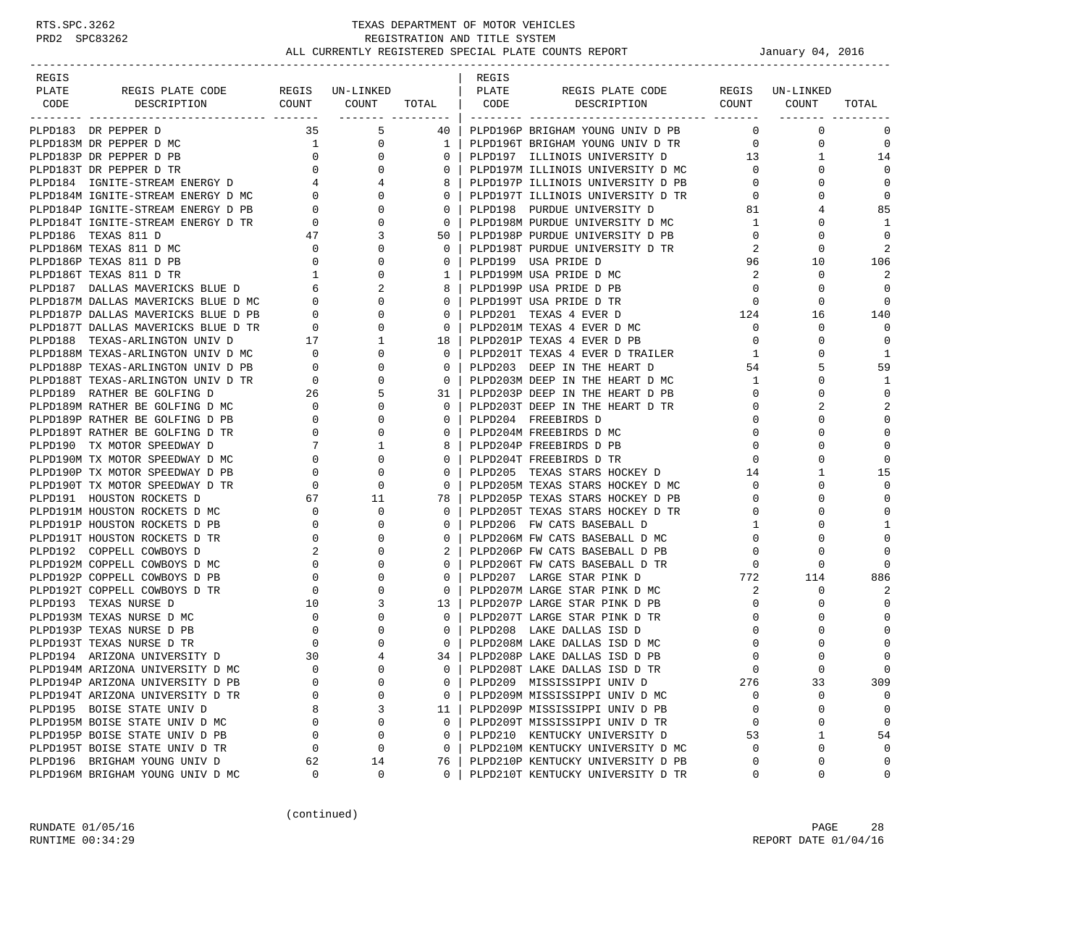| REGIS |                                                                                                                                                                                                                  |                                                                                           |                                |                | REGIS        |                                                                        |                |                     |                |
|-------|------------------------------------------------------------------------------------------------------------------------------------------------------------------------------------------------------------------|-------------------------------------------------------------------------------------------|--------------------------------|----------------|--------------|------------------------------------------------------------------------|----------------|---------------------|----------------|
| PLATE | REGIS PLATE CODE                                                                                                                                                                                                 |                                                                                           | REGIS UN-LINKED                |                | <b>PLATE</b> | REGIS PLATE CODE                                                       |                | REGIS UN-LINKED     |                |
| CODE  | DESCRIPTION                                                                                                                                                                                                      |                                                                                           | COUNT COUNT TOTAL   CODE       |                |              | DESCRIPTION                                                            | COUNT COUNT    |                     | TOTAL          |
|       | PLPD183 DR PEPPER D                                                                                                                                                                                              | 35                                                                                        | 5                              | 40 l           |              | PLPD196P BRIGHAM YOUNG UNIV D PB                                       | $\mathbf{0}$   | $\mathbf 0$         | $\mathbf 0$    |
|       | PLPD183M DR PEPPER D MC                                                                                                                                                                                          |                                                                                           | $\mathbf{1}$<br>$\overline{0}$ | 1 <sup>1</sup> |              | PLPD196T BRIGHAM YOUNG UNIV D TR                                       |                | 0<br>$\overline{0}$ | $\mathbf 0$    |
|       |                                                                                                                                                                                                                  |                                                                                           | $\mathbf{0}$                   | $\mathbf{0}$   |              | PLPD197 ILLINOIS UNIVERSITY D                                          | 13             | 1                   | 14             |
|       |                                                                                                                                                                                                                  |                                                                                           | $\mathbf{0}$                   | $\Omega$       |              | PLPD197M ILLINOIS UNIVERSITY D MC                                      | $\overline{0}$ |                     | $\Omega$       |
|       |                                                                                                                                                                                                                  |                                                                                           | 4                              | 8              |              |                                                                        |                | $\overline{0}$<br>0 | $\mathbf 0$    |
|       | PLPD183P DR PEPPER D PB<br>PLPD183T DR PEPPER D TR 0<br>PLPD184 IGNITE-STREAM ENERGY D 4<br>PLPD184M IGNITE-STREAM ENERGY D MC 0<br>PLPD184M IGNITE-STREAM ENERGY D MC 0<br>PLPD184D IGNITE STREAM ENERGY D MC 0 |                                                                                           | $\Omega$                       | $\mathbf{0}$   |              | PLPD197P ILLINOIS UNIVERSITY D PB<br>PLPD197T ILLINOIS UNIVERSITY D TR | $\circ$        | $\Omega$            | $\mathbf 0$    |
|       | PLPD184P IGNITE-STREAM ENERGY D PB                                                                                                                                                                               |                                                                                           | 0                              | $\mathbf{0}$   |              | PLPD198 PURDUE UNIVERSITY D                                            | 81             | 4                   | 85             |
|       | PLPD184T IGNITE-STREAM ENERGY D TR                                                                                                                                                                               |                                                                                           | 0                              | $\overline{0}$ |              | PLPD198M PURDUE UNIVERSITY D MC                                        | $\mathbf{1}$   |                     | 1              |
|       | PLPD186 TEXAS 811 D                                                                                                                                                                                              | $\begin{array}{c}0\\0\\47\end{array}$<br>$\begin{array}{c} 0 \\ 47 \\ 0 \\ 0 \end{array}$ | 3                              | 50             |              | PLPD198P PURDUE UNIVERSITY D PB                                        | $\overline{0}$ | $\Omega$            | $\mathbf 0$    |
|       | PLPD186M TEXAS 811 D MC                                                                                                                                                                                          |                                                                                           | 0                              | $\mathbf{0}$   |              | PLPD198T PURDUE UNIVERSITY D TR                                        | 2              | 0                   | 2              |
|       | PLPD186P TEXAS 811 D PB                                                                                                                                                                                          |                                                                                           | $\mathbf 0$                    | $\mathbf{0}$   |              | PLPD199 USA PRIDE D                                                    | 96             | 10                  | 106            |
|       |                                                                                                                                                                                                                  |                                                                                           | $1$ , $\sim$<br>$\mathbf 0$    | $\mathbf{1}$   |              | PLPD199M USA PRIDE D MC                                                | 2              | 0                   | 2              |
|       | PLPD186T TEXAS 811 D TR<br>PLPD187 DALLAS MAVERICKS BLUE D 6<br>PLPD187M DALLAS MAVERICKS BLUE D MC 0                                                                                                            |                                                                                           | 2                              | 8              |              | PLPD199P USA PRIDE D PB                                                | $\overline{0}$ | 0                   | $\Omega$       |
|       |                                                                                                                                                                                                                  |                                                                                           | $\Omega$                       | $\Omega$       |              | PLPD199T USA PRIDE D TR                                                | $\Omega$       | 0                   | $\Omega$       |
|       |                                                                                                                                                                                                                  |                                                                                           | $\mathbf{0}$                   | $\mathbf{0}$   |              | PLPD201 TEXAS 4 EVER D                                                 | 124            | 16                  | 140            |
|       |                                                                                                                                                                                                                  |                                                                                           | 0                              | $\mathbf 0$    |              | PLPD201M TEXAS 4 EVER D MC                                             | $\overline{0}$ | 0                   | $\mathbf 0$    |
|       | PLPD187P DALLAS MAVERICKS BLUE D PB<br>PLPD187T DALLAS MAVERICKS BLUE D TR 0<br>PLPD188 TEXAS-ARLINGTON UNIV D 17<br>PLPD188M TEXAS-ARLINGTON UNIV D MC 0<br>PLPD188P TEXAS-ARLINGTON UNIV D PB 0                |                                                                                           | $\mathbf{1}$                   | 18             |              | PLPD201P TEXAS 4 EVER D PB                                             | $\overline{0}$ | 0                   | $\mathbf 0$    |
|       |                                                                                                                                                                                                                  |                                                                                           | 0                              | 0              |              | PLPD201T TEXAS 4 EVER D TRAILER                                        | $\mathbf{1}$   |                     | $\mathbf{1}$   |
|       |                                                                                                                                                                                                                  |                                                                                           | 0                              | $\Omega$       |              | PLPD203 DEEP IN THE HEART D                                            | 54             | 5                   | 59             |
|       | PLPD188T TEXAS-ARLINGTON UNIV D TR                                                                                                                                                                               | $\begin{array}{ccc} \n \text{R} & & 0 \\ \n 26 & & \n \end{array}$                        | 0                              | $\mathbf{0}$   |              | PLPD203M DEEP IN THE HEART D MC                                        | $\mathbf{1}$   | 0                   | 1              |
|       | PLPD189 RATHER BE GOLFING D                                                                                                                                                                                      |                                                                                           | 5                              | 31 I           |              | PLPD203P DEEP IN THE HEART D PB                                        | $\overline{0}$ | $\Omega$            | $\mathbf 0$    |
|       | PLPD189M RATHER BE GOLFING D MC                                                                                                                                                                                  |                                                                                           | $\mathbf{0}$                   | $\mathbf{0}$   |              | PLPD203T DEEP IN THE HEART D TR                                        | $\overline{0}$ | 2                   | $\overline{2}$ |
|       | PLPD189P RATHER BE GOLFING D PB                                                                                                                                                                                  |                                                                                           | 0                              | 0              |              | PLPD204 FREEBIRDS D                                                    | $\mathbf{0}$   |                     | $\mathbf 0$    |
|       | PLPD189T RATHER BE GOLFING D TR                                                                                                                                                                                  | $\begin{array}{c} 0 \\ 0 \\ 0 \end{array}$                                                | $\Omega$                       | $\Omega$       |              | PLPD204M FREEBIRDS D MC                                                | $\mathbf 0$    |                     | $\mathbf 0$    |
|       | PLPD190 TX MOTOR SPEEDWAY D                                                                                                                                                                                      | 7                                                                                         | 1                              | 8              |              | PLPD204P FREEBIRDS D PB                                                | $\overline{0}$ | 0                   | $\mathbf 0$    |
|       | PLPD190M TX MOTOR SPEEDWAY D MC                                                                                                                                                                                  | $\begin{array}{c} \n \stackrel{\prime}{\phantom{0}} \\ \n 0 \n \end{array}$               | $\Omega$                       | $\Omega$       |              | PLPD204T FREEBIRDS D TR                                                | $\mathbf 0$    | $\Omega$            | $\mathbf 0$    |
|       | PLPD190P TX MOTOR SPEEDWAY D PB                                                                                                                                                                                  | $\overline{0}$                                                                            | 0                              | $\mathbf 0$    |              | PLPD205 TEXAS STARS HOCKEY D                                           | 14             | 1                   | 15             |
|       | PLPD190T TX MOTOR SPEEDWAY D TR                                                                                                                                                                                  | $\overline{0}$                                                                            | $\mathbf 0$                    | 0              |              | PLPD205M TEXAS STARS HOCKEY D MC                                       | $\overline{0}$ |                     | $\mathbf 0$    |
|       | PLPD191 HOUSTON ROCKETS D                                                                                                                                                                                        | 67                                                                                        | 11                             | 78             |              | PLPD205P TEXAS STARS HOCKEY D PB                                       | $\mathbf 0$    | $\Omega$            | $\mathbf 0$    |
|       | PLPD191M HOUSTON ROCKETS D MC                                                                                                                                                                                    | $\overline{0}$<br>$\overline{a}$                                                          | 0                              | $\mathbf{0}$   |              | PLPD205T TEXAS STARS HOCKEY D TR                                       | $\mathbf{0}$   | 0                   | $\mathbf 0$    |
|       | PLPD191P HOUSTON ROCKETS D PB                                                                                                                                                                                    |                                                                                           | 0                              | $\mathbf{0}$   |              | PLPD206 FW CATS BASEBALL D                                             | 1              | $\Omega$            | $\mathbf{1}$   |
|       | PLPD191T HOUSTON ROCKETS D TR                                                                                                                                                                                    | $\mathbf{0}$                                                                              | 0                              | 0              |              | PLPD206M FW CATS BASEBALL D MC                                         | $\mathbf{0}$   | 0                   | $\mathbf 0$    |
|       | PLPD192 COPPELL COWBOYS D                                                                                                                                                                                        | 2                                                                                         | 0                              | 2              |              | PLPD206P FW CATS BASEBALL D PB                                         | $\mathbf 0$    |                     | $\Omega$       |
|       | PLPD192M COPPELL COWBOYS D MC                                                                                                                                                                                    | $\overline{0}$                                                                            | $\Omega$                       | $\Omega$       |              | PLPD206T FW CATS BASEBALL D TR                                         | $\mathbf 0$    | $\Omega$            | $\Omega$       |
|       | PLPD192P COPPELL COWBOYS D PB                                                                                                                                                                                    | $\overline{0}$<br>$\overline{0}$                                                          | 0                              | 0              |              | PLPD207 LARGE STAR PINK D                                              | $772$          | 114                 | 886            |
|       | PLPD192T COPPELL COWBOYS D TR                                                                                                                                                                                    |                                                                                           | $\mathbf 0$                    | $\mathbf{0}$   |              | PLPD207M LARGE STAR PINK D MC                                          | 2              | 0                   | 2              |
|       | PLPD193 TEXAS NURSE D                                                                                                                                                                                            | 10                                                                                        | 3                              | 13             |              | PLPD207P LARGE STAR PINK D PB                                          | $\mathbf{0}$   | 0                   | $\Omega$       |
|       | $\overline{0}$<br>PLPD193M TEXAS NURSE D MC                                                                                                                                                                      |                                                                                           | 0                              | $\mathbf{0}$   |              | PLPD207T LARGE STAR PINK D TR                                          | $\mathbf 0$    |                     | $\Omega$       |
|       | PLPD193P TEXAS NURSE D PB                                                                                                                                                                                        |                                                                                           | $\Omega$                       | $\mathbf{0}$   |              | PLPD208 LAKE DALLAS ISD D                                              | $\Omega$       |                     |                |
|       | PLPD193T TEXAS NURSE D TR                                                                                                                                                                                        |                                                                                           | $\mathbf{0}$                   | $\mathbf{0}$   |              | PLPD208M LAKE DALLAS ISD D MC                                          | 0              |                     | $\Omega$       |
|       | PLPD194 ARIZONA UNIVERSITY D                                                                                                                                                                                     | 30                                                                                        | $\overline{4}$                 | 34 I           |              | PLPD208P LAKE DALLAS ISD D PB                                          | $\mathbf 0$    |                     | $\mathbf 0$    |
|       | PLPD194M ARIZONA UNIVERSITY D MC                                                                                                                                                                                 | $\Omega$                                                                                  | $\Omega$                       | $\Omega$       |              | PLPD208T LAKE DALLAS ISD D TR                                          | $\Omega$       |                     | $\Omega$       |
|       | PLPD194P ARIZONA UNIVERSITY D PB                                                                                                                                                                                 | $\Omega$                                                                                  | 0                              | 0              |              | PLPD209 MISSISSIPPI UNIV D                                             | 276            | 33                  | 309            |
|       | PLPD194T ARIZONA UNIVERSITY D TR                                                                                                                                                                                 | O                                                                                         | 0                              | 0              |              | PLPD209M MISSISSIPPI UNIV D MC                                         | $\Omega$       | $\mathbf 0$         | $\mathbf 0$    |
|       | PLPD195 BOISE STATE UNIV D                                                                                                                                                                                       | 8                                                                                         | 3                              | 11             |              | PLPD209P MISSISSIPPI UNIV D PB                                         | 0              | 0                   | $\mathbf 0$    |
|       | PLPD195M BOISE STATE UNIV D MC                                                                                                                                                                                   | 0                                                                                         | 0                              | 0              |              | PLPD209T MISSISSIPPI UNIV D TR                                         | $\mathbf 0$    | $\mathbf 0$         | 0              |
|       | PLPD195P BOISE STATE UNIV D PB                                                                                                                                                                                   | 0                                                                                         | 0                              | 0              |              | PLPD210 KENTUCKY UNIVERSITY D                                          | 53             | 1                   | 54             |
|       | PLPD195T BOISE STATE UNIV D TR                                                                                                                                                                                   | 0                                                                                         | 0                              | 0              |              | PLPD210M KENTUCKY UNIVERSITY D MC                                      | $\mathbf 0$    | $\mathbf 0$         | $\mathbf 0$    |
|       | PLPD196 BRIGHAM YOUNG UNIV D                                                                                                                                                                                     | 62                                                                                        | 14                             | 76             |              | PLPD210P KENTUCKY UNIVERSITY D PB                                      | $\Omega$       | 0                   | 0              |
|       | PLPD196M BRIGHAM YOUNG UNIV D MC                                                                                                                                                                                 | 0                                                                                         | 0                              | 0              |              | PLPD210T KENTUCKY UNIVERSITY D TR                                      | 0              | 0                   | 0              |

(continued)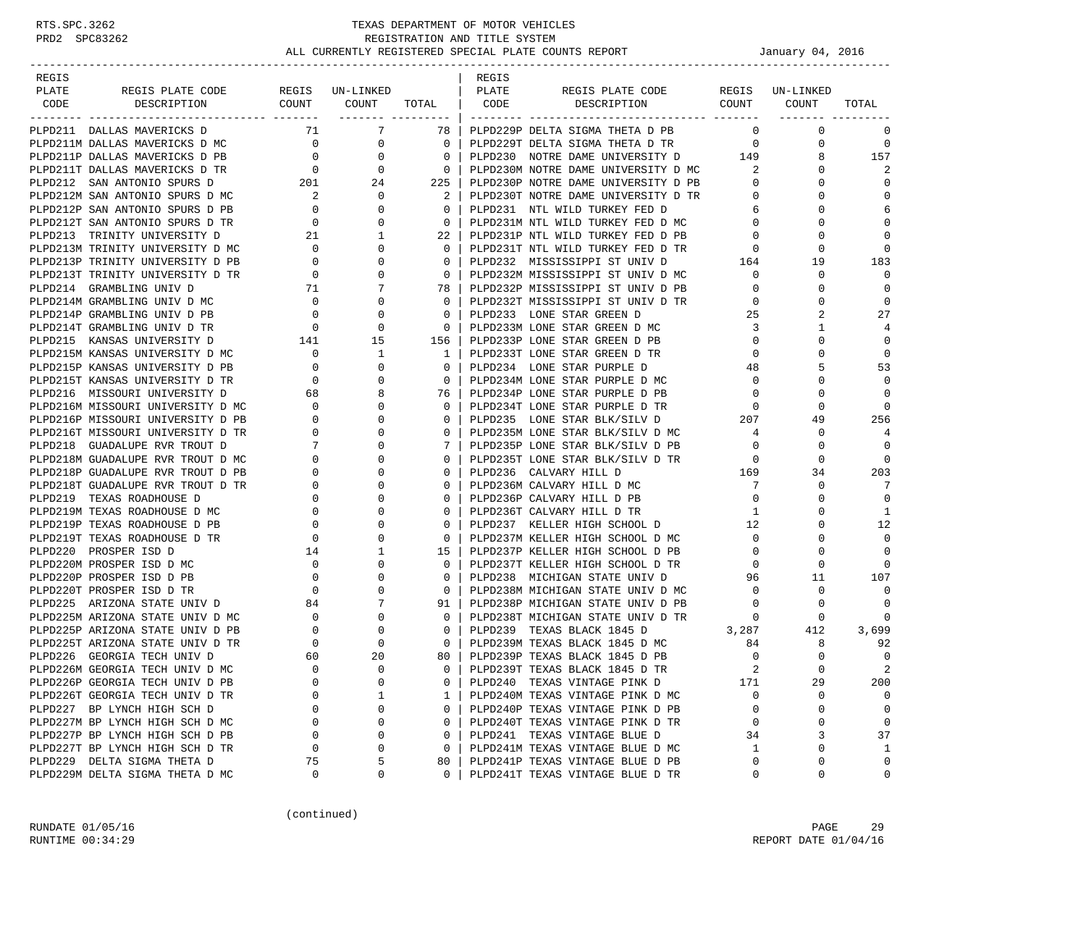| REGIS |                                                                        |                                                  |                 |                          | REGIS |                                                                        |                                                                   |                 |                   |
|-------|------------------------------------------------------------------------|--------------------------------------------------|-----------------|--------------------------|-------|------------------------------------------------------------------------|-------------------------------------------------------------------|-----------------|-------------------|
| PLATE | REGIS PLATE CODE REGIS UN-LINKED                                       |                                                  |                 |                          | PLATE | REGIS PLATE CODE                                                       |                                                                   | REGIS UN-LINKED |                   |
| CODE  | DESCRIPTION                                                            |                                                  |                 |                          |       | COUNT COUNT TOTAL CODE DESCRIPTION COUNT COUNT                         |                                                                   |                 | TOTAL             |
|       |                                                                        |                                                  |                 |                          |       |                                                                        |                                                                   |                 |                   |
|       | PLPD211 DALLAS MAVERICKS D                                             |                                                  | 71 7            | 78 I                     |       | PLPD229P DELTA SIGMA THETA D PB                                        | $\Omega$                                                          | 0               | 0                 |
|       | PLPD211M DALLAS MAVERICKS D MC                                         | $\overline{0}$                                   | $\overline{0}$  | $\overline{0}$           |       | PLPD229T DELTA SIGMA THETA D TR 0                                      |                                                                   | 0               | $\overline{0}$    |
|       | PLPD211P DALLAS MAVERICKS D PB                                         | $\overline{0}$                                   | $\mathbf{0}$    | $\overline{0}$           |       | PLPD230 NOTRE DAME UNIVERSITY D 149                                    |                                                                   | 8               | 157               |
|       | PLPD211T DALLAS MAVERICKS D TR                                         | $\overline{0}$                                   | $\mathbf{0}$    | $\overline{\phantom{0}}$ |       | PLPD230M NOTRE DAME UNIVERSITY D MC 2                                  |                                                                   | $\Omega$        | 2                 |
|       | PLPD212 SAN ANTONIO SPURS D                                            |                                                  | 24              | 225                      |       | PLPD230P NOTRE DAME UNIVERSITY D PB                                    | $\mathbf{0}$                                                      | 0               | $\mathbf 0$       |
|       | PLPD212M SAN ANTONIO SPURS D MC                                        | 201                                              | $\mathbf{0}$    | $\overline{2}$           |       | PLPD230T NOTRE DAME UNIVERSITY D TR                                    | $\mathbf{0}$                                                      | $\Omega$        | $\mathbf 0$       |
|       | PLPD212P SAN ANTONIO SPURS D PB                                        | $\begin{array}{c} 2 \\ 0 \\ 0 \end{array}$       | 0               | $\overline{0}$           |       | PLPD231 NTL WILD TURKEY FED D                                          | 6                                                                 | $\Omega$        | 6                 |
|       | PLPD212T SAN ANTONIO SPURS D TR                                        |                                                  | $\mathbf 0$     | $\overline{0}$           |       | PLPD231M NTL WILD TURKEY FED D MC                                      | $\overline{0}$                                                    | $\Omega$        | $\Omega$          |
|       | PLPD213 TRINITY UNIVERSITY D                                           | $\frac{1}{21}$                                   | 1               | 22                       |       | PLPD231P NTL WILD TURKEY FED D PB                                      | $\mathbf 0$                                                       | $\Omega$        | $\Omega$          |
|       | PLPD213M TRINITY UNIVERSITY D MC                                       |                                                  | 0               | $\Omega$                 |       | PLPD231T NTL WILD TURKEY FED D TR                                      | $\mathbf{0}$                                                      | 0               | $\Omega$          |
|       | PLPD213P TRINITY UNIVERSITY D PB                                       | $\begin{array}{c} 0 \\ 0 \end{array}$            | $\Omega$        | $\mathbf{0}$             |       | PLPD232 MISSISSIPPI ST UNIV D                                          | $\begin{matrix} \text{TR} & \hspace{1.5cm} 0 \\ 164 \end{matrix}$ | 19              | 183               |
|       | PLPD213T TRINITY UNIVERSITY D TR                                       | $\overline{0}$                                   | 0               | $\overline{\mathbf{0}}$  |       | PLPD232M MISSISSIPPI ST UNIV D MC                                      | $\mathbf{0}$                                                      | 0               | $\mathbf 0$       |
|       |                                                                        |                                                  |                 | 78                       |       | PLPD232P MISSISSIPPI ST UNIV D PB                                      | $\mathbf{0}$                                                      | $\Omega$        | $\mathbf 0$       |
|       | PLPD214 GRAMBLING UNIV D<br>PLPD214M GRAMBLING UNIV D MC 0             |                                                  | 0               | $\Omega$                 |       | PLPD232T MISSISSIPPI ST UNIV D TR                                      | $\mathbf 0$                                                       | $\Omega$        | $\mathbf 0$       |
|       | PLPD214P GRAMBLING UNIV D PB                                           | $\overline{0}$                                   | 0               | $\mathbf{0}$             |       | PLPD233 LONE STAR GREEN D                                              | 25                                                                | 2               | 27                |
|       | PLPD214T GRAMBLING UNIV D TR                                           | $\overline{0}$                                   | $\mathbf 0$     | $\overline{0}$           |       | PLPD233M LONE STAR GREEN D MC                                          | 3                                                                 | 1               | 4                 |
|       |                                                                        |                                                  | 15              | 156                      |       | PLPD233P LONE STAR GREEN D PB                                          | $\mathbf{0}$                                                      | 0               | $\mathbf 0$       |
|       | PLPD215 KANSAS UNIVERSITY D<br>141<br>PLPD215M KANSAS UNIVERSITY D MC  | $\overline{0}$                                   | 1               | 1                        |       | PLPD233T LONE STAR GREEN D TR                                          | $\mathbf{0}$                                                      | $\Omega$        | $\mathbf 0$       |
|       | PLPD215P KANSAS UNIVERSITY D PB 0<br>PLPD215P KANSAS UNIVERSITY D PB 0 |                                                  | 0               | $\Omega$                 |       | PLPD234 LONE STAR PURPLE D                                             | 48                                                                | 5               | 53                |
|       | PLPD215T KANSAS UNIVERSITY D TR                                        |                                                  | 0               | $\mathbf{0}$             |       | PLPD234M LONE STAR PURPLE D MC                                         | $\mathbf{0}$                                                      | 0               | $\mathbf 0$       |
|       | PLPD216 MISSOURI UNIVERSITY D                                          | $\begin{array}{c}0\\68\end{array}$               | 8               | 76                       |       | PLPD234P LONE STAR PURPLE D PB                                         | $\overline{0}$                                                    | $\Omega$        | $\mathbf 0$       |
|       | PLPD216M MISSOURI UNIVERSITY D MC                                      |                                                  | 0               | $\Omega$                 |       | PLPD234T LONE STAR PURPLE D TR                                         |                                                                   | 0               | $\Omega$          |
|       | PLPD216P MISSOURI UNIVERSITY D PB                                      |                                                  | $\Omega$        | 0                        |       | PLPD235 LONE STAR BLK/SILV D                                           | $\begin{array}{c}0\\207\end{array}$                               | 49              | 256               |
|       | PLPD216T MISSOURI UNIVERSITY D TR                                      | $\begin{bmatrix} 0 \\ 0 \\ 0 \\ 0 \end{bmatrix}$ | $\Omega$        | $\Omega$                 |       | PLPD235M LONE STAR BLK/SILV D MC                                       | 4                                                                 | 0               | 4                 |
|       | PLPD218 GUADALUPE RVR TROUT D                                          |                                                  | $\mathbf 0$     | 7                        |       | PLPD235P LONE STAR BLK/SILV D PB                                       | $\overline{0}$                                                    | 0               | $\Omega$          |
|       | PLPD218M GUADALUPE RVR TROUT D MC                                      | $\begin{bmatrix} 7 \\ 0 \\ 0 \end{bmatrix}$      | $\Omega$        | $\mathbf{0}$             |       | PLPD235T LONE STAR BLK/SILV D TR                                       | $\overline{0}$                                                    | 0               | $\overline{0}$    |
|       | PLPD218P GUADALUPE RVR TROUT D PB                                      |                                                  | 0               | $\mathbf{0}$             |       | PLPD236 CALVARY HILL D                                                 |                                                                   | 34              | 203               |
|       | PLPD218T GUADALUPE RVR TROUT D TR                                      | $\overline{0}$                                   | 0               | $\Omega$                 |       | PLPD236M CALVARY HILL D MC                                             | $\frac{169}{7}$<br>$7\phantom{0}$                                 | $\mathbf 0$     | 7                 |
|       | PLPD219 TEXAS ROADHOUSE D                                              | $\sim$ 0                                         | $\Omega$        | $\Omega$                 |       | PLPD236P CALVARY HILL D PB                                             | $\overline{0}$                                                    | $\Omega$        | $\mathbf 0$       |
|       | PLPD219M TEXAS ROADHOUSE D MC                                          |                                                  | 0               | $\mathbf{0}$             |       | PLPD236T CALVARY HILL D TR                                             | 1                                                                 | 0               | 1                 |
|       | PLPD219P TEXAS ROADHOUSE D PB                                          | $\begin{array}{c} 0 \\ 0 \end{array}$            | $\Omega$        | $\Omega$                 |       | PLPD237 KELLER HIGH SCHOOL D                                           | 12                                                                | $\Omega$        | 12                |
|       | PLPD219T TEXAS ROADHOUSE D TR                                          | $\overline{0}$                                   | $\mathbf 0$     | $\Omega$                 |       | PLPD237M KELLER HIGH SCHOOL D MC                                       | $\overline{0}$                                                    | $\Omega$        | $\Omega$          |
|       | PLPD220 PROSPER ISD D                                                  |                                                  | 1               | 15                       |       | PLPD237P KELLER HIGH SCHOOL D PB                                       | $\mathbf{0}$                                                      | $\Omega$        | $\Omega$          |
|       | PLPD220M PROSPER ISD D MC                                              | 14<br>$\overline{0}$                             | 0               | $\Omega$                 |       | PLPD237T KELLER HIGH SCHOOL D TR                                       | $\mathbf{0}$                                                      | $\Omega$        | $\Omega$          |
|       | PLPD220P PROSPER ISD D PB                                              | $\overline{0}$                                   | 0               | 0                        |       | PLPD238 MICHIGAN STATE UNIV D                                          | 96                                                                | 11              | 107               |
|       | PLPD220T PROSPER ISD D TR                                              | $\overline{0}$                                   | $\Omega$        | $\mathbf{0}$             |       |                                                                        | $\Omega$                                                          | $\mathbf 0$     | 0                 |
|       | PLPD225 ARIZONA STATE UNIV D 84                                        |                                                  | $7\phantom{.0}$ | 91                       |       | PLPD238M MICHIGAN STATE UNIV D MC<br>PLPD238P MICHIGAN STATE UNIV D PB | $\overline{0}$                                                    |                 | $\mathbf 0$       |
|       | PLPD225M ARIZONA STATE UNIV D MC                                       |                                                  | $\mathbf{0}$    | $\mathbf{0}$             |       | PLPD238T MICHIGAN STATE UNIV D TR                                      | $\mathbf 0$                                                       | 0<br>0          | $\mathbf 0$       |
|       |                                                                        | $\begin{array}{c} 0 \\ 0 \end{array}$            | $\mathbf 0$     |                          |       |                                                                        | 3,287                                                             |                 |                   |
|       | PLPD225P ARIZONA STATE UNIV D PB                                       |                                                  | 0               | 0                        |       | PLPD239 TEXAS BLACK 1845 D<br>PLPD239M TEXAS BLACK 1845 D MC           |                                                                   | 412             | 3,699             |
|       | PLPD225T ARIZONA STATE UNIV D TR                                       | $\overline{0}$                                   |                 | $\overline{0}$           |       |                                                                        | 84                                                                | 8<br>$\Omega$   | 92<br>$\mathbf 0$ |
|       | PLPD226 GEORGIA TECH UNIV D                                            | 60<br>$\Omega$                                   | 20<br>$\Omega$  | 80<br>$\Omega$           |       | PLPD239P TEXAS BLACK 1845 D PB                                         | $\mathbf{0}$                                                      | $\Omega$        | $\overline{2}$    |
|       | PLPD226M GEORGIA TECH UNIV D MC                                        |                                                  | 0               |                          |       | PLPD239T TEXAS BLACK 1845 D TR                                         |                                                                   |                 |                   |
|       | PLPD226P GEORGIA TECH UNIV D PB                                        | 0                                                |                 | 0                        |       | PLPD240 TEXAS VINTAGE PINK D                                           | 171                                                               | 29              | 200               |
|       | PLPD226T GEORGIA TECH UNIV D TR                                        | $\Omega$                                         | 1               | 1                        |       | PLPD240M TEXAS VINTAGE PINK D MC                                       | $\mathbf 0$                                                       | 0               | 0                 |
|       | PLPD227 BP LYNCH HIGH SCH D                                            | 0                                                | 0               | 0                        |       | PLPD240P TEXAS VINTAGE PINK D PB                                       | 0                                                                 | 0               | 0                 |
|       | PLPD227M BP LYNCH HIGH SCH D MC                                        | $\Omega$                                         | 0               | 0                        |       | PLPD240T TEXAS VINTAGE PINK D TR                                       | $\mathbf 0$                                                       | $\Omega$        | 0                 |
|       | PLPD227P BP LYNCH HIGH SCH D PB                                        | 0                                                | 0               | $\Omega$                 |       | PLPD241 TEXAS VINTAGE BLUE D                                           | 34                                                                | 3               | 37                |
|       | PLPD227T BP LYNCH HIGH SCH D TR                                        | 0                                                | 0               | $\mathbf 0$              |       | PLPD241M TEXAS VINTAGE BLUE D MC                                       | 1                                                                 | $\Omega$        | 1                 |
|       | PLPD229 DELTA SIGMA THETA D                                            | 75                                               | 5               | 80                       |       | PLPD241P TEXAS VINTAGE BLUE D PB                                       | 0                                                                 | 0               | 0                 |
|       | PLPD229M DELTA SIGMA THETA D MC                                        | 0                                                | 0               | 0                        |       | PLPD241T TEXAS VINTAGE BLUE D TR                                       | 0                                                                 | 0               | 0                 |

(continued)

RUNDATE 01/05/16 PAGE 29 RUNTIME  $00:34:29$  REPORT DATE  $01/04/16$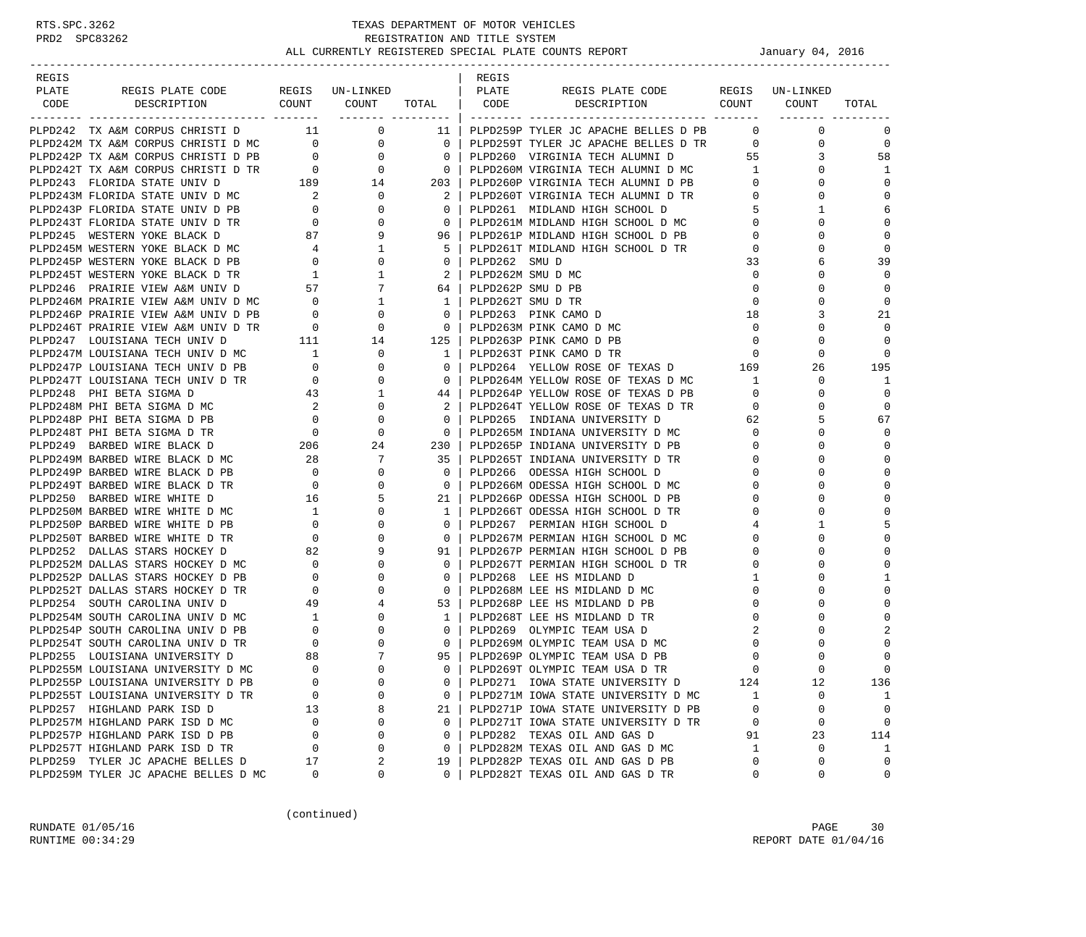| REGIS |                                                                                                                                                                                                                                                                                                                                                                                                                                                                            |    |                         |    | REGIS |                                                                      |                |                                |                         |
|-------|----------------------------------------------------------------------------------------------------------------------------------------------------------------------------------------------------------------------------------------------------------------------------------------------------------------------------------------------------------------------------------------------------------------------------------------------------------------------------|----|-------------------------|----|-------|----------------------------------------------------------------------|----------------|--------------------------------|-------------------------|
| PLATE | REGIS PLATE CODE                                                                                                                                                                                                                                                                                                                                                                                                                                                           |    | REGIS UN-LINKED   PLATE |    |       | REGIS PLATE CODE                                                     |                | REGIS UN-LINKED                |                         |
|       | CODE DESCRIPTION COUNT COUNT TOTAL CODE DESCRIPTION COUNT COUNT                                                                                                                                                                                                                                                                                                                                                                                                            |    |                         |    |       |                                                                      |                |                                | TOTAL                   |
|       |                                                                                                                                                                                                                                                                                                                                                                                                                                                                            |    |                         |    |       |                                                                      |                |                                |                         |
|       | PLPD242 TX A&M CORPUS CHRISTI D 11 0<br>$\begin{tabular}{cccc} \texttt{PLDDA42} & \texttt{TX AMO} \texttt{CNPUS CRIRST1} & \texttt{1} & \texttt{0} & \texttt{1} & \texttt{1} & \texttt{0} & \texttt{1} & \texttt{1} & \texttt{1} & \texttt{1} & \texttt{1} & \texttt{1} & \texttt{1} & \texttt{1} & \texttt{1} & \texttt{1} & \texttt{1} & \texttt{1} & \texttt{1} & \texttt{1} & \texttt{1} & \texttt{1} & \texttt{1} & \texttt{1} & \texttt{1} & \texttt{1} & \texttt{1$ |    |                         |    |       | 11   PLPD259P TYLER JC APACHE BELLES D PB                            |                | $\overline{0}$<br>$\mathbf{0}$ | $\mathbf 0$             |
|       |                                                                                                                                                                                                                                                                                                                                                                                                                                                                            |    |                         |    |       | $0$   PLPD259T TYLER JC APACHE BELLES D TR $0$                       |                | $\mathbf 0$                    | $\mathbf 0$             |
|       |                                                                                                                                                                                                                                                                                                                                                                                                                                                                            |    |                         |    |       |                                                                      |                | 3                              | 58                      |
|       |                                                                                                                                                                                                                                                                                                                                                                                                                                                                            |    |                         |    |       |                                                                      |                | $\Omega$                       | 1                       |
|       |                                                                                                                                                                                                                                                                                                                                                                                                                                                                            |    |                         |    |       |                                                                      |                | $\mathbf{0}$                   | $\Omega$                |
|       |                                                                                                                                                                                                                                                                                                                                                                                                                                                                            |    |                         |    |       |                                                                      |                | $\overline{0}$<br>$\mathbf 0$  | $\mathbf{0}$            |
|       |                                                                                                                                                                                                                                                                                                                                                                                                                                                                            |    |                         |    |       | PLPD261 MIDLAND HIGH SCHOOL D                                        | $\overline{5}$ | $\mathbf{1}$                   | 6                       |
|       |                                                                                                                                                                                                                                                                                                                                                                                                                                                                            |    |                         |    |       |                                                                      |                | $\mathbf 0$                    | $\Omega$                |
|       |                                                                                                                                                                                                                                                                                                                                                                                                                                                                            |    |                         |    |       |                                                                      |                | $\Omega$                       | $\Omega$                |
|       |                                                                                                                                                                                                                                                                                                                                                                                                                                                                            |    |                         |    |       | PLPD261T MIDLAND HIGH SCHOOL D TR                                    | $\mathbf 0$    | 0                              | $\mathbf 0$             |
|       |                                                                                                                                                                                                                                                                                                                                                                                                                                                                            |    |                         |    |       |                                                                      | 33             | 6                              | 39                      |
|       |                                                                                                                                                                                                                                                                                                                                                                                                                                                                            |    |                         |    |       |                                                                      | $\overline{0}$ | 0                              | $\mathbf 0$             |
|       |                                                                                                                                                                                                                                                                                                                                                                                                                                                                            |    |                         |    |       |                                                                      | $\mathbf{0}$   | 0                              | $\Omega$                |
|       |                                                                                                                                                                                                                                                                                                                                                                                                                                                                            |    |                         |    |       |                                                                      | $\mathbf 0$    | $\Omega$                       | $\Omega$                |
|       |                                                                                                                                                                                                                                                                                                                                                                                                                                                                            |    |                         |    |       | PLPD263 PINK CAMO D                                                  | 18             | 3                              | 21                      |
|       |                                                                                                                                                                                                                                                                                                                                                                                                                                                                            |    |                         |    |       | 0   PLPD263M PINK CAMO D MC                                          | $\overline{0}$ | $\Omega$                       | $\mathbf{0}$            |
|       |                                                                                                                                                                                                                                                                                                                                                                                                                                                                            |    |                         |    |       | PLPD263P PINK CAMO D PB                                              | $\overline{0}$ | $\mathbf 0$                    | $\Omega$                |
|       |                                                                                                                                                                                                                                                                                                                                                                                                                                                                            |    |                         |    |       | PLPD263T PINK CAMO D TR                                              | $\overline{0}$ | $\mathbf 0$                    | $\Omega$                |
|       |                                                                                                                                                                                                                                                                                                                                                                                                                                                                            |    |                         |    |       | PLPD264 YELLOW ROSE OF TEXAS D 169                                   |                | 26                             | 195                     |
|       |                                                                                                                                                                                                                                                                                                                                                                                                                                                                            |    |                         |    |       |                                                                      |                | $\mathbf{0}$                   | 1                       |
|       |                                                                                                                                                                                                                                                                                                                                                                                                                                                                            |    |                         |    |       |                                                                      | $\overline{0}$ | $\mathbf 0$                    | $\mathbf 0$             |
|       |                                                                                                                                                                                                                                                                                                                                                                                                                                                                            |    |                         |    |       |                                                                      |                | $\mathbf 0$                    | $\mathbf 0$             |
|       |                                                                                                                                                                                                                                                                                                                                                                                                                                                                            |    |                         |    |       | PLPD264T YELLOW ROSE OF TEXAS D TR 0                                 |                | 5                              | 67                      |
|       |                                                                                                                                                                                                                                                                                                                                                                                                                                                                            |    |                         |    |       | PLPD265 INDIANA UNIVERSITY D<br>PLPD265M INDIANA UNIVERSITY D MC 0   |                | $\Omega$                       | $\Omega$                |
|       |                                                                                                                                                                                                                                                                                                                                                                                                                                                                            |    |                         |    |       | PLPD265P INDIANA UNIVERSITY D PB<br>PLPD265P INDIANA UNIVERSITY D PB |                | 0                              | $\Omega$                |
|       |                                                                                                                                                                                                                                                                                                                                                                                                                                                                            |    |                         |    |       |                                                                      | $\overline{O}$ |                                |                         |
|       |                                                                                                                                                                                                                                                                                                                                                                                                                                                                            |    |                         |    |       | PLPD265T INDIANA UNIVERSITY D TR                                     | $\overline{0}$ | $\Omega$                       | $\mathbf{0}$            |
|       |                                                                                                                                                                                                                                                                                                                                                                                                                                                                            |    |                         |    |       | PLPD266 ODESSA HIGH SCHOOL D                                         | $\overline{0}$ | $\Omega$                       | $\mathbf 0$<br>$\Omega$ |
|       |                                                                                                                                                                                                                                                                                                                                                                                                                                                                            |    |                         |    |       | PLPD266M ODESSA HIGH SCHOOL D MC                                     | $\overline{0}$ | $\Omega$                       |                         |
|       |                                                                                                                                                                                                                                                                                                                                                                                                                                                                            |    |                         |    |       | PLPD266P ODESSA HIGH SCHOOL D PB                                     | $\circ$        | $\Omega$                       | $\Omega$                |
|       |                                                                                                                                                                                                                                                                                                                                                                                                                                                                            |    |                         |    |       | PLPD266T ODESSA HIGH SCHOOL D TR                                     | $\overline{0}$ | 0                              | $\Omega$                |
|       |                                                                                                                                                                                                                                                                                                                                                                                                                                                                            |    |                         |    |       | PLPD267 PERMIAN HIGH SCHOOL D                                        | 4              | 1                              | 5                       |
|       |                                                                                                                                                                                                                                                                                                                                                                                                                                                                            |    |                         |    |       | PLPD267M PERMIAN HIGH SCHOOL D MC                                    | $\mathbf 0$    | $\mathbf 0$                    | $\Omega$                |
|       |                                                                                                                                                                                                                                                                                                                                                                                                                                                                            |    |                         |    |       | PLPD267P PERMIAN HIGH SCHOOL D PB                                    | $\overline{0}$ | 0                              | $\Omega$                |
|       |                                                                                                                                                                                                                                                                                                                                                                                                                                                                            |    |                         |    |       | PLPD267T PERMIAN HIGH SCHOOL D TR                                    | 0              | $\Omega$                       | $\Omega$                |
|       |                                                                                                                                                                                                                                                                                                                                                                                                                                                                            |    |                         |    |       | PLPD268 LEE HS MIDLAND D                                             | $\mathbf{1}$   | 0                              | -1                      |
|       |                                                                                                                                                                                                                                                                                                                                                                                                                                                                            |    |                         |    |       | PLPD268M LEE HS MIDLAND D MC                                         | $\mathbf{0}$   | $\Omega$                       | $\Omega$                |
|       |                                                                                                                                                                                                                                                                                                                                                                                                                                                                            |    |                         |    |       | PLPD268P LEE HS MIDLAND D PB                                         | $\mathbf{0}$   | 0                              | $\Omega$                |
|       |                                                                                                                                                                                                                                                                                                                                                                                                                                                                            |    |                         |    |       | PLPD268T LEE HS MIDLAND D TR                                         | $\mathbf{0}$   | $\Omega$                       | $\Omega$                |
|       |                                                                                                                                                                                                                                                                                                                                                                                                                                                                            |    |                         |    |       | PLPD269 OLYMPIC TEAM USA D                                           | 2              | $\Omega$                       |                         |
|       |                                                                                                                                                                                                                                                                                                                                                                                                                                                                            |    |                         |    |       | PLPD269M OLYMPIC TEAM USA D MC                                       | 0              | 0                              | $\mathbf 0$             |
|       |                                                                                                                                                                                                                                                                                                                                                                                                                                                                            |    |                         |    |       | PLPD269P OLYMPIC TEAM USA D PB                                       | $\mathbf 0$    | $\Omega$                       | $\mathbf{0}$            |
|       |                                                                                                                                                                                                                                                                                                                                                                                                                                                                            |    |                         |    |       | PLPD269T OLYMPIC TEAM USA D TR                                       | $\Omega$       |                                | $\Omega$                |
|       | PLPD255P LOUISIANA UNIVERSITY D PB                                                                                                                                                                                                                                                                                                                                                                                                                                         |    |                         |    |       | PLPD271 IOWA STATE UNIVERSITY D                                      | 124            | 12                             | 136                     |
|       | PLPD255T LOUISIANA UNIVERSITY D TR                                                                                                                                                                                                                                                                                                                                                                                                                                         | 0  | 0                       | 0  |       | PLPD271M IOWA STATE UNIVERSITY D MC                                  | 1              | 0                              | 1                       |
|       | PLPD257 HIGHLAND PARK ISD D                                                                                                                                                                                                                                                                                                                                                                                                                                                | 13 | 8                       | 21 |       | PLPD271P IOWA STATE UNIVERSITY D PB                                  | 0              | 0                              | $\mathbf 0$             |
|       | PLPD257M HIGHLAND PARK ISD D MC                                                                                                                                                                                                                                                                                                                                                                                                                                            | 0  | 0                       | 0  |       | PLPD271T IOWA STATE UNIVERSITY D TR                                  | 0              | 0                              | $\mathsf 0$             |
|       | PLPD257P HIGHLAND PARK ISD D PB                                                                                                                                                                                                                                                                                                                                                                                                                                            | 0  | 0                       | 0  |       | PLPD282 TEXAS OIL AND GAS D                                          | 91             | 23                             | 114                     |
|       | PLPD257T HIGHLAND PARK ISD D TR                                                                                                                                                                                                                                                                                                                                                                                                                                            | 0  | 0                       | 0  |       | PLPD282M TEXAS OIL AND GAS D MC                                      | 1              | 0                              | 1                       |
|       | PLPD259 TYLER JC APACHE BELLES D                                                                                                                                                                                                                                                                                                                                                                                                                                           | 17 | 2                       | 19 |       | PLPD282P TEXAS OIL AND GAS D PB                                      | 0              | 0                              | $\mathbf 0$             |
|       | PLPD259M TYLER JC APACHE BELLES D MC                                                                                                                                                                                                                                                                                                                                                                                                                                       | 0  | 0                       | 0  |       | PLPD282T TEXAS OIL AND GAS D TR                                      | 0              | $\mathbf 0$                    | 0                       |

(continued)

RUNDATE 01/05/16 PAGE 30 RUNTIME  $00:34:29$  REPORT DATE  $01/04/16$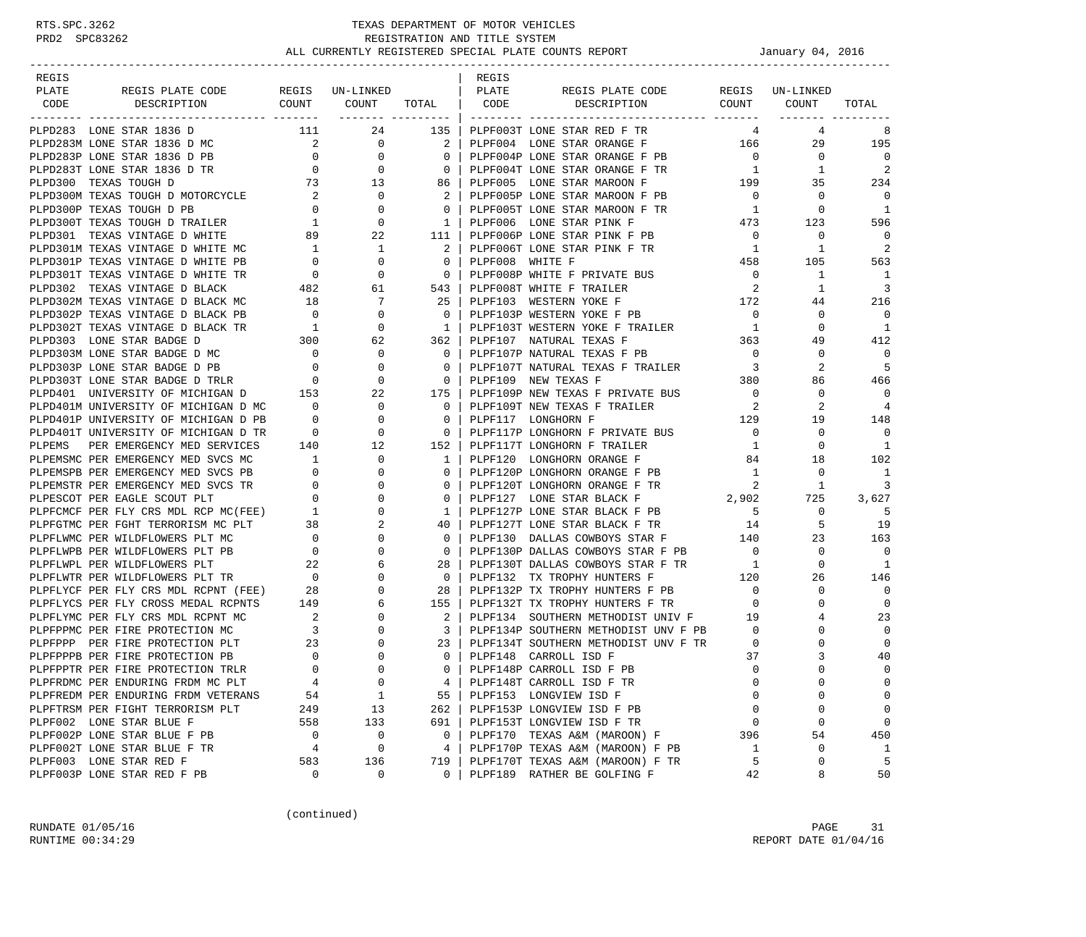| REGIS |                                                                                                                                                   |                                                                             |                                                       |                                                     | REGIS |                                                                |                                   |                 |                       |
|-------|---------------------------------------------------------------------------------------------------------------------------------------------------|-----------------------------------------------------------------------------|-------------------------------------------------------|-----------------------------------------------------|-------|----------------------------------------------------------------|-----------------------------------|-----------------|-----------------------|
| PLATE | REGIS PLATE CODE                                                                                                                                  |                                                                             | REGIS UN-LINKED                                       |                                                     | PLATE | REGIS PLATE CODE                                               |                                   | REGIS UN-LINKED |                       |
| CODE  | DESCRIPTION                                                                                                                                       |                                                                             | COUNT COUNT                                           |                                                     |       | COUNT<br>TOTAL   CODE DESCRIPTION                              |                                   | COUNT           | TOTAL                 |
|       |                                                                                                                                                   |                                                                             |                                                       |                                                     |       |                                                                |                                   |                 |                       |
|       | PLPD283 LONE STAR 1836 D                                                                                                                          |                                                                             | 111<br>24                                             | 135                                                 |       | PLPF003T LONE STAR RED F TR                                    | 4                                 | 4               | 8                     |
|       | PLPD283M LONE STAR 1836 D MC                                                                                                                      |                                                                             | $\overline{0}$                                        | $2-1$                                               |       | PLPF004 LONE STAR ORANGE F 166                                 |                                   | 29              | 195                   |
|       | $\frac{2}{0}$<br>PLPD283P LONE STAR 1836 D PB                                                                                                     |                                                                             | $\overline{0}$                                        | $0-1$                                               |       | PLPF004P LONE STAR ORANGE F PB                                 | $\overline{0}$                    | 0               | $\Omega$              |
|       | PLPD283T LONE STAR 1836 D TR $\qquad \qquad 0$                                                                                                    |                                                                             |                                                       | $\Omega$                                            |       | PLPF004T LONE STAR ORANGE F TR                                 | $\overline{1}$                    | 1               | 2                     |
|       | PLPD300 TEXAS TOUGH D                                                                                                                             |                                                                             | $\begin{array}{ccc} 73 & & 13 \\ 2 & & 0 \end{array}$ | 86                                                  |       | PLPF005 LONE STAR MAROON F                                     | 199                               | 35              | 234                   |
|       | PLPD300M TEXAS TOUGH D MOTORCYCLE                                                                                                                 |                                                                             |                                                       | 2 <sup>1</sup>                                      |       | PLPF005P LONE STAR MAROON F PB                                 | $\overline{0}$                    | $\mathbf 0$     | $\overline{0}$        |
|       | PLPD300P TEXAS TOUGH D PB                                                                                                                         |                                                                             |                                                       | $\mathbf{0}$                                        |       | PLPF005T LONE STAR MAROON F TR 1                               |                                   | 0               | 1                     |
|       | PLPD300T TEXAS TOUGH D TRAILER                                                                                                                    |                                                                             |                                                       | 1 <sup>1</sup>                                      |       | PLPF006 LONE STAR PINK F                                       | 473                               | 123             | 596                   |
|       | PLPD301 TEXAS VINTAGE D WHITE                                                                                                                     |                                                                             |                                                       | 111 l                                               |       | PLPF006P LONE STAR PINK F PB                                   |                                   | 0               | $\Omega$              |
|       |                                                                                                                                                   |                                                                             | $\overline{1}$                                        | 2 <sup>1</sup>                                      |       |                                                                |                                   | 1               | 2                     |
|       | PLPD301M TEXAS VINTAGE D WHITE MC 1<br>PLPD301P TEXAS VINTAGE D WHITE PB 0                                                                        |                                                                             | $\mathbf{0}$                                          | $\overline{0}$                                      |       | PLPF006P LONE SIAR FINK F TR<br>PLPF006T LONE STAR PINK F TR 1 |                                   | 105             | 563                   |
|       | PLPD301T TEXAS VINTAGE D WHITE TR                                                                                                                 |                                                                             | $\overline{0}$                                        | $\overline{\phantom{0}}$ 0 $\overline{\phantom{0}}$ |       | PLPF008P WHITE F PRIVATE BUS                                   | $\overline{0}$                    | 1               | 1                     |
|       | PLPD302 TEXAS VINTAGE D BLACK                                                                                                                     | $\begin{array}{ccc} & 0 & \\ 482 & \qquad \qquad \epsilon \end{array}$      | 61                                                    |                                                     |       | 543   PLPF008T WHITE F TRAILER                                 | $\overline{\phantom{a}}^2$        | $\mathbf{1}$    | 3                     |
|       | PLPD302M TEXAS VINTAGE D BLACK MC                                                                                                                 | 18                                                                          | 7                                                     | 25 <sub>1</sub>                                     |       | PLPF103 WESTERN YOKE F 172                                     |                                   | 44              | 216                   |
|       | PLPD302P TEXAS VINTAGE D BLACK PB                                                                                                                 | $\overline{0}$                                                              | $\mathbf{0}$                                          | $\bigcirc$                                          |       | PLPF103P WESTERN YOKE F PB                                     | $\overline{0}$                    | 0               | $\mathbf 0$           |
|       | PLPD302T TEXAS VINTAGE D BLACK TR                                                                                                                 | 1                                                                           | $\overline{0}$                                        | $1 \quad$                                           |       | PLPF103T WESTERN YOKE F TRAILER                                | $\overline{1}$                    | $\Omega$        | -1                    |
|       | PLPD303 LONE STAR BADGE D                                                                                                                         | $\begin{array}{c}\n1 \\ 300\n\end{array}$                                   | 62                                                    | 362                                                 |       | 363<br>PLPF107 NATURAL TEXAS F                                 |                                   | 49              | 412                   |
|       |                                                                                                                                                   |                                                                             | $\mathbf 0$                                           | $0-1$                                               |       | PLPF107P NATURAL TEXAS F PB                                    | $\overline{0}$                    | 0               | $\mathbf 0$           |
|       | PLPD303M LONE STAR BADGE D MC 0<br>PLPD303P LONE STAR BADGE D PB 0<br>PLPD303T LONE STAR BADGE D TRLR 0<br>PLPD401 UNIVERSITY OF MICHIGAN D 153 2 |                                                                             | $\mathbf{0}$                                          | $\Omega$                                            |       | PLPF107T NATURAL TEXAS F TRAILER 3                             |                                   | 2               | 5                     |
|       |                                                                                                                                                   |                                                                             | $\mathbf{0}$                                          | $\mathbf{0}$                                        |       | PLPF109 NEW TEXAS F                                            | 380                               | 86              | 466                   |
|       |                                                                                                                                                   |                                                                             | 22                                                    |                                                     |       | PLPF109P NEW TEXAS F PRIVATE BUS                               | $\overline{0}$                    | $\mathbf 0$     | $\overline{0}$        |
|       | PLPD401M UNIVERSITY OF MICHIGAN D MC 0                                                                                                            |                                                                             | $\overline{0}$                                        | 175                                                 |       |                                                                |                                   | 2               |                       |
|       | PLPD401P UNIVERSITY OF MICHIGAN D PB                                                                                                              |                                                                             | $\mathbf{0}$                                          | $\mathbf{0}$<br>$\mathbf{0}$                        |       | PLPF109T NEW TEXAS F TRAILER                                   | $\overline{\phantom{a}}$ 2<br>129 | 19              | $\overline{4}$<br>148 |
|       |                                                                                                                                                   | $\begin{array}{c} 0 \\ 0 \end{array}$                                       | $\mathbf{0}$                                          | $\Omega$                                            |       | PLPF117 LONGHORN F<br>PLPF117P LONGHORN F PRIVATE BUS          |                                   |                 | $\Omega$              |
|       | PLPD401T UNIVERSITY OF MICHIGAN D TR                                                                                                              |                                                                             |                                                       | 152                                                 |       |                                                                | $\overline{0}$                    | 0<br>0          | - 1                   |
|       | PLPEMS PER EMERGENCY MED SERVICES                                                                                                                 |                                                                             | $140 \qquad \qquad 12$                                |                                                     |       | PLPF117T LONGHORN F TRAILER                                    | $\overline{1}$                    |                 |                       |
|       | PLPEMSMC PER EMERGENCY MED SVCS MC                                                                                                                | $\overline{1}$                                                              | $\mathbf{0}$                                          | 1 <sup>1</sup>                                      |       | PLPF120 LONGHORN ORANGE F                                      | 84                                | 18              | 102                   |
|       | PLPEMSPB PER EMERGENCY MED SVCS PB                                                                                                                | $\overline{0}$                                                              | $\mathbf{0}$                                          | $\Omega$                                            |       | PLPF120P LONGHORN ORANGE F PB                                  | 1                                 | 0               | 1                     |
|       | PLPEMSTR PER EMERGENCY MED SVCS TR                                                                                                                | $\begin{array}{ccc} \text{TR} & \hspace{1.5cm} & 0 \\ & & 0 \\ \end{array}$ | $\begin{array}{c} 0 \\ 0 \end{array}$<br>$\mathbf 0$  | $\mathbf{0}$                                        |       | PLPF120T LONGHORN ORANGE F TR                                  | $\overline{2}$                    | 1               | 3                     |
|       | PLPESCOT PER EAGLE SCOUT PLT                                                                                                                      |                                                                             | $\mathbf{0}$                                          | $\Omega$                                            |       | PLPF127 LONE STAR BLACK F 2,902                                |                                   | 725             | 3,627                 |
|       | PLPFCMCF PER FLY CRS MDL RCP MC(FEE) 1<br>PLPFGTMC PER FGHT TERRORISM MC PLT 38                                                                   |                                                                             | $\mathbf{0}$                                          | 1                                                   |       | PLPF127P LONE STAR BLACK F PB                                  | $-5$<br>14                        | 0               | 5                     |
|       |                                                                                                                                                   |                                                                             | 2                                                     | 40                                                  |       | PLPF127T LONE STAR BLACK F TR                                  |                                   | 5               | 19                    |
|       | PLPFLWMC PER WILDFLOWERS PLT MC                                                                                                                   | $\begin{array}{c} 0 \\ 0 \end{array}$                                       | $\mathbf{0}$                                          | $\Omega$                                            |       | PLPF130 DALLAS COWBOYS STAR F 140                              |                                   | 23              | 163                   |
|       | PLPFLWPB PER WILDFLOWERS PLT PB                                                                                                                   |                                                                             | $\mathbf 0$                                           | $\mathbf{0}$                                        |       | PLPF130P DALLAS COWBOYS STAR F PB                              | $\overline{0}$                    | $\mathbf 0$     | $\Omega$              |
|       | PLPFLWPL PER WILDFLOWERS PLT                                                                                                                      | $\frac{1}{22}$                                                              | 6                                                     | 28                                                  |       | PLPF130T DALLAS COWBOYS STAR F TR                              | $\overline{1}$                    | $\Omega$        | -1                    |
|       | PLPFLWTR PER WILDFLOWERS PLT TR 0<br>PLPFLYCF PER FLY CRS MDL RCPNT (FEE) 28                                                                      |                                                                             | 0                                                     | $\mathbf{0}$                                        |       | $\frac{120}{0}$<br>PLPF132 TX TROPHY HUNTERS F                 |                                   | 26              | 146                   |
|       |                                                                                                                                                   |                                                                             | $\mathbf{0}$                                          | 28                                                  |       | PLPF132P TX TROPHY HUNTERS F PB                                |                                   | $\Omega$        | $\overline{0}$        |
|       | PLPFLYCS PER FLY CROSS MEDAL RCPNTS 149                                                                                                           |                                                                             | 6                                                     | 155                                                 |       | PLPF132T TX TROPHY HUNTERS F TR 0                              |                                   | 0               | $\mathbf 0$           |
|       | PLPFLYMC PER FLY CRS MDL RCPNT MC 2<br>PLPFPPMC PER FIRE PROTECTION MC 3                                                                          |                                                                             | $\mathbf{0}$                                          | 2 <sup>1</sup>                                      |       | PLPF134 SOUTHERN METHODIST UNIV F 19                           |                                   |                 | 23                    |
|       |                                                                                                                                                   |                                                                             | $\mathbf{0}$                                          | 3                                                   |       | PLPF134P SOUTHERN METHODIST UNV F PB 0                         |                                   | $\Omega$        | $\mathbf 0$           |
|       | PLPFPPP PER FIRE PROTECTION PLT 23<br>PLPFPPPB PER FIRE PROTECTION PB 0                                                                           |                                                                             | 0                                                     | 23 I                                                |       | PLPF134T SOUTHERN METHODIST UNV F TR                           | $\overline{0}$                    | 0               | $\mathbf 0$           |
|       |                                                                                                                                                   |                                                                             | $\mathbf 0$                                           | $\Omega$                                            |       | PLPF148 CARROLL ISD F                                          | 37                                | 3               | 40                    |
|       | PLPFPPTR PER FIRE PROTECTION TRLR                                                                                                                 | $\Omega$                                                                    | $\Omega$                                              | $\cap$                                              |       | PLPF148P CARROLL ISD F PB                                      | $\Omega$                          | $\Omega$        | $\Omega$              |
|       | PLPFRDMC PER ENDURING FRDM MC PLT                                                                                                                 | $\overline{4}$                                                              | $\mathbf 0$                                           | 4                                                   |       | PLPF148T CARROLL ISD F TR                                      | $\mathbf 0$                       | 0               | 0                     |
|       | PLPFREDM PER ENDURING FRDM VETERANS                                                                                                               | 54                                                                          | 1                                                     | 55                                                  |       | PLPF153 LONGVIEW ISD F                                         | $\Omega$                          | $\Omega$        | 0                     |
|       | PLPFTRSM PER FIGHT TERRORISM PLT                                                                                                                  | 249                                                                         | 13                                                    | 262                                                 |       | PLPF153P LONGVIEW ISD F PB                                     | 0                                 | 0               | 0                     |
|       | PLPF002 LONE STAR BLUE F                                                                                                                          | 558                                                                         | 133                                                   | 691                                                 |       | PLPF153T LONGVIEW ISD F TR                                     | $\mathbf 0$                       | 0               | 0                     |
|       | PLPF002P LONE STAR BLUE F PB                                                                                                                      | 0                                                                           | 0                                                     | 0                                                   |       | PLPF170 TEXAS A&M (MAROON) F                                   | 396                               | 54              | 450                   |
|       | PLPF002T LONE STAR BLUE F TR                                                                                                                      | 4                                                                           | $\mathbf 0$                                           | 4                                                   |       | PLPF170P TEXAS A&M (MAROON) F PB                               | 1                                 | 0               | 1                     |
|       | PLPF003 LONE STAR RED F                                                                                                                           | 583                                                                         | 136                                                   | 719                                                 |       | PLPF170T TEXAS A&M (MAROON) F TR                               | 5                                 | 0               | 5                     |
|       | PLPF003P LONE STAR RED F PB                                                                                                                       | $\mathbf 0$                                                                 | 0                                                     | 0                                                   |       | PLPF189 RATHER BE GOLFING F                                    | 42                                | 8               | 50                    |

(continued)

RUNDATE 01/05/16 PAGE 31 RUNTIME  $00:34:29$  REPORT DATE  $01/04/16$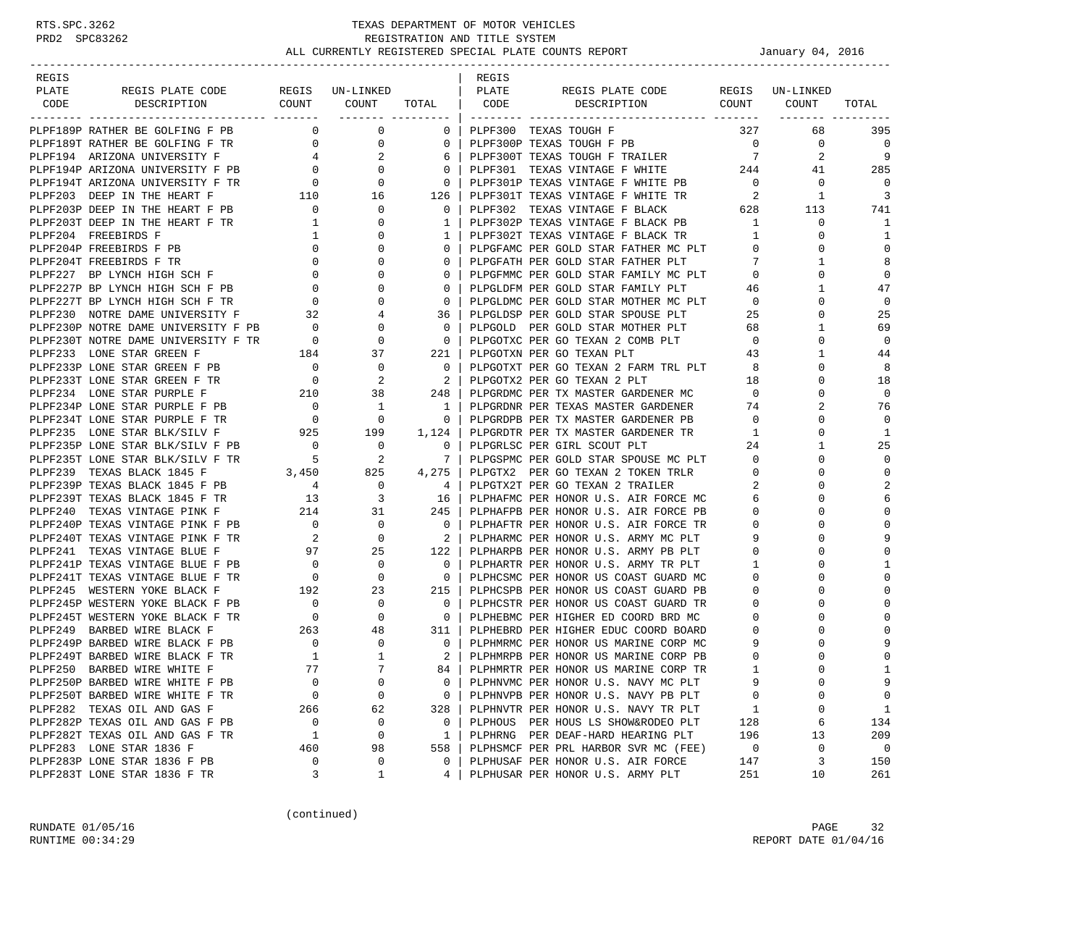| REGIS |                                                                                             |                                            |                                                                  |                                                     | REGIS |                                                                                                 |                          |                 |                |
|-------|---------------------------------------------------------------------------------------------|--------------------------------------------|------------------------------------------------------------------|-----------------------------------------------------|-------|-------------------------------------------------------------------------------------------------|--------------------------|-----------------|----------------|
| PLATE | REGIS PLATE CODE                                                                            |                                            | REGIS UN-LINKED                                                  |                                                     | PLATE | REGIS PLATE CODE                                                                                |                          | REGIS UN-LINKED |                |
| CODE  | DESCRIPTION                                                                                 |                                            |                                                                  |                                                     |       | COUNT COUNT TOTAL CODE DESCRIPTION COUNT COUNT                                                  |                          |                 | TOTAL          |
|       |                                                                                             |                                            |                                                                  |                                                     |       |                                                                                                 |                          |                 |                |
|       | PLPF189P RATHER BE GOLFING F PB                                                             |                                            | $\begin{matrix} 0 & 0 \\ 0 & 0 \end{matrix}$                     | $0-1$                                               |       | PLPF300 TEXAS TOUGH F                                                                           | 327                      | 68              | 395            |
|       | PLPF189T RATHER BE GOLFING F TR 0                                                           |                                            | $\overline{0}$                                                   | $\mathbf{0}$                                        |       | PLPF300P TEXAS TOUGH F PB                                                                       | $\overline{0}$           | 0               | $\overline{0}$ |
|       | PLPF194P ARIZONA UNIVERSITY F PB 0<br>PLPF194P ARIZONA UNIVERSITY F PB 0                    |                                            | 2                                                                | 6                                                   |       | PLPF300T TEXAS TOUGH F TRAILER                                                                  | $7\phantom{0}$           | 2               | 9              |
|       |                                                                                             |                                            | $\mathbf{0}$                                                     | $\mathbf{0}$                                        |       | PLPF301 TEXAS VINTAGE F WHITE 244                                                               |                          | 41              | 285            |
|       |                                                                                             | $\begin{array}{c} 0 \\ 110 \end{array}$    | $\mathbf{0}$                                                     | $\mathbf{0}$                                        |       | PLPF301P TEXAS VINTAGE F WHITE PB                                                               | $\overline{0}$           | 0               | $\Omega$       |
|       | PLPF203 DEEP IN THE HEART F                                                                 |                                            | 16                                                               | 126                                                 |       | PLPF301T TEXAS VINTAGE F WHITE TR                                                               | $\overline{\phantom{a}}$ | 1               | 3              |
|       | PLPF203P DEEP IN THE HEART F PB 0                                                           |                                            | $\mathbf{0}$                                                     | $\mathbf{0}$                                        |       | PLPF302 TEXAS VINTAGE F BLACK                                                                   | 628                      | 113             | 741            |
|       | PLPF203T DEEP IN THE HEART F TR                                                             | $\mathbf{1}$                               | 0                                                                | $\mathbf{1}$                                        |       | PLPF302T TEXAS VINTAGE F BLACK PB<br>PLPF302T TEXAS VINTAGE F BLACK TR<br>PLPGFAMC PER COLD CTL |                          | $\mathbf 0$     | 1              |
|       | PLPF204 FREEBIRDS F                                                                         | $\mathbf{1}$                               | $\Omega$                                                         | 1                                                   |       |                                                                                                 |                          | $\Omega$        | 1              |
|       | PLPF204P FREEBIRDS F PB                                                                     | $\mathbf{0}$                               | $\mathbf{0}$                                                     | $\mathbf{0}$                                        |       | PLPGFAMC PER GOLD STAR FATHER MC PLT                                                            |                          | 0               | $\Omega$       |
|       | PLPF204T FREEBIRDS F TR                                                                     | $\mathbf{0}$                               | $\Omega$                                                         | $\mathbf{0}$                                        |       | PLPGFATH PER GOLD STAR FATHER PLT                                                               | 7                        | 1               | 8              |
|       | PLPF227 BP LYNCH HIGH SCH F                                                                 | $\begin{array}{c} 0 \\ 0 \\ 0 \end{array}$ | $\mathbf{0}$                                                     | $\mathbf{0}$                                        |       | PLPGFMMC PER GOLD STAR FAMILY MC PLT                                                            | $\mathbf{0}$             | 0               | $\mathbf 0$    |
|       | PLPF227P BP LYNCH HIGH SCH F PB                                                             |                                            | 0                                                                | $\mathbf 0$                                         |       | PLPGLDFM PER GOLD STAR FAMILY PLT                                                               | 46                       |                 | 47             |
|       | PLPF227T BP LYNCH HIGH SCH F TR                                                             |                                            | $\mathbf{0}$                                                     | $\mathbf 0$                                         |       | PLPGLDMC PER GOLD STAR MOTHER MC PLT 0                                                          |                          | $\Omega$        | 0              |
|       | PLPF230 NOTRE DAME UNIVERSITY F 32<br>PLPF230P NOTRE DAME UNIVERSITY F PB 0                 |                                            | 4                                                                | 36                                                  |       | PLPGLDSP PER GOLD STAR SPOUSE PLT                                                               | 25                       | 0               | 25             |
|       |                                                                                             |                                            | $\mathbf{0}$                                                     | $\overline{\phantom{0}}$                            |       | PLPGOLD PER GOLD STAR MOTHER PLT                                                                | 68                       | 1               | 69             |
|       | PLPF230T NOTRE DAME UNIVERSITY F TR 0 0 0                                                   |                                            |                                                                  | $\overline{\phantom{0}}$                            |       | PLPGOTXC PER GO TEXAN 2 COMB PLT 0                                                              |                          | 0               | $\mathbf 0$    |
|       | PLPF233 LONE STAR GREEN F                                                                   | 184                                        | 37                                                               | $221$                                               |       | PLPGOTXN PER GO TEXAN PLT                                                                       | 43                       |                 | 44             |
|       | PLPF233P LONE STAR GREEN F PB 0                                                             |                                            | $\mathbf{0}$                                                     | $\overline{0}$                                      |       | PLPGOTXT PER GO TEXAN 2 FARM TRL PLT 8                                                          |                          | $\Omega$        | 8              |
|       | PLPF233T LONE STAR GREEN F TR                                                               |                                            | 2                                                                | 2                                                   |       | PLPGOTX2 PER GO TEXAN 2 PLT                                                                     | 18                       | 0               | 18             |
|       | PLPF234 LONE STAR PURPLE F                                                                  | $\begin{array}{c}0\\210\end{array}$        | 38                                                               | 248                                                 |       | PLPGRDMC PER TX MASTER GARDENER MC                                                              | $\overline{0}$           | $\Omega$        | $\mathbf 0$    |
|       | PLPF234P LONE STAR PURPLE F PB                                                              | $\overline{a}$                             | 1                                                                | $\overline{1}$                                      |       | PLPGRDNR PER TEXAS MASTER GARDENER                                                              | 74                       |                 | 76             |
|       | PLPF234T LONE STAR PURPLE F TR                                                              | $\overline{0}$                             | $\overline{\phantom{0}}$                                         | $\overline{0}$                                      |       | PLPGRDPB PER TX MASTER GARDENER PB                                                              | $\mathbf 0$              | $\Omega$        | $\Omega$       |
|       | PLPF235 LONE STAR BLK/SILV F 925 199                                                        |                                            |                                                                  | 1,124                                               |       | PLPGRDTR PER TX MASTER GARDENER TR                                                              | 1                        | $\Omega$        | 1              |
|       | PLPF235P LONE STAR BLK/SILV F PB                                                            |                                            | $\mathbf 0$                                                      | 0                                                   |       | PLPGRLSC PER GIRL SCOUT PLT                                                                     | 24                       |                 | 25             |
|       | PLPF235T LONE STAR BLK/SILV F TR                                                            | $\begin{array}{c} 0 \\ 5 \end{array}$      | 2                                                                | 7 I                                                 |       | PLPGSPMC PER GOLD STAR SPOUSE MC PLT                                                            | $\mathbf{0}$             | $\Omega$        | $\mathbf 0$    |
|       | PLPF239 TEXAS BLACK 1845 F                                                                  |                                            | 825                                                              | 4,275                                               |       | PLPGTX2 PER GO TEXAN 2 TOKEN TRLR                                                               | $\overline{0}$           | $\Omega$        | $\Omega$       |
|       | $\begin{array}{cc} 3\, ,\, 4\, 5\, 0 \\ 4 \end{array}$ PB<br>PLPF239P TEXAS BLACK 1845 F PB |                                            | $\mathbf{0}$                                                     | $4 \vert$                                           |       | PLPGTX2T PER GO TEXAN 2 TRAILER                                                                 | 2                        |                 | $\overline{a}$ |
|       | PLPF239T TEXAS BLACK 1845 F TR 13                                                           |                                            | 3                                                                | 16                                                  |       | PLPHAFMC PER HONOR U.S. AIR FORCE MC                                                            | 6                        | ∩               | 6              |
|       | PLPF240 TEXAS VINTAGE PINK F                                                                |                                            |                                                                  | 245 I                                               |       | PLPHAFPB PER HONOR U.S. AIR FORCE PB                                                            | $\mathbf{0}$             | $\Omega$        | $\Omega$       |
|       | PLPF240P TEXAS VINTAGE PINK F PB                                                            |                                            | $\begin{array}{ccc} & 214 & 31 \\ \text{PB} & 0 & 0 \end{array}$ | $\overline{\phantom{0}}$ 0 $\overline{\phantom{0}}$ |       | PLPHAFTR PER HONOR U.S. AIR FORCE TR                                                            | $\mathbf 0$              |                 | $\mathbf 0$    |
|       | PLPF240T TEXAS VINTAGE PINK F TR                                                            | $\overline{\mathbf{a}}$                    | $\overline{0}$                                                   | $\overline{2}$                                      |       | PLPHARMC PER HONOR U.S. ARMY MC PLT                                                             | 9                        | $\Omega$        | 9              |
|       | PLPF241 TEXAS VINTAGE BLUE F                                                                | 97                                         | 25                                                               | $122$                                               |       | PLPHARPB PER HONOR U.S. ARMY PB PLT                                                             | $\mathbf{0}$             |                 | $\Omega$       |
|       | PLPF241P TEXAS VINTAGE BLUE F PB                                                            | $\begin{array}{c}\n0 \\ \end{array}$       | $\overline{0}$                                                   | $\overline{\phantom{0}}$                            |       | PLPHARTR PER HONOR U.S. ARMY TR PLT                                                             | 1                        | ∩               | 1              |
|       | PLPF241T TEXAS VINTAGE BLUE F TR                                                            |                                            | $\mathbf{0}$                                                     | $\overline{0}$                                      |       | PLPHCSMC PER HONOR US COAST GUARD MC                                                            | 0                        | O               | $\Omega$       |
|       | PLPF245 WESTERN YOKE BLACK F                                                                | $\begin{array}{c}0\\192\end{array}$        | 23                                                               | 215 l                                               |       | PLPHCSPB PER HONOR US COAST GUARD PB                                                            | 0                        |                 | $\mathbf 0$    |
|       | PLPF245P WESTERN YOKE BLACK F PB                                                            | $\overline{a}$                             | 0                                                                | $\overline{0}$                                      |       | PLPHCSTR PER HONOR US COAST GUARD TR                                                            | $\mathbf 0$              | $\Omega$        |                |
|       | PLPF245T WESTERN YOKE BLACK F TR                                                            | $\overline{0}$                             | $\mathbf 0$                                                      | $\overline{\phantom{0}}$ 0 $\overline{\phantom{0}}$ |       | PLPHEBMC PER HIGHER ED COORD BRD MC                                                             | $\mathbf 0$              |                 | $\Omega$       |
|       | PLPF249 BARBED WIRE BLACK F                                                                 | 263                                        | 48                                                               | 311                                                 |       | PLPHEBRD PER HIGHER EDUC COORD BOARD                                                            | $\circ$                  |                 |                |
|       | PLPF249P BARBED WIRE BLACK F PB                                                             | $\overline{\phantom{a}}$                   | $\overline{0}$                                                   | $\overline{0}$                                      |       | PLPHMRMC PER HONOR US MARINE CORP MC                                                            | 9                        | $\Omega$        | 9              |
|       | PLPF249T BARBED WIRE BLACK F TR                                                             | $\overline{1}$                             | 1                                                                | 2 I                                                 |       | PLPHMRPB PER HONOR US MARINE CORP PB                                                            | $\mathbf 0$              |                 | $\mathbf 0$    |
|       | PLPF250 BARBED WIRE WHITE F                                                                 | 77                                         | $\overline{7}$                                                   | 84                                                  |       | PLPHMRTR PER HONOR US MARINE CORP TR                                                            | $\mathbf{1}$             |                 | $\mathbf{1}$   |
|       | PLPF250P BARBED WIRE WHITE F PB                                                             | $\mathbf 0$                                | $\mathsf 0$                                                      | 0                                                   |       | PLPHNVMC PER HONOR U.S. NAVY MC PLT                                                             | 9                        | $\Omega$        | 9              |
|       | PLPF250T BARBED WIRE WHITE F TR                                                             | 0                                          | 0                                                                | 0                                                   |       | PLPHNVPB PER HONOR U.S. NAVY PB PLT                                                             | 0                        | $\Omega$        | 0              |
|       | PLPF282 TEXAS OIL AND GAS F                                                                 | 266                                        | 62                                                               | 328                                                 |       | PLPHNVTR PER HONOR U.S. NAVY TR PLT                                                             | 1                        | 0               | 1              |
|       | PLPF282P TEXAS OIL AND GAS F PB                                                             | $\mathbf 0$                                | 0                                                                | 0                                                   |       | PLPHOUS PER HOUS LS SHOW&RODEO PLT                                                              | 128                      | 6               | 134            |
|       | PLPF282T TEXAS OIL AND GAS F TR                                                             | 1                                          | 0                                                                | 1                                                   |       | PLPHRNG PER DEAF-HARD HEARING PLT                                                               | 196                      | 13              | 209            |
|       | PLPF283 LONE STAR 1836 F                                                                    | 460                                        | 98                                                               | 558                                                 |       | PLPHSMCF PER PRL HARBOR SVR MC (FEE)                                                            | 0                        | 0               | $\overline{0}$ |
|       | PLPF283P LONE STAR 1836 F PB                                                                | 0                                          | 0                                                                | 0                                                   |       | PLPHUSAF PER HONOR U.S. AIR FORCE                                                               | 147                      | 3               | 150            |
|       | PLPF283T LONE STAR 1836 F TR                                                                | 3                                          | 1                                                                | 4                                                   |       | PLPHUSAR PER HONOR U.S. ARMY PLT                                                                | 251                      | 10              | 261            |

(continued)

RUNDATE 01/05/16 PAGE 32 RUNTIME  $00:34:29$  REPORT DATE  $01/04/16$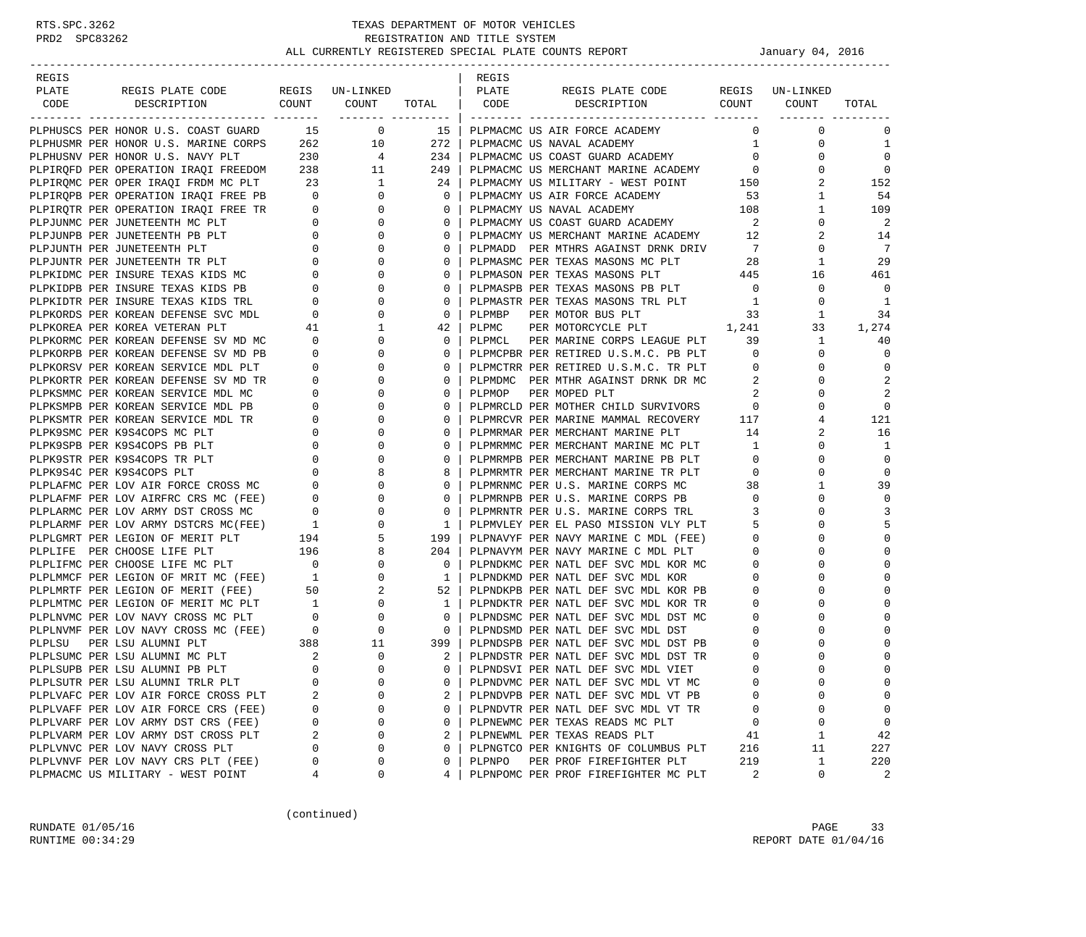| REGIS  |                                                                                                                                                                                                                                               |                                                                   |                                  |                | REGIS  |                                                        |                            |                 |             |
|--------|-----------------------------------------------------------------------------------------------------------------------------------------------------------------------------------------------------------------------------------------------|-------------------------------------------------------------------|----------------------------------|----------------|--------|--------------------------------------------------------|----------------------------|-----------------|-------------|
| PLATE  | REGIS PLATE CODE                                                                                                                                                                                                                              |                                                                   | REGIS UN-LINKED                  |                | PLATE  | REGIS PLATE CODE                                       |                            | REGIS UN-LINKED |             |
| CODE   | COUNT<br>DESCRIPTION                                                                                                                                                                                                                          |                                                                   | COUNT                            | TOTAL   CODE   |        | DESCRIPTION COUNT COUNT                                |                            |                 | TOTAL       |
|        |                                                                                                                                                                                                                                               |                                                                   |                                  |                |        |                                                        |                            |                 |             |
|        | PLPHUSCS PER HONOR U.S. COAST GUARD 15 0                                                                                                                                                                                                      |                                                                   |                                  |                |        | 15   PLPMACMC US AIR FORCE ACADEMY                     | $\mathbf{0}$               | 0               | 0           |
|        | PLPHUSMR PER HONOR U.S. MARINE CORPS                                                                                                                                                                                                          |                                                                   | 262 10                           | 272            |        | PLPMACMC US NAVAL ACADEMY                              | $1 \quad \blacksquare$     | 0               | 1           |
|        | PLPHUSNV PER HONOR U.S. NAVY PLT                                                                                                                                                                                                              | 230                                                               | $\overline{4}$                   | 234            |        | PLPMACMC US COAST GUARD ACADEMY                        | $\overline{0}$             | 0               | $\mathbf 0$ |
|        | PLPIRQFD PER OPERATION IRAQI FREEDOM 238                                                                                                                                                                                                      |                                                                   | 11                               | 249            |        | PLPMACMC US MERCHANT MARINE ACADEMY 0                  |                            | $\Omega$        | $\mathbf 0$ |
|        |                                                                                                                                                                                                                                               |                                                                   |                                  | 24             |        | PLPMACMY US MILITARY - WEST POINT 150                  |                            | 2               | 152         |
|        |                                                                                                                                                                                                                                               |                                                                   |                                  | $\overline{0}$ |        | PLPMACMY US AIR FORCE ACADEMY                          | 53                         | 1               | 54          |
|        |                                                                                                                                                                                                                                               |                                                                   |                                  | $\mathbf{0}$   |        | 108<br>PLPMACMY US NAVAL ACADEMY                       |                            | 1               | 109         |
|        |                                                                                                                                                                                                                                               |                                                                   |                                  | 0 <sup>1</sup> |        | PLPMACMY US COAST GUARD ACADEMY                        | $\overline{\phantom{a}}$ 2 | 0               | 2           |
|        | PLPIRQNC PER OPER IRAQI FRDM MC PLT 23 1<br>PLPIRQNC PER OPER IRAQI FRDM MC PLT 23 1<br>PLPIRQPB PER OPERATION IRAQI FREE PB 0 0<br>PLPIRQTR PER OPERATION IRAQI FREE TR 0 0<br>PLPJUNMC PER JUNETEENTH MC PLT 0 0 0<br>PLPJUNTH PER JUNETEEN |                                                                   |                                  | $\mathbf{0}$   |        | PLPMACMY US MERCHANT MARINE ACADEMY 12                 |                            | 2               | 14          |
|        |                                                                                                                                                                                                                                               |                                                                   |                                  | $\mathbf{0}$   |        | PLPMADD PER MTHRS AGAINST DRNK DRIV                    | $7\phantom{0}$             | 0               | 7           |
|        |                                                                                                                                                                                                                                               |                                                                   |                                  | $\mathbf{0}$   |        | PLPMASMC PER TEXAS MASONS MC PLT                       | 28                         | 1               | 29          |
|        | PLPKIDMC PER INSURE TEXAS KIDS MC                                                                                                                                                                                                             | $\overline{0}$                                                    | $\mathbf 0$                      | $\mathbf{0}$   |        | PLPMASON PER TEXAS MASONS PLT                          | 445                        | 16              | 461         |
|        | PLPKIDPB PER INSURE TEXAS KIDS PB                                                                                                                                                                                                             | $\mathbf{0}$                                                      | $\mathbf 0$                      | $\mathbf{0}$   |        | PLPMASPB PER TEXAS MASONS PB PLT                       | $\overline{0}$             | 0               | $\mathbf 0$ |
|        | PLPKIDTR PER INSURE TEXAS KIDS TRL                                                                                                                                                                                                            |                                                                   | $\overline{0}$<br>$\mathbf 0$    | $\mathbf{0}$   |        | PLPMASTR PER TEXAS MASONS TRL PLT                      | $\overline{\phantom{1}}$   | $\Omega$        | 1           |
|        | PLPKORDS PER KOREAN DEFENSE SVC MDL                                                                                                                                                                                                           | $\begin{array}{c} 0 \\ 41 \end{array}$                            | 0                                | $\circ$        | PLPMBP | PER MOTOR BUS PLT                                      | 33                         | 1               | 34          |
|        | PLPKOREA PER KOREA VETERAN PLT                                                                                                                                                                                                                |                                                                   | $\mathbf{1}$                     | 42             | PLPMC  | PER MOTORCYCLE PLT 1,241                               |                            | 33              | 1,274       |
|        | PLPKORMC PER KOREAN DEFENSE SV MD MC                                                                                                                                                                                                          | $\overline{\phantom{0}}$                                          | $\overline{0}$                   | $\mathbf{0}$   | PLPMCL | PER MARINE CORPS LEAGUE PLT                            | 39                         | $\mathbf{1}$    | 40          |
|        | PLPKORPB PER KOREAN DEFENSE SV MD PB                                                                                                                                                                                                          | $\overline{0}$                                                    | $\mathbf 0$                      | $\mathbf{0}$   |        | PLPMCPBR PER RETIRED U.S.M.C. PB PLT                   | $\overline{0}$             | 0               | $\mathbf 0$ |
|        | PLPKORSV PER KOREAN SERVICE MDL PLT                                                                                                                                                                                                           | $\overline{0}$                                                    | $\mathbf 0$                      | $\Omega$       |        | PLPMCTRR PER RETIRED U.S.M.C. TR PLT                   | $\overline{\phantom{0}}$   | 0               | $\mathbf 0$ |
|        | PLPKORTR PER KOREAN DEFENSE SV MD TR                                                                                                                                                                                                          |                                                                   | $0 \qquad \qquad$<br>0           | $\mathbf{0}$   |        | PLPMDMC PER MTHR AGAINST DRNK DR MC                    | 2                          | 0               | 2           |
|        | PLPKSMMC PER KOREAN SERVICE MDL MC                                                                                                                                                                                                            | $\overline{0}$                                                    | $\mathbf 0$                      | $\mathbf{0}$   | PLPMOP | PER MOPED PLT                                          | 2                          | $\Omega$        | 2           |
|        | PLPKSMPB PER KOREAN SERVICE MDL PB                                                                                                                                                                                                            | $\overline{0}$                                                    | $\mathbf 0$                      | $\mathbf{0}$   |        | PLPMRCLD PER MOTHER CHILD SURVIVORS                    | $\mathbf 0$                | 0               | $\mathbf 0$ |
|        | PLPKSMTR PER KOREAN SERVICE MDL TR                                                                                                                                                                                                            | $\overline{0}$                                                    | $\mathbf 0$                      | $\mathbf{0}$   |        | PLPMRCVR PER MARINE MAMMAL RECOVERY 117                |                            | 4               | 121         |
|        | PLPK9SMC PER K9S4COPS MC PLT                                                                                                                                                                                                                  |                                                                   | $0 \qquad \qquad$<br>$\mathbf 0$ | $\mathbf{0}$   |        | PLPMRMAR PER MERCHANT MARINE PLT                       | 14                         | 2               | 16          |
|        | PLPK9SPB PER K9S4COPS PB PLT                                                                                                                                                                                                                  |                                                                   | $0 \qquad \qquad$<br>0           | $\mathbf{0}$   |        | PLPMRMMC PER MERCHANT MARINE MC PLT                    | $\mathbf{1}$               | 0               | 1           |
|        | PLPK9STR PER K9S4COPS TR PLT                                                                                                                                                                                                                  | $\overline{0}$                                                    | $\mathbf 0$                      | $\mathbf{0}$   |        | PLPMRMPB PER MERCHANT MARINE PB PLT<br>plpmpmmp prp :- | $\overline{0}$             | $\Omega$        | $\mathbf 0$ |
|        |                                                                                                                                                                                                                                               |                                                                   | 8                                | 8              |        | PLPMRMTR PER MERCHANT MARINE TR PLT                    | $\overline{0}$             | 0               | $\mathbf 0$ |
|        | PLPK9S4C PER K9S4COPS PLT 0<br>PLPLAFMC PER LOV AIR FORCE CROSS MC 0<br>PLPLAFMF PER LOV AIRFRC CRS MC (FEE) 0                                                                                                                                |                                                                   | $\mathbf 0$                      | $\mathbf{0}$   |        | PLPMRNMC PER U.S. MARINE CORPS MC                      | 38                         | 1               | 39          |
|        |                                                                                                                                                                                                                                               |                                                                   | $\mathbf 0$                      | $\mathbf{0}$   |        | PLPMRNPB PER U.S. MARINE CORPS PB                      | $\overline{\phantom{0}}$   | 0               | 0           |
|        |                                                                                                                                                                                                                                               |                                                                   | 0                                | $\mathbf{0}$   |        | PLPMRNTR PER U.S. MARINE CORPS TRL                     | 3                          | 0               | 3           |
|        | PLPLARMC PER LOV ARMY DST CROSS MC 0<br>PLPLARMF PER LOV ARMY DSTCRS MC(FEE) 1                                                                                                                                                                |                                                                   | $\mathbf 0$                      | $1 \vert$      |        | PLPMVLEY PER EL PASO MISSION VLY PLT                   | -5                         | $\Omega$        | 5           |
|        | PLPLGMRT PER LEGION OF MERIT PLT                                                                                                                                                                                                              |                                                                   | 5                                | 199            |        | PLPNAVYF PER NAVY MARINE C MDL (FEE)                   | $\mathbf 0$                | $\Omega$        | 0           |
|        | PLPLIFE PER CHOOSE LIFE PLT                                                                                                                                                                                                                   |                                                                   | 8                                | $204$          |        | PLPNAVYM PER NAVY MARINE C MDL PLT                     | $\mathbf 0$                |                 | 0           |
|        | PLPLIFMC PER CHOOSE LIFE MC PLT                                                                                                                                                                                                               | $\begin{bmatrix} 194 \\ 196 \\ 0 \end{bmatrix}$<br>$\overline{0}$ | $\mathbf 0$                      | $\mathbf{0}$   |        | PLPNDKMC PER NATL DEF SVC MDL KOR MC                   | $\circ$                    |                 | $\Omega$    |
|        |                                                                                                                                                                                                                                               |                                                                   | $\mathbf{0}$                     | 1              |        | PLPNDKMD PER NATL DEF SVC MDL KOR                      | $\circ$                    | 0               | $\Omega$    |
|        | PLPLMMCF PER LEGION OF MRIT MC (FEE) 1<br>PLPLMRTF PER LEGION OF MERIT (FEE) 50                                                                                                                                                               |                                                                   | $\overline{2}$                   | 52             |        | PLPNDKPB PER NATL DEF SVC MDL KOR PB                   | $\circ$                    |                 | 0           |
|        | PLPLMTMC PER LEGION OF MERIT MC PLT 1<br>PLPLMVMC PER LOV NAVY CROSS MC PLT 0<br>PLPLMVMF PER LOV NAVY CROSS MC (FEE) 0                                                                                                                       |                                                                   | $\overline{0}$                   | $\mathbf{1}$   |        | PLPNDKTR PER NATL DEF SVC MDL KOR TR                   | $\circ$                    | $\Omega$        | $\Omega$    |
|        |                                                                                                                                                                                                                                               |                                                                   | $\mathbf 0$                      | $\circ$        |        | PLPNDSMC PER NATL DEF SVC MDL DST MC                   | $\mathbf 0$                |                 | $\Omega$    |
|        |                                                                                                                                                                                                                                               |                                                                   | $\overline{0}$                   | $\mathbf{0}$   |        | PLPNDSMD PER NATL DEF SVC MDL DST                      | 0                          |                 |             |
| PLPLSU | PER LSU ALUMNI PLT                                                                                                                                                                                                                            |                                                                   | 11                               | 399            |        | PLPNDSPB PER NATL DEF SVC MDL DST PB                   | 0                          | 0               | $\Omega$    |
|        | PLPLSUMC PER LSU ALUMNI MC PLT                                                                                                                                                                                                                | $\begin{array}{c} 388 \\ 2 \end{array}$                           | $\mathbf 0$                      | 2 <sup>1</sup> |        | PLPNDSTR PER NATL DEF SVC MDL DST TR                   | 0                          |                 | 0           |
|        | PLPLSUPB PER LSU ALUMNI PB PLT                                                                                                                                                                                                                | $\Omega$                                                          | $\Omega$                         | $\Omega$       |        | PLPNDSVI PER NATL DEF SVC MDL VIET                     | $\Omega$                   | $\cap$          | $\Omega$    |
|        | PLPLSUTR PER LSU ALUMNI TRLR PLT                                                                                                                                                                                                              | 0                                                                 | 0                                | 0              |        | PLPNDVMC PER NATL DEF SVC MDL VT MC                    | 0                          | $\Omega$        | 0           |
|        | PLPLVAFC PER LOV AIR FORCE CROSS PLT                                                                                                                                                                                                          | 2                                                                 | $\Omega$                         | 2              |        | PLPNDVPB PER NATL DEF SVC MDL VT PB                    | 0                          | ∩               | 0           |
|        | PLPLVAFF PER LOV AIR FORCE CRS (FEE)                                                                                                                                                                                                          | 0                                                                 | 0                                | 0              |        | PLPNDVTR PER NATL DEF SVC MDL VT TR                    | 0                          | 0               | 0           |
|        | PLPLVARF PER LOV ARMY DST CRS (FEE)                                                                                                                                                                                                           | 0                                                                 | $\Omega$                         | 0              |        | PLPNEWMC PER TEXAS READS MC PLT                        | 0                          | $\mathbf 0$     | 0           |
|        | PLPLVARM PER LOV ARMY DST CROSS PLT                                                                                                                                                                                                           | 2                                                                 | 0                                | 2              |        | PLPNEWML PER TEXAS READS PLT                           | 41                         | 1               | 42          |
|        | PLPLVNVC PER LOV NAVY CROSS PLT                                                                                                                                                                                                               | 0                                                                 | $\Omega$                         | $\mathbf 0$    |        | PLPNGTCO PER KNIGHTS OF COLUMBUS PLT                   | 216                        | 11              | 227         |
|        | PLPLVNVF PER LOV NAVY CRS PLT (FEE)                                                                                                                                                                                                           | 0                                                                 | 0                                | 0              | PLPNPO | PER PROF FIREFIGHTER PLT                               | 219                        | 1               | 220         |
|        | PLPMACMC US MILITARY - WEST POINT                                                                                                                                                                                                             | 4                                                                 | 0                                | 4              |        | PLPNPOMC PER PROF FIREFIGHTER MC PLT                   | 2                          | 0               | 2           |

(continued)

RUNDATE 01/05/16 PAGE 33 RUNTIME  $00:34:29$  REPORT DATE  $01/04/16$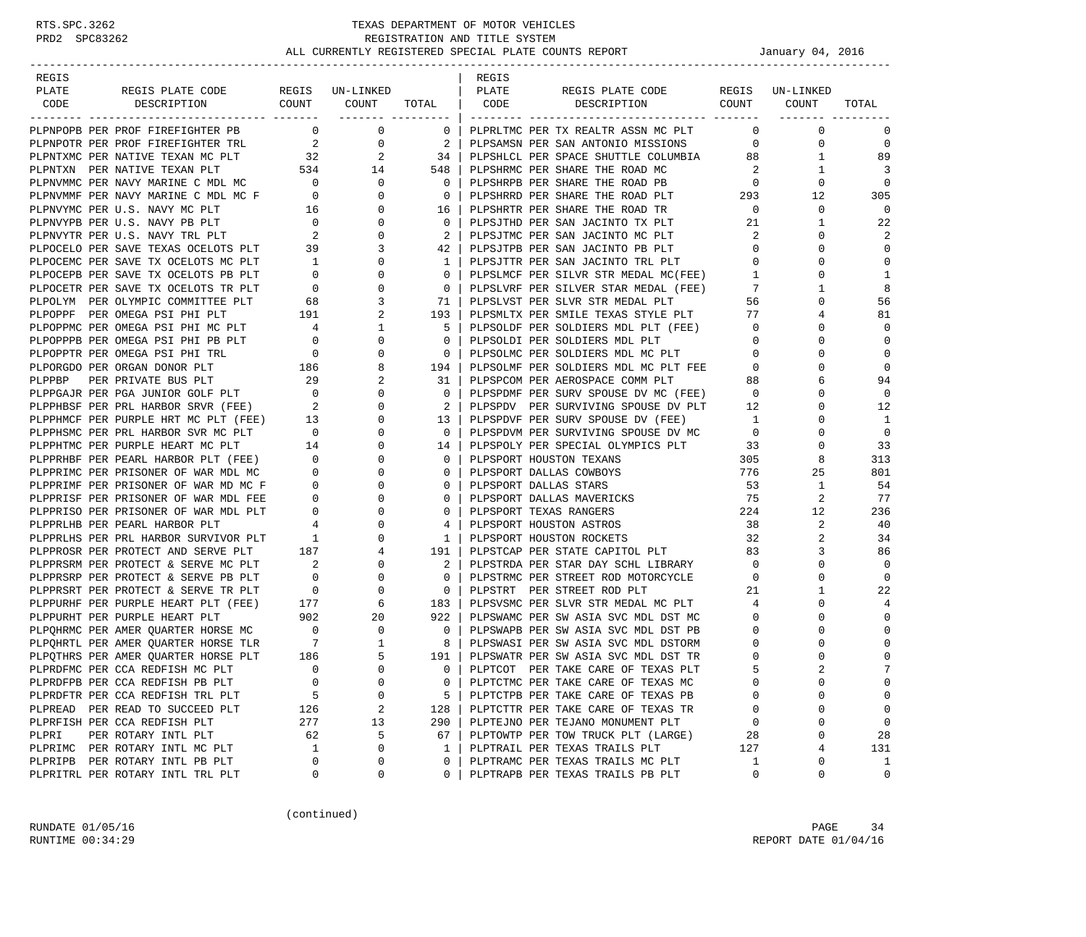| REGIS |                                                                                     |                                                 |                            |                | REGIS                 |                                       |                                     |             |                |
|-------|-------------------------------------------------------------------------------------|-------------------------------------------------|----------------------------|----------------|-----------------------|---------------------------------------|-------------------------------------|-------------|----------------|
| PLATE | REGIS PLATE CODE                                                                    |                                                 | REGIS UN-LINKED            |                | PLATE                 | REGIS PLATE CODE REGIS UN-LINKED      |                                     |             |                |
| CODE  | COUNT<br>DESCRIPTION                                                                |                                                 | COUNT<br>------- --------- | TOTAL          | CODE                  | DESCRIPTION COUNT                     |                                     | COUNT       | TOTAL          |
|       | PLPNPOPB PER PROF FIREFIGHTER PB                                                    | $\overline{0}$                                  | $\mathbf{0}$               | $\mathbf{0}$   |                       | PLPRLTMC PER TX REALTR ASSN MC PLT    | $\mathbf 0$                         | $\mathbf 0$ | 0              |
|       | PLPNPOTR PER PROF FIREFIGHTER TRL                                                   | $\overline{a}$                                  | 0                          | -2             |                       | PLPSAMSN PER SAN ANTONIO MISSIONS     | $\mathbf 0$                         | $\mathbf 0$ | $\mathbf 0$    |
|       | PLPNTXMC PER NATIVE TEXAN MC PLT                                                    | 32                                              | 2                          | 34             |                       | PLPSHLCL PER SPACE SHUTTLE COLUMBIA   | 88                                  | 1           | 89             |
|       | PLPNTXN PER NATIVE TEXAN PLT                                                        | 534                                             | 14                         | 548            |                       | PLPSHRMC PER SHARE THE ROAD MC        | -2                                  | 1           | 3              |
|       |                                                                                     |                                                 | $\mathbf{0}$               | $\mathbf 0$    |                       | PLPSHRPB PER SHARE THE ROAD PB        |                                     | 0           | $\mathbf 0$    |
|       | PLPNVMMC PER NAVY MARINE C MDL MC $\,$ 0 PLPNVMMF PER NAVY MARINE C MDL MC F $\,$ 0 |                                                 | $\Omega$                   | $\overline{0}$ |                       | PLPSHRRD PER SHARE THE ROAD PLT       | $\begin{array}{c}0\\293\end{array}$ | 12          | 305            |
|       | PLPNVYMC PER U.S. NAVY MC PLT                                                       | 16                                              | 0                          | 16             |                       | PLPSHRTR PER SHARE THE ROAD TR        | $\overline{0}$                      | $\mathbf 0$ | $\overline{0}$ |
|       | PLPNVYPB PER U.S. NAVY PB PLT                                                       |                                                 | 0                          | $\mathbf 0$    |                       | PLPSJTHD PER SAN JACINTO TX PLT       | 21                                  | 1           | 22             |
|       | PLPNVYTR PER U.S. NAVY TRL PLT                                                      | $\begin{array}{c} 0 \\ 2 \end{array}$           | $\Omega$                   | -2             |                       | PLPSJTMC PER SAN JACINTO MC PLT       | 2                                   | $\Omega$    | 2              |
|       | PLPOCELO PER SAVE TEXAS OCELOTS PLT 39                                              |                                                 | 3                          | 42             |                       | PLPSJTPB PER SAN JACINTO PB PLT       | $\mathbf{0}$                        | 0           | $\mathbf 0$    |
|       | PLPOCEMC PER SAVE TX OCELOTS MC PLT                                                 | $\overline{1}$                                  | $\Omega$                   | 1              |                       | PLPSJTTR PER SAN JACINTO TRL PLT      | $\mathbf{0}$                        | $\Omega$    | $\mathbf 0$    |
|       | PLPOCEPB PER SAVE TX OCELOTS PB PLT                                                 | $\overline{0}$                                  | 0                          | $\mathbf 0$    |                       | PLPSLMCF PER SILVR STR MEDAL MC(FEE)  | $\mathbf{1}$                        | $\Omega$    | 1              |
|       | PLPOCETR PER SAVE TX OCELOTS TR PLT                                                 |                                                 | 0                          | $\mathbf 0$    |                       | PLPSLVRF PER SILVER STAR MEDAL (FEE)  | 7                                   | 1           | 8              |
|       | PLPOLYM PER OLYMPIC COMMITTEE PLT                                                   | $\begin{array}{cc} & & 0 \\ & & 68 \end{array}$ | 3                          | 71             |                       | PLPSLVST PER SLVR STR MEDAL PLT       | 56                                  | $\Omega$    | 56             |
|       | PLPOPPF PER OMEGA PSI PHI PLT                                                       | 191                                             | 2                          | 193            |                       | PLPSMLTX PER SMILE TEXAS STYLE PLT    | 77                                  | 4           | 81             |
|       | PLPOPPMC PER OMEGA PSI PHI MC PLT                                                   | $\overline{4}$                                  | 1                          | -5             |                       | PLPSOLDF PER SOLDIERS MDL PLT (FEE)   | $\overline{0}$                      | $\Omega$    | $\mathbf 0$    |
|       | PLPOPPPB PER OMEGA PSI PHI PB PLT                                                   | $\overline{0}$                                  | 0                          | $\mathbf 0$    |                       | PLPSOLDI PER SOLDIERS MDL PLT         | $\overline{0}$                      | $\Omega$    | 0              |
|       | PLPOPPTR PER OMEGA PSI PHI TRL                                                      | $\begin{array}{c} 0 \\ 186 \end{array}$         | 0                          | $\mathbf 0$    |                       | PLPSOLMC PER SOLDIERS MDL MC PLT      | $\mathbf{0}$                        | $\Omega$    | $\mathbf 0$    |
|       | PLPORGDO PER ORGAN DONOR PLT                                                        |                                                 | 8                          | 194            |                       | PLPSOLMF PER SOLDIERS MDL MC PLT FEE  | $\overline{0}$                      | 0           | $\Omega$       |
|       |                                                                                     |                                                 | 2                          | 31             |                       | PLPSPCOM PER AEROSPACE COMM PLT       | 88                                  | 6           | 94             |
|       |                                                                                     |                                                 | $\Omega$                   | $\mathbf 0$    |                       | PLPSPDMF PER SURV SPOUSE DV MC (FEE)  | $\overline{0}$                      | $\Omega$    | $\overline{0}$ |
|       | PLPPHBSF PER PRL HARBOR SRVR (FEE) 2                                                |                                                 | 0                          | 2              |                       | PLPSPDV PER SURVIVING SPOUSE DV PLT   | 12                                  | 0           | 12             |
|       |                                                                                     |                                                 | 0                          | 13             |                       | PLPSPDVF PER SURV SPOUSE DV (FEE)     | 1                                   | $\Omega$    | 1              |
|       | PLPPHBSF PER PURPLE HRT MC PLT (FEE) 13<br>PLPPHMCF PER PURPLE HRT MC PLT (FEE) 13  |                                                 | $\Omega$                   | $\Omega$       |                       | PLPSPDVM PER SURVIVING SPOUSE DV MC 0 |                                     | $\Omega$    | $\Omega$       |
|       | PLPPHTMC PER PURPLE HEART MC PLT                                                    |                                                 | 0                          | 14             |                       | PLPSPOLY PER SPECIAL OLYMPICS PLT 33  |                                     | 0           | 33             |
|       | PLPPRHBF PER PEARL HARBOR PLT (FEE)                                                 | $\begin{array}{c} 14 \\ 0 \end{array}$          | $\Omega$                   | $\circ$        |                       | PLPSPORT HOUSTON TEXANS               | 305                                 | 8           | 313            |
|       | PLPPRIMC PER PRISONER OF WAR MDL MC                                                 | $\overline{\phantom{a}}$                        | 0                          | $\circ$        |                       | PLPSPORT DALLAS COWBOYS               | 776                                 | 25          | 801            |
|       | PLPPRIMF PER PRISONER OF WAR MD MC F                                                | $\overline{0}$                                  | 0                          | $\mathbf 0$    | PLPSPORT DALLAS STARS |                                       | 53                                  | 1           | 54             |
|       | PLPPRISF PER PRISONER OF WAR MDL FEE                                                | $\mathbf{0}$                                    | $\Omega$                   | $\mathbf 0$    |                       | PLPSPORT DALLAS MAVERICKS             | 75                                  | 2           | 77             |
|       | PLPPRISO PER PRISONER OF WAR MDL PLT                                                | $\mathbf{0}$                                    | 0                          | $\mathbf 0$    |                       | PLPSPORT TEXAS RANGERS                | 224                                 | 12          | 236            |
|       | PLPPRLHB PER PEARL HARBOR PLT                                                       | $\overline{4}$                                  | $\Omega$                   | 4              |                       | PLPSPORT HOUSTON ASTROS               | 38                                  | 2           | 40             |
|       | PLPPRLHS PER PRL HARBOR SURVIVOR PLT                                                | $\overline{1}$                                  | $\mathbf{0}$               | 1              |                       | PLPSPORT HOUSTON ROCKETS              | 32                                  | 2           | 34             |
|       | PLPPROSR PER PROTECT AND SERVE PLT 187                                              |                                                 | 4                          | 191            |                       | PLPSTCAP PER STATE CAPITOL PLT        | 83                                  | 3           | 86             |
|       | PLPPRSRM PER PROTECT & SERVE MC PLT                                                 | $\sim$ 2                                        | $\mathbf{0}$               | 2              |                       | PLPSTRDA PER STAR DAY SCHL LIBRARY    | $\overline{0}$                      | $\Omega$    | $\Omega$       |
|       | PLPPRSRP PER PROTECT & SERVE PB PLT                                                 | $\begin{array}{c} 0 \\ 0 \end{array}$           | $\mathbf{0}$               | $\circ$        |                       | PLPSTRMC PER STREET ROD MOTORCYCLE    | $\mathbf 0$                         | 0           | $\mathbf 0$    |
|       | PLPPRSRT PER PROTECT & SERVE TR PLT                                                 |                                                 | $\mathbf 0$                | $\overline{0}$ |                       | PLPSTRT PER STREET ROD PLT            | 21                                  | 1           | 22             |
|       | PLPPURHF PER PURPLE HEART PLT (FEE)                                                 | 177<br>902                                      | 6                          | 183            |                       | PLPSVSMC PER SLVR STR MEDAL MC PLT    | 4                                   | 0           | 4              |
|       | PLPPURHT PER PURPLE HEART PLT                                                       |                                                 | 20                         | 922            |                       | PLPSWAMC PER SW ASIA SVC MDL DST MC   | $\mathbf{0}$                        | 0           | $\mathbf 0$    |
|       | PLPQHRMC PER AMER QUARTER HORSE MC 0                                                |                                                 | 0                          | $\overline{0}$ |                       | PLPSWAPB PER SW ASIA SVC MDL DST PB   | $\mathbf{0}$                        | 0           | $\Omega$       |
|       | PLPQHRTL PER AMER QUARTER HORSE TLR 7<br>PLPQTHRS PER AMER QUARTER HORSE PLT 186    |                                                 | 1                          | 8              |                       | PLPSWASI PER SW ASIA SVC MDL DSTORM   | 0                                   | 0           | $\mathbf 0$    |
|       |                                                                                     |                                                 | 5                          | 191            |                       | PLPSWATR PER SW ASIA SVC MDL DST TR   | $\mathbf 0$                         | $\Omega$    | $\mathsf 0$    |
|       | PLPRDFMC PER CCA REDFISH MC PLT                                                     | $\Omega$                                        | $\Omega$                   | $\Omega$       |                       | PLPTCOT PER TAKE CARE OF TEXAS PLT    | 5                                   |             | 7              |
|       | PLPRDFPB PER CCA REDFISH PB PLT                                                     | $\mathbf 0$                                     | 0                          | 0              |                       | PLPTCTMC PER TAKE CARE OF TEXAS MC    | $\Omega$                            | 0           | $\Omega$       |
|       | PLPRDFTR PER CCA REDFISH TRL PLT                                                    | 5                                               | 0                          | 5              |                       | PLPTCTPB PER TAKE CARE OF TEXAS PB    | $\Omega$                            | U           | $\mathbf 0$    |
|       | PLPREAD PER READ TO SUCCEED PLT                                                     | 126                                             | 2                          | 128            |                       | PLPTCTTR PER TAKE CARE OF TEXAS TR    | 0                                   | 0           | 0              |
|       | PLPRFISH PER CCA REDFISH PLT                                                        | 277                                             | 13                         | 290            |                       | PLPTEJNO PER TEJANO MONUMENT PLT      | 0                                   | $\Omega$    | 0              |
| PLPRI | PER ROTARY INTL PLT                                                                 | 62                                              | 5                          | 67             |                       | PLPTOWTP PER TOW TRUCK PLT (LARGE)    | 28                                  | 0           | 28             |
|       | PLPRIMC PER ROTARY INTL MC PLT                                                      | 1                                               | $\Omega$                   | 1              |                       | PLPTRAIL PER TEXAS TRAILS PLT         | 127                                 | 4           | 131            |
|       | PLPRIPB PER ROTARY INTL PB PLT                                                      | $\mathbf 0$                                     | 0                          | 0              |                       | PLPTRAMC PER TEXAS TRAILS MC PLT      | 1                                   | 0           | 1              |
|       | PLPRITRL PER ROTARY INTL TRL PLT                                                    | 0                                               | 0                          | 0              |                       | PLPTRAPB PER TEXAS TRAILS PB PLT      | 0                                   | 0           | 0              |

(continued)

RUNDATE 01/05/16 PAGE 34 RUNTIME  $00:34:29$  REPORT DATE  $01/04/16$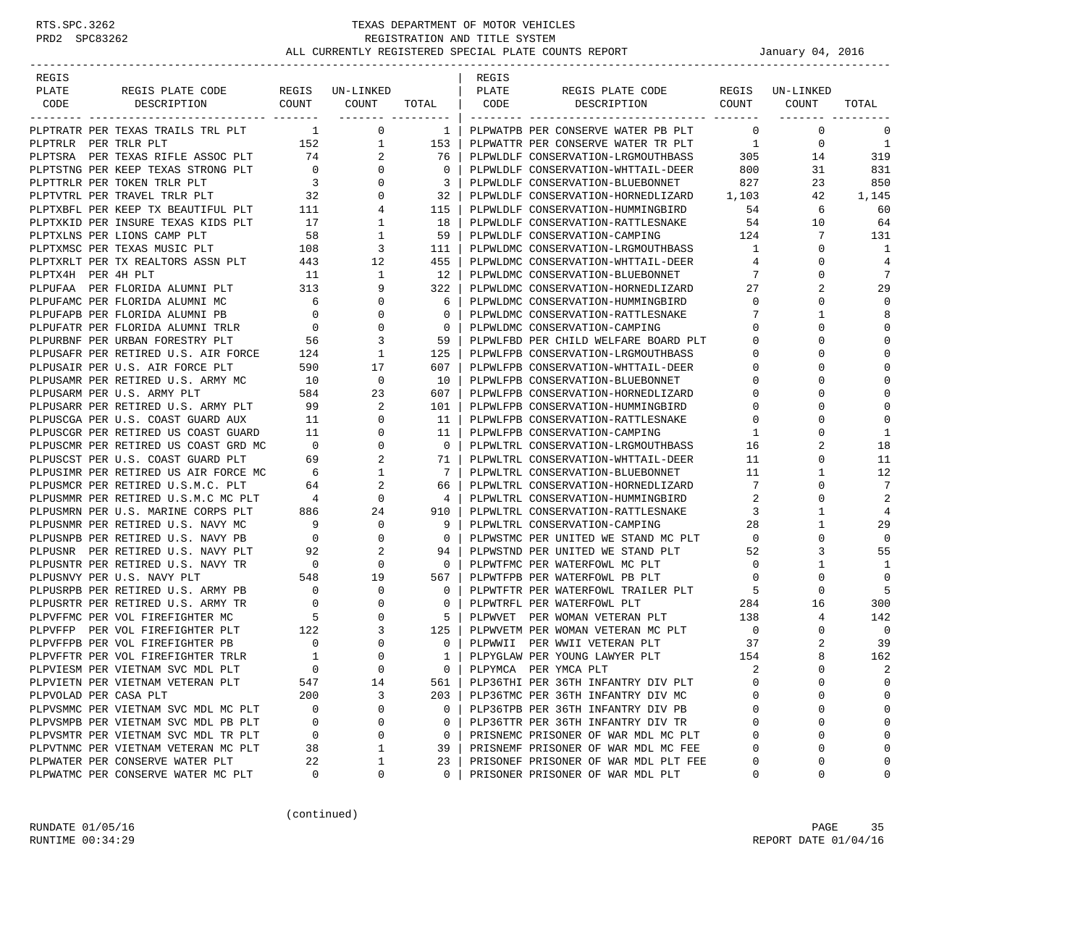| REGIS                 |                                                                               |                                                           |                                                                   |                         | REGIS |                                          |                         |                 |                |
|-----------------------|-------------------------------------------------------------------------------|-----------------------------------------------------------|-------------------------------------------------------------------|-------------------------|-------|------------------------------------------|-------------------------|-----------------|----------------|
| PLATE                 | REGIS PLATE CODE                                                              |                                                           | REGIS UN-LINKED                                                   |                         | PLATE | REGIS PLATE CODE                         |                         | REGIS UN-LINKED |                |
| CODE                  | DESCRIPTION                                                                   |                                                           | COUNT COUNT                                                       | TOTAL   CODE            |       | DESCRIPTION                              |                         | COUNT COUNT     | TOTAL          |
|                       |                                                                               |                                                           |                                                                   | ------- ---------       |       |                                          |                         |                 |                |
|                       |                                                                               |                                                           |                                                                   | $1 \mid$                |       | PLPWATPB PER CONSERVE WATER PB PLT       | $\overline{0}$          | $\mathbf 0$     | 0              |
|                       |                                                                               |                                                           |                                                                   | 153                     |       | PLPWATTR PER CONSERVE WATER TR PLT       | $\overline{1}$          | $\mathbf 0$     | 1              |
|                       |                                                                               |                                                           |                                                                   | 76                      |       | PLPWLDLF CONSERVATION-LRGMOUTHBASS       | 305                     | 14              | 319            |
|                       |                                                                               |                                                           |                                                                   | $\mathbf{0}$            |       | PLPWLDLF CONSERVATION-WHTTAIL-DEER       | 800                     | 31              | 831            |
|                       |                                                                               |                                                           |                                                                   | $\overline{\mathbf{3}}$ |       | PLPWLDLF CONSERVATION-BLUEBONNET         | 827                     | 23              | 850            |
|                       |                                                                               |                                                           |                                                                   | 32                      |       | PLPWLDLF CONSERVATION-HORNEDLIZARD 1,103 |                         | 42              | 1,145          |
|                       | PLPTXBFL PER KEEP TX BEAUTIFUL PLT 111                                        |                                                           | $4\overline{)}$                                                   | 115                     |       | PLPWLDLF CONSERVATION-HUMMINGBIRD        | 54                      | 6               | 60             |
|                       | PLPTXKID PER INSURE TEXAS KIDS PLT                                            | 17                                                        | $\mathbf{1}$                                                      | 18                      |       | PLPWLDLF CONSERVATION-RATTLESNAKE        | 54                      | 10              | 64             |
|                       | PLPTXLNS PER LIONS CAMP PLT                                                   | 58                                                        | $\mathbf{1}$                                                      | 59                      |       | PLPWLDLF CONSERVATION-CAMPING            | 124                     | 7               | 131            |
|                       | PLPTXMSC PER TEXAS MUSIC PLT                                                  | 108                                                       | $\overline{\mathbf{3}}$<br>$\begin{array}{c} 3 \\ 12 \end{array}$ | 111                     |       | PLPWLDMC CONSERVATION-LRGMOUTHBASS       | $\overline{1}$          | 0               | 1              |
|                       | PLPTXRLT PER TX REALTORS ASSN PLT                                             | 443                                                       |                                                                   | 455                     |       | PLPWLDMC CONSERVATION-WHTTAIL-DEER       | $\overline{4}$          | $\mathbf 0$     | $\overline{4}$ |
| PLPTX4H PER 4H PLT    |                                                                               | 11                                                        | $\overline{1}$                                                    | 12                      |       | PLPWLDMC CONSERVATION-BLUEBONNET         | 7                       | 0               | 7              |
|                       | PLPUFAA PER FLORIDA ALUMNI PLT 313                                            |                                                           | 9                                                                 | 322                     |       | PLPWLDMC CONSERVATION-HORNEDLIZARD       | 27                      | 2               | 29             |
|                       | PLPUFAMC PER FLORIDA ALUMNI MC                                                | 6                                                         | $\overline{0}$                                                    | 6                       |       | PLPWLDMC CONSERVATION-HUMMINGBIRD        | $\overline{0}$          | $\Omega$        | 0              |
|                       | PLPUFAPB PER FLORIDA ALUMNI PB                                                | $\overline{0}$                                            | $\overline{0}$                                                    | $\mathbf{0}$            |       | PLPWLDMC CONSERVATION-RATTLESNAKE        | 7                       | 1               | 8              |
|                       | PLPUFATR PER FLORIDA ALUMNI TRLR                                              | $\overline{0}$                                            | $\overline{0}$                                                    | $\overline{0}$          |       | PLPWLDMC CONSERVATION-CAMPING            | $\overline{0}$          | $\Omega$        | $\mathbf 0$    |
|                       | PLPURBNF PER URBAN FORESTRY PLT 56<br>PLPUSAFR PER RETIRED U.S. AIR FORCE 124 |                                                           | $\overline{\mathbf{3}}$                                           | 59                      |       | PLPWLFBD PER CHILD WELFARE BOARD PLT     | 0                       | $\Omega$        | $\Omega$       |
|                       |                                                                               |                                                           | $\mathbf{1}$                                                      | 125                     |       | PLPWLFPB CONSERVATION-LRGMOUTHBASS       | 0                       | $\Omega$        | $\bigcap$      |
|                       | PLPUSAIR PER U.S. AIR FORCE PLT                                               | 590                                                       | 17                                                                | 607                     |       | PLPWLFPB CONSERVATION-WHTTAIL-DEER       | 0                       | $\Omega$        | $\bigcap$      |
|                       | PLPUSAMR PER RETIRED U.S. ARMY MC                                             | $\begin{array}{c} 10 \\ 584 \end{array}$                  | 0                                                                 | 10                      |       | PLPWLFPB CONSERVATION-BLUEBONNET         | 0                       | 0               | $\Omega$       |
|                       | PLPUSARM PER U.S. ARMY PLT                                                    |                                                           | 23                                                                | 607                     |       | PLPWLFPB CONSERVATION-HORNEDLIZARD       | 0                       | $\Omega$        | $\mathbf 0$    |
|                       | PLPUSARR PER RETIRED U.S. ARMY PLT 99                                         |                                                           | 2                                                                 | 101                     |       | PLPWLFPB CONSERVATION-HUMMINGBIRD        | 0                       | $\Omega$        | $\mathbf 0$    |
|                       | PLPUSCGA PER U.S. COAST GUARD AUX                                             | 11                                                        | $\mathbf 0$                                                       | 11                      |       | PLPWLFPB CONSERVATION-RATTLESNAKE        | $\mathbf{0}$            | $\Omega$        | $\mathbf 0$    |
|                       | PLPUSCGR PER RETIRED US COAST GUARD 11                                        |                                                           | $\mathbf{0}$                                                      | 11                      |       | PLPWLFPB CONSERVATION-CAMPING            | 1                       | $\Omega$        | 1              |
|                       | PLPUSCMR PER RETIRED US COAST GRD MC                                          | $\overline{0}$                                            | $\mathbf 0$                                                       | $\overline{0}$          |       | PLPWLTRL CONSERVATION-LRGMOUTHBASS       | 16                      | 2               | 18             |
|                       | PLPUSCST PER U.S. COAST GUARD PLT                                             | 69                                                        | $\overline{2}$                                                    | 71 I                    |       | PLPWLTRL CONSERVATION-WHTTAIL-DEER       | 11                      | $\mathbf 0$     | 11             |
|                       | PLPUSIMR PER RETIRED US AIR FORCE MC                                          | $\overline{6}$                                            | $\mathbf{1}$                                                      | 7 <sup>1</sup>          |       | PLPWLTRL CONSERVATION-BLUEBONNET         | 11                      | $\mathbf{1}$    | 12             |
|                       | PLPUSMCR PER RETIRED U.S.M.C. PLT                                             | 64                                                        | $\overline{a}$                                                    | 66                      |       | PLPWLTRL CONSERVATION-HORNEDLIZARD       | 7                       | $\mathbf 0$     | 7              |
|                       | PLPUSMMR PER RETIRED U.S.M.C MC PLT 4                                         |                                                           | $\overline{0}$                                                    | $4 \vert$               |       | PLPWLTRL CONSERVATION-HUMMINGBIRD        | 2                       | $\Omega$        | $\overline{2}$ |
|                       | PLPUSMRN PER U.S. MARINE CORPS PLT                                            | 886                                                       | 24                                                                | 910                     |       | PLPWLTRL CONSERVATION-RATTLESNAKE        | $\overline{\mathbf{3}}$ | 1               | $\overline{4}$ |
|                       | PLPUSNMR PER RETIRED U.S. NAVY MC                                             | 9                                                         | $\overline{0}$                                                    | - 91                    |       | PLPWLTRL CONSERVATION-CAMPING            | 28                      | $\mathbf{1}$    | 29             |
|                       | PLPUSNPB PER RETIRED U.S. NAVY PB                                             | $\overline{0}$                                            | $\overline{0}$                                                    | $\overline{0}$          |       | PLPWSTMC PER UNITED WE STAND MC PLT      | $\overline{0}$          | $\mathbf 0$     | 0              |
|                       | PLPUSNR PER RETIRED U.S. NAVY PLT                                             | 92                                                        | 2                                                                 | 94                      |       | PLPWSTND PER UNITED WE STAND PLT         | 52                      | 3               | 55             |
|                       | PLPUSNTR PER RETIRED U.S. NAVY TR                                             | $\sim$ 0                                                  | $\mathbf 0$                                                       | $\overline{0}$          |       | PLPWTFMC PER WATERFOWL MC PLT            | $\overline{0}$          | 1               | 1              |
|                       | PLPUSNVY PER U.S. NAVY PLT                                                    |                                                           | 19                                                                | 567                     |       | PLPWTFPB PER WATERFOWL PB PLT            | $\overline{0}$          | 0               | 0              |
|                       | PLPUSRPB PER RETIRED U.S. ARMY PB                                             | $\begin{bmatrix} 5\frac{1}{2} & 0 \\ 0 & 0 \end{bmatrix}$ | $\mathbf 0$                                                       | 0 <sup>1</sup>          |       | PLPWTFTR PER WATERFOWL TRAILER PLT       | $\overline{5}$          | $\mathbf 0$     | 5              |
|                       | PLPUSRTR PER RETIRED U.S. ARMY TR                                             | $\overline{0}$                                            | $\overline{0}$                                                    | $\mathbf{0}$            |       | PLPWTRFL PER WATERFOWL PLT               | 284                     | 16              | 300            |
|                       | PLPVFFMC PER VOL FIREFIGHTER MC                                               | $5\overline{)}$                                           | $\mathbf 0$                                                       | $5-1$                   |       | PLPWVET PER WOMAN VETERAN PLT            | 138                     | 4               | 142            |
|                       | PLPVFFP PER VOL FIREFIGHTER PLT                                               | 122                                                       | 3                                                                 | 125                     |       | PLPWVETM PER WOMAN VETERAN MC PLT        | $\overline{0}$          | 0               | 0              |
|                       | PLPVFFPB PER VOL FIREFIGHTER PB                                               | $\mathbf{0}$                                              | $\overline{0}$                                                    | $\overline{0}$          |       | PLPWWII PER WWII VETERAN PLT             | 37                      | 2               | 39             |
|                       | PLPVFFTR PER VOL FIREFIGHTER TRLR                                             | $\overline{\mathbf{1}}$                                   | $\mathbf 0$                                                       | 1 <sup>1</sup>          |       | PLPYGLAW PER YOUNG LAWYER PLT            | 154                     | 8               | 162            |
|                       | PLPVIESM PER VIETNAM SVC MDL PLT                                              | $\Omega$                                                  | $\Omega$                                                          | $\Omega$                |       | PLPYMCA PER YMCA PLT                     | 2                       | $\Omega$        | 2              |
|                       | PLPVIETN PER VIETNAM VETERAN PLT                                              | 547                                                       | 14                                                                | 561                     |       | PLP36THI PER 36TH INFANTRY DIV PLT       |                         | 0               | $\mathbf 0$    |
| PLPVOLAD PER CASA PLT |                                                                               | 200                                                       | 3                                                                 | 203                     |       | PLP36TMC PER 36TH INFANTRY DIV MC        |                         | U               | $\mathbf 0$    |
|                       | PLPVSMMC PER VIETNAM SVC MDL MC PLT                                           | 0                                                         | 0                                                                 | 0                       |       | PLP36TPB PER 36TH INFANTRY DIV PB        | $\Omega$                | 0               | $\mathbf 0$    |
|                       | PLPVSMPB PER VIETNAM SVC MDL PB PLT                                           | $\mathbf 0$                                               | 0                                                                 | 0                       |       | PLP36TTR PER 36TH INFANTRY DIV TR        | $\Omega$                | 0               | $\mathbf 0$    |
|                       | PLPVSMTR PER VIETNAM SVC MDL TR PLT                                           | 0                                                         | 0                                                                 | 0                       |       | PRISNEMC PRISONER OF WAR MDL MC PLT      | $\Omega$                | 0               | $\cap$         |
|                       | PLPVTNMC PER VIETNAM VETERAN MC PLT                                           | 38                                                        | $\mathbf 1$                                                       | 39                      |       | PRISNEMF PRISONER OF WAR MDL MC FEE      | $\Omega$                | 0               | $\mathbf 0$    |
|                       | PLPWATER PER CONSERVE WATER PLT                                               | 22                                                        | 1                                                                 | 23                      |       | PRISONEF PRISONER OF WAR MDL PLT FEE     | 0                       | 0               | $\mathbf 0$    |
|                       | PLPWATMC PER CONSERVE WATER MC PLT                                            | 0                                                         | 0                                                                 | 0                       |       | PRISONER PRISONER OF WAR MDL PLT         | 0                       | 0               | 0              |

(continued)

RUNDATE  $01/05/16$  PAGE 35 RUNTIME  $00:34:29$  REPORT DATE  $01/04/16$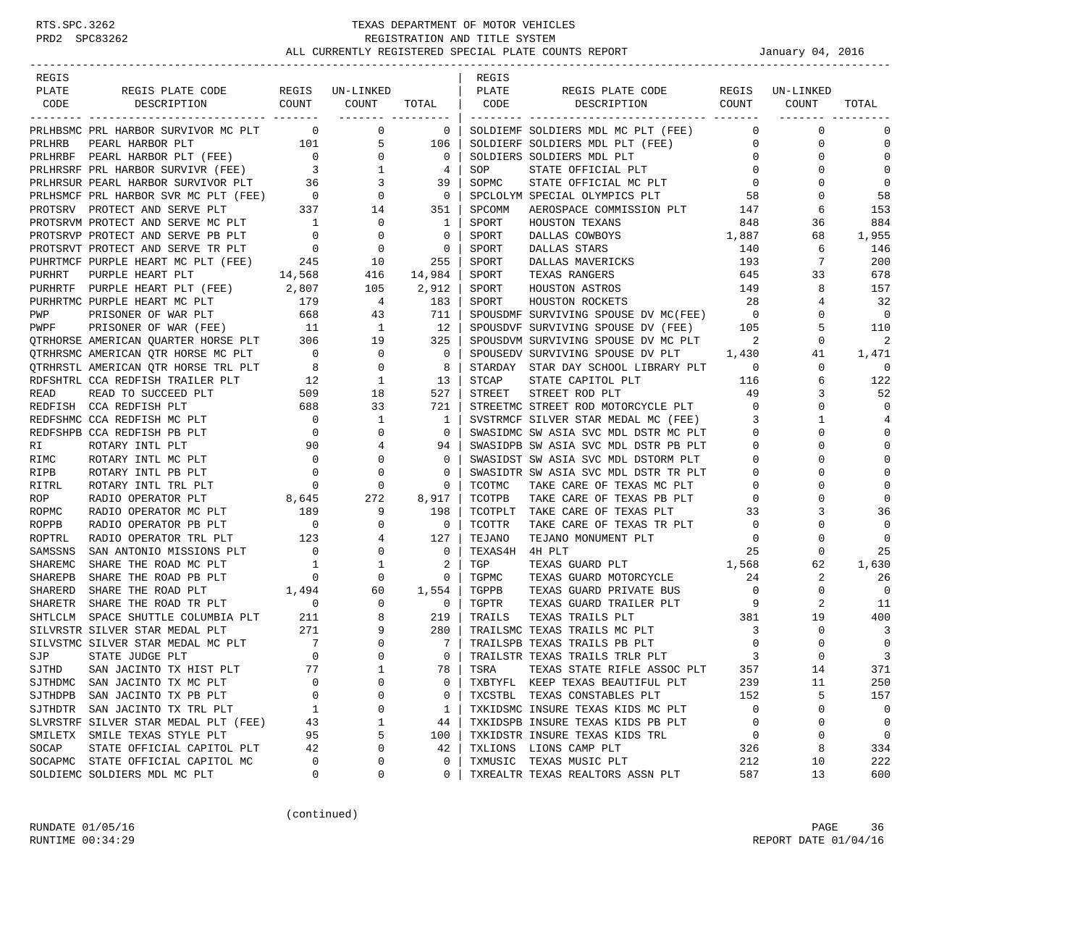| REGIS   |                                                                                                                                                                                                                                                                                                                                                                                                                                                     |                                        |                                        |                          | REGIS   |                                                                                  |                          |                 |                |
|---------|-----------------------------------------------------------------------------------------------------------------------------------------------------------------------------------------------------------------------------------------------------------------------------------------------------------------------------------------------------------------------------------------------------------------------------------------------------|----------------------------------------|----------------------------------------|--------------------------|---------|----------------------------------------------------------------------------------|--------------------------|-----------------|----------------|
| PLATE   | REGIS PLATE CODE                                                                                                                                                                                                                                                                                                                                                                                                                                    |                                        | REGIS UN-LINKED                        |                          | PLATE   | REGIS PLATE CODE                                                                 |                          | REGIS UN-LINKED |                |
| CODE    | DESCRIPTION COUNT                                                                                                                                                                                                                                                                                                                                                                                                                                   |                                        | COUNT<br>________ _________            | TOTAL                    | CODE    | DESCRIPTION COUNT                                                                |                          | COUNT           | TOTAL          |
|         | PRLHBSMC PRL HARBOR SURVIVOR MC PLT 0 0 0                                                                                                                                                                                                                                                                                                                                                                                                           |                                        |                                        | $\overline{\phantom{0}}$ |         | SOLDIEMF SOLDIERS MDL MC PLT (FEE)                                               | $\mathbf{0}$             | $\mathbf 0$     | 0              |
|         | PRIHRB PEARL HARBOR PLT 101 5<br>PRIHRBF PEARL HARBOR PLT (FEE) 0 0<br>PRIHRSRF PRI HARBOR SURVIVR (FEE) 3 1<br>PRIHRSUR PEARL HARBOR SURVIVOR PLT 36 3<br>PRIHSMCF PRI HARBOR SVR MC PLT (FEE) 0 0                                                                                                                                                                                                                                                 |                                        |                                        | 106                      |         | SOLDIERF SOLDIERS MDL PLT (FEE)                                                  | $\overline{0}$           | 0               | $\mathbf 0$    |
|         |                                                                                                                                                                                                                                                                                                                                                                                                                                                     |                                        |                                        | $\mathbf{0}$             |         | SOLDIERS SOLDIERS MDL PLT                                                        | $\overline{0}$           | 0               | $\mathbf 0$    |
|         |                                                                                                                                                                                                                                                                                                                                                                                                                                                     |                                        |                                        | $\overline{4}$           | SOP     | SOLDIERS MDL PLT 0<br>STATE OFFICIAL PLT 0                                       |                          | $\Omega$        | $\mathbf 0$    |
|         |                                                                                                                                                                                                                                                                                                                                                                                                                                                     |                                        |                                        | 39                       |         |                                                                                  | $\overline{0}$           | 0               | $\mathbf 0$    |
|         |                                                                                                                                                                                                                                                                                                                                                                                                                                                     |                                        |                                        | $\overline{0}$           |         | SOPMC STATE OFFICIAL MC PLT 0<br>SPCLOLYM SPECIAL OLYMPICS PLT 58                |                          | $\Omega$        | 58             |
|         | PROTSRV PROTECT AND SERVE PLT                                                                                                                                                                                                                                                                                                                                                                                                                       |                                        | 337 14                                 | 351                      | SPCOMM  | AEROSPACE COMMISSION PLT 147                                                     |                          | 6               | 153            |
|         | PROTSRVM PROTECT AND SERVE MC PLT                                                                                                                                                                                                                                                                                                                                                                                                                   | $\overline{\mathbf{1}}$                |                                        | $\mathbf{1}$             | SPORT   | HOUSTON TEXANS                                                                   | 848                      | 36              | 884            |
|         | PROTSRVP PROTECT AND SERVE PB PLT                                                                                                                                                                                                                                                                                                                                                                                                                   | $\begin{array}{c} 1 \\ 0 \end{array}$  | $\begin{matrix}0\\0\end{matrix}$       | $\overline{\phantom{0}}$ | SPORT   | DALLAS COWBOYS 1,887                                                             |                          | 68              | 1,955          |
|         |                                                                                                                                                                                                                                                                                                                                                                                                                                                     |                                        | $\overline{\phantom{0}}$               | $\overline{\phantom{0}}$ | SPORT   | DALLAS STARS                                                                     | 140                      | 6               | 146            |
|         | PROTSRVT PROTECT AND SERVE TR PLT 0<br>PUHRTMCF PURPLE HEART MC PLT (FEE) 245                                                                                                                                                                                                                                                                                                                                                                       |                                        | $\frac{10}{10}$                        | 255                      | SPORT   | DALLAS MAVERICKS                                                                 | 193                      | 7               | 200            |
|         |                                                                                                                                                                                                                                                                                                                                                                                                                                                     |                                        | 416                                    | 14,984                   | SPORT   | TEXAS RANGERS                                                                    | 645                      | 33              | 678            |
|         | $\begin{tabular}{lllllllllll} \multicolumn{2}{c}{\textbf{PURHRT}} & {\textbf{PUR}} & {\textbf{H}EART PLT} & {\textbf{14,568}} \\ \multicolumn{2}{c}{\textbf{PURHRTF}} & {\textbf{PURPLE HERRT PLT}} & {\textbf{FEE}} & {\textbf{2,807}} \\ \multicolumn{2}{c}{\textbf{PURHRTF}} & {\textbf{VURFLE HERRT PLT}} & {\textbf{FEE}} & {\textbf{3.807}} \\ \multicolumn{2}{c}{\textbf{PURHRTF}} & {\textbf{VURHRTF}} & {\textbf{FURHRTF}} & {\textbf{1.8$ |                                        | 105                                    | 2,912                    | SPORT   | HOUSTON ASTROS                                                                   | 149                      | 8               | 157            |
|         | PURHRTMC PURPLE HEART MC PLT 179<br>PWP PRISONER OF WAR PLT 668<br>PWPF PRISONER OF WAR (FEE) 11                                                                                                                                                                                                                                                                                                                                                    |                                        | $\overline{4}$                         | 183                      | SPORT   | HOUSTON ROCKETS                                                                  | 28                       | 4               | 32             |
|         |                                                                                                                                                                                                                                                                                                                                                                                                                                                     |                                        |                                        | 711                      |         |                                                                                  |                          | 0               | $\overline{0}$ |
|         |                                                                                                                                                                                                                                                                                                                                                                                                                                                     |                                        | $\begin{array}{c} 43 \\ 1 \end{array}$ | 12                       |         | SPOUSDMF SURVIVING SPOUSE DV MC(FEE) 0<br>SPOUSDVF SURVIVING SPOUSE DV (FEE) 105 |                          | 5               | 110            |
|         | QTRHORSE AMERICAN QUARTER HORSE PLT 306                                                                                                                                                                                                                                                                                                                                                                                                             |                                        | 19                                     | 325                      |         | SPOUSDVM SURVIVING SPOUSE DV MC PLT                                              | $\sim$ 2                 | 0               | 2              |
|         | QTRHRSMC AMERICAN QTR HORSE MC PLT 0                                                                                                                                                                                                                                                                                                                                                                                                                |                                        | $\overline{0}$                         | 0                        |         | SPOUSEDV SURVIVING SPOUSE DV PLT 1,430                                           |                          | 41              | 1,471          |
|         | OTRHRSTL AMERICAN OTR HORSE TRL PLT 8                                                                                                                                                                                                                                                                                                                                                                                                               |                                        | 0                                      | 8                        |         | STARDAY STAR DAY SCHOOL LIBRARY PLT 0                                            |                          | 0               | 0              |
|         |                                                                                                                                                                                                                                                                                                                                                                                                                                                     |                                        | 1                                      | 13                       | STCAP   | STATE CAPITOL PLT                                                                |                          | 6               | 122            |
|         |                                                                                                                                                                                                                                                                                                                                                                                                                                                     |                                        | 18                                     | 527                      | STREET  | $\frac{116}{49}$<br>STREET ROD PLT                                               |                          | 3               | 52             |
|         |                                                                                                                                                                                                                                                                                                                                                                                                                                                     |                                        | 33                                     | 721                      |         | STREETMC STREET ROD MOTORCYCLE PLT 0                                             |                          | 0               | $\mathbf 0$    |
|         |                                                                                                                                                                                                                                                                                                                                                                                                                                                     |                                        | 1                                      | 1                        |         | SVSTRMCF SILVER STAR MEDAL MC (FEE)                                              | $\overline{\phantom{a}}$ | $\mathbf{1}$    | 4              |
|         | NEXT CONTROLLER PLT 12<br>READ READ TO SUCCEED PLT 509<br>REDFISH CCA REDFISH PLT 688<br>REDFSHMC CCA REDFISH MC PLT 0<br>REDFSHPB CCA REDFISH PB PLT 0<br>RI ROTARY INTL PLT 0                                                                                                                                                                                                                                                                     |                                        | $\mathbf{0}$                           | $\Omega$                 |         | SWASIDMC SW ASIA SVC MDL DSTR MC PLT                                             | $\mathbf 0$              | $\Omega$        | $\mathbf 0$    |
|         |                                                                                                                                                                                                                                                                                                                                                                                                                                                     |                                        | 4                                      | 94                       |         | SWASIDPB SW ASIA SVC MDL DSTR PB PLT                                             | $\mathbf 0$              | 0               | $\mathbf 0$    |
| RIMC    | ROTARY INTL MC PLT                                                                                                                                                                                                                                                                                                                                                                                                                                  | $\begin{array}{c} 90 \\ 0 \end{array}$ | $\mathbf{0}$                           | 0                        |         | SWASIDST SW ASIA SVC MDL DSTORM PLT                                              | $\mathbf 0$              | $\Omega$        | 0              |
| RIPB    | ROTARY INTL PB PLT                                                                                                                                                                                                                                                                                                                                                                                                                                  |                                        | 0                                      | 0                        |         | SWASIDTR SW ASIA SVC MDL DSTR TR PLT                                             | $\mathbf{0}$             | 0               | $\mathbf 0$    |
| RITRL   | ROTARY INTL TRL PLT                                                                                                                                                                                                                                                                                                                                                                                                                                 | $\begin{array}{c} 0 \\ 0 \end{array}$  | $\mathbf 0$                            | $\mathbf 0$              | TCOTMC  | TAKE CARE OF TEXAS MC PLT                                                        | $\mathbf 0$              |                 | $\mathbf 0$    |
| ROP     | 8,645<br>RADIO OPERATOR PLT                                                                                                                                                                                                                                                                                                                                                                                                                         |                                        | 272                                    | 8,917                    | TCOTPB  | TAKE CARE OF TEXAS PB PLT                                                        | 0                        | $\Omega$        | $\mathbf 0$    |
| ROPMC   |                                                                                                                                                                                                                                                                                                                                                                                                                                                     |                                        | 9                                      | 198                      | TCOTPLT | TAKE CARE OF TEXAS PLT                                                           | 33                       | 3               | 36             |
| ROPPB   | RADIO OPERATOR MC PLT 189<br>RADIO OPERATOR PB PLT 0                                                                                                                                                                                                                                                                                                                                                                                                |                                        | $\mathbf 0$                            | $\overline{\phantom{0}}$ | TCOTTR  | TAKE CARE OF TEXAS TR PLT                                                        | $\overline{0}$           | $\Omega$        | $\mathbf 0$    |
| ROPTRL  | RADIO OPERATOR TRL PLT                                                                                                                                                                                                                                                                                                                                                                                                                              | 123                                    | $4\overline{ }$                        | 127                      | TEJANO  | TEJANO MONUMENT PLT                                                              | $\mathbf 0$              | 0               | $\mathbf 0$    |
| SAMSSNS | SAN ANTONIO MISSIONS PLT                                                                                                                                                                                                                                                                                                                                                                                                                            |                                        | $\mathbf 0$                            | $\mathbf{0}$             | TEXAS4H | 4H PLT                                                                           | 25                       | 0               | 25             |
| SHAREMC | SHARE THE ROAD MC PLT                                                                                                                                                                                                                                                                                                                                                                                                                               | $\begin{array}{c} 0 \\ 1 \end{array}$  | 1                                      | 2                        | TGP     | 1,568<br>TEXAS GUARD PLT                                                         |                          | 62              | 1,630          |
|         |                                                                                                                                                                                                                                                                                                                                                                                                                                                     |                                        | 0                                      | 0                        | TGPMC   | TEXAS GUARD MOTORCYCLE                                                           | 24                       | 2               | 26             |
|         |                                                                                                                                                                                                                                                                                                                                                                                                                                                     |                                        | 60                                     | 1,554                    | TGPPB   | TEXAS GUARD PRIVATE BUS                                                          | $\overline{0}$           | $\mathbf 0$     | $\mathbf 0$    |
|         | SHAREPB SHARE THE ROAD PB PLT 1,494 6<br>SHAREPB SHARE THE ROAD PLT 1,494 6<br>SHARETR SHARE THE ROAD TR PLT 1,494 6<br>SHARETR SHARE THE ROAD TR PLT 0<br>SHTLCLM SPACE SHUTTLE COLUMBIA PLT 211<br>SILVRSTR SILVER STAR MEDAL PLT 271<br>                                                                                                                                                                                                         |                                        | 0                                      | $\overline{\phantom{0}}$ | TGPTR   | TEXAS GUARD TRAILER PLT                                                          | $\overline{9}$           | 2               | 11             |
|         |                                                                                                                                                                                                                                                                                                                                                                                                                                                     |                                        | 8                                      | 219                      | TRAILS  | TEXAS TRAILS PLT                                                                 | 381                      | 19              | 400            |
|         |                                                                                                                                                                                                                                                                                                                                                                                                                                                     |                                        | 9                                      | 280                      |         | TRAILSMC TEXAS TRAILS MC PLT                                                     | $\overline{\mathbf{3}}$  | $\mathbf 0$     | 3              |
|         |                                                                                                                                                                                                                                                                                                                                                                                                                                                     |                                        | $\overline{0}$                         | -7                       |         | TRAILSPB TEXAS TRAILS PB PLT                                                     | $\mathbf 0$              | 0               | $\mathbf 0$    |
|         |                                                                                                                                                                                                                                                                                                                                                                                                                                                     |                                        | $\mathbf 0$                            | $\Omega$                 |         | TRAILSTR TEXAS TRAILS TRLR PLT                                                   | $\overline{3}$           | $\Omega$        | 3              |
| SJTHD   | SAN JACINTO TX HIST PLT                                                                                                                                                                                                                                                                                                                                                                                                                             | 77                                     | $\mathbf{1}$                           | 78                       | TSRA    | TEXAS STATE RIFLE ASSOC PLT                                                      | 357                      | 14              | 371            |
|         | SJTHDMC SAN JACINTO TX MC PLT                                                                                                                                                                                                                                                                                                                                                                                                                       | 0                                      | 0                                      | 0                        |         | TXBTYFL KEEP TEXAS BEAUTIFUL PLT                                                 | 239                      | 11              | 250            |
|         | SJTHDPB SAN JACINTO TX PB PLT                                                                                                                                                                                                                                                                                                                                                                                                                       | 0                                      | 0                                      | 0                        |         | TXCSTBL TEXAS CONSTABLES PLT                                                     | 152                      | 5               | 157            |
|         | SJTHDTR SAN JACINTO TX TRL PLT                                                                                                                                                                                                                                                                                                                                                                                                                      | 1                                      | 0                                      | 1                        |         | TXKIDSMC INSURE TEXAS KIDS MC PLT                                                | 0                        | 0               | 0              |
|         | SLVRSTRF SILVER STAR MEDAL PLT (FEE)                                                                                                                                                                                                                                                                                                                                                                                                                | 43                                     | 1                                      | 44                       |         | TXKIDSPB INSURE TEXAS KIDS PB PLT                                                | 0                        | 0               | $\mathbf 0$    |
|         | SMILETX SMILE TEXAS STYLE PLT                                                                                                                                                                                                                                                                                                                                                                                                                       | 95                                     | 5                                      | 100                      |         | TXKIDSTR INSURE TEXAS KIDS TRL                                                   | 0                        | 0               | $\mathbf 0$    |
| SOCAP   | STATE OFFICIAL CAPITOL PLT                                                                                                                                                                                                                                                                                                                                                                                                                          | 42                                     | 0                                      | 42                       |         | TXLIONS LIONS CAMP PLT                                                           | 326                      | 8               | 334            |
|         | SOCAPMC STATE OFFICIAL CAPITOL MC                                                                                                                                                                                                                                                                                                                                                                                                                   | 0                                      | 0                                      | 0                        |         | TXMUSIC TEXAS MUSIC PLT                                                          | 212                      | 10              | 222            |
|         | SOLDIEMC SOLDIERS MDL MC PLT                                                                                                                                                                                                                                                                                                                                                                                                                        | 0                                      | 0                                      | 0                        |         | TXREALTR TEXAS REALTORS ASSN PLT                                                 | 587                      | 13              | 600            |

(continued)

RUNDATE 01/05/16 PAGE 36 RUNTIME  $00:34:29$  REPORT DATE  $01/04/16$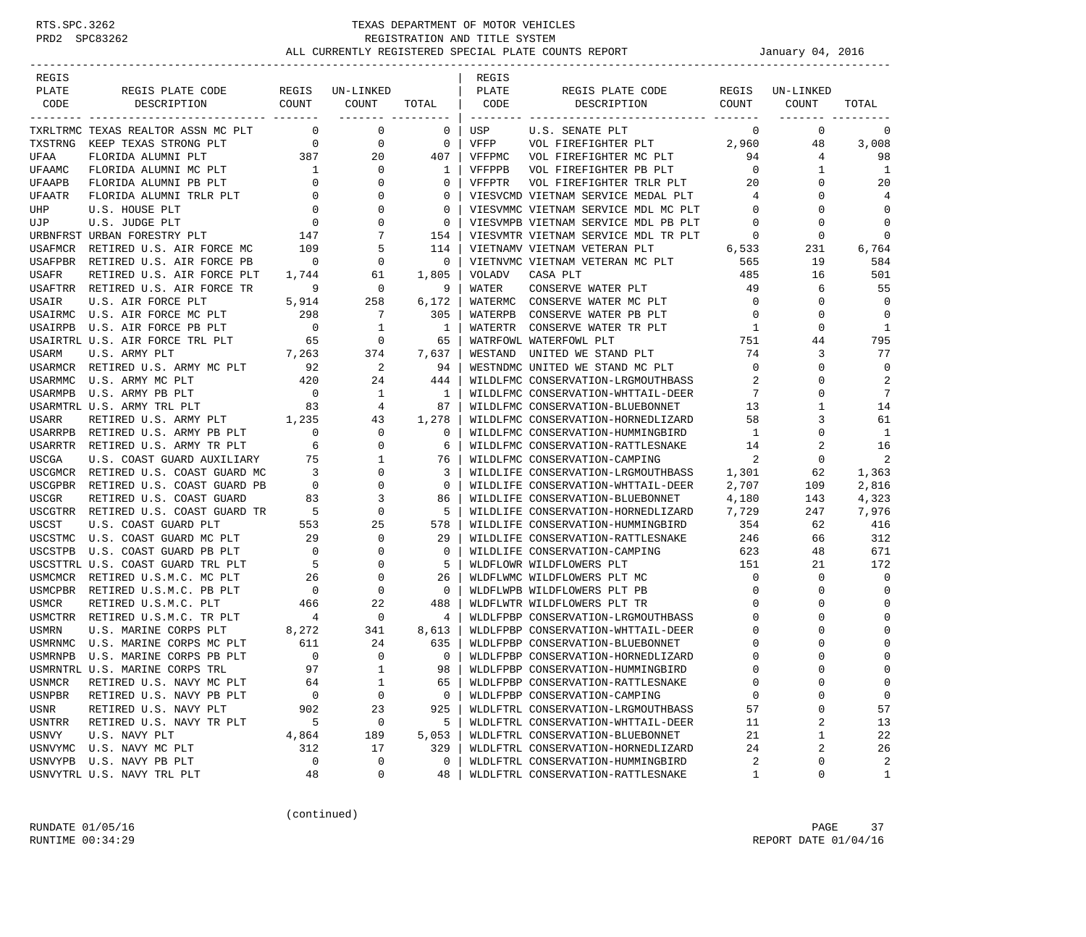| REGIS<br>PLATE     |                                                    | REGIS                      |                            |                    | REGIS<br>PLATE |                                                         | REGIS                 |                    |                |
|--------------------|----------------------------------------------------|----------------------------|----------------------------|--------------------|----------------|---------------------------------------------------------|-----------------------|--------------------|----------------|
| CODE               | REGIS PLATE CODE<br>DESCRIPTION                    | COUNT                      | UN-LINKED<br>COUNT         | TOTAL              | CODE           | REGIS PLATE CODE<br>DESCRIPTION                         | COUNT                 | UN-LINKED<br>COUNT | TOTAL          |
|                    |                                                    |                            | ------- ---------          |                    |                |                                                         |                       |                    |                |
|                    | TXRLTRMC TEXAS REALTOR ASSN MC PLT                 | $\mathbf{0}$               | $\mathbf 0$                | 0                  | USP            | U.S. SENATE PLT                                         | 0                     | 0                  | 0              |
| TXSTRNG            | KEEP TEXAS STRONG PLT                              | $\overline{0}$             | $\mathbf 0$                | $\overline{0}$     | VFFP           | VOL FIREFIGHTER PLT 2,960                               |                       | 48                 | 3,008          |
| UFAA               | FLORIDA ALUMNI PLT                                 | 387                        | 20                         | 407                | VFFPMC         | VOL FIREFIGHTER MC PLT                                  | 94                    | 4                  | 98             |
| UFAAMC             | FLORIDA ALUMNI MC PLT                              | $\overline{1}$             | $\overline{0}$             | 1                  | VFFPPB         | VOL FIREFIGHTER PB PLT                                  | $\overline{0}$        | 1                  | 1              |
| UFAAPB             | FLORIDA ALUMNI PB PLT                              | $\overline{0}$             | 0                          | $\mathbf{0}$       | VFFPTR         | VOL FIREFIGHTER TRLR PLT                                | 20                    | 0                  | 20             |
| UFAATR             | FLORIDA ALUMNI TRLR PLT                            | $\overline{\phantom{0}}$   | $\mathbf 0$                | $\mathbf{0}$       |                | VIESVCMD VIETNAM SERVICE MEDAL PLT                      | 4                     | $\Omega$           | 4              |
| UHP                | U.S. HOUSE PLT                                     | $\mathbf{0}$               | $\mathbf 0$                | $\mathbf{0}$       |                | VIESVMMC VIETNAM SERVICE MDL MC PLT                     | $\mathbf 0$           | 0                  | $\mathbf 0$    |
| UJP                | U.S. JUDGE PLT                                     | $\overline{0}$             | $\mathbf 0$                | $\mathbf{0}$       |                | VIESVMPB VIETNAM SERVICE MDL PB PLT                     | $\overline{0}$        | 0                  | $\mathbf 0$    |
|                    | URBNFRST URBAN FORESTRY PLT                        | 147                        | 7                          | 154                |                | VIESVMTR VIETNAM SERVICE MDL TR PLT                     | $\overline{0}$        | $\Omega$           | $\Omega$       |
| USAFMCR            | RETIRED U.S. AIR FORCE MC                          | 109                        | 5                          | 114                |                | VIETNAMV VIETNAM VETERAN PLT                            | 6,533                 | 231                | 6,764          |
|                    | USAFPBR RETIRED U.S. AIR FORCE PB                  | $\overline{\phantom{0}}$   | 0                          | $\mathbf 0$        |                | VIETNVMC VIETNAM VETERAN MC PLT                         | 565                   | 19                 | 584            |
| USAFR              | RETIRED U.S. AIR FORCE PLT                         | 1,744                      | 61                         | 1,805              | VOLADV         | CASA PLT                                                | 485                   | 16                 | 501            |
|                    | USAFTRR RETIRED U.S. AIR FORCE TR                  | 9                          | $\overline{0}$             | 9                  | WATER          | CONSERVE WATER PLT                                      | 49                    | 6                  | 55             |
| USAIR              | U.S. AIR FORCE PLT                                 | 5,914                      | 258                        | 6,172              |                | WATERMC CONSERVE WATER MC PLT                           | $\overline{0}$        | $\Omega$           | $\mathbf 0$    |
|                    | USAIRMC U.S. AIR FORCE MC PLT                      | 298                        | $\overline{7}$             | 305                | WATERPB        | CONSERVE WATER PB PLT                                   | $\overline{0}$        | 0                  | $\mathbf 0$    |
|                    | USAIRPB U.S. AIR FORCE PB PLT                      | $\overline{0}$             | $\overline{1}$             | $\mathbf{1}$       |                | WATERTR CONSERVE WATER TR PLT                           | $\overline{1}$        | $\mathbf 0$        | $\mathbf{1}$   |
|                    | USAIRTRL U.S. AIR FORCE TRL PLT                    | 65                         | $\overline{\phantom{0}}$   | 65                 |                | WATRFOWL WATERFOWL PLT                                  | 751                   | 44                 | 795            |
| USARM              | U.S. ARMY PLT                                      | 7,263                      | 374                        | 7,637              | WESTAND        | UNITED WE STAND PLT                                     | 74                    | 3                  | 77             |
|                    | USARMCR RETIRED U.S. ARMY MC PLT                   | 92                         | $\overline{\phantom{0}}^2$ | 94                 |                | WESTNDMC UNITED WE STAND MC PLT                         | $\overline{0}$        | $\Omega$           | $\mathbf 0$    |
| USARMMC            | U.S. ARMY MC PLT                                   | 420                        | 24                         | 444                |                | WILDLFMC CONSERVATION-LRGMOUTHBASS                      | 2                     | 0                  | 2              |
|                    | USARMPB U.S. ARMY PB PLT                           | $\overline{0}$             | $\mathbf{1}$               | $\overline{1}$     |                | WILDLFMC CONSERVATION-WHTTAIL-DEER                      | 7                     | $\Omega$           | 7              |
|                    | USARMTRL U.S. ARMY TRL PLT                         | 83                         | 4                          | 87                 |                | WILDLFMC CONSERVATION-BLUEBONNET                        | 13                    | 1                  | 14             |
| USARR              | RETIRED U.S. ARMY PLT 1,235                        |                            | 43                         | 1,278              |                | WILDLFMC CONSERVATION-HORNEDLIZARD                      | 58                    | 3                  | 61             |
|                    | USARRPB RETIRED U.S. ARMY PB PLT                   | $\mathbf{0}$               | $\overline{0}$             | 0                  |                | WILDLFMC CONSERVATION-HUMMINGBIRD                       | -1                    | $\Omega$           | 1              |
|                    | USARRTR RETIRED U.S. ARMY TR PLT                   | 6                          | $\overline{0}$             | 6                  |                | WILDLFMC CONSERVATION-RATTLESNAKE                       | 14                    | 2                  | 16             |
| USCGA              | U.S. COAST GUARD AUXILIARY                         | 75                         | $\mathbf{1}$               | 76                 |                | WILDLFMC CONSERVATION-CAMPING                           | 2                     | $\mathbf 0$        | $\overline{a}$ |
|                    | USCGMCR RETIRED U.S. COAST GUARD MC                | $\overline{\phantom{a}}$ 3 | $\mathbf 0$                | 3                  |                | WILDLIFE CONSERVATION-LRGMOUTHBASS                      | 1,301                 | 62                 | 1,363          |
|                    | USCGPBR RETIRED U.S. COAST GUARD PB                | $\overline{0}$             | $\mathbf 0$                | $\mathbf{0}$       |                | WILDLIFE CONSERVATION-WHTTAIL-DEER                      | 2,707                 | 109                | 2,816          |
| <b>USCGR</b>       | RETIRED U.S. COAST GUARD                           | 83                         | 3                          | 86                 |                | WILDLIFE CONSERVATION-BLUEBONNET                        | 4,180                 | 143                | 4,323          |
|                    | USCGTRR RETIRED U.S. COAST GUARD TR                | 5                          | $\mathbf 0$                | 5                  |                | WILDLIFE CONSERVATION-HORNEDLIZARD                      | 7,729                 | 247                | 7,976          |
| USCST              | U.S. COAST GUARD PLT                               | 553                        | 25                         | 578                |                | WILDLIFE CONSERVATION-HUMMINGBIRD                       | 354                   | 62                 | 416            |
| USCSTMC<br>USCSTPB | U.S. COAST GUARD MC PLT<br>U.S. COAST GUARD PB PLT | 29<br>$\overline{0}$       | $\mathbf 0$<br>$\mathbf 0$ | 29<br>$\mathbf{0}$ |                | WILDLIFE CONSERVATION-RATTLESNAKE                       | 246<br>623            | 66<br>48           | 312<br>671     |
|                    | USCSTTRL U.S. COAST GUARD TRL PLT                  | $-5$                       | $\mathbf 0$                | 5                  |                | WILDLIFE CONSERVATION-CAMPING                           |                       |                    | 172            |
|                    | USMCMCR RETIRED U.S.M.C. MC PLT                    | 26                         | 0                          | 26                 |                | WLDFLOWR WILDFLOWERS PLT<br>WLDFLWMC WILDFLOWERS PLT MC | 151<br>$\overline{0}$ | 21<br>0            | $\mathbf 0$    |
|                    | USMCPBR RETIRED U.S.M.C. PB PLT                    | $\overline{\phantom{0}}$   | $\mathbf 0$                | $\mathbf{0}$       |                | WLDFLWPB WILDFLOWERS PLT PB                             | $\mathbf 0$           | $\Omega$           | $\mathbf 0$    |
| <b>USMCR</b>       | RETIRED U.S.M.C. PLT                               | 466                        | 22                         | 488                |                | WLDFLWTR WILDFLOWERS PLT TR                             | $\mathbf 0$           | 0                  | 0              |
|                    | USMCTRR RETIRED U.S.M.C. TR PLT                    | $\overline{4}$             | $\mathbf 0$                | 4                  |                | WLDLFPBP CONSERVATION-LRGMOUTHBASS                      | $\mathbf 0$           |                    | $\Omega$       |
| <b>USMRN</b>       | U.S. MARINE CORPS PLT                              | 8,272                      | 341                        | 8,613              |                | WLDLFPBP CONSERVATION-WHTTAIL-DEER                      | 0                     |                    | $\Omega$       |
|                    | USMRNMC U.S. MARINE CORPS MC PLT                   | 611                        | 24                         | 635                |                | WLDLFPBP CONSERVATION-BLUEBONNET                        | 0                     |                    | $\Omega$       |
|                    | USMRNPB U.S. MARINE CORPS PB PLT                   | $\overline{0}$             | $\mathbf 0$                | $\mathbf{0}$       |                | WLDLFPBP CONSERVATION-HORNEDLIZARD                      | 0                     |                    | 0              |
|                    | USMRNTRL U.S. MARINE CORPS TRL                     | 97                         | $\mathbf{1}$               | 98 I               |                | WLDLFPBP CONSERVATION-HUMMINGBIRD                       | $\Omega$              | $\cap$             | $\Omega$       |
| USNMCR             | RETIRED U.S. NAVY MC PLT                           | 64                         | $1\,$                      | 65                 |                | WLDLFPBP CONSERVATION-RATTLESNAKE                       | 0                     | 0                  | 0              |
| USNPBR             | RETIRED U.S. NAVY PB PLT                           | $\mathbf 0$                | $\mathsf 0$                | 0                  |                | WLDLFPBP CONSERVATION-CAMPING                           | 0                     | $\Omega$           | 0              |
| USNR               | RETIRED U.S. NAVY PLT                              | 902                        | 23                         | 925                |                | WLDLFTRL CONSERVATION-LRGMOUTHBASS                      | 57                    | 0                  | 57             |
| USNTRR             | RETIRED U.S. NAVY TR PLT                           | 5                          | 0                          | 5                  |                | WLDLFTRL CONSERVATION-WHTTAIL-DEER                      | 11                    | 2                  | 13             |
| USNVY              | U.S. NAVY PLT                                      | 4,864                      | 189                        | 5,053              |                | WLDLFTRL CONSERVATION-BLUEBONNET                        | 21                    | 1                  | 22             |
| USNVYMC            | U.S. NAVY MC PLT                                   | 312                        | 17                         | 329                |                | WLDLFTRL CONSERVATION-HORNEDLIZARD                      | 24                    | 2                  | 26             |
|                    | USNVYPB U.S. NAVY PB PLT                           | 0                          | 0                          | 0                  |                | WLDLFTRL CONSERVATION-HUMMINGBIRD                       | 2                     | 0                  | 2              |
|                    | USNVYTRL U.S. NAVY TRL PLT                         | 48                         | 0                          | 48                 |                | WLDLFTRL CONSERVATION-RATTLESNAKE                       | $\mathbf{1}$          | 0                  | 1              |
|                    |                                                    |                            |                            |                    |                |                                                         |                       |                    |                |

(continued)

RUNDATE  $01/05/16$  PAGE 37 RUNTIME  $00:34:29$  REPORT DATE  $01/04/16$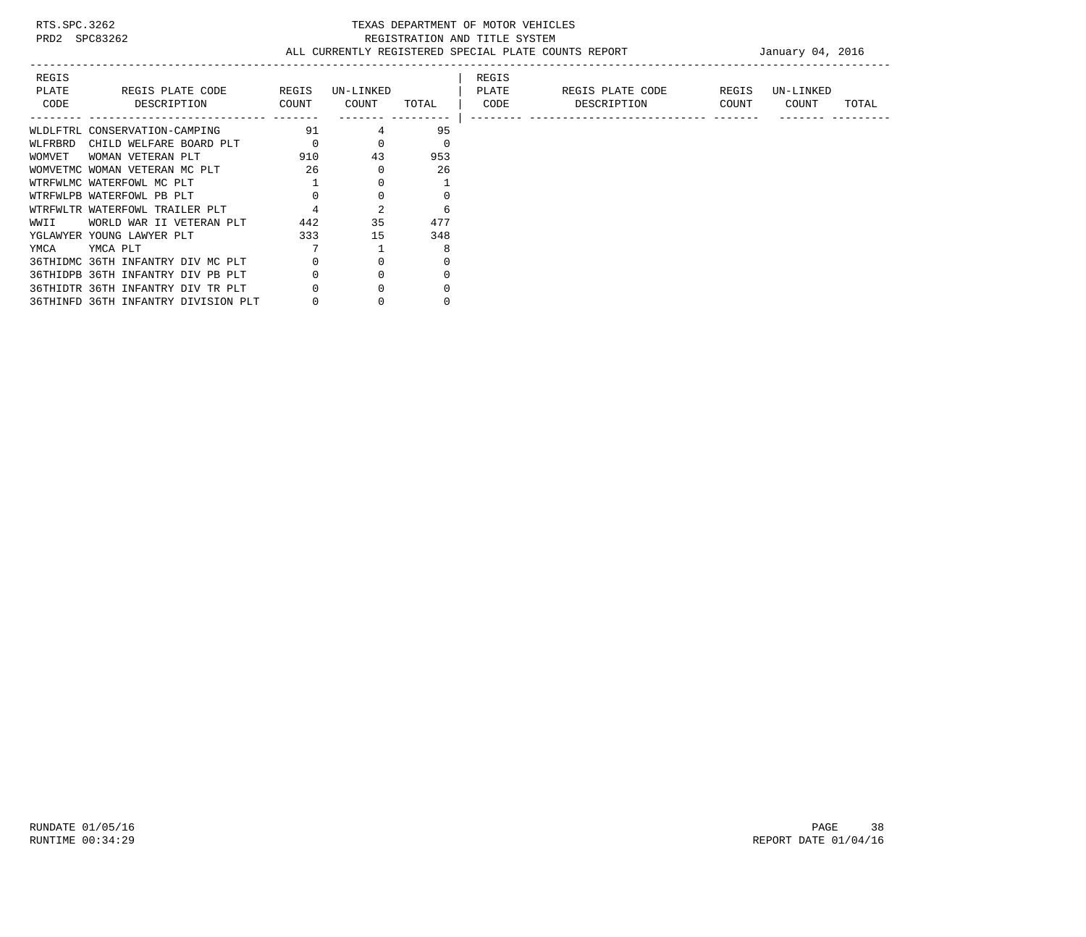| REGIS<br>PLATE<br>CODE | REGIS PLATE CODE<br>DESCRIPTION     | REGIS<br>COUNT | UN-LINKED<br>COUNT | TOTAL | REGIS<br>PLATE<br>CODE | REGIS PLATE CODE<br>DESCRIPTION | REGIS<br>COUNT | UN-LINKED<br>COUNT | TOTAL |
|------------------------|-------------------------------------|----------------|--------------------|-------|------------------------|---------------------------------|----------------|--------------------|-------|
|                        | WLDLFTRL CONSERVATION-CAMPING       | 91             |                    | 95    |                        |                                 |                |                    |       |
| WLFRBRD                | CHILD WELFARE BOARD PLT             |                |                    | 0     |                        |                                 |                |                    |       |
| WOMVET                 | WOMAN VETERAN PLT                   | 910            | 43                 | 953   |                        |                                 |                |                    |       |
|                        | WOMVETMC WOMAN VETERAN MC PLT       | 26             |                    | 26    |                        |                                 |                |                    |       |
|                        | WTRFWLMC WATERFOWL MC PLT           |                |                    |       |                        |                                 |                |                    |       |
|                        | WTRFWLPB WATERFOWL PB PLT           |                |                    |       |                        |                                 |                |                    |       |
|                        | WTRFWLTR WATERFOWL TRAILER PLT      |                | $\overline{a}$     | 6     |                        |                                 |                |                    |       |
| WWII                   | WORLD WAR II VETERAN PLT            | 442            | 35                 | 477   |                        |                                 |                |                    |       |
|                        | YGLAWYER YOUNG LAWYER PLT           | 333            | 15                 | 348   |                        |                                 |                |                    |       |
| YMCA                   | YMCA PLT                            |                |                    | 8     |                        |                                 |                |                    |       |
|                        | 36THIDMC 36TH INFANTRY DIV MC PLT   |                |                    |       |                        |                                 |                |                    |       |
|                        | 36THIDPB 36TH INFANTRY DIV PB PLT   |                |                    |       |                        |                                 |                |                    |       |
|                        | 36THIDTR 36TH INFANTRY DIV TR PLT   |                |                    |       |                        |                                 |                |                    |       |
|                        | 36THINFD 36TH INFANTRY DIVISION PLT |                |                    |       |                        |                                 |                |                    |       |